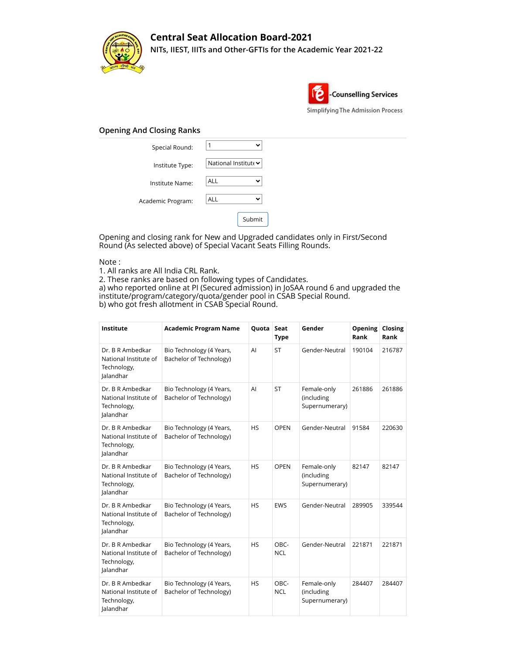

## **Central Seat Allocation Board-2021 NITs, IIEST, IIITs and Other-GFTIs for the Academic Year 2021-22**



## **Opening And Closing Ranks**

| Special Round:    | $\checkmark$               |
|-------------------|----------------------------|
| Institute Type:   | National Institute v       |
| Institute Name:   | <b>ALL</b><br>$\checkmark$ |
| Academic Program: | <b>ALL</b><br>$\checkmark$ |
|                   | Submit                     |

Opening and closing rank for New and Upgraded candidates only in First/Second Round (As selected above) of Special Vacant Seats Filling Rounds.

## Note :

1. All ranks are All India CRL Rank.

2. These ranks are based on following types of Candidates.

a) who reported online at PI (Secured admission) in JoSAA round 6 and upgraded the institute/program/category/quota/gender pool in CSAB Special Round. b) who got fresh allotment in CSAB Special Round.

| Institute                                                             | <b>Academic Program Name</b>                        | Quota     | Seat<br><b>Type</b> | Gender                                      | Opening<br>Rank | Closing<br>Rank |
|-----------------------------------------------------------------------|-----------------------------------------------------|-----------|---------------------|---------------------------------------------|-----------------|-----------------|
| Dr. B R Ambedkar<br>National Institute of<br>Technology,<br>Jalandhar | Bio Technology (4 Years,<br>Bachelor of Technology) | AI        | <b>ST</b>           | Gender-Neutral                              | 190104          | 216787          |
| Dr. B R Ambedkar<br>National Institute of<br>Technology,<br>Jalandhar | Bio Technology (4 Years,<br>Bachelor of Technology) | AI        | ST                  | Female-only<br>(including<br>Supernumerary) | 261886          | 261886          |
| Dr. B R Ambedkar<br>National Institute of<br>Technology,<br>Jalandhar | Bio Technology (4 Years,<br>Bachelor of Technology) | <b>HS</b> | <b>OPEN</b>         | Gender-Neutral                              | 91584           | 220630          |
| Dr. B R Ambedkar<br>National Institute of<br>Technology,<br>Jalandhar | Bio Technology (4 Years,<br>Bachelor of Technology) | <b>HS</b> | <b>OPEN</b>         | Female-only<br>(including<br>Supernumerary) | 82147           | 82147           |
| Dr. B R Ambedkar<br>National Institute of<br>Technology,<br>Jalandhar | Bio Technology (4 Years,<br>Bachelor of Technology) | <b>HS</b> | EWS                 | Gender-Neutral                              | 289905          | 339544          |
| Dr. B R Ambedkar<br>National Institute of<br>Technology,<br>Jalandhar | Bio Technology (4 Years,<br>Bachelor of Technology) | <b>HS</b> | OBC-<br><b>NCL</b>  | Gender-Neutral                              | 221871          | 221871          |
| Dr. B R Ambedkar<br>National Institute of<br>Technology,<br>Jalandhar | Bio Technology (4 Years,<br>Bachelor of Technology) | <b>HS</b> | OBC-<br><b>NCL</b>  | Female-only<br>(including<br>Supernumerary) | 284407          | 284407          |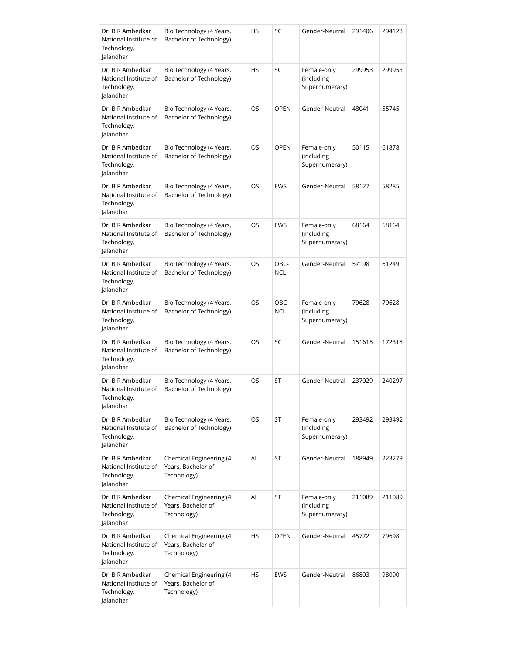| Dr. B R Ambedkar<br>National Institute of<br>Technology,<br>Jalandhar | Bio Technology (4 Years,<br>Bachelor of Technology)          | HS | SC                 | Gender-Neutral                              | 291406 | 294123 |
|-----------------------------------------------------------------------|--------------------------------------------------------------|----|--------------------|---------------------------------------------|--------|--------|
| Dr. B R Ambedkar<br>National Institute of<br>Technology,<br>Jalandhar | Bio Technology (4 Years,<br>Bachelor of Technology)          | HS | SC                 | Female-only<br>(including<br>Supernumerary) | 299953 | 299953 |
| Dr. B R Ambedkar<br>National Institute of<br>Technology,<br>Jalandhar | Bio Technology (4 Years,<br>Bachelor of Technology)          | OS | <b>OPEN</b>        | Gender-Neutral                              | 48041  | 55745  |
| Dr. B R Ambedkar<br>National Institute of<br>Technology,<br>Jalandhar | Bio Technology (4 Years,<br>Bachelor of Technology)          | OS | <b>OPEN</b>        | Female-only<br>(including<br>Supernumerary) | 50115  | 61878  |
| Dr. B R Ambedkar<br>National Institute of<br>Technology,<br>Jalandhar | Bio Technology (4 Years,<br>Bachelor of Technology)          | OS | <b>EWS</b>         | Gender-Neutral                              | 58127  | 58285  |
| Dr. B R Ambedkar<br>National Institute of<br>Technology,<br>Jalandhar | Bio Technology (4 Years,<br>Bachelor of Technology)          | OS | <b>EWS</b>         | Female-only<br>(including<br>Supernumerary) | 68164  | 68164  |
| Dr. B R Ambedkar<br>National Institute of<br>Technology,<br>Jalandhar | Bio Technology (4 Years,<br>Bachelor of Technology)          | OS | OBC-<br><b>NCL</b> | Gender-Neutral                              | 57198  | 61249  |
| Dr. B R Ambedkar<br>National Institute of<br>Technology,<br>Jalandhar | Bio Technology (4 Years,<br>Bachelor of Technology)          | OS | OBC-<br><b>NCL</b> | Female-only<br>(including<br>Supernumerary) | 79628  | 79628  |
| Dr. B R Ambedkar<br>National Institute of<br>Technology,<br>Jalandhar | Bio Technology (4 Years,<br>Bachelor of Technology)          | OS | SC                 | Gender-Neutral                              | 151615 | 172318 |
| Dr. B R Ambedkar<br>National Institute of<br>Technology,<br>Jalandhar | Bio Technology (4 Years,<br>Bachelor of Technology)          | OS | ST                 | Gender-Neutral                              | 237029 | 240297 |
| Dr. B R Ambedkar<br>National Institute of<br>Technology,<br>Jalandhar | Bio Technology (4 Years,<br>Bachelor of Technology)          | OS | ST                 | Female-only<br>(including<br>Supernumerary) | 293492 | 293492 |
| Dr. B R Ambedkar<br>National Institute of<br>Technology,<br>Jalandhar | Chemical Engineering (4<br>Years, Bachelor of<br>Technology) | Al | ST                 | Gender-Neutral                              | 188949 | 223279 |
| Dr. B R Ambedkar<br>National Institute of<br>Technology,<br>Jalandhar | Chemical Engineering (4<br>Years, Bachelor of<br>Technology) | Al | ST                 | Female-only<br>(including<br>Supernumerary) | 211089 | 211089 |
| Dr. B R Ambedkar<br>National Institute of<br>Technology,<br>Jalandhar | Chemical Engineering (4<br>Years, Bachelor of<br>Technology) | HS | <b>OPEN</b>        | Gender-Neutral                              | 45772  | 79698  |
| Dr. B R Ambedkar<br>National Institute of<br>Technology,<br>Jalandhar | Chemical Engineering (4<br>Years, Bachelor of<br>Technology) | HS | <b>EWS</b>         | Gender-Neutral                              | 86803  | 98090  |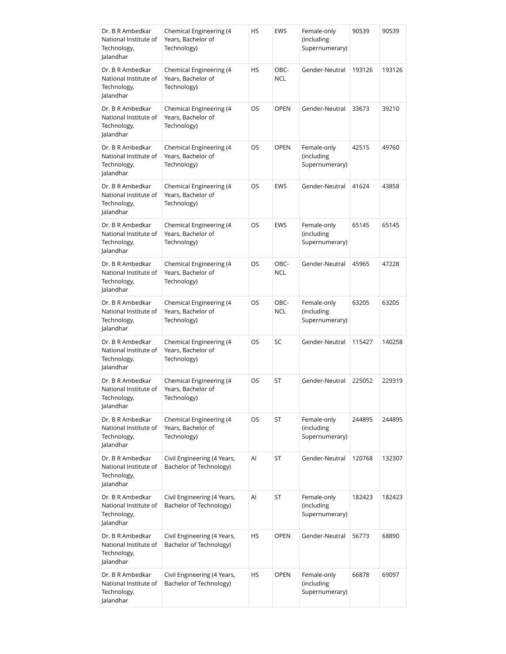| Dr. B R Ambedkar<br>National Institute of<br>Technology,<br>Jalandhar | Chemical Engineering (4<br>Years, Bachelor of<br>Technology) | HS        | <b>EWS</b>         | Female-only<br>(including<br>Supernumerary) | 90539  | 90539  |
|-----------------------------------------------------------------------|--------------------------------------------------------------|-----------|--------------------|---------------------------------------------|--------|--------|
| Dr. B R Ambedkar<br>National Institute of<br>Technology,<br>Jalandhar | Chemical Engineering (4<br>Years, Bachelor of<br>Technology) | <b>HS</b> | OBC-<br><b>NCL</b> | Gender-Neutral                              | 193126 | 193126 |
| Dr. B R Ambedkar<br>National Institute of<br>Technology,<br>Jalandhar | Chemical Engineering (4<br>Years, Bachelor of<br>Technology) | OS        | <b>OPEN</b>        | Gender-Neutral                              | 33673  | 39210  |
| Dr. B R Ambedkar<br>National Institute of<br>Technology,<br>Jalandhar | Chemical Engineering (4<br>Years, Bachelor of<br>Technology) | OS        | <b>OPEN</b>        | Female-only<br>(including<br>Supernumerary) | 42515  | 49760  |
| Dr. B R Ambedkar<br>National Institute of<br>Technology,<br>Jalandhar | Chemical Engineering (4<br>Years, Bachelor of<br>Technology) | OS        | <b>EWS</b>         | Gender-Neutral                              | 41624  | 43858  |
| Dr. B R Ambedkar<br>National Institute of<br>Technology,<br>Jalandhar | Chemical Engineering (4<br>Years, Bachelor of<br>Technology) | OS        | <b>EWS</b>         | Female-only<br>(including<br>Supernumerary) | 65145  | 65145  |
| Dr. B R Ambedkar<br>National Institute of<br>Technology,<br>Jalandhar | Chemical Engineering (4<br>Years, Bachelor of<br>Technology) | OS        | OBC-<br><b>NCL</b> | Gender-Neutral                              | 45965  | 47228  |
| Dr. B R Ambedkar<br>National Institute of<br>Technology,<br>Jalandhar | Chemical Engineering (4<br>Years, Bachelor of<br>Technology) | OS        | OBC-<br><b>NCL</b> | Female-only<br>(including<br>Supernumerary) | 63205  | 63205  |
| Dr. B R Ambedkar<br>National Institute of<br>Technology,<br>Jalandhar | Chemical Engineering (4<br>Years, Bachelor of<br>Technology) | OS        | <b>SC</b>          | Gender-Neutral                              | 115427 | 140258 |
| Dr. B R Ambedkar<br>National Institute of<br>Technology,<br>Jalandhar | Chemical Engineering (4<br>Years, Bachelor of<br>Technology) | OS        | <b>ST</b>          | Gender-Neutral                              | 225052 | 229319 |
| Dr. B R Ambedkar<br>National Institute of<br>Technology,<br>Jalandhar | Chemical Engineering (4<br>Years, Bachelor of<br>Technology) | OS        | ST                 | Female-only<br>(including<br>Supernumerary) | 244895 | 244895 |
| Dr. B R Ambedkar<br>National Institute of<br>Technology,<br>Jalandhar | Civil Engineering (4 Years,<br>Bachelor of Technology)       | Al        | ST                 | Gender-Neutral                              | 120768 | 132307 |
| Dr. B R Ambedkar<br>National Institute of<br>Technology,<br>Jalandhar | Civil Engineering (4 Years,<br>Bachelor of Technology)       | Al        | ST                 | Female-only<br>(including<br>Supernumerary) | 182423 | 182423 |
| Dr. B R Ambedkar<br>National Institute of<br>Technology,<br>Jalandhar | Civil Engineering (4 Years,<br>Bachelor of Technology)       | HS        | <b>OPEN</b>        | Gender-Neutral                              | 56773  | 68890  |
| Dr. B R Ambedkar<br>National Institute of<br>Technology,<br>Jalandhar | Civil Engineering (4 Years,<br>Bachelor of Technology)       | <b>HS</b> | <b>OPEN</b>        | Female-only<br>(including<br>Supernumerary) | 66878  | 69097  |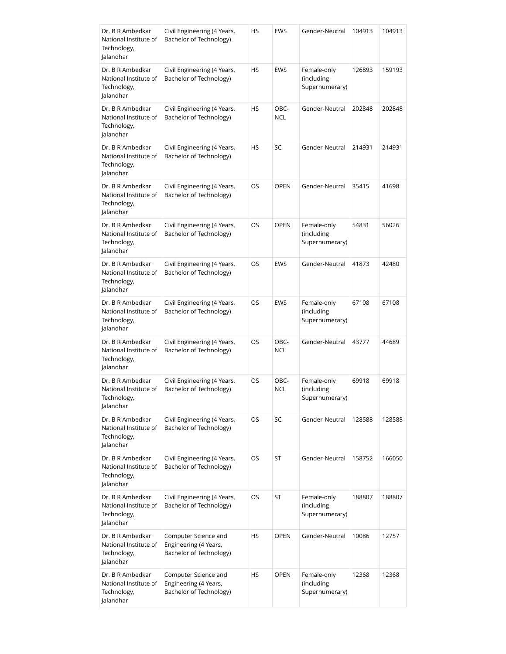| Dr. B R Ambedkar<br>National Institute of<br>Technology,<br>Jalandhar | Civil Engineering (4 Years,<br>Bachelor of Technology)                   | ΗS | <b>EWS</b>         | Gender-Neutral                              | 104913 | 104913 |
|-----------------------------------------------------------------------|--------------------------------------------------------------------------|----|--------------------|---------------------------------------------|--------|--------|
| Dr. B R Ambedkar<br>National Institute of<br>Technology,<br>Jalandhar | Civil Engineering (4 Years,<br>Bachelor of Technology)                   | HS | <b>EWS</b>         | Female-only<br>(including<br>Supernumerary) | 126893 | 159193 |
| Dr. B R Ambedkar<br>National Institute of<br>Technology,<br>Jalandhar | Civil Engineering (4 Years,<br>Bachelor of Technology)                   | HS | OBC-<br><b>NCL</b> | Gender-Neutral                              | 202848 | 202848 |
| Dr. B R Ambedkar<br>National Institute of<br>Technology,<br>Jalandhar | Civil Engineering (4 Years,<br>Bachelor of Technology)                   | HS | SC                 | Gender-Neutral                              | 214931 | 214931 |
| Dr. B R Ambedkar<br>National Institute of<br>Technology,<br>Jalandhar | Civil Engineering (4 Years,<br>Bachelor of Technology)                   | OS | <b>OPEN</b>        | Gender-Neutral                              | 35415  | 41698  |
| Dr. B R Ambedkar<br>National Institute of<br>Technology,<br>Jalandhar | Civil Engineering (4 Years,<br>Bachelor of Technology)                   | OS | <b>OPEN</b>        | Female-only<br>(including<br>Supernumerary) | 54831  | 56026  |
| Dr. B R Ambedkar<br>National Institute of<br>Technology,<br>Jalandhar | Civil Engineering (4 Years,<br>Bachelor of Technology)                   | OS | <b>EWS</b>         | Gender-Neutral                              | 41873  | 42480  |
| Dr. B R Ambedkar<br>National Institute of<br>Technology,<br>Jalandhar | Civil Engineering (4 Years,<br>Bachelor of Technology)                   | OS | <b>EWS</b>         | Female-only<br>(including<br>Supernumerary) | 67108  | 67108  |
| Dr. B R Ambedkar<br>National Institute of<br>Technology,<br>Jalandhar | Civil Engineering (4 Years,<br>Bachelor of Technology)                   | OS | OBC-<br><b>NCL</b> | Gender-Neutral                              | 43777  | 44689  |
| Dr. B R Ambedkar<br>National Institute of<br>Technology,<br>Jalandhar | Civil Engineering (4 Years,<br>Bachelor of Technology)                   | OS | OBC-<br>NCL        | Female-only<br>(including<br>Supernumerary) | 69918  | 69918  |
| Dr. B R Ambedkar<br>National Institute of<br>Technology,<br>Jalandhar | Civil Engineering (4 Years,<br>Bachelor of Technology)                   | OS | <b>SC</b>          | Gender-Neutral                              | 128588 | 128588 |
| Dr. B R Ambedkar<br>National Institute of<br>Technology,<br>Jalandhar | Civil Engineering (4 Years,<br>Bachelor of Technology)                   | OS | ST                 | Gender-Neutral                              | 158752 | 166050 |
| Dr. B R Ambedkar<br>National Institute of<br>Technology,<br>Jalandhar | Civil Engineering (4 Years,<br>Bachelor of Technology)                   | OS | ST                 | Female-only<br>(including<br>Supernumerary) | 188807 | 188807 |
| Dr. B R Ambedkar<br>National Institute of<br>Technology,<br>Jalandhar | Computer Science and<br>Engineering (4 Years,<br>Bachelor of Technology) | ΗS | <b>OPEN</b>        | Gender-Neutral                              | 10086  | 12757  |
| Dr. B R Ambedkar<br>National Institute of<br>Technology,<br>Jalandhar | Computer Science and<br>Engineering (4 Years,<br>Bachelor of Technology) | HS | <b>OPEN</b>        | Female-only<br>(including<br>Supernumerary) | 12368  | 12368  |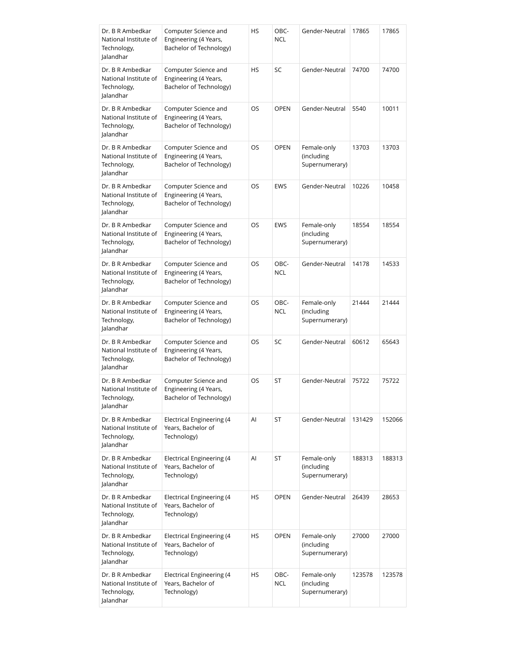| Dr. B R Ambedkar<br>National Institute of<br>Technology,<br>Jalandhar | Computer Science and<br>Engineering (4 Years,<br>Bachelor of Technology) | HS        | OBC-<br><b>NCL</b> | Gender-Neutral                              | 17865  | 17865  |
|-----------------------------------------------------------------------|--------------------------------------------------------------------------|-----------|--------------------|---------------------------------------------|--------|--------|
| Dr. B R Ambedkar<br>National Institute of<br>Technology,<br>Jalandhar | Computer Science and<br>Engineering (4 Years,<br>Bachelor of Technology) | <b>HS</b> | SC                 | Gender-Neutral                              | 74700  | 74700  |
| Dr. B R Ambedkar<br>National Institute of<br>Technology,<br>Jalandhar | Computer Science and<br>Engineering (4 Years,<br>Bachelor of Technology) | OS        | <b>OPEN</b>        | Gender-Neutral                              | 5540   | 10011  |
| Dr. B R Ambedkar<br>National Institute of<br>Technology,<br>Jalandhar | Computer Science and<br>Engineering (4 Years,<br>Bachelor of Technology) | OS        | <b>OPEN</b>        | Female-only<br>(including<br>Supernumerary) | 13703  | 13703  |
| Dr. B R Ambedkar<br>National Institute of<br>Technology,<br>lalandhar | Computer Science and<br>Engineering (4 Years,<br>Bachelor of Technology) | OS        | <b>EWS</b>         | Gender-Neutral                              | 10226  | 10458  |
| Dr. B R Ambedkar<br>National Institute of<br>Technology,<br>Jalandhar | Computer Science and<br>Engineering (4 Years,<br>Bachelor of Technology) | OS        | <b>EWS</b>         | Female-only<br>(including<br>Supernumerary) | 18554  | 18554  |
| Dr. B R Ambedkar<br>National Institute of<br>Technology,<br>Jalandhar | Computer Science and<br>Engineering (4 Years,<br>Bachelor of Technology) | OS        | OBC-<br><b>NCL</b> | Gender-Neutral                              | 14178  | 14533  |
| Dr. B R Ambedkar<br>National Institute of<br>Technology,<br>Jalandhar | Computer Science and<br>Engineering (4 Years,<br>Bachelor of Technology) | OS        | OBC-<br><b>NCL</b> | Female-only<br>(including<br>Supernumerary) | 21444  | 21444  |
| Dr. B R Ambedkar<br>National Institute of<br>Technology,<br>Jalandhar | Computer Science and<br>Engineering (4 Years,<br>Bachelor of Technology) | OS        | SC                 | Gender-Neutral                              | 60612  | 65643  |
| Dr. B R Ambedkar<br>National Institute of<br>Technology,<br>Jalandhar | Computer Science and<br>Engineering (4 Years,<br>Bachelor of Technology) | OS        | <b>ST</b>          | Gender-Neutral                              | 75722  | 75722  |
| Dr. B R Ambedkar<br>National Institute of<br>Technology,<br>Jalandhar | Electrical Engineering (4<br>Years, Bachelor of<br>Technology)           | Al        | ST                 | Gender-Neutral                              | 131429 | 152066 |
| Dr. B R Ambedkar<br>National Institute of<br>Technology,<br>Jalandhar | Electrical Engineering (4<br>Years, Bachelor of<br>Technology)           | Al        | ST                 | Female-only<br>(including<br>Supernumerary) | 188313 | 188313 |
| Dr. B R Ambedkar<br>National Institute of<br>Technology,<br>Jalandhar | Electrical Engineering (4<br>Years, Bachelor of<br>Technology)           | HS        | <b>OPEN</b>        | Gender-Neutral                              | 26439  | 28653  |
| Dr. B R Ambedkar<br>National Institute of<br>Technology,<br>Jalandhar | Electrical Engineering (4<br>Years, Bachelor of<br>Technology)           | <b>HS</b> | <b>OPEN</b>        | Female-only<br>(including<br>Supernumerary) | 27000  | 27000  |
| Dr. B R Ambedkar<br>National Institute of<br>Technology,<br>Jalandhar | Electrical Engineering (4<br>Years, Bachelor of<br>Technology)           | <b>HS</b> | OBC-<br><b>NCL</b> | Female-only<br>(including<br>Supernumerary) | 123578 | 123578 |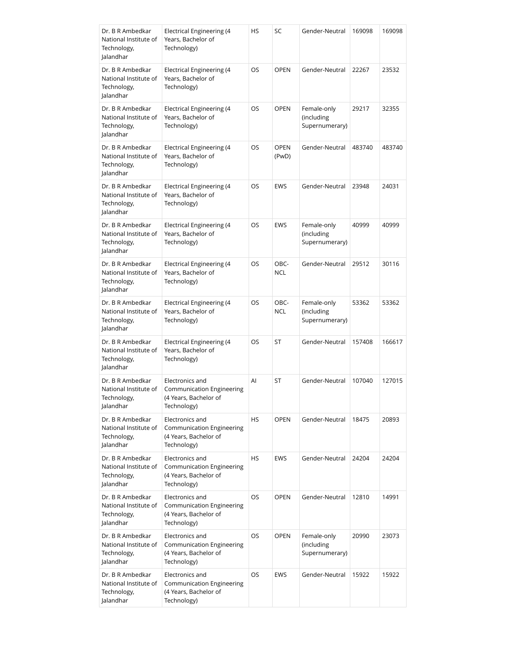| Dr. B R Ambedkar<br>National Institute of<br>Technology,<br>Jalandhar | Electrical Engineering (4<br>Years, Bachelor of<br>Technology)                              | HS        | SC                   | Gender-Neutral                              | 169098 | 169098 |
|-----------------------------------------------------------------------|---------------------------------------------------------------------------------------------|-----------|----------------------|---------------------------------------------|--------|--------|
| Dr. B R Ambedkar<br>National Institute of<br>Technology,<br>Jalandhar | Electrical Engineering (4<br>Years, Bachelor of<br>Technology)                              | OS        | <b>OPEN</b>          | Gender-Neutral                              | 22267  | 23532  |
| Dr. B R Ambedkar<br>National Institute of<br>Technology,<br>Jalandhar | Electrical Engineering (4<br>Years, Bachelor of<br>Technology)                              | OS        | <b>OPEN</b>          | Female-only<br>(including<br>Supernumerary) | 29217  | 32355  |
| Dr. B R Ambedkar<br>National Institute of<br>Technology,<br>Jalandhar | Electrical Engineering (4<br>Years, Bachelor of<br>Technology)                              | OS        | <b>OPEN</b><br>(PwD) | Gender-Neutral                              | 483740 | 483740 |
| Dr. B R Ambedkar<br>National Institute of<br>Technology,<br>Jalandhar | Electrical Engineering (4<br>Years, Bachelor of<br>Technology)                              | OS        | <b>EWS</b>           | Gender-Neutral                              | 23948  | 24031  |
| Dr. B R Ambedkar<br>National Institute of<br>Technology,<br>Jalandhar | <b>Electrical Engineering (4</b><br>Years, Bachelor of<br>Technology)                       | OS        | <b>EWS</b>           | Female-only<br>(including<br>Supernumerary) | 40999  | 40999  |
| Dr. B R Ambedkar<br>National Institute of<br>Technology,<br>Jalandhar | Electrical Engineering (4<br>Years, Bachelor of<br>Technology)                              | OS        | OBC-<br><b>NCL</b>   | Gender-Neutral                              | 29512  | 30116  |
| Dr. B R Ambedkar<br>National Institute of<br>Technology,<br>Jalandhar | Electrical Engineering (4<br>Years, Bachelor of<br>Technology)                              | OS        | OBC-<br><b>NCL</b>   | Female-only<br>(including<br>Supernumerary) | 53362  | 53362  |
| Dr. B R Ambedkar<br>National Institute of<br>Technology,<br>Jalandhar | Electrical Engineering (4<br>Years, Bachelor of<br>Technology)                              | OS        | ST                   | Gender-Neutral                              | 157408 | 166617 |
| Dr. B R Ambedkar<br>National Institute of<br>Technology,<br>Jalandhar | Electronics and<br><b>Communication Engineering</b><br>(4 Years, Bachelor of<br>Technology) | AI        | <b>ST</b>            | Gender-Neutral                              | 107040 | 127015 |
| Dr. B R Ambedkar<br>National Institute of<br>Technology,<br>Jalandhar | Electronics and<br>Communication Engineering<br>(4 Years, Bachelor of<br>Technology)        | HS        | <b>OPEN</b>          | Gender-Neutral                              | 18475  | 20893  |
| Dr. B R Ambedkar<br>National Institute of<br>Technology,<br>Jalandhar | Electronics and<br><b>Communication Engineering</b><br>(4 Years, Bachelor of<br>Technology) | <b>HS</b> | <b>EWS</b>           | Gender-Neutral                              | 24204  | 24204  |
| Dr. B R Ambedkar<br>National Institute of<br>Technology,<br>Jalandhar | Electronics and<br>Communication Engineering<br>(4 Years, Bachelor of<br>Technology)        | OS        | <b>OPEN</b>          | Gender-Neutral                              | 12810  | 14991  |
| Dr. B R Ambedkar<br>National Institute of<br>Technology,<br>Jalandhar | Electronics and<br>Communication Engineering<br>(4 Years, Bachelor of<br>Technology)        | OS        | <b>OPEN</b>          | Female-only<br>(including<br>Supernumerary) | 20990  | 23073  |
| Dr. B R Ambedkar<br>National Institute of<br>Technology,<br>Jalandhar | Electronics and<br>Communication Engineering<br>(4 Years, Bachelor of<br>Technology)        | OS.       | <b>EWS</b>           | Gender-Neutral                              | 15922  | 15922  |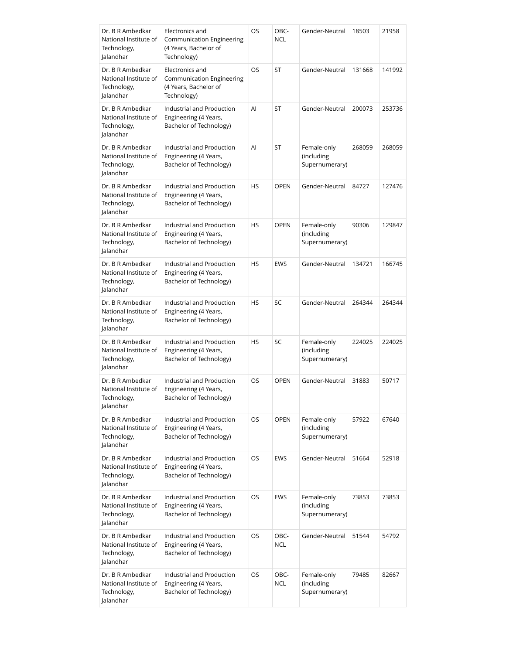| Dr. B R Ambedkar<br>National Institute of<br>Technology,<br>Jalandhar | Electronics and<br>Communication Engineering<br>(4 Years, Bachelor of<br>Technology) | OS        | OBC-<br><b>NCL</b> | Gender-Neutral                              | 18503  | 21958  |
|-----------------------------------------------------------------------|--------------------------------------------------------------------------------------|-----------|--------------------|---------------------------------------------|--------|--------|
| Dr. B R Ambedkar<br>National Institute of<br>Technology,<br>Jalandhar | Electronics and<br>Communication Engineering<br>(4 Years, Bachelor of<br>Technology) | OS        | ST                 | Gender-Neutral                              | 131668 | 141992 |
| Dr. B R Ambedkar<br>National Institute of<br>Technology,<br>Jalandhar | Industrial and Production<br>Engineering (4 Years,<br>Bachelor of Technology)        | Al        | ST                 | Gender-Neutral                              | 200073 | 253736 |
| Dr. B R Ambedkar<br>National Institute of<br>Technology,<br>Jalandhar | Industrial and Production<br>Engineering (4 Years,<br>Bachelor of Technology)        | Al        | ST                 | Female-only<br>(including<br>Supernumerary) | 268059 | 268059 |
| Dr. B R Ambedkar<br>National Institute of<br>Technology,<br>Jalandhar | Industrial and Production<br>Engineering (4 Years,<br>Bachelor of Technology)        | <b>HS</b> | <b>OPEN</b>        | Gender-Neutral                              | 84727  | 127476 |
| Dr. B R Ambedkar<br>National Institute of<br>Technology,<br>Jalandhar | Industrial and Production<br>Engineering (4 Years,<br>Bachelor of Technology)        | <b>HS</b> | <b>OPEN</b>        | Female-only<br>(including<br>Supernumerary) | 90306  | 129847 |
| Dr. B R Ambedkar<br>National Institute of<br>Technology,<br>Jalandhar | Industrial and Production<br>Engineering (4 Years,<br>Bachelor of Technology)        | <b>HS</b> | <b>EWS</b>         | Gender-Neutral                              | 134721 | 166745 |
| Dr. B R Ambedkar<br>National Institute of<br>Technology,<br>Jalandhar | Industrial and Production<br>Engineering (4 Years,<br>Bachelor of Technology)        | HS        | SC                 | Gender-Neutral                              | 264344 | 264344 |
| Dr. B R Ambedkar<br>National Institute of<br>Technology,<br>Jalandhar | Industrial and Production<br>Engineering (4 Years,<br>Bachelor of Technology)        | HS        | SC                 | Female-only<br>(including<br>Supernumerary) | 224025 | 224025 |
| Dr. B R Ambedkar<br>National Institute of<br>Technology,<br>Jalandhar | Industrial and Production<br>Engineering (4 Years,<br>Bachelor of Technology)        | OS        | <b>OPEN</b>        | Gender-Neutral                              | 31883  | 50717  |
| Dr. B R Ambedkar<br>National Institute of<br>Technology,<br>Jalandhar | Industrial and Production<br>Engineering (4 Years,<br>Bachelor of Technology)        | OS        | <b>OPEN</b>        | Female-only<br>(including<br>Supernumerary) | 57922  | 67640  |
| Dr. B R Ambedkar<br>National Institute of<br>Technology,<br>Jalandhar | Industrial and Production<br>Engineering (4 Years,<br>Bachelor of Technology)        | OS        | <b>EWS</b>         | Gender-Neutral                              | 51664  | 52918  |
| Dr. B R Ambedkar<br>National Institute of<br>Technology,<br>Jalandhar | Industrial and Production<br>Engineering (4 Years,<br>Bachelor of Technology)        | OS        | <b>EWS</b>         | Female-only<br>(including<br>Supernumerary) | 73853  | 73853  |
| Dr. B R Ambedkar<br>National Institute of<br>Technology,<br>Jalandhar | Industrial and Production<br>Engineering (4 Years,<br>Bachelor of Technology)        | OS        | OBC-<br><b>NCL</b> | Gender-Neutral                              | 51544  | 54792  |
| Dr. B R Ambedkar<br>National Institute of<br>Technology,<br>Jalandhar | Industrial and Production<br>Engineering (4 Years,<br>Bachelor of Technology)        | OS        | OBC-<br><b>NCL</b> | Female-only<br>(including<br>Supernumerary) | 79485  | 82667  |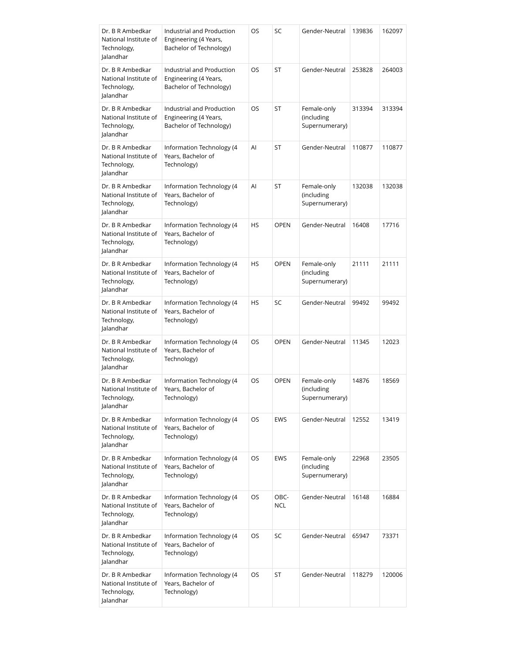| Dr. B R Ambedkar<br>National Institute of<br>Technology,<br>Jalandhar | Industrial and Production<br>Engineering (4 Years,<br>Bachelor of Technology) | OS  | SC          | Gender-Neutral                              | 139836 | 162097 |
|-----------------------------------------------------------------------|-------------------------------------------------------------------------------|-----|-------------|---------------------------------------------|--------|--------|
| Dr. B R Ambedkar<br>National Institute of<br>Technology,<br>Jalandhar | Industrial and Production<br>Engineering (4 Years,<br>Bachelor of Technology) | OS  | ST          | Gender-Neutral                              | 253828 | 264003 |
| Dr. B R Ambedkar<br>National Institute of<br>Technology,<br>Jalandhar | Industrial and Production<br>Engineering (4 Years,<br>Bachelor of Technology) | OS  | ST          | Female-only<br>(including<br>Supernumerary) | 313394 | 313394 |
| Dr. B R Ambedkar<br>National Institute of<br>Technology,<br>Jalandhar | Information Technology (4<br>Years, Bachelor of<br>Technology)                | Al  | ST          | Gender-Neutral                              | 110877 | 110877 |
| Dr. B R Ambedkar<br>National Institute of<br>Technology,<br>Jalandhar | Information Technology (4<br>Years, Bachelor of<br>Technology)                | Al  | ST          | Female-only<br>(including<br>Supernumerary) | 132038 | 132038 |
| Dr. B R Ambedkar<br>National Institute of<br>Technology,<br>Jalandhar | Information Technology (4<br>Years, Bachelor of<br>Technology)                | HS  | <b>OPEN</b> | Gender-Neutral                              | 16408  | 17716  |
| Dr. B R Ambedkar<br>National Institute of<br>Technology,<br>Jalandhar | Information Technology (4<br>Years, Bachelor of<br>Technology)                | HS  | <b>OPEN</b> | Female-only<br>(including<br>Supernumerary) | 21111  | 21111  |
| Dr. B R Ambedkar<br>National Institute of<br>Technology,<br>Jalandhar | Information Technology (4<br>Years, Bachelor of<br>Technology)                | HS  | SC          | Gender-Neutral                              | 99492  | 99492  |
| Dr. B R Ambedkar<br>National Institute of<br>Technology,<br>Jalandhar | Information Technology (4<br>Years, Bachelor of<br>Technology)                | OS  | <b>OPEN</b> | Gender-Neutral                              | 11345  | 12023  |
| Dr. B R Ambedkar<br>National Institute of<br>Technology,<br>Jalandhar | Information Technology (4<br>Years, Bachelor of<br>Technology)                | OS  | <b>OPEN</b> | Female-only<br>(including<br>Supernumerary) | 14876  | 18569  |
| Dr. B R Ambedkar<br>National Institute of<br>Technology,<br>Jalandhar | Information Technology (4<br>Years, Bachelor of<br>Technology)                | OS  | <b>EWS</b>  | Gender-Neutral                              | 12552  | 13419  |
| Dr. B R Ambedkar<br>National Institute of<br>Technology,<br>Jalandhar | Information Technology (4<br>Years, Bachelor of<br>Technology)                | OS  | <b>EWS</b>  | Female-only<br>(including<br>Supernumerary) | 22968  | 23505  |
| Dr. B R Ambedkar<br>National Institute of<br>Technology,<br>Jalandhar | Information Technology (4<br>Years, Bachelor of<br>Technology)                | OS  | OBC-<br>NCL | Gender-Neutral                              | 16148  | 16884  |
| Dr. B R Ambedkar<br>National Institute of<br>Technology,<br>Jalandhar | Information Technology (4<br>Years, Bachelor of<br>Technology)                | OS  | SC          | Gender-Neutral                              | 65947  | 73371  |
| Dr. B R Ambedkar<br>National Institute of<br>Technology,<br>Jalandhar | Information Technology (4<br>Years, Bachelor of<br>Technology)                | OS. | ST          | Gender-Neutral                              | 118279 | 120006 |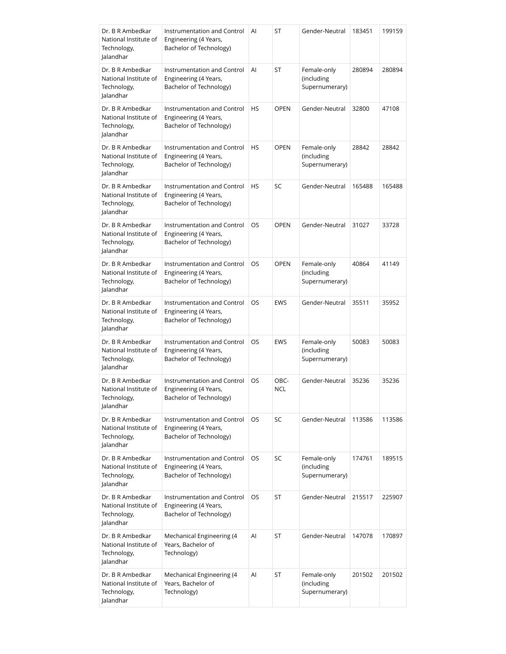| Dr. B R Ambedkar<br>National Institute of<br>Technology,<br>Jalandhar | Instrumentation and Control<br>Engineering (4 Years,<br>Bachelor of Technology) | AI | ST          | Gender-Neutral                              | 183451 | 199159 |
|-----------------------------------------------------------------------|---------------------------------------------------------------------------------|----|-------------|---------------------------------------------|--------|--------|
| Dr. B R Ambedkar<br>National Institute of<br>Technology,<br>Jalandhar | Instrumentation and Control<br>Engineering (4 Years,<br>Bachelor of Technology) | AI | ST          | Female-only<br>(including<br>Supernumerary) | 280894 | 280894 |
| Dr. B R Ambedkar<br>National Institute of<br>Technology,<br>Jalandhar | Instrumentation and Control<br>Engineering (4 Years,<br>Bachelor of Technology) | HS | <b>OPEN</b> | Gender-Neutral                              | 32800  | 47108  |
| Dr. B R Ambedkar<br>National Institute of<br>Technology,<br>Jalandhar | Instrumentation and Control<br>Engineering (4 Years,<br>Bachelor of Technology) | HS | <b>OPEN</b> | Female-only<br>(including<br>Supernumerary) | 28842  | 28842  |
| Dr. B R Ambedkar<br>National Institute of<br>Technology,<br>Jalandhar | Instrumentation and Control<br>Engineering (4 Years,<br>Bachelor of Technology) | HS | SC          | Gender-Neutral                              | 165488 | 165488 |
| Dr. B R Ambedkar<br>National Institute of<br>Technology,<br>Jalandhar | Instrumentation and Control<br>Engineering (4 Years,<br>Bachelor of Technology) | OS | <b>OPEN</b> | Gender-Neutral                              | 31027  | 33728  |
| Dr. B R Ambedkar<br>National Institute of<br>Technology,<br>Jalandhar | Instrumentation and Control<br>Engineering (4 Years,<br>Bachelor of Technology) | OS | <b>OPEN</b> | Female-only<br>(including<br>Supernumerary) | 40864  | 41149  |
| Dr. B R Ambedkar<br>National Institute of<br>Technology,<br>Jalandhar | Instrumentation and Control<br>Engineering (4 Years,<br>Bachelor of Technology) | OS | <b>EWS</b>  | Gender-Neutral                              | 35511  | 35952  |
| Dr. B R Ambedkar<br>National Institute of<br>Technology,<br>Jalandhar | Instrumentation and Control<br>Engineering (4 Years,<br>Bachelor of Technology) | OS | <b>EWS</b>  | Female-only<br>(including<br>Supernumerary) | 50083  | 50083  |
| Dr. B R Ambedkar<br>National Institute of<br>Technology,<br>Jalandhar | Instrumentation and Control<br>Engineering (4 Years,<br>Bachelor of Technology) | OS | OBC-<br>NCL | Gender-Neutral                              | 35236  | 35236  |
| Dr. B R Ambedkar<br>National Institute of<br>Technology,<br>Jalandhar | Instrumentation and Control<br>Engineering (4 Years,<br>Bachelor of Technology) | OS | <b>SC</b>   | Gender-Neutral                              | 113586 | 113586 |
| Dr. B R Ambedkar<br>National Institute of<br>Technology,<br>Jalandhar | Instrumentation and Control<br>Engineering (4 Years,<br>Bachelor of Technology) | OS | SC          | Female-only<br>(including<br>Supernumerary) | 174761 | 189515 |
| Dr. B R Ambedkar<br>National Institute of<br>Technology,<br>Jalandhar | Instrumentation and Control<br>Engineering (4 Years,<br>Bachelor of Technology) | OS | ST          | Gender-Neutral                              | 215517 | 225907 |
| Dr. B R Ambedkar<br>National Institute of<br>Technology,<br>Jalandhar | Mechanical Engineering (4<br>Years, Bachelor of<br>Technology)                  | Al | ST          | Gender-Neutral                              | 147078 | 170897 |
| Dr. B R Ambedkar<br>National Institute of<br>Technology,<br>Jalandhar | Mechanical Engineering (4<br>Years, Bachelor of<br>Technology)                  | AI | ST          | Female-only<br>(including<br>Supernumerary) | 201502 | 201502 |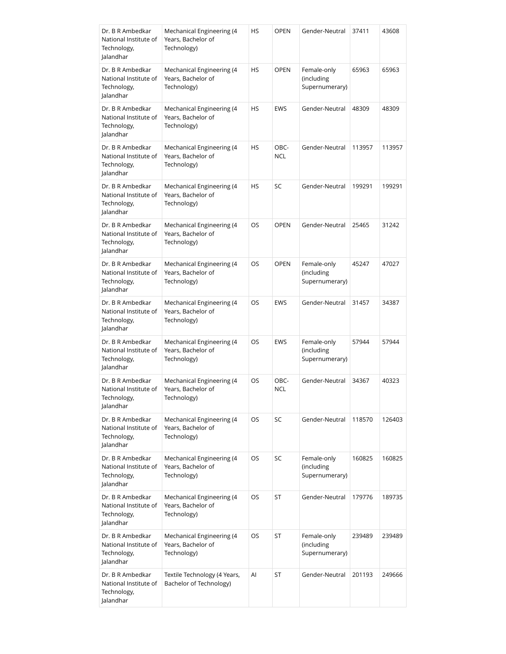| Dr. B R Ambedkar<br>National Institute of<br>Technology,<br>Jalandhar | Mechanical Engineering (4<br>Years, Bachelor of<br>Technology) | HS | <b>OPEN</b>        | Gender-Neutral                              | 37411  | 43608  |
|-----------------------------------------------------------------------|----------------------------------------------------------------|----|--------------------|---------------------------------------------|--------|--------|
| Dr. B R Ambedkar<br>National Institute of<br>Technology,<br>Jalandhar | Mechanical Engineering (4<br>Years, Bachelor of<br>Technology) | HS | <b>OPEN</b>        | Female-only<br>(including<br>Supernumerary) | 65963  | 65963  |
| Dr. B R Ambedkar<br>National Institute of<br>Technology,<br>Jalandhar | Mechanical Engineering (4<br>Years, Bachelor of<br>Technology) | HS | <b>EWS</b>         | Gender-Neutral                              | 48309  | 48309  |
| Dr. B R Ambedkar<br>National Institute of<br>Technology,<br>Jalandhar | Mechanical Engineering (4<br>Years, Bachelor of<br>Technology) | HS | OBC-<br><b>NCL</b> | Gender-Neutral                              | 113957 | 113957 |
| Dr. B R Ambedkar<br>National Institute of<br>Technology,<br>Jalandhar | Mechanical Engineering (4<br>Years, Bachelor of<br>Technology) | HS | SC                 | Gender-Neutral                              | 199291 | 199291 |
| Dr. B R Ambedkar<br>National Institute of<br>Technology,<br>Jalandhar | Mechanical Engineering (4<br>Years, Bachelor of<br>Technology) | OS | <b>OPEN</b>        | Gender-Neutral                              | 25465  | 31242  |
| Dr. B R Ambedkar<br>National Institute of<br>Technology,<br>Jalandhar | Mechanical Engineering (4<br>Years, Bachelor of<br>Technology) | OS | <b>OPEN</b>        | Female-only<br>(including<br>Supernumerary) | 45247  | 47027  |
| Dr. B R Ambedkar<br>National Institute of<br>Technology,<br>Jalandhar | Mechanical Engineering (4<br>Years, Bachelor of<br>Technology) | OS | <b>EWS</b>         | Gender-Neutral                              | 31457  | 34387  |
| Dr. B R Ambedkar<br>National Institute of<br>Technology,<br>Jalandhar | Mechanical Engineering (4<br>Years, Bachelor of<br>Technology) | OS | <b>EWS</b>         | Female-only<br>(including<br>Supernumerary) | 57944  | 57944  |
| Dr. B R Ambedkar<br>National Institute of<br>Technology,<br>Jalandhar | Mechanical Engineering (4<br>Years, Bachelor of<br>Technology) | OS | OBC-<br><b>NCL</b> | Gender-Neutral                              | 34367  | 40323  |
| Dr. B R Ambedkar<br>National Institute of<br>Technology,<br>Jalandhar | Mechanical Engineering (4<br>Years, Bachelor of<br>Technology) | OS | SC                 | Gender-Neutral                              | 118570 | 126403 |
| Dr. B R Ambedkar<br>National Institute of<br>Technology,<br>Jalandhar | Mechanical Engineering (4<br>Years, Bachelor of<br>Technology) | OS | SC                 | Female-only<br>(including<br>Supernumerary) | 160825 | 160825 |
| Dr. B R Ambedkar<br>National Institute of<br>Technology,<br>Jalandhar | Mechanical Engineering (4<br>Years, Bachelor of<br>Technology) | OS | ST                 | Gender-Neutral                              | 179776 | 189735 |
| Dr. B R Ambedkar<br>National Institute of<br>Technology,<br>Jalandhar | Mechanical Engineering (4<br>Years, Bachelor of<br>Technology) | OS | ST                 | Female-only<br>(including<br>Supernumerary) | 239489 | 239489 |
| Dr. B R Ambedkar<br>National Institute of<br>Technology,<br>Jalandhar | Textile Technology (4 Years,<br>Bachelor of Technology)        | AI | ST                 | Gender-Neutral                              | 201193 | 249666 |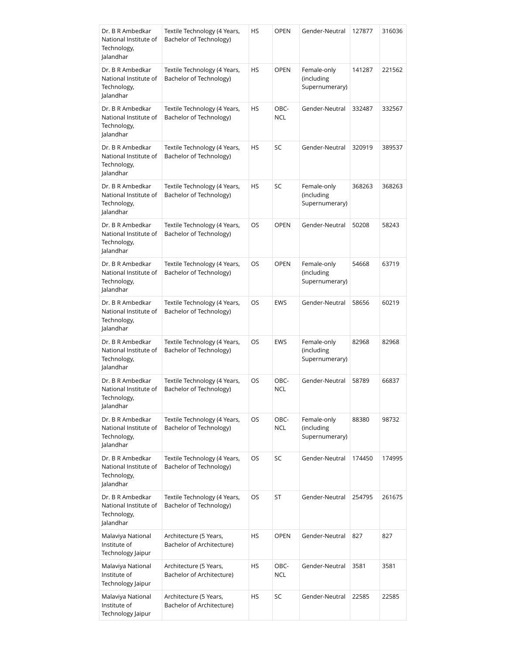| Dr. B R Ambedkar<br>National Institute of<br>Technology,<br>Jalandhar | Textile Technology (4 Years,<br>Bachelor of Technology) | HS        | <b>OPEN</b>        | Gender-Neutral                              | 127877 | 316036 |
|-----------------------------------------------------------------------|---------------------------------------------------------|-----------|--------------------|---------------------------------------------|--------|--------|
| Dr. B R Ambedkar<br>National Institute of<br>Technology,<br>Jalandhar | Textile Technology (4 Years,<br>Bachelor of Technology) | HS        | <b>OPEN</b>        | Female-only<br>(including<br>Supernumerary) | 141287 | 221562 |
| Dr. B R Ambedkar<br>National Institute of<br>Technology,<br>Jalandhar | Textile Technology (4 Years,<br>Bachelor of Technology) | <b>HS</b> | OBC-<br><b>NCL</b> | Gender-Neutral                              | 332487 | 332567 |
| Dr. B R Ambedkar<br>National Institute of<br>Technology,<br>Jalandhar | Textile Technology (4 Years,<br>Bachelor of Technology) | HS        | SC                 | Gender-Neutral                              | 320919 | 389537 |
| Dr. B R Ambedkar<br>National Institute of<br>Technology,<br>Jalandhar | Textile Technology (4 Years,<br>Bachelor of Technology) | HS        | SC                 | Female-only<br>(including<br>Supernumerary) | 368263 | 368263 |
| Dr. B R Ambedkar<br>National Institute of<br>Technology,<br>Jalandhar | Textile Technology (4 Years,<br>Bachelor of Technology) | OS        | <b>OPEN</b>        | Gender-Neutral                              | 50208  | 58243  |
| Dr. B R Ambedkar<br>National Institute of<br>Technology,<br>Jalandhar | Textile Technology (4 Years,<br>Bachelor of Technology) | OS        | <b>OPEN</b>        | Female-only<br>(including<br>Supernumerary) | 54668  | 63719  |
| Dr. B R Ambedkar<br>National Institute of<br>Technology,<br>Jalandhar | Textile Technology (4 Years,<br>Bachelor of Technology) | OS        | <b>EWS</b>         | Gender-Neutral                              | 58656  | 60219  |
| Dr. B R Ambedkar<br>National Institute of<br>Technology,<br>lalandhar | Textile Technology (4 Years,<br>Bachelor of Technology) | OS        | <b>EWS</b>         | Female-only<br>(including<br>Supernumerary) | 82968  | 82968  |
| Dr. B R Ambedkar<br>National Institute of<br>Technology,<br>Jalandhar | Textile Technology (4 Years,<br>Bachelor of Technology) | OS        | OBC-<br><b>NCL</b> | Gender-Neutral                              | 58789  | 66837  |
| Dr. B R Ambedkar<br>National Institute of<br>Technology,<br>Jalandhar | Textile Technology (4 Years,<br>Bachelor of Technology) | OS        | OBC-<br><b>NCL</b> | Female-only<br>(including<br>Supernumerary) | 88380  | 98732  |
| Dr. B R Ambedkar<br>National Institute of<br>Technology,<br>Jalandhar | Textile Technology (4 Years,<br>Bachelor of Technology) | OS        | SC                 | Gender-Neutral                              | 174450 | 174995 |
| Dr. B R Ambedkar<br>National Institute of<br>Technology,<br>Jalandhar | Textile Technology (4 Years,<br>Bachelor of Technology) | OS        | ST                 | Gender-Neutral                              | 254795 | 261675 |
| Malaviya National<br>Institute of<br>Technology Jaipur                | Architecture (5 Years,<br>Bachelor of Architecture)     | HS        | <b>OPEN</b>        | Gender-Neutral                              | 827    | 827    |
| Malaviya National<br>Institute of<br>Technology Jaipur                | Architecture (5 Years,<br>Bachelor of Architecture)     | HS        | OBC-<br><b>NCL</b> | Gender-Neutral                              | 3581   | 3581   |
| Malaviya National<br>Institute of<br>Technology Jaipur                | Architecture (5 Years,<br>Bachelor of Architecture)     | HS        | SC                 | Gender-Neutral                              | 22585  | 22585  |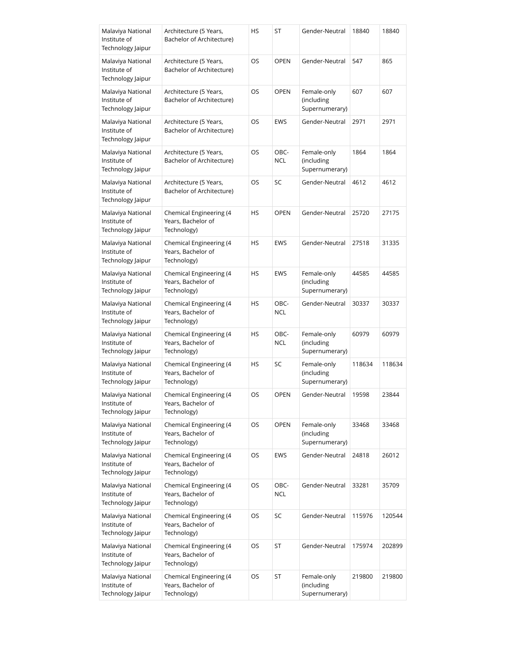| Malaviya National<br>Institute of<br>Technology Jaipur | Architecture (5 Years,<br>Bachelor of Architecture)          | HS  | ST                 | Gender-Neutral                              | 18840  | 18840  |
|--------------------------------------------------------|--------------------------------------------------------------|-----|--------------------|---------------------------------------------|--------|--------|
| Malaviya National<br>Institute of<br>Technology Jaipur | Architecture (5 Years,<br>Bachelor of Architecture)          | OS  | <b>OPEN</b>        | Gender-Neutral                              | 547    | 865    |
| Malaviya National<br>Institute of<br>Technology Jaipur | Architecture (5 Years,<br>Bachelor of Architecture)          | OS  | <b>OPEN</b>        | Female-only<br>(including<br>Supernumerary) | 607    | 607    |
| Malaviya National<br>Institute of<br>Technology Jaipur | Architecture (5 Years,<br>Bachelor of Architecture)          | OS  | <b>EWS</b>         | Gender-Neutral                              | 2971   | 2971   |
| Malaviya National<br>Institute of<br>Technology Jaipur | Architecture (5 Years,<br>Bachelor of Architecture)          | OS. | OBC-<br><b>NCL</b> | Female-only<br>(including<br>Supernumerary) | 1864   | 1864   |
| Malaviya National<br>Institute of<br>Technology Jaipur | Architecture (5 Years,<br>Bachelor of Architecture)          | OS  | SC                 | Gender-Neutral                              | 4612   | 4612   |
| Malaviya National<br>Institute of<br>Technology Jaipur | Chemical Engineering (4<br>Years, Bachelor of<br>Technology) | HS  | <b>OPEN</b>        | Gender-Neutral                              | 25720  | 27175  |
| Malaviya National<br>Institute of<br>Technology Jaipur | Chemical Engineering (4<br>Years, Bachelor of<br>Technology) | HS  | <b>EWS</b>         | Gender-Neutral                              | 27518  | 31335  |
| Malaviya National<br>Institute of<br>Technology Jaipur | Chemical Engineering (4<br>Years, Bachelor of<br>Technology) | HS  | <b>EWS</b>         | Female-only<br>(including<br>Supernumerary) | 44585  | 44585  |
| Malaviya National<br>Institute of<br>Technology Jaipur | Chemical Engineering (4<br>Years, Bachelor of<br>Technology) | HS  | OBC-<br><b>NCL</b> | Gender-Neutral                              | 30337  | 30337  |
| Malaviya National<br>Institute of<br>Technology Jaipur | Chemical Engineering (4<br>Years, Bachelor of<br>Technology) | HS  | OBC-<br><b>NCL</b> | Female-only<br>(including<br>Supernumerary) | 60979  | 60979  |
| Malaviya National<br>Institute of<br>Technology Jaipur | Chemical Engineering (4<br>Years, Bachelor of<br>Technology) | HS  | SC                 | Female-only<br>(including<br>Supernumerary) | 118634 | 118634 |
| Malaviya National<br>Institute of<br>Technology Jaipur | Chemical Engineering (4<br>Years, Bachelor of<br>Technology) | OS  | OPEN               | Gender-Neutral                              | 19598  | 23844  |
| Malaviya National<br>Institute of<br>Technology Jaipur | Chemical Engineering (4<br>Years, Bachelor of<br>Technology) | OS  | <b>OPEN</b>        | Female-only<br>(including<br>Supernumerary) | 33468  | 33468  |
| Malaviya National<br>Institute of<br>Technology Jaipur | Chemical Engineering (4<br>Years, Bachelor of<br>Technology) | OS  | EWS                | Gender-Neutral                              | 24818  | 26012  |
| Malaviya National<br>Institute of<br>Technology Jaipur | Chemical Engineering (4<br>Years, Bachelor of<br>Technology) | OS  | OBC-<br><b>NCL</b> | Gender-Neutral                              | 33281  | 35709  |
| Malaviya National<br>Institute of<br>Technology Jaipur | Chemical Engineering (4<br>Years, Bachelor of<br>Technology) | OS  | SC                 | Gender-Neutral                              | 115976 | 120544 |
| Malaviya National<br>Institute of<br>Technology Jaipur | Chemical Engineering (4<br>Years, Bachelor of<br>Technology) | OS  | ST                 | Gender-Neutral                              | 175974 | 202899 |
| Malaviya National<br>Institute of<br>Technology Jaipur | Chemical Engineering (4<br>Years, Bachelor of<br>Technology) | OS  | ST                 | Female-only<br>(including<br>Supernumerary) | 219800 | 219800 |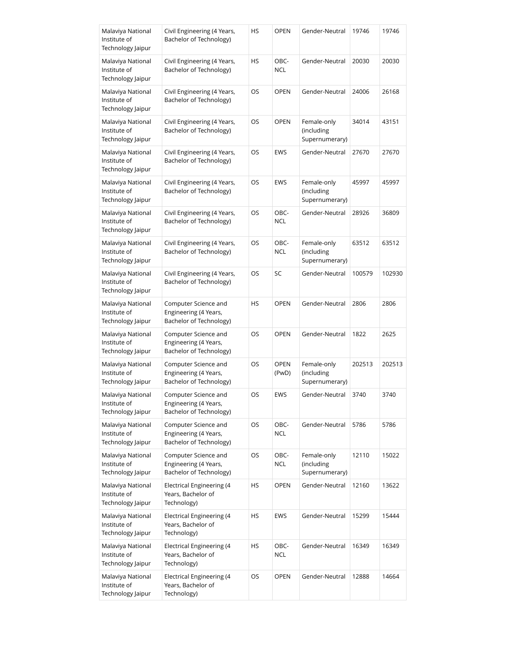| Malaviya National<br>Institute of<br>Technology Jaipur | Civil Engineering (4 Years,<br>Bachelor of Technology)                   | HS | <b>OPEN</b>          | Gender-Neutral                              | 19746  | 19746  |
|--------------------------------------------------------|--------------------------------------------------------------------------|----|----------------------|---------------------------------------------|--------|--------|
| Malaviya National<br>Institute of<br>Technology Jaipur | Civil Engineering (4 Years,<br>Bachelor of Technology)                   | HS | OBC-<br><b>NCL</b>   | Gender-Neutral                              | 20030  | 20030  |
| Malaviya National<br>Institute of<br>Technology Jaipur | Civil Engineering (4 Years,<br>Bachelor of Technology)                   | OS | <b>OPEN</b>          | Gender-Neutral                              | 24006  | 26168  |
| Malaviya National<br>Institute of<br>Technology Jaipur | Civil Engineering (4 Years,<br>Bachelor of Technology)                   | OS | <b>OPEN</b>          | Female-only<br>(including<br>Supernumerary) | 34014  | 43151  |
| Malaviya National<br>Institute of<br>Technology Jaipur | Civil Engineering (4 Years,<br>Bachelor of Technology)                   | OS | <b>EWS</b>           | Gender-Neutral                              | 27670  | 27670  |
| Malaviya National<br>Institute of<br>Technology Jaipur | Civil Engineering (4 Years,<br>Bachelor of Technology)                   | OS | <b>EWS</b>           | Female-only<br>(including<br>Supernumerary) | 45997  | 45997  |
| Malaviya National<br>Institute of<br>Technology Jaipur | Civil Engineering (4 Years,<br>Bachelor of Technology)                   | OS | OBC-<br><b>NCL</b>   | Gender-Neutral                              | 28926  | 36809  |
| Malaviya National<br>Institute of<br>Technology Jaipur | Civil Engineering (4 Years,<br>Bachelor of Technology)                   | OS | OBC-<br><b>NCL</b>   | Female-only<br>(including<br>Supernumerary) | 63512  | 63512  |
| Malaviya National<br>Institute of<br>Technology Jaipur | Civil Engineering (4 Years,<br>Bachelor of Technology)                   | OS | SC                   | Gender-Neutral                              | 100579 | 102930 |
| Malaviya National<br>Institute of<br>Technology Jaipur | Computer Science and<br>Engineering (4 Years,<br>Bachelor of Technology) | HS | <b>OPEN</b>          | Gender-Neutral                              | 2806   | 2806   |
| Malaviya National<br>Institute of<br>Technology Jaipur | Computer Science and<br>Engineering (4 Years,<br>Bachelor of Technology) | OS | <b>OPEN</b>          | Gender-Neutral                              | 1822   | 2625   |
| Malaviya National<br>Institute of<br>Technology Jaipur | Computer Science and<br>Engineering (4 Years,<br>Bachelor of Technology) | OS | <b>OPEN</b><br>(PwD) | Female-only<br>(including<br>Supernumerary) | 202513 | 202513 |
| Malaviya National<br>Institute of<br>Technology Jaipur | Computer Science and<br>Engineering (4 Years,<br>Bachelor of Technology) | OS | EWS                  | Gender-Neutral                              | 3740   | 3740   |
| Malaviya National<br>Institute of<br>Technology Jaipur | Computer Science and<br>Engineering (4 Years,<br>Bachelor of Technology) | OS | OBC-<br><b>NCL</b>   | Gender-Neutral                              | 5786   | 5786   |
| Malaviya National<br>Institute of<br>Technology Jaipur | Computer Science and<br>Engineering (4 Years,<br>Bachelor of Technology) | OS | OBC-<br><b>NCL</b>   | Female-only<br>(including<br>Supernumerary) | 12110  | 15022  |
| Malaviya National<br>Institute of<br>Technology Jaipur | <b>Electrical Engineering (4</b><br>Years, Bachelor of<br>Technology)    | HS | <b>OPEN</b>          | Gender-Neutral                              | 12160  | 13622  |
| Malaviya National<br>Institute of<br>Technology Jaipur | Electrical Engineering (4<br>Years, Bachelor of<br>Technology)           | HS | <b>EWS</b>           | Gender-Neutral                              | 15299  | 15444  |
| Malaviya National<br>Institute of<br>Technology Jaipur | Electrical Engineering (4<br>Years, Bachelor of<br>Technology)           | HS | OBC-<br><b>NCL</b>   | Gender-Neutral                              | 16349  | 16349  |
| Malaviya National<br>Institute of<br>Technology Jaipur | Electrical Engineering (4<br>Years, Bachelor of<br>Technology)           | OS | OPEN                 | Gender-Neutral                              | 12888  | 14664  |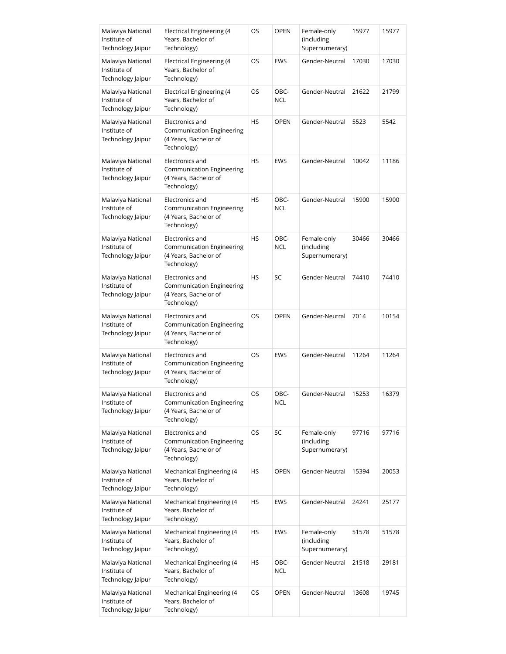| Malaviya National<br>Institute of<br>Technology Jaipur | Electrical Engineering (4<br>Years, Bachelor of<br>Technology)                              | OS        | <b>OPEN</b>        | Female-only<br>(including<br>Supernumerary) | 15977 | 15977 |
|--------------------------------------------------------|---------------------------------------------------------------------------------------------|-----------|--------------------|---------------------------------------------|-------|-------|
| Malaviya National<br>Institute of<br>Technology Jaipur | Electrical Engineering (4<br>Years, Bachelor of<br>Technology)                              | OS        | <b>EWS</b>         | Gender-Neutral                              | 17030 | 17030 |
| Malaviya National<br>Institute of<br>Technology Jaipur | Electrical Engineering (4<br>Years, Bachelor of<br>Technology)                              | OS        | OBC-<br><b>NCL</b> | Gender-Neutral                              | 21622 | 21799 |
| Malaviya National<br>Institute of<br>Technology Jaipur | Electronics and<br><b>Communication Engineering</b><br>(4 Years, Bachelor of<br>Technology) | HS        | <b>OPEN</b>        | Gender-Neutral                              | 5523  | 5542  |
| Malaviya National<br>Institute of<br>Technology Jaipur | Electronics and<br><b>Communication Engineering</b><br>(4 Years, Bachelor of<br>Technology) | HS        | <b>EWS</b>         | Gender-Neutral                              | 10042 | 11186 |
| Malaviya National<br>Institute of<br>Technology Jaipur | Electronics and<br><b>Communication Engineering</b><br>(4 Years, Bachelor of<br>Technology) | HS        | OBC-<br><b>NCL</b> | Gender-Neutral                              | 15900 | 15900 |
| Malaviya National<br>Institute of<br>Technology Jaipur | Electronics and<br><b>Communication Engineering</b><br>(4 Years, Bachelor of<br>Technology) | HS        | OBC-<br><b>NCL</b> | Female-only<br>(including<br>Supernumerary) | 30466 | 30466 |
| Malaviya National<br>Institute of<br>Technology Jaipur | Electronics and<br><b>Communication Engineering</b><br>(4 Years, Bachelor of<br>Technology) | <b>HS</b> | SC                 | Gender-Neutral                              | 74410 | 74410 |
| Malaviya National<br>Institute of<br>Technology Jaipur | Electronics and<br><b>Communication Engineering</b><br>(4 Years, Bachelor of<br>Technology) | OS        | <b>OPEN</b>        | Gender-Neutral                              | 7014  | 10154 |
| Malaviya National<br>Institute of<br>Technology Jaipur | Electronics and<br><b>Communication Engineering</b><br>(4 Years, Bachelor of<br>Technology) | OS        | <b>EWS</b>         | Gender-Neutral                              | 11264 | 11264 |
| Malaviya National<br>Institute of<br>Technology Jaipur | Electronics and<br><b>Communication Engineering</b><br>(4 Years, Bachelor of<br>Technology) | OS        | OBC-<br>NCL        | Gender-Neutral                              | 15253 | 16379 |
| Malaviya National<br>Institute of<br>Technology Jaipur | Electronics and<br><b>Communication Engineering</b><br>(4 Years, Bachelor of<br>Technology) | OS        | SC                 | Female-only<br>(including<br>Supernumerary) | 97716 | 97716 |
| Malaviya National<br>Institute of<br>Technology Jaipur | Mechanical Engineering (4<br>Years, Bachelor of<br>Technology)                              | HS        | <b>OPEN</b>        | Gender-Neutral                              | 15394 | 20053 |
| Malaviya National<br>Institute of<br>Technology Jaipur | Mechanical Engineering (4<br>Years, Bachelor of<br>Technology)                              | HS        | EWS                | Gender-Neutral                              | 24241 | 25177 |
| Malaviya National<br>Institute of<br>Technology Jaipur | Mechanical Engineering (4<br>Years, Bachelor of<br>Technology)                              | HS        | <b>EWS</b>         | Female-only<br>(including<br>Supernumerary) | 51578 | 51578 |
| Malaviya National<br>Institute of<br>Technology Jaipur | Mechanical Engineering (4<br>Years, Bachelor of<br>Technology)                              | HS        | OBC-<br><b>NCL</b> | Gender-Neutral                              | 21518 | 29181 |
| Malaviya National<br>Institute of<br>Technology Jaipur | Mechanical Engineering (4<br>Years, Bachelor of<br>Technology)                              | OS        | <b>OPEN</b>        | Gender-Neutral                              | 13608 | 19745 |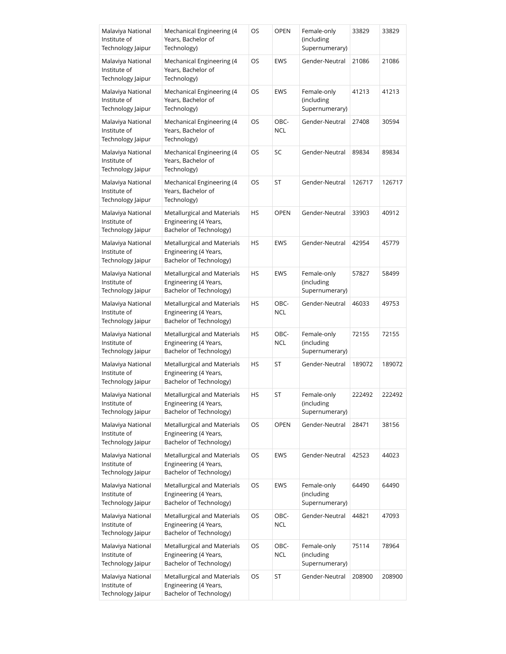| Malaviya National<br>Institute of<br>Technology Jaipur | Mechanical Engineering (4<br>Years, Bachelor of<br>Technology)                  | OS        | <b>OPEN</b>        | Female-only<br>(including<br>Supernumerary) | 33829  | 33829  |
|--------------------------------------------------------|---------------------------------------------------------------------------------|-----------|--------------------|---------------------------------------------|--------|--------|
| Malaviya National<br>Institute of<br>Technology Jaipur | Mechanical Engineering (4<br>Years, Bachelor of<br>Technology)                  | OS        | <b>EWS</b>         | Gender-Neutral                              | 21086  | 21086  |
| Malaviya National<br>Institute of<br>Technology Jaipur | Mechanical Engineering (4<br>Years, Bachelor of<br>Technology)                  | OS        | <b>EWS</b>         | Female-only<br>(including<br>Supernumerary) | 41213  | 41213  |
| Malaviya National<br>Institute of<br>Technology Jaipur | Mechanical Engineering (4<br>Years, Bachelor of<br>Technology)                  | OS        | OBC-<br>NCL        | Gender-Neutral                              | 27408  | 30594  |
| Malaviya National<br>Institute of<br>Technology Jaipur | Mechanical Engineering (4<br>Years, Bachelor of<br>Technology)                  | OS        | SC                 | Gender-Neutral                              | 89834  | 89834  |
| Malaviya National<br>Institute of<br>Technology Jaipur | Mechanical Engineering (4<br>Years, Bachelor of<br>Technology)                  | OS        | ST                 | Gender-Neutral                              | 126717 | 126717 |
| Malaviya National<br>Institute of<br>Technology Jaipur | Metallurgical and Materials<br>Engineering (4 Years,<br>Bachelor of Technology) | <b>HS</b> | <b>OPEN</b>        | Gender-Neutral                              | 33903  | 40912  |
| Malaviya National<br>Institute of<br>Technology Jaipur | Metallurgical and Materials<br>Engineering (4 Years,<br>Bachelor of Technology) | HS        | <b>EWS</b>         | Gender-Neutral                              | 42954  | 45779  |
| Malaviya National<br>Institute of<br>Technology Jaipur | Metallurgical and Materials<br>Engineering (4 Years,<br>Bachelor of Technology) | HS        | <b>EWS</b>         | Female-only<br>(including<br>Supernumerary) | 57827  | 58499  |
| Malaviya National<br>Institute of<br>Technology Jaipur | Metallurgical and Materials<br>Engineering (4 Years,<br>Bachelor of Technology) | HS        | OBC-<br><b>NCL</b> | Gender-Neutral                              | 46033  | 49753  |
| Malaviya National<br>Institute of<br>Technology Jaipur | Metallurgical and Materials<br>Engineering (4 Years,<br>Bachelor of Technology) | HS        | OBC-<br><b>NCL</b> | Female-only<br>(including<br>Supernumerary) | 72155  | 72155  |
| Malaviya National<br>Institute of<br>Technology Jaipur | Metallurgical and Materials<br>Engineering (4 Years,<br>Bachelor of Technology) | HS        | ST                 | Gender-Neutral                              | 189072 | 189072 |
| Malaviya National<br>Institute of<br>Technology Jaipur | Metallurgical and Materials<br>Engineering (4 Years,<br>Bachelor of Technology) | HS        | ST                 | Female-only<br>(including<br>Supernumerary) | 222492 | 222492 |
| Malaviya National<br>Institute of<br>Technology Jaipur | Metallurgical and Materials<br>Engineering (4 Years,<br>Bachelor of Technology) | OS        | <b>OPEN</b>        | Gender-Neutral                              | 28471  | 38156  |
| Malaviya National<br>Institute of<br>Technology Jaipur | Metallurgical and Materials<br>Engineering (4 Years,<br>Bachelor of Technology) | OS        | <b>EWS</b>         | Gender-Neutral                              | 42523  | 44023  |
| Malaviya National<br>Institute of<br>Technology Jaipur | Metallurgical and Materials<br>Engineering (4 Years,<br>Bachelor of Technology) | OS        | EWS                | Female-only<br>(including<br>Supernumerary) | 64490  | 64490  |
| Malaviya National<br>Institute of<br>Technology Jaipur | Metallurgical and Materials<br>Engineering (4 Years,<br>Bachelor of Technology) | OS        | OBC-<br><b>NCL</b> | Gender-Neutral                              | 44821  | 47093  |
| Malaviya National<br>Institute of<br>Technology Jaipur | Metallurgical and Materials<br>Engineering (4 Years,<br>Bachelor of Technology) | OS        | OBC-<br><b>NCL</b> | Female-only<br>(including<br>Supernumerary) | 75114  | 78964  |
| Malaviya National<br>Institute of<br>Technology Jaipur | Metallurgical and Materials<br>Engineering (4 Years,<br>Bachelor of Technology) | OS        | ST                 | Gender-Neutral                              | 208900 | 208900 |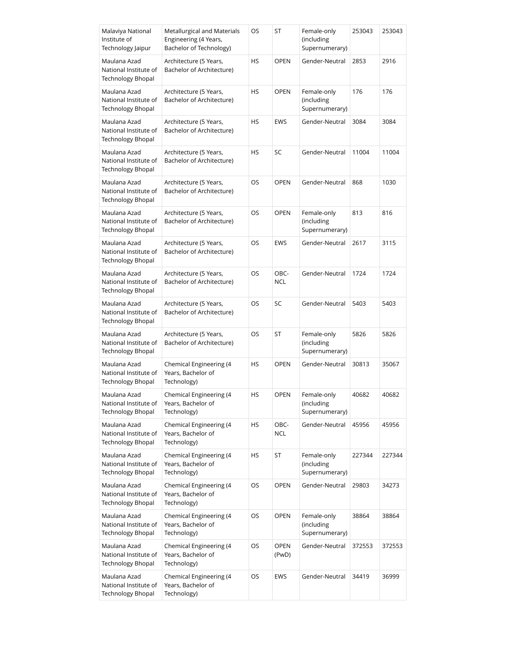| Malaviya National<br>Institute of<br>Technology Jaipur            | Metallurgical and Materials<br>Engineering (4 Years,<br>Bachelor of Technology) | OS | ST                   | Female-only<br>(including<br>Supernumerary) | 253043 | 253043 |
|-------------------------------------------------------------------|---------------------------------------------------------------------------------|----|----------------------|---------------------------------------------|--------|--------|
| Maulana Azad<br>National Institute of<br><b>Technology Bhopal</b> | Architecture (5 Years,<br>Bachelor of Architecture)                             | HS | <b>OPEN</b>          | Gender-Neutral                              | 2853   | 2916   |
| Maulana Azad<br>National Institute of<br><b>Technology Bhopal</b> | Architecture (5 Years,<br>Bachelor of Architecture)                             | HS | <b>OPEN</b>          | Female-only<br>(including<br>Supernumerary) | 176    | 176    |
| Maulana Azad<br>National Institute of<br><b>Technology Bhopal</b> | Architecture (5 Years,<br>Bachelor of Architecture)                             | HS | <b>EWS</b>           | Gender-Neutral                              | 3084   | 3084   |
| Maulana Azad<br>National Institute of<br>Technology Bhopal        | Architecture (5 Years,<br>Bachelor of Architecture)                             | HS | SC                   | Gender-Neutral                              | 11004  | 11004  |
| Maulana Azad<br>National Institute of<br><b>Technology Bhopal</b> | Architecture (5 Years,<br>Bachelor of Architecture)                             | OS | <b>OPEN</b>          | Gender-Neutral                              | 868    | 1030   |
| Maulana Azad<br>National Institute of<br>Technology Bhopal        | Architecture (5 Years,<br>Bachelor of Architecture)                             | OS | <b>OPEN</b>          | Female-only<br>(including<br>Supernumerary) | 813    | 816    |
| Maulana Azad<br>National Institute of<br>Technology Bhopal        | Architecture (5 Years,<br>Bachelor of Architecture)                             | OS | <b>EWS</b>           | Gender-Neutral                              | 2617   | 3115   |
| Maulana Azad<br>National Institute of<br>Technology Bhopal        | Architecture (5 Years,<br>Bachelor of Architecture)                             | OS | OBC-<br><b>NCL</b>   | Gender-Neutral                              | 1724   | 1724   |
| Maulana Azad<br>National Institute of<br><b>Technology Bhopal</b> | Architecture (5 Years,<br>Bachelor of Architecture)                             | OS | SC                   | Gender-Neutral                              | 5403   | 5403   |
| Maulana Azad<br>National Institute of<br>Technology Bhopal        | Architecture (5 Years,<br>Bachelor of Architecture)                             | OS | ST                   | Female-only<br>(including<br>Supernumerary) | 5826   | 5826   |
| Maulana Azad<br>National Institute of<br>Technology Bhopal        | Chemical Engineering (4<br>Years, Bachelor of<br>Technology)                    | HS | <b>OPEN</b>          | Gender-Neutral                              | 30813  | 35067  |
| Maulana Azad<br>National Institute of<br><b>Technology Bhopal</b> | Chemical Engineering (4<br>Years, Bachelor of<br>Technology)                    | HS | OPEN                 | Female-only<br>(including<br>Supernumerary) | 40682  | 40682  |
| Maulana Azad<br>National Institute of<br><b>Technology Bhopal</b> | Chemical Engineering (4<br>Years, Bachelor of<br>Technology)                    | HS | OBC-<br><b>NCL</b>   | Gender-Neutral                              | 45956  | 45956  |
| Maulana Azad<br>National Institute of<br><b>Technology Bhopal</b> | Chemical Engineering (4<br>Years, Bachelor of<br>Technology)                    | HS | ST                   | Female-only<br>(including<br>Supernumerary) | 227344 | 227344 |
| Maulana Azad<br>National Institute of<br><b>Technology Bhopal</b> | Chemical Engineering (4<br>Years, Bachelor of<br>Technology)                    | OS | <b>OPEN</b>          | Gender-Neutral                              | 29803  | 34273  |
| Maulana Azad<br>National Institute of<br><b>Technology Bhopal</b> | Chemical Engineering (4<br>Years, Bachelor of<br>Technology)                    | OS | <b>OPEN</b>          | Female-only<br>(including<br>Supernumerary) | 38864  | 38864  |
| Maulana Azad<br>National Institute of<br><b>Technology Bhopal</b> | Chemical Engineering (4<br>Years, Bachelor of<br>Technology)                    | OS | <b>OPEN</b><br>(PwD) | Gender-Neutral                              | 372553 | 372553 |
| Maulana Azad<br>National Institute of<br><b>Technology Bhopal</b> | Chemical Engineering (4<br>Years, Bachelor of<br>Technology)                    | OS | <b>EWS</b>           | Gender-Neutral                              | 34419  | 36999  |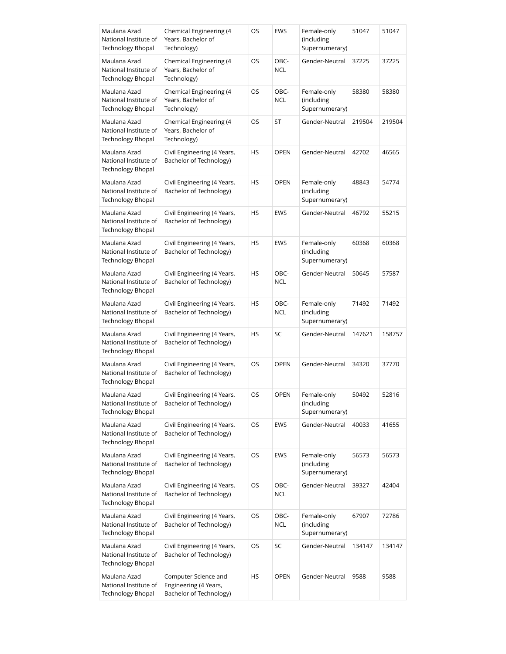| Maulana Azad<br>National Institute of<br><b>Technology Bhopal</b> | Chemical Engineering (4<br>Years, Bachelor of<br>Technology)             | OS        | EWS                | Female-only<br>(including<br>Supernumerary) | 51047  | 51047  |
|-------------------------------------------------------------------|--------------------------------------------------------------------------|-----------|--------------------|---------------------------------------------|--------|--------|
| Maulana Azad<br>National Institute of<br><b>Technology Bhopal</b> | Chemical Engineering (4<br>Years, Bachelor of<br>Technology)             | OS        | OBC-<br><b>NCL</b> | Gender-Neutral                              | 37225  | 37225  |
| Maulana Azad<br>National Institute of<br><b>Technology Bhopal</b> | Chemical Engineering (4<br>Years, Bachelor of<br>Technology)             | OS        | OBC-<br>NCL        | Female-only<br>(including<br>Supernumerary) | 58380  | 58380  |
| Maulana Azad<br>National Institute of<br><b>Technology Bhopal</b> | Chemical Engineering (4<br>Years, Bachelor of<br>Technology)             | OS        | ST                 | Gender-Neutral                              | 219504 | 219504 |
| Maulana Azad<br>National Institute of<br><b>Technology Bhopal</b> | Civil Engineering (4 Years,<br>Bachelor of Technology)                   | HS        | <b>OPEN</b>        | Gender-Neutral                              | 42702  | 46565  |
| Maulana Azad<br>National Institute of<br><b>Technology Bhopal</b> | Civil Engineering (4 Years,<br>Bachelor of Technology)                   | <b>HS</b> | <b>OPEN</b>        | Female-only<br>(including<br>Supernumerary) | 48843  | 54774  |
| Maulana Azad<br>National Institute of<br>Technology Bhopal        | Civil Engineering (4 Years,<br>Bachelor of Technology)                   | HS        | <b>EWS</b>         | Gender-Neutral                              | 46792  | 55215  |
| Maulana Azad<br>National Institute of<br><b>Technology Bhopal</b> | Civil Engineering (4 Years,<br>Bachelor of Technology)                   | HS        | <b>EWS</b>         | Female-only<br>(including<br>Supernumerary) | 60368  | 60368  |
| Maulana Azad<br>National Institute of<br>Technology Bhopal        | Civil Engineering (4 Years,<br>Bachelor of Technology)                   | HS        | OBC-<br><b>NCL</b> | Gender-Neutral                              | 50645  | 57587  |
| Maulana Azad<br>National Institute of<br>Technology Bhopal        | Civil Engineering (4 Years,<br>Bachelor of Technology)                   | HS        | OBC-<br><b>NCL</b> | Female-only<br>(including<br>Supernumerary) | 71492  | 71492  |
| Maulana Azad<br>National Institute of<br><b>Technology Bhopal</b> | Civil Engineering (4 Years,<br>Bachelor of Technology)                   | HS        | SC                 | Gender-Neutral                              | 147621 | 158757 |
| Maulana Azad<br>National Institute of<br>Technology Bhopal        | Civil Engineering (4 Years,<br>Bachelor of Technology)                   | OS        | <b>OPEN</b>        | Gender-Neutral                              | 34320  | 37770  |
| Maulana Azad<br>National Institute of<br><b>Technology Bhopal</b> | Civil Engineering (4 Years,<br>Bachelor of Technology)                   | <b>OS</b> | OPEN               | Female-only<br>(including<br>Supernumerary) | 50492  | 52816  |
| Maulana Azad<br>National Institute of<br><b>Technology Bhopal</b> | Civil Engineering (4 Years,<br>Bachelor of Technology)                   | OS        | <b>EWS</b>         | Gender-Neutral                              | 40033  | 41655  |
| Maulana Azad<br>National Institute of<br><b>Technology Bhopal</b> | Civil Engineering (4 Years,<br>Bachelor of Technology)                   | OS        | EWS                | Female-only<br>(including<br>Supernumerary) | 56573  | 56573  |
| Maulana Azad<br>National Institute of<br><b>Technology Bhopal</b> | Civil Engineering (4 Years,<br>Bachelor of Technology)                   | OS        | OBC-<br><b>NCL</b> | Gender-Neutral                              | 39327  | 42404  |
| Maulana Azad<br>National Institute of<br><b>Technology Bhopal</b> | Civil Engineering (4 Years,<br>Bachelor of Technology)                   | OS        | OBC-<br><b>NCL</b> | Female-only<br>(including<br>Supernumerary) | 67907  | 72786  |
| Maulana Azad<br>National Institute of<br><b>Technology Bhopal</b> | Civil Engineering (4 Years,<br>Bachelor of Technology)                   | OS        | SC                 | Gender-Neutral                              | 134147 | 134147 |
| Maulana Azad<br>National Institute of<br><b>Technology Bhopal</b> | Computer Science and<br>Engineering (4 Years,<br>Bachelor of Technology) | HS        | <b>OPEN</b>        | Gender-Neutral                              | 9588   | 9588   |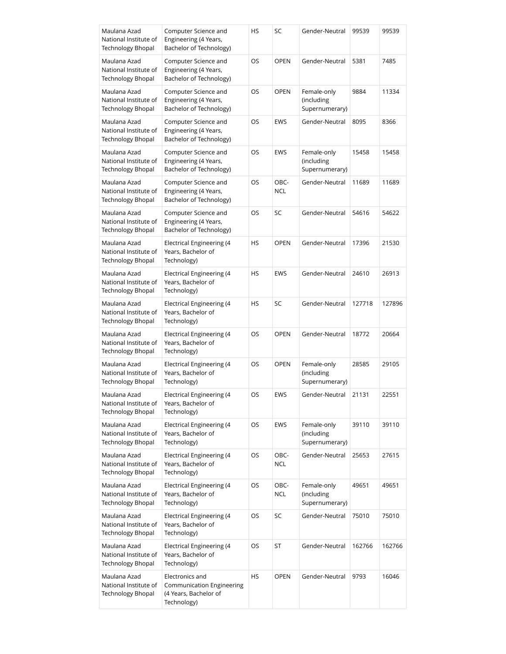| Maulana Azad<br>National Institute of<br>Technology Bhopal        | Computer Science and<br>Engineering (4 Years,<br>Bachelor of Technology)                    | HS | SC                 | Gender-Neutral                              | 99539  | 99539  |
|-------------------------------------------------------------------|---------------------------------------------------------------------------------------------|----|--------------------|---------------------------------------------|--------|--------|
| Maulana Azad<br>National Institute of<br><b>Technology Bhopal</b> | Computer Science and<br>Engineering (4 Years,<br>Bachelor of Technology)                    | OS | <b>OPEN</b>        | Gender-Neutral                              | 5381   | 7485   |
| Maulana Azad<br>National Institute of<br><b>Technology Bhopal</b> | Computer Science and<br>Engineering (4 Years,<br>Bachelor of Technology)                    | OS | <b>OPEN</b>        | Female-only<br>(including<br>Supernumerary) | 9884   | 11334  |
| Maulana Azad<br>National Institute of<br>Technology Bhopal        | Computer Science and<br>Engineering (4 Years,<br>Bachelor of Technology)                    | OS | <b>EWS</b>         | Gender-Neutral                              | 8095   | 8366   |
| Maulana Azad<br>National Institute of<br><b>Technology Bhopal</b> | Computer Science and<br>Engineering (4 Years,<br>Bachelor of Technology)                    | OS | EWS                | Female-only<br>(including<br>Supernumerary) | 15458  | 15458  |
| Maulana Azad<br>National Institute of<br>Technology Bhopal        | Computer Science and<br>Engineering (4 Years,<br>Bachelor of Technology)                    | OS | OBC-<br>NCL        | Gender-Neutral                              | 11689  | 11689  |
| Maulana Azad<br>National Institute of<br><b>Technology Bhopal</b> | Computer Science and<br>Engineering (4 Years,<br>Bachelor of Technology)                    | OS | SC                 | Gender-Neutral                              | 54616  | 54622  |
| Maulana Azad<br>National Institute of<br>Technology Bhopal        | Electrical Engineering (4<br>Years, Bachelor of<br>Technology)                              | HS | <b>OPEN</b>        | Gender-Neutral                              | 17396  | 21530  |
| Maulana Azad<br>National Institute of<br>Technology Bhopal        | Electrical Engineering (4<br>Years, Bachelor of<br>Technology)                              | HS | <b>EWS</b>         | Gender-Neutral                              | 24610  | 26913  |
| Maulana Azad<br>National Institute of<br>Technology Bhopal        | Electrical Engineering (4<br>Years, Bachelor of<br>Technology)                              | HS | SC                 | Gender-Neutral                              | 127718 | 127896 |
| Maulana Azad<br>National Institute of<br>Technology Bhopal        | Electrical Engineering (4<br>Years, Bachelor of<br>Technology)                              | OS | <b>OPEN</b>        | Gender-Neutral                              | 18772  | 20664  |
| Maulana Azad<br>National Institute of<br><b>Technology Bhopal</b> | Electrical Engineering (4<br>Years, Bachelor of<br>Technology)                              | OS | <b>OPEN</b>        | Female-only<br>(including<br>Supernumerary) | 28585  | 29105  |
| Maulana Azad<br>National Institute of<br><b>Technology Bhopal</b> | <b>Electrical Engineering (4</b><br>Years, Bachelor of<br>Technology)                       | OS | EWS                | Gender-Neutral                              | 21131  | 22551  |
| Maulana Azad<br>National Institute of<br><b>Technology Bhopal</b> | Electrical Engineering (4<br>Years, Bachelor of<br>Technology)                              | OS | <b>EWS</b>         | Female-only<br>(including<br>Supernumerary) | 39110  | 39110  |
| Maulana Azad<br>National Institute of<br><b>Technology Bhopal</b> | Electrical Engineering (4<br>Years, Bachelor of<br>Technology)                              | OS | OBC-<br><b>NCL</b> | Gender-Neutral                              | 25653  | 27615  |
| Maulana Azad<br>National Institute of<br><b>Technology Bhopal</b> | Electrical Engineering (4<br>Years, Bachelor of<br>Technology)                              | OS | OBC-<br>NCL        | Female-only<br>(including<br>Supernumerary) | 49651  | 49651  |
| Maulana Azad<br>National Institute of<br><b>Technology Bhopal</b> | Electrical Engineering (4<br>Years, Bachelor of<br>Technology)                              | OS | SC                 | Gender-Neutral                              | 75010  | 75010  |
| Maulana Azad<br>National Institute of<br><b>Technology Bhopal</b> | Electrical Engineering (4<br>Years, Bachelor of<br>Technology)                              | OS | ST                 | Gender-Neutral                              | 162766 | 162766 |
| Maulana Azad<br>National Institute of<br><b>Technology Bhopal</b> | Electronics and<br><b>Communication Engineering</b><br>(4 Years, Bachelor of<br>Technology) | HS | <b>OPEN</b>        | Gender-Neutral                              | 9793   | 16046  |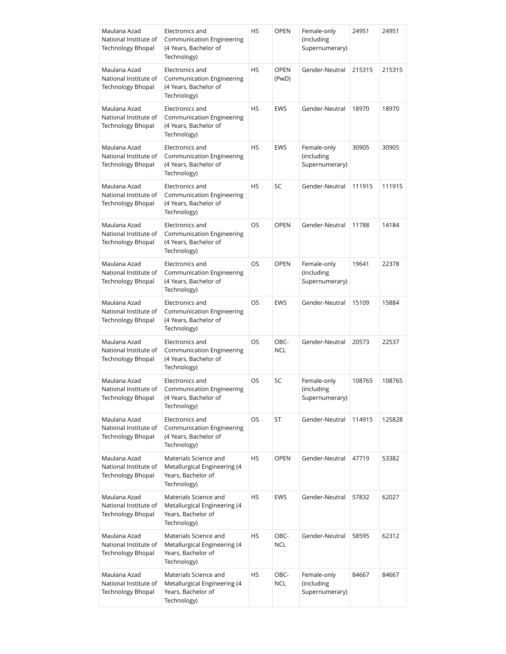| Maulana Azad<br>National Institute of<br><b>Technology Bhopal</b> | Electronics and<br>Communication Engineering<br>(4 Years, Bachelor of<br>Technology)        | HS        | <b>OPEN</b>          | Female-only<br>(including<br>Supernumerary) | 24951  | 24951  |
|-------------------------------------------------------------------|---------------------------------------------------------------------------------------------|-----------|----------------------|---------------------------------------------|--------|--------|
| Maulana Azad<br>National Institute of<br><b>Technology Bhopal</b> | Electronics and<br><b>Communication Engineering</b><br>(4 Years, Bachelor of<br>Technology) | HS        | <b>OPEN</b><br>(PwD) | Gender-Neutral                              | 215315 | 215315 |
| Maulana Azad<br>National Institute of<br><b>Technology Bhopal</b> | Electronics and<br><b>Communication Engineering</b><br>(4 Years, Bachelor of<br>Technology) | <b>HS</b> | <b>EWS</b>           | Gender-Neutral                              | 18970  | 18970  |
| Maulana Azad<br>National Institute of<br>Technology Bhopal        | Electronics and<br><b>Communication Engineering</b><br>(4 Years, Bachelor of<br>Technology) | <b>HS</b> | <b>EWS</b>           | Female-only<br>(including<br>Supernumerary) | 30905  | 30905  |
| Maulana Azad<br>National Institute of<br><b>Technology Bhopal</b> | Electronics and<br>Communication Engineering<br>(4 Years, Bachelor of<br>Technology)        | <b>HS</b> | SC                   | Gender-Neutral                              | 111915 | 111915 |
| Maulana Azad<br>National Institute of<br><b>Technology Bhopal</b> | Electronics and<br>Communication Engineering<br>(4 Years, Bachelor of<br>Technology)        | <b>OS</b> | <b>OPEN</b>          | Gender-Neutral                              | 11788  | 14184  |
| Maulana Azad<br>National Institute of<br><b>Technology Bhopal</b> | Electronics and<br>Communication Engineering<br>(4 Years, Bachelor of<br>Technology)        | OS        | <b>OPEN</b>          | Female-only<br>(including<br>Supernumerary) | 19641  | 22378  |
| Maulana Azad<br>National Institute of<br>Technology Bhopal        | Electronics and<br>Communication Engineering<br>(4 Years, Bachelor of<br>Technology)        | OS.       | <b>EWS</b>           | Gender-Neutral                              | 15109  | 15884  |
| Maulana Azad<br>National Institute of<br>Technology Bhopal        | Electronics and<br>Communication Engineering<br>(4 Years, Bachelor of<br>Technology)        | OS        | OBC-<br><b>NCL</b>   | Gender-Neutral                              | 20573  | 22537  |
| Maulana Azad<br>National Institute of<br><b>Technology Bhopal</b> | Electronics and<br><b>Communication Engineering</b><br>(4 Years, Bachelor of<br>Technology) | OS        | SC                   | Female-only<br>(including<br>Supernumerary) | 108765 | 108765 |
| Maulana Azad<br>National Institute of<br><b>Technology Bhopal</b> | Electronics and<br><b>Communication Engineering</b><br>(4 Years, Bachelor of<br>Technology) | OS.       | ST                   | Gender-Neutral                              | 114915 | 125828 |
| Maulana Azad<br>National Institute of<br><b>Technology Bhopal</b> | Materials Science and<br>Metallurgical Engineering (4<br>Years, Bachelor of<br>Technology)  | HS        | <b>OPEN</b>          | Gender-Neutral                              | 47719  | 53382  |
| Maulana Azad<br>National Institute of<br><b>Technology Bhopal</b> | Materials Science and<br>Metallurgical Engineering (4<br>Years, Bachelor of<br>Technology)  | <b>HS</b> | <b>EWS</b>           | Gender-Neutral                              | 57832  | 62027  |
| Maulana Azad<br>National Institute of<br><b>Technology Bhopal</b> | Materials Science and<br>Metallurgical Engineering (4<br>Years, Bachelor of<br>Technology)  | HS        | OBC-<br>NCL          | Gender-Neutral                              | 58595  | 62312  |
| Maulana Azad<br>National Institute of<br><b>Technology Bhopal</b> | Materials Science and<br>Metallurgical Engineering (4<br>Years, Bachelor of<br>Technology)  | HS        | OBC-<br><b>NCL</b>   | Female-only<br>(including<br>Supernumerary) | 84667  | 84667  |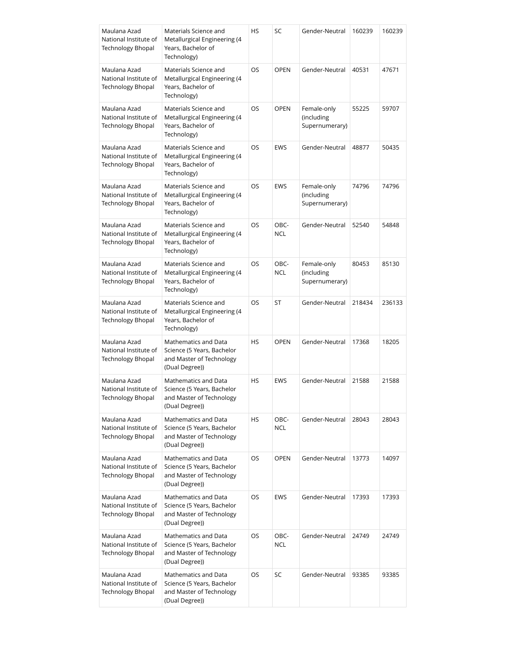| Maulana Azad<br>National Institute of<br><b>Technology Bhopal</b> | Materials Science and<br>Metallurgical Engineering (4<br>Years, Bachelor of<br>Technology)       | <b>HS</b> | SC                 | Gender-Neutral                              | 160239 | 160239 |
|-------------------------------------------------------------------|--------------------------------------------------------------------------------------------------|-----------|--------------------|---------------------------------------------|--------|--------|
| Maulana Azad<br>National Institute of<br><b>Technology Bhopal</b> | Materials Science and<br>Metallurgical Engineering (4<br>Years, Bachelor of<br>Technology)       | OS        | <b>OPEN</b>        | Gender-Neutral                              | 40531  | 47671  |
| Maulana Azad<br>National Institute of<br>Technology Bhopal        | Materials Science and<br>Metallurgical Engineering (4<br>Years, Bachelor of<br>Technology)       | OS        | <b>OPEN</b>        | Female-only<br>(including<br>Supernumerary) | 55225  | 59707  |
| Maulana Azad<br>National Institute of<br><b>Technology Bhopal</b> | Materials Science and<br>Metallurgical Engineering (4<br>Years, Bachelor of<br>Technology)       | OS        | <b>EWS</b>         | Gender-Neutral                              | 48877  | 50435  |
| Maulana Azad<br>National Institute of<br><b>Technology Bhopal</b> | Materials Science and<br>Metallurgical Engineering (4<br>Years, Bachelor of<br>Technology)       | <b>OS</b> | <b>EWS</b>         | Female-only<br>(including<br>Supernumerary) | 74796  | 74796  |
| Maulana Azad<br>National Institute of<br><b>Technology Bhopal</b> | Materials Science and<br>Metallurgical Engineering (4<br>Years, Bachelor of<br>Technology)       | <b>OS</b> | OBC-<br><b>NCL</b> | Gender-Neutral                              | 52540  | 54848  |
| Maulana Azad<br>National Institute of<br><b>Technology Bhopal</b> | Materials Science and<br>Metallurgical Engineering (4<br>Years, Bachelor of<br>Technology)       | OS        | OBC-<br><b>NCL</b> | Female-only<br>(including<br>Supernumerary) | 80453  | 85130  |
| Maulana Azad<br>National Institute of<br>Technology Bhopal        | Materials Science and<br>Metallurgical Engineering (4<br>Years, Bachelor of<br>Technology)       | OS.       | ST                 | Gender-Neutral                              | 218434 | 236133 |
| Maulana Azad<br>National Institute of<br>Technology Bhopal        | Mathematics and Data<br>Science (5 Years, Bachelor<br>and Master of Technology<br>(Dual Degree)) | <b>HS</b> | <b>OPEN</b>        | Gender-Neutral                              | 17368  | 18205  |
| Maulana Azad<br>National Institute of<br><b>Technology Bhopal</b> | Mathematics and Data<br>Science (5 Years, Bachelor<br>and Master of Technology<br>(Dual Degree)) | <b>HS</b> | <b>EWS</b>         | Gender-Neutral                              | 21588  | 21588  |
| Maulana Azad<br>National Institute of<br><b>Technology Bhopal</b> | Mathematics and Data<br>Science (5 Years, Bachelor<br>and Master of Technology<br>(Dual Degree)) | <b>HS</b> | OBC-<br><b>NCL</b> | Gender-Neutral                              | 28043  | 28043  |
| Maulana Azad<br>National Institute of<br><b>Technology Bhopal</b> | Mathematics and Data<br>Science (5 Years, Bachelor<br>and Master of Technology<br>(Dual Degree)) | OS.       | <b>OPEN</b>        | Gender-Neutral                              | 13773  | 14097  |
| Maulana Azad<br>National Institute of<br><b>Technology Bhopal</b> | Mathematics and Data<br>Science (5 Years, Bachelor<br>and Master of Technology<br>(Dual Degree)) | OS        | <b>EWS</b>         | Gender-Neutral                              | 17393  | 17393  |
| Maulana Azad<br>National Institute of<br><b>Technology Bhopal</b> | Mathematics and Data<br>Science (5 Years, Bachelor<br>and Master of Technology<br>(Dual Degree)) | OS        | OBC-<br><b>NCL</b> | Gender-Neutral                              | 24749  | 24749  |
| Maulana Azad<br>National Institute of<br><b>Technology Bhopal</b> | Mathematics and Data<br>Science (5 Years, Bachelor<br>and Master of Technology<br>(Dual Degree)) | OS        | SC                 | Gender-Neutral                              | 93385  | 93385  |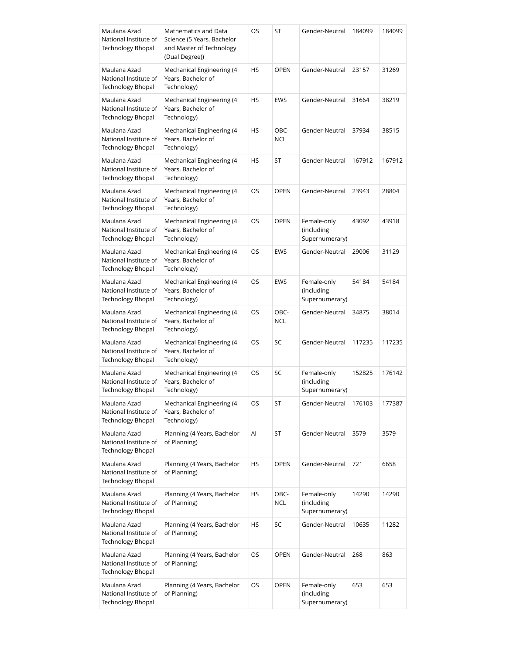| Maulana Azad<br>National Institute of<br><b>Technology Bhopal</b> | Mathematics and Data<br>Science (5 Years, Bachelor<br>and Master of Technology<br>(Dual Degree)) | OS.       | ST                 | Gender-Neutral                              | 184099 | 184099 |
|-------------------------------------------------------------------|--------------------------------------------------------------------------------------------------|-----------|--------------------|---------------------------------------------|--------|--------|
| Maulana Azad<br>National Institute of<br>Technology Bhopal        | Mechanical Engineering (4<br>Years, Bachelor of<br>Technology)                                   | HS        | <b>OPEN</b>        | Gender-Neutral                              | 23157  | 31269  |
| Maulana Azad<br>National Institute of<br>Technology Bhopal        | Mechanical Engineering (4<br>Years, Bachelor of<br>Technology)                                   | HS        | <b>EWS</b>         | Gender-Neutral                              | 31664  | 38219  |
| Maulana Azad<br>National Institute of<br>Technology Bhopal        | Mechanical Engineering (4<br>Years, Bachelor of<br>Technology)                                   | HS        | OBC-<br><b>NCL</b> | Gender-Neutral                              | 37934  | 38515  |
| Maulana Azad<br>National Institute of<br>Technology Bhopal        | Mechanical Engineering (4<br>Years, Bachelor of<br>Technology)                                   | <b>HS</b> | ST                 | Gender-Neutral                              | 167912 | 167912 |
| Maulana Azad<br>National Institute of<br>Technology Bhopal        | Mechanical Engineering (4<br>Years, Bachelor of<br>Technology)                                   | OS        | <b>OPEN</b>        | Gender-Neutral                              | 23943  | 28804  |
| Maulana Azad<br>National Institute of<br>Technology Bhopal        | Mechanical Engineering (4<br>Years, Bachelor of<br>Technology)                                   | OS.       | <b>OPEN</b>        | Female-only<br>(including<br>Supernumerary) | 43092  | 43918  |
| Maulana Azad<br>National Institute of<br>Technology Bhopal        | Mechanical Engineering (4<br>Years, Bachelor of<br>Technology)                                   | OS        | <b>EWS</b>         | Gender-Neutral                              | 29006  | 31129  |
| Maulana Azad<br>National Institute of<br>Technology Bhopal        | Mechanical Engineering (4<br>Years, Bachelor of<br>Technology)                                   | OS.       | <b>EWS</b>         | Female-only<br>(including<br>Supernumerary) | 54184  | 54184  |
| Maulana Azad<br>National Institute of<br>Technology Bhopal        | Mechanical Engineering (4<br>Years, Bachelor of<br>Technology)                                   | OS        | OBC-<br><b>NCL</b> | Gender-Neutral                              | 34875  | 38014  |
| Maulana Azad<br>National Institute of<br>Technology Bhopal        | Mechanical Engineering (4<br>Years, Bachelor of<br>Technology)                                   | OS        | SC                 | Gender-Neutral                              | 117235 | 117235 |
| Maulana Azad<br>National Institute of<br><b>Technology Bhopal</b> | Mechanical Engineering (4<br>Years, Bachelor of<br>Technology)                                   | OS        | SC                 | Female-only<br>(including<br>Supernumerary) | 152825 | 176142 |
| Maulana Azad<br>National Institute of<br><b>Technology Bhopal</b> | Mechanical Engineering (4<br>Years, Bachelor of<br>Technology)                                   | OS        | ST                 | Gender-Neutral                              | 176103 | 177387 |
| Maulana Azad<br>National Institute of<br><b>Technology Bhopal</b> | Planning (4 Years, Bachelor<br>of Planning)                                                      | Al        | ST                 | Gender-Neutral                              | 3579   | 3579   |
| Maulana Azad<br>National Institute of<br><b>Technology Bhopal</b> | Planning (4 Years, Bachelor<br>of Planning)                                                      | HS        | <b>OPEN</b>        | Gender-Neutral                              | 721    | 6658   |
| Maulana Azad<br>National Institute of<br><b>Technology Bhopal</b> | Planning (4 Years, Bachelor<br>of Planning)                                                      | HS        | OBC-<br><b>NCL</b> | Female-only<br>(including<br>Supernumerary) | 14290  | 14290  |
| Maulana Azad<br>National Institute of<br><b>Technology Bhopal</b> | Planning (4 Years, Bachelor<br>of Planning)                                                      | <b>HS</b> | SC                 | Gender-Neutral                              | 10635  | 11282  |
| Maulana Azad<br>National Institute of<br><b>Technology Bhopal</b> | Planning (4 Years, Bachelor<br>of Planning)                                                      | OS        | <b>OPEN</b>        | Gender-Neutral                              | 268    | 863    |
| Maulana Azad<br>National Institute of<br><b>Technology Bhopal</b> | Planning (4 Years, Bachelor<br>of Planning)                                                      | OS        | <b>OPEN</b>        | Female-only<br>(including<br>Supernumerary) | 653    | 653    |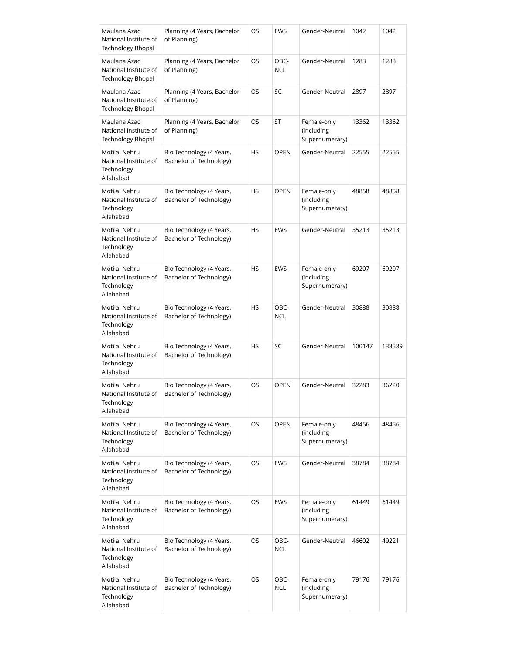| Maulana Azad<br>National Institute of<br><b>Technology Bhopal</b>        | Planning (4 Years, Bachelor<br>of Planning)         | OS        | <b>EWS</b>         | Gender-Neutral                              | 1042   | 1042   |
|--------------------------------------------------------------------------|-----------------------------------------------------|-----------|--------------------|---------------------------------------------|--------|--------|
| Maulana Azad<br>National Institute of<br><b>Technology Bhopal</b>        | Planning (4 Years, Bachelor<br>of Planning)         | OS        | OBC-<br><b>NCL</b> | Gender-Neutral                              | 1283   | 1283   |
| Maulana Azad<br>National Institute of<br><b>Technology Bhopal</b>        | Planning (4 Years, Bachelor<br>of Planning)         | OS        | SC                 | Gender-Neutral                              | 2897   | 2897   |
| Maulana Azad<br>National Institute of<br><b>Technology Bhopal</b>        | Planning (4 Years, Bachelor<br>of Planning)         | OS.       | ST                 | Female-only<br>(including<br>Supernumerary) | 13362  | 13362  |
| Motilal Nehru<br>National Institute of<br>Technology<br>Allahabad        | Bio Technology (4 Years,<br>Bachelor of Technology) | <b>HS</b> | <b>OPEN</b>        | Gender-Neutral                              | 22555  | 22555  |
| Motilal Nehru<br>National Institute of<br>Technology<br>Allahabad        | Bio Technology (4 Years,<br>Bachelor of Technology) | HS        | <b>OPEN</b>        | Female-only<br>(including<br>Supernumerary) | 48858  | 48858  |
| Motilal Nehru<br>National Institute of<br>Technology<br>Allahabad        | Bio Technology (4 Years,<br>Bachelor of Technology) | <b>HS</b> | <b>EWS</b>         | Gender-Neutral                              | 35213  | 35213  |
| Motilal Nehru<br>National Institute of<br>Technology<br>Allahabad        | Bio Technology (4 Years,<br>Bachelor of Technology) | HS        | <b>EWS</b>         | Female-only<br>(including<br>Supernumerary) | 69207  | 69207  |
| Motilal Nehru<br>National Institute of<br>Technology<br>Allahabad        | Bio Technology (4 Years,<br>Bachelor of Technology) | <b>HS</b> | OBC-<br><b>NCL</b> | Gender-Neutral                              | 30888  | 30888  |
| <b>Motilal Nehru</b><br>National Institute of<br>Technology<br>Allahabad | Bio Technology (4 Years,<br>Bachelor of Technology) | HS        | SC                 | Gender-Neutral                              | 100147 | 133589 |
| Motilal Nehru<br>National Institute of<br>Technology<br>Allahabad        | Bio Technology (4 Years,<br>Bachelor of Technology) | OS        | <b>OPEN</b>        | Gender-Neutral                              | 32283  | 36220  |
| <b>Motilal Nehru</b><br>National Institute of<br>Technology<br>Allahabad | Bio Technology (4 Years,<br>Bachelor of Technology) | OS.       | <b>OPEN</b>        | Female-only<br>(including<br>Supernumerary) | 48456  | 48456  |
| Motilal Nehru<br>National Institute of<br>Technology<br>Allahabad        | Bio Technology (4 Years,<br>Bachelor of Technology) | OS        | <b>EWS</b>         | Gender-Neutral                              | 38784  | 38784  |
| Motilal Nehru<br>National Institute of<br>Technology<br>Allahabad        | Bio Technology (4 Years,<br>Bachelor of Technology) | OS        | <b>EWS</b>         | Female-only<br>(including<br>Supernumerary) | 61449  | 61449  |
| Motilal Nehru<br>National Institute of<br>Technology<br>Allahabad        | Bio Technology (4 Years,<br>Bachelor of Technology) | OS        | OBC-<br><b>NCL</b> | Gender-Neutral                              | 46602  | 49221  |
| Motilal Nehru<br>National Institute of<br>Technology<br>Allahabad        | Bio Technology (4 Years,<br>Bachelor of Technology) | OS        | OBC-<br><b>NCL</b> | Female-only<br>(including<br>Supernumerary) | 79176  | 79176  |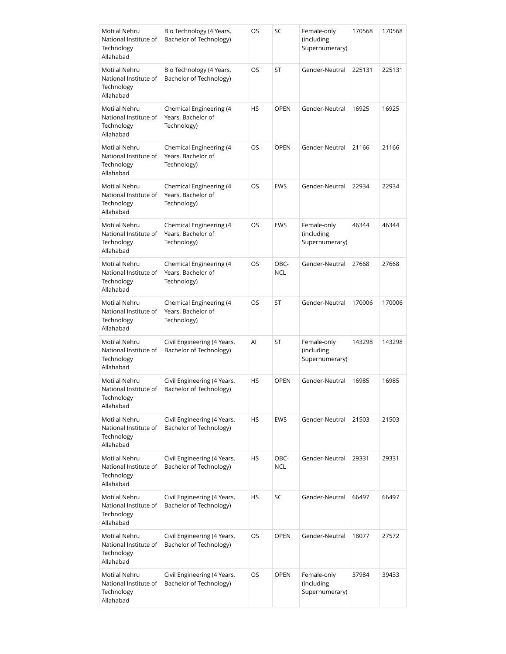| Motilal Nehru<br>National Institute of<br>Technology<br>Allahabad        | Bio Technology (4 Years,<br>Bachelor of Technology)          | OS        | SC                 | Female-only<br>(including<br>Supernumerary) | 170568 | 170568 |
|--------------------------------------------------------------------------|--------------------------------------------------------------|-----------|--------------------|---------------------------------------------|--------|--------|
| Motilal Nehru<br>National Institute of<br>Technology<br>Allahabad        | Bio Technology (4 Years,<br>Bachelor of Technology)          | OS        | ST                 | Gender-Neutral                              | 225131 | 225131 |
| Motilal Nehru<br>National Institute of<br>Technology<br>Allahabad        | Chemical Engineering (4<br>Years, Bachelor of<br>Technology) | <b>HS</b> | <b>OPEN</b>        | Gender-Neutral                              | 16925  | 16925  |
| Motilal Nehru<br>National Institute of<br>Technology<br>Allahabad        | Chemical Engineering (4<br>Years, Bachelor of<br>Technology) | OS        | <b>OPEN</b>        | Gender-Neutral                              | 21166  | 21166  |
| Motilal Nehru<br>National Institute of<br>Technology<br>Allahabad        | Chemical Engineering (4<br>Years, Bachelor of<br>Technology) | OS        | <b>EWS</b>         | Gender-Neutral                              | 22934  | 22934  |
| <b>Motilal Nehru</b><br>National Institute of<br>Technology<br>Allahabad | Chemical Engineering (4<br>Years, Bachelor of<br>Technology) | OS        | <b>EWS</b>         | Female-only<br>(including<br>Supernumerary) | 46344  | 46344  |
| Motilal Nehru<br>National Institute of<br>Technology<br>Allahabad        | Chemical Engineering (4<br>Years, Bachelor of<br>Technology) | OS        | OBC-<br><b>NCL</b> | Gender-Neutral                              | 27668  | 27668  |
| Motilal Nehru<br>National Institute of<br>Technology<br>Allahabad        | Chemical Engineering (4<br>Years, Bachelor of<br>Technology) | OS        | ST                 | Gender-Neutral                              | 170006 | 170006 |
| Motilal Nehru<br>National Institute of<br>Technology<br>Allahabad        | Civil Engineering (4 Years,<br>Bachelor of Technology)       | Al        | ST                 | Female-only<br>(including<br>Supernumerary) | 143298 | 143298 |
| Motilal Nehru<br>National Institute of<br>Technology<br>Allahabad        | Civil Engineering (4 Years,<br>Bachelor of Technology)       | <b>HS</b> | <b>OPEN</b>        | Gender-Neutral                              | 16985  | 16985  |
| Motilal Nehru<br>National Institute of<br>Technology<br>Allahabad        | Civil Engineering (4 Years,<br>Bachelor of Technology)       | HS        | EWS                | Gender-Neutral                              | 21503  | 21503  |
| Motilal Nehru<br>National Institute of<br>Technology<br>Allahabad        | Civil Engineering (4 Years,<br>Bachelor of Technology)       | HS        | OBC-<br><b>NCL</b> | Gender-Neutral                              | 29331  | 29331  |
| Motilal Nehru<br>National Institute of<br>Technology<br>Allahabad        | Civil Engineering (4 Years,<br>Bachelor of Technology)       | HS        | SC                 | Gender-Neutral                              | 66497  | 66497  |
| Motilal Nehru<br>National Institute of<br>Technology<br>Allahabad        | Civil Engineering (4 Years,<br>Bachelor of Technology)       | OS        | <b>OPEN</b>        | Gender-Neutral                              | 18077  | 27572  |
| Motilal Nehru<br>National Institute of<br>Technology<br>Allahabad        | Civil Engineering (4 Years,<br>Bachelor of Technology)       | OS.       | <b>OPEN</b>        | Female-only<br>(including<br>Supernumerary) | 37984  | 39433  |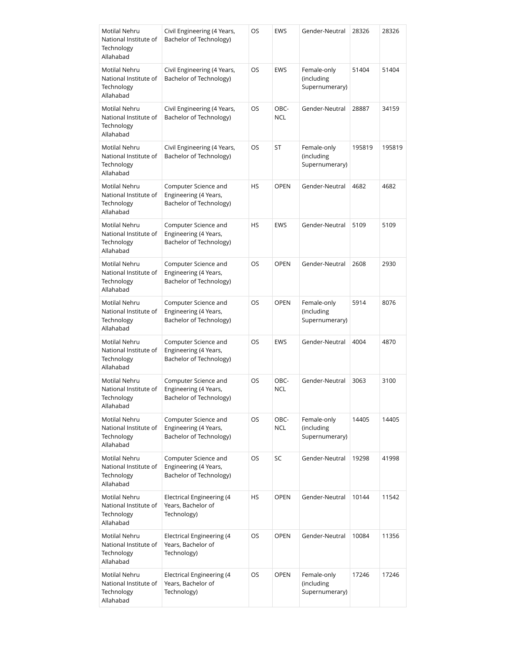| Motilal Nehru<br>National Institute of<br>Technology<br>Allahabad | Civil Engineering (4 Years,<br>Bachelor of Technology)                   | OS        | <b>EWS</b>         | Gender-Neutral                              | 28326  | 28326  |
|-------------------------------------------------------------------|--------------------------------------------------------------------------|-----------|--------------------|---------------------------------------------|--------|--------|
| Motilal Nehru<br>National Institute of<br>Technology<br>Allahabad | Civil Engineering (4 Years,<br>Bachelor of Technology)                   | OS        | EWS                | Female-only<br>(including<br>Supernumerary) | 51404  | 51404  |
| Motilal Nehru<br>National Institute of<br>Technology<br>Allahabad | Civil Engineering (4 Years,<br>Bachelor of Technology)                   | OS        | OBC-<br><b>NCL</b> | Gender-Neutral                              | 28887  | 34159  |
| Motilal Nehru<br>National Institute of<br>Technology<br>Allahabad | Civil Engineering (4 Years,<br>Bachelor of Technology)                   | OS        | ST                 | Female-only<br>(including<br>Supernumerary) | 195819 | 195819 |
| Motilal Nehru<br>National Institute of<br>Technology<br>Allahabad | Computer Science and<br>Engineering (4 Years,<br>Bachelor of Technology) | HS        | <b>OPEN</b>        | Gender-Neutral                              | 4682   | 4682   |
| Motilal Nehru<br>National Institute of<br>Technology<br>Allahabad | Computer Science and<br>Engineering (4 Years,<br>Bachelor of Technology) | <b>HS</b> | <b>EWS</b>         | Gender-Neutral                              | 5109   | 5109   |
| Motilal Nehru<br>National Institute of<br>Technology<br>Allahabad | Computer Science and<br>Engineering (4 Years,<br>Bachelor of Technology) | OS        | <b>OPEN</b>        | Gender-Neutral                              | 2608   | 2930   |
| Motilal Nehru<br>National Institute of<br>Technology<br>Allahabad | Computer Science and<br>Engineering (4 Years,<br>Bachelor of Technology) | OS.       | <b>OPEN</b>        | Female-only<br>(including<br>Supernumerary) | 5914   | 8076   |
| Motilal Nehru<br>National Institute of<br>Technology<br>Allahabad | Computer Science and<br>Engineering (4 Years,<br>Bachelor of Technology) | OS        | <b>EWS</b>         | Gender-Neutral                              | 4004   | 4870   |
| Motilal Nehru<br>National Institute of<br>Technology<br>Allahabad | Computer Science and<br>Engineering (4 Years,<br>Bachelor of Technology) | OS        | OBC-<br><b>NCL</b> | Gender-Neutral                              | 3063   | 3100   |
| Motilal Nehru<br>National Institute of<br>Technology<br>Allahabad | Computer Science and<br>Engineering (4 Years,<br>Bachelor of Technology) | OS        | OBC-<br><b>NCL</b> | Female-only<br>(including<br>Supernumerary) | 14405  | 14405  |
| Motilal Nehru<br>National Institute of<br>Technology<br>Allahabad | Computer Science and<br>Engineering (4 Years,<br>Bachelor of Technology) | OS        | SC                 | Gender-Neutral                              | 19298  | 41998  |
| Motilal Nehru<br>National Institute of<br>Technology<br>Allahabad | Electrical Engineering (4<br>Years, Bachelor of<br>Technology)           | HS        | <b>OPEN</b>        | Gender-Neutral                              | 10144  | 11542  |
| Motilal Nehru<br>National Institute of<br>Technology<br>Allahabad | Electrical Engineering (4<br>Years, Bachelor of<br>Technology)           | OS        | <b>OPEN</b>        | Gender-Neutral                              | 10084  | 11356  |
| Motilal Nehru<br>National Institute of<br>Technology<br>Allahabad | Electrical Engineering (4<br>Years, Bachelor of<br>Technology)           | OS        | <b>OPEN</b>        | Female-only<br>(including<br>Supernumerary) | 17246  | 17246  |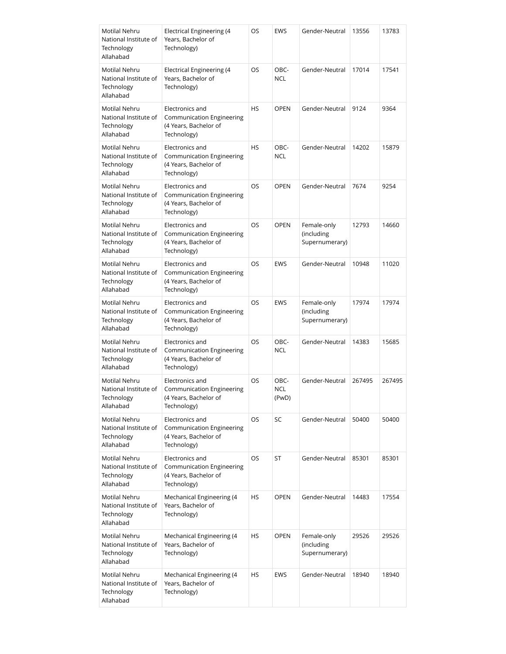| Motilal Nehru<br>National Institute of<br>Technology<br>Allahabad        | <b>Electrical Engineering (4</b><br>Years, Bachelor of<br>Technology)                       | OS        | <b>EWS</b>                  | Gender-Neutral                              | 13556  | 13783  |
|--------------------------------------------------------------------------|---------------------------------------------------------------------------------------------|-----------|-----------------------------|---------------------------------------------|--------|--------|
| Motilal Nehru<br>National Institute of<br>Technology<br>Allahabad        | Electrical Engineering (4<br>Years, Bachelor of<br>Technology)                              | OS        | OBC-<br><b>NCL</b>          | Gender-Neutral                              | 17014  | 17541  |
| Motilal Nehru<br>National Institute of<br>Technology<br>Allahabad        | Electronics and<br>Communication Engineering<br>(4 Years, Bachelor of<br>Technology)        | <b>HS</b> | <b>OPEN</b>                 | Gender-Neutral                              | 9124   | 9364   |
| Motilal Nehru<br>National Institute of<br>Technology<br>Allahabad        | Electronics and<br>Communication Engineering<br>(4 Years, Bachelor of<br>Technology)        | <b>HS</b> | OBC-<br><b>NCL</b>          | Gender-Neutral                              | 14202  | 15879  |
| Motilal Nehru<br>National Institute of<br>Technology<br>Allahabad        | Electronics and<br>Communication Engineering<br>(4 Years, Bachelor of<br>Technology)        | <b>OS</b> | <b>OPEN</b>                 | Gender-Neutral                              | 7674   | 9254   |
| Motilal Nehru<br>National Institute of<br>Technology<br>Allahabad        | Electronics and<br><b>Communication Engineering</b><br>(4 Years, Bachelor of<br>Technology) | <b>OS</b> | <b>OPEN</b>                 | Female-only<br>(including<br>Supernumerary) | 12793  | 14660  |
| Motilal Nehru<br>National Institute of<br>Technology<br>Allahabad        | Electronics and<br>Communication Engineering<br>(4 Years, Bachelor of<br>Technology)        | OS        | <b>EWS</b>                  | Gender-Neutral                              | 10948  | 11020  |
| Motilal Nehru<br>National Institute of<br>Technology<br>Allahabad        | Electronics and<br>Communication Engineering<br>(4 Years, Bachelor of<br>Technology)        | OS        | <b>EWS</b>                  | Female-only<br>(including<br>Supernumerary) | 17974  | 17974  |
| Motilal Nehru<br>National Institute of<br>Technology<br>Allahabad        | Electronics and<br><b>Communication Engineering</b><br>(4 Years, Bachelor of<br>Technology) | <b>OS</b> | OBC-<br><b>NCL</b>          | Gender-Neutral                              | 14383  | 15685  |
| Motilal Nehru<br>National Institute of<br>Technology<br>Allahabad        | Electronics and<br>Communication Engineering<br>(4 Years, Bachelor of<br>Technology)        | OS        | OBC-<br><b>NCL</b><br>(PwD) | Gender-Neutral                              | 267495 | 267495 |
| Motilal Nehru<br>National Institute of<br>Technology<br>Allahabad        | Electronics and<br>Communication Engineering<br>(4 Years, Bachelor of<br>Technology)        | OS        | SC                          | Gender-Neutral                              | 50400  | 50400  |
| <b>Motilal Nehru</b><br>National Institute of<br>Technology<br>Allahabad | Electronics and<br><b>Communication Engineering</b><br>(4 Years, Bachelor of<br>Technology) | OS        | ST                          | Gender-Neutral                              | 85301  | 85301  |
| Motilal Nehru<br>National Institute of<br>Technology<br>Allahabad        | Mechanical Engineering (4<br>Years, Bachelor of<br>Technology)                              | HS        | <b>OPEN</b>                 | Gender-Neutral                              | 14483  | 17554  |
| Motilal Nehru<br>National Institute of<br>Technology<br>Allahabad        | Mechanical Engineering (4<br>Years, Bachelor of<br>Technology)                              | HS        | <b>OPEN</b>                 | Female-only<br>(including<br>Supernumerary) | 29526  | 29526  |
| Motilal Nehru<br>National Institute of<br>Technology<br>Allahabad        | Mechanical Engineering (4<br>Years, Bachelor of<br>Technology)                              | HS        | <b>EWS</b>                  | Gender-Neutral                              | 18940  | 18940  |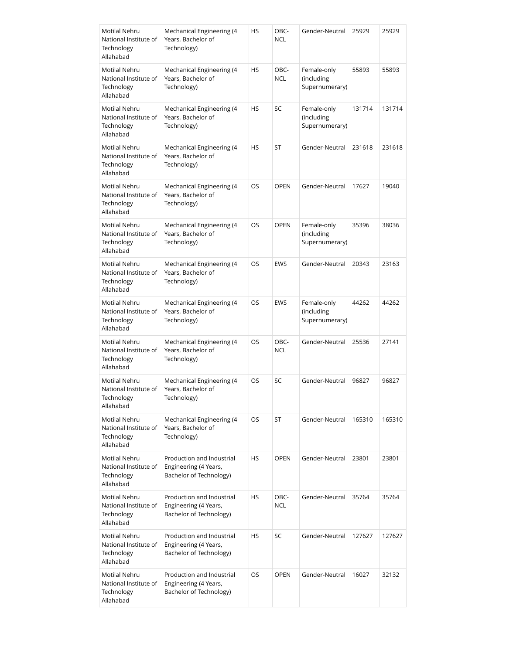| Motilal Nehru<br>National Institute of<br>Technology<br>Allahabad        | Mechanical Engineering (4<br>Years, Bachelor of<br>Technology)                | HS        | OBC-<br><b>NCL</b> | Gender-Neutral                              | 25929  | 25929  |
|--------------------------------------------------------------------------|-------------------------------------------------------------------------------|-----------|--------------------|---------------------------------------------|--------|--------|
| Motilal Nehru<br>National Institute of<br>Technology<br>Allahabad        | Mechanical Engineering (4<br>Years, Bachelor of<br>Technology)                | HS        | OBC-<br><b>NCL</b> | Female-only<br>(including<br>Supernumerary) | 55893  | 55893  |
| Motilal Nehru<br>National Institute of<br>Technology<br>Allahabad        | Mechanical Engineering (4<br>Years, Bachelor of<br>Technology)                | <b>HS</b> | SC                 | Female-only<br>(including<br>Supernumerary) | 131714 | 131714 |
| Motilal Nehru<br>National Institute of<br>Technology<br>Allahabad        | Mechanical Engineering (4<br>Years, Bachelor of<br>Technology)                | HS        | ST                 | Gender-Neutral                              | 231618 | 231618 |
| Motilal Nehru<br>National Institute of<br>Technology<br>Allahabad        | Mechanical Engineering (4<br>Years, Bachelor of<br>Technology)                | <b>OS</b> | <b>OPEN</b>        | Gender-Neutral                              | 17627  | 19040  |
| Motilal Nehru<br>National Institute of<br>Technology<br>Allahabad        | Mechanical Engineering (4<br>Years, Bachelor of<br>Technology)                | <b>OS</b> | <b>OPEN</b>        | Female-only<br>(including<br>Supernumerary) | 35396  | 38036  |
| Motilal Nehru<br>National Institute of<br>Technology<br>Allahabad        | Mechanical Engineering (4<br>Years, Bachelor of<br>Technology)                | OS        | <b>EWS</b>         | Gender-Neutral                              | 20343  | 23163  |
| Motilal Nehru<br>National Institute of<br>Technology<br>Allahabad        | Mechanical Engineering (4<br>Years, Bachelor of<br>Technology)                | OS.       | <b>EWS</b>         | Female-only<br>(including<br>Supernumerary) | 44262  | 44262  |
| Motilal Nehru<br>National Institute of<br>Technology<br>Allahabad        | Mechanical Engineering (4<br>Years, Bachelor of<br>Technology)                | OS        | OBC-<br><b>NCL</b> | Gender-Neutral                              | 25536  | 27141  |
| Motilal Nehru<br>National Institute of<br>Technology<br>Allahabad        | Mechanical Engineering (4<br>Years, Bachelor of<br>Technology)                | OS        | SC                 | Gender-Neutral                              | 96827  | 96827  |
| Motilal Nehru<br>National Institute of<br>Technology<br>Allahabad        | Mechanical Engineering (4<br>Years, Bachelor of<br>Technology)                | OS        | ST                 | Gender-Neutral                              | 165310 | 165310 |
| <b>Motilal Nehru</b><br>National Institute of<br>Technology<br>Allahabad | Production and Industrial<br>Engineering (4 Years,<br>Bachelor of Technology) | HS        | <b>OPEN</b>        | Gender-Neutral                              | 23801  | 23801  |
| Motilal Nehru<br>National Institute of<br>Technology<br>Allahabad        | Production and Industrial<br>Engineering (4 Years,<br>Bachelor of Technology) | <b>HS</b> | OBC-<br><b>NCL</b> | Gender-Neutral                              | 35764  | 35764  |
| Motilal Nehru<br>National Institute of<br>Technology<br>Allahabad        | Production and Industrial<br>Engineering (4 Years,<br>Bachelor of Technology) | HS        | SC                 | Gender-Neutral                              | 127627 | 127627 |
| Motilal Nehru<br>National Institute of<br>Technology<br>Allahabad        | Production and Industrial<br>Engineering (4 Years,<br>Bachelor of Technology) | OS        | <b>OPEN</b>        | Gender-Neutral                              | 16027  | 32132  |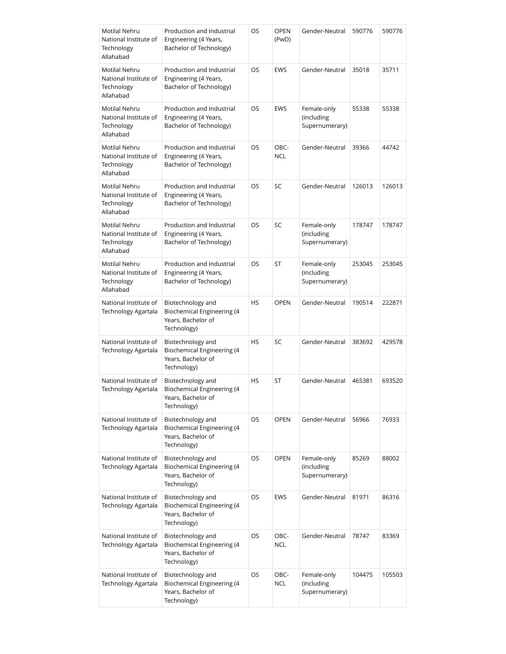| Motilal Nehru<br>National Institute of<br>Technology<br>Allahabad        | Production and Industrial<br>Engineering (4 Years,<br>Bachelor of Technology)               | OS        | <b>OPEN</b><br>(PwD) | Gender-Neutral                              | 590776 | 590776 |
|--------------------------------------------------------------------------|---------------------------------------------------------------------------------------------|-----------|----------------------|---------------------------------------------|--------|--------|
| Motilal Nehru<br>National Institute of<br>Technology<br>Allahabad        | Production and Industrial<br>Engineering (4 Years,<br>Bachelor of Technology)               | OS.       | <b>EWS</b>           | Gender-Neutral                              | 35018  | 35711  |
| Motilal Nehru<br>National Institute of<br>Technology<br>Allahabad        | Production and Industrial<br>Engineering (4 Years,<br>Bachelor of Technology)               | OS        | <b>EWS</b>           | Female-only<br>(including<br>Supernumerary) | 55338  | 55338  |
| Motilal Nehru<br>National Institute of<br>Technology<br>Allahabad        | Production and Industrial<br>Engineering (4 Years,<br>Bachelor of Technology)               | OS.       | OBC-<br><b>NCL</b>   | Gender-Neutral                              | 39366  | 44742  |
| Motilal Nehru<br>National Institute of<br>Technology<br>Allahabad        | Production and Industrial<br>Engineering (4 Years,<br>Bachelor of Technology)               | OS        | SC                   | Gender-Neutral                              | 126013 | 126013 |
| Motilal Nehru<br>National Institute of<br>Technology<br>Allahabad        | Production and Industrial<br>Engineering (4 Years,<br>Bachelor of Technology)               | OS.       | SC                   | Female-only<br>(including<br>Supernumerary) | 178747 | 178747 |
| <b>Motilal Nehru</b><br>National Institute of<br>Technology<br>Allahabad | Production and Industrial<br>Engineering (4 Years,<br>Bachelor of Technology)               | OS.       | ST                   | Female-only<br>(including<br>Supernumerary) | 253045 | 253045 |
| National Institute of<br>Technology Agartala                             | Biotechnology and<br><b>Biochemical Engineering (4</b><br>Years, Bachelor of<br>Technology) | HS        | <b>OPEN</b>          | Gender-Neutral                              | 190514 | 222871 |
| National Institute of<br>Technology Agartala                             | Biotechnology and<br><b>Biochemical Engineering (4</b><br>Years, Bachelor of<br>Technology) | <b>HS</b> | SC                   | Gender-Neutral                              | 383692 | 429578 |
| National Institute of<br>Technology Agartala                             | Biotechnology and<br><b>Biochemical Engineering (4</b><br>Years, Bachelor of<br>Technology) | HS        | ST                   | Gender-Neutral                              | 465381 | 693520 |
| National Institute of<br>Technology Agartala                             | Biotechnology and<br><b>Biochemical Engineering (4</b><br>Years, Bachelor of<br>Technology) | <b>OS</b> | <b>OPEN</b>          | Gender-Neutral                              | 56966  | 76933  |
| National Institute of<br>Technology Agartala                             | Biotechnology and<br><b>Biochemical Engineering (4</b><br>Years, Bachelor of<br>Technology) | OS        | <b>OPEN</b>          | Female-only<br>(including<br>Supernumerary) | 85269  | 88002  |
| National Institute of<br>Technology Agartala                             | Biotechnology and<br><b>Biochemical Engineering (4</b><br>Years, Bachelor of<br>Technology) | OS        | <b>EWS</b>           | Gender-Neutral                              | 81971  | 86316  |
| National Institute of<br>Technology Agartala                             | Biotechnology and<br>Biochemical Engineering (4<br>Years, Bachelor of<br>Technology)        | OS        | OBC-<br><b>NCL</b>   | Gender-Neutral                              | 78747  | 83369  |
| National Institute of<br>Technology Agartala                             | Biotechnology and<br><b>Biochemical Engineering (4</b><br>Years, Bachelor of<br>Technology) | OS        | OBC-<br><b>NCL</b>   | Female-only<br>(including<br>Supernumerary) | 104475 | 105503 |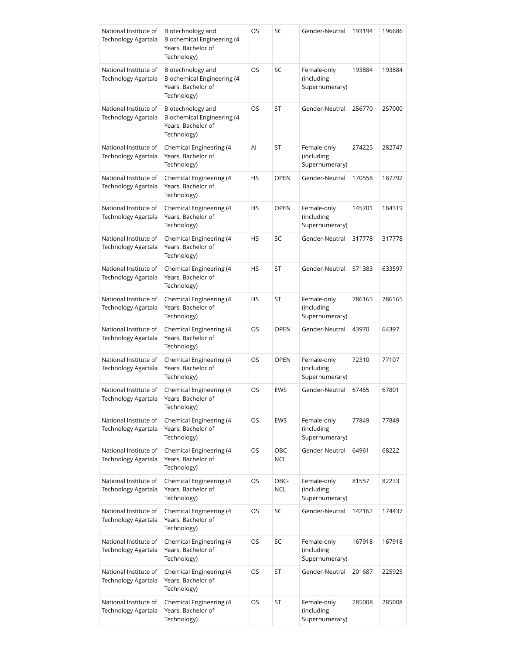| National Institute of<br><b>Technology Agartala</b> | Biotechnology and<br>Biochemical Engineering (4<br>Years, Bachelor of<br>Technology)        | OS        | SC                 | Gender-Neutral                              | 193194 | 196686 |
|-----------------------------------------------------|---------------------------------------------------------------------------------------------|-----------|--------------------|---------------------------------------------|--------|--------|
| National Institute of<br><b>Technology Agartala</b> | Biotechnology and<br>Biochemical Engineering (4<br>Years, Bachelor of<br>Technology)        | OS        | SC                 | Female-only<br>(including<br>Supernumerary) | 193884 | 193884 |
| National Institute of<br>Technology Agartala        | Biotechnology and<br><b>Biochemical Engineering (4</b><br>Years, Bachelor of<br>Technology) | OS        | ST                 | Gender-Neutral                              | 256770 | 257000 |
| National Institute of<br>Technology Agartala        | Chemical Engineering (4<br>Years, Bachelor of<br>Technology)                                | AI        | ST                 | Female-only<br>(including<br>Supernumerary) | 274225 | 282747 |
| National Institute of<br>Technology Agartala        | Chemical Engineering (4<br>Years, Bachelor of<br>Technology)                                | HS        | <b>OPEN</b>        | Gender-Neutral                              | 170558 | 187792 |
| National Institute of<br>Technology Agartala        | Chemical Engineering (4<br>Years, Bachelor of<br>Technology)                                | HS        | <b>OPEN</b>        | Female-only<br>(including<br>Supernumerary) | 145701 | 184319 |
| National Institute of<br>Technology Agartala        | Chemical Engineering (4<br>Years, Bachelor of<br>Technology)                                | HS        | SC                 | Gender-Neutral                              | 317778 | 317778 |
| National Institute of<br>Technology Agartala        | Chemical Engineering (4<br>Years, Bachelor of<br>Technology)                                | <b>HS</b> | ST                 | Gender-Neutral                              | 571383 | 633597 |
| National Institute of<br>Technology Agartala        | Chemical Engineering (4<br>Years, Bachelor of<br>Technology)                                | HS        | ST                 | Female-only<br>(including<br>Supernumerary) | 786165 | 786165 |
| National Institute of<br>Technology Agartala        | Chemical Engineering (4<br>Years, Bachelor of<br>Technology)                                | OS        | <b>OPEN</b>        | Gender-Neutral                              | 43970  | 64397  |
| National Institute of<br>Technology Agartala        | Chemical Engineering (4<br>Years, Bachelor of<br>Technology)                                | OS        | <b>OPEN</b>        | Female-only<br>(including<br>Supernumerary) | 72310  | 77107  |
| National Institute of<br>Technology Agartala        | Chemical Engineering (4<br>Years, Bachelor of<br>Technology)                                | OS        | <b>EWS</b>         | Gender-Neutral                              | 67465  | 67801  |
| National Institute of<br>Technology Agartala        | Chemical Engineering (4<br>Years, Bachelor of<br>Technology)                                | OS        | <b>EWS</b>         | Female-only<br>(including<br>Supernumerary) | 77849  | 77849  |
| National Institute of<br>Technology Agartala        | Chemical Engineering (4<br>Years, Bachelor of<br>Technology)                                | OS        | OBC-<br><b>NCL</b> | Gender-Neutral                              | 64961  | 68222  |
| National Institute of<br>Technology Agartala        | Chemical Engineering (4<br>Years, Bachelor of<br>Technology)                                | OS        | OBC-<br><b>NCL</b> | Female-only<br>(including<br>Supernumerary) | 81557  | 82233  |
| National Institute of<br>Technology Agartala        | Chemical Engineering (4<br>Years, Bachelor of<br>Technology)                                | OS        | SC                 | Gender-Neutral                              | 142162 | 174437 |
| National Institute of<br>Technology Agartala        | Chemical Engineering (4<br>Years, Bachelor of<br>Technology)                                | OS        | SC                 | Female-only<br>(including<br>Supernumerary) | 167918 | 167918 |
| National Institute of<br>Technology Agartala        | Chemical Engineering (4<br>Years, Bachelor of<br>Technology)                                | OS        | ST                 | Gender-Neutral                              | 201687 | 225925 |
| National Institute of<br>Technology Agartala        | Chemical Engineering (4<br>Years, Bachelor of<br>Technology)                                | OS        | ST                 | Female-only<br>(including<br>Supernumerary) | 285008 | 285008 |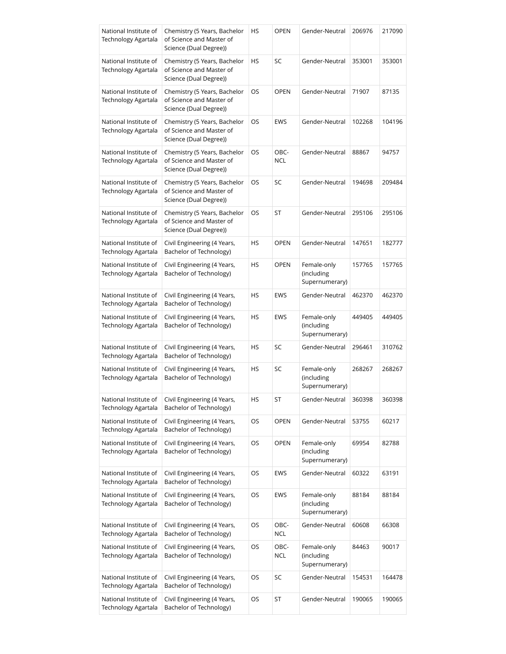| National Institute of<br>Technology Agartala        | Chemistry (5 Years, Bachelor<br>of Science and Master of<br>Science (Dual Degree)) | HS        | <b>OPEN</b> | Gender-Neutral                              | 206976 | 217090 |
|-----------------------------------------------------|------------------------------------------------------------------------------------|-----------|-------------|---------------------------------------------|--------|--------|
| National Institute of<br>Technology Agartala        | Chemistry (5 Years, Bachelor<br>of Science and Master of<br>Science (Dual Degree)) | HS        | SC          | Gender-Neutral                              | 353001 | 353001 |
| National Institute of<br>Technology Agartala        | Chemistry (5 Years, Bachelor<br>of Science and Master of<br>Science (Dual Degree)) | OS        | <b>OPEN</b> | Gender-Neutral                              | 71907  | 87135  |
| National Institute of<br>Technology Agartala        | Chemistry (5 Years, Bachelor<br>of Science and Master of<br>Science (Dual Degree)) | OS        | <b>EWS</b>  | Gender-Neutral                              | 102268 | 104196 |
| National Institute of<br>Technology Agartala        | Chemistry (5 Years, Bachelor<br>of Science and Master of<br>Science (Dual Degree)) | OS        | OBC-<br>NCL | Gender-Neutral                              | 88867  | 94757  |
| National Institute of<br><b>Technology Agartala</b> | Chemistry (5 Years, Bachelor<br>of Science and Master of<br>Science (Dual Degree)) | OS.       | SC          | Gender-Neutral                              | 194698 | 209484 |
| National Institute of<br>Technology Agartala        | Chemistry (5 Years, Bachelor<br>of Science and Master of<br>Science (Dual Degree)) | OS        | ST          | Gender-Neutral                              | 295106 | 295106 |
| National Institute of<br>Technology Agartala        | Civil Engineering (4 Years,<br>Bachelor of Technology)                             | HS        | <b>OPEN</b> | Gender-Neutral                              | 147651 | 182777 |
| National Institute of<br>Technology Agartala        | Civil Engineering (4 Years,<br>Bachelor of Technology)                             | HS        | <b>OPEN</b> | Female-only<br>(including<br>Supernumerary) | 157765 | 157765 |
| National Institute of<br>Technology Agartala        | Civil Engineering (4 Years,<br>Bachelor of Technology)                             | HS        | <b>EWS</b>  | Gender-Neutral                              | 462370 | 462370 |
| National Institute of<br>Technology Agartala        | Civil Engineering (4 Years,<br>Bachelor of Technology)                             | HS        | <b>EWS</b>  | Female-only<br>(including<br>Supernumerary) | 449405 | 449405 |
| National Institute of<br>Technology Agartala        | Civil Engineering (4 Years,<br>Bachelor of Technology)                             | <b>HS</b> | SC          | Gender-Neutral                              | 296461 | 310762 |
| National Institute of<br>Technology Agartala        | Civil Engineering (4 Years,<br>Bachelor of Technology)                             | <b>HS</b> | SC          | Female-only<br>(including<br>Supernumerary) | 268267 | 268267 |
| National Institute of<br>Technology Agartala        | Civil Engineering (4 Years,<br>Bachelor of Technology)                             | НS        | ST          | Gender-Neutral                              | 360398 | 360398 |
| National Institute of<br>Technology Agartala        | Civil Engineering (4 Years,<br>Bachelor of Technology)                             | OS        | OPEN        | Gender-Neutral                              | 53755  | 60217  |
| National Institute of<br>Technology Agartala        | Civil Engineering (4 Years,<br>Bachelor of Technology)                             | OS        | OPEN        | Female-only<br>(including<br>Supernumerary) | 69954  | 82788  |
| National Institute of<br>Technology Agartala        | Civil Engineering (4 Years,<br>Bachelor of Technology)                             | OS        | EWS         | Gender-Neutral                              | 60322  | 63191  |
| National Institute of<br>Technology Agartala        | Civil Engineering (4 Years,<br>Bachelor of Technology)                             | OS        | <b>EWS</b>  | Female-only<br>(including<br>Supernumerary) | 88184  | 88184  |
| National Institute of<br>Technology Agartala        | Civil Engineering (4 Years,<br>Bachelor of Technology)                             | OS        | OBC-<br>NCL | Gender-Neutral                              | 60608  | 66308  |
| National Institute of<br>Technology Agartala        | Civil Engineering (4 Years,<br>Bachelor of Technology)                             | OS        | OBC-<br>NCL | Female-only<br>(including<br>Supernumerary) | 84463  | 90017  |
| National Institute of<br>Technology Agartala        | Civil Engineering (4 Years,<br>Bachelor of Technology)                             | OS        | SC          | Gender-Neutral                              | 154531 | 164478 |
| National Institute of<br>Technology Agartala        | Civil Engineering (4 Years,<br>Bachelor of Technology)                             | OS        | ST          | Gender-Neutral                              | 190065 | 190065 |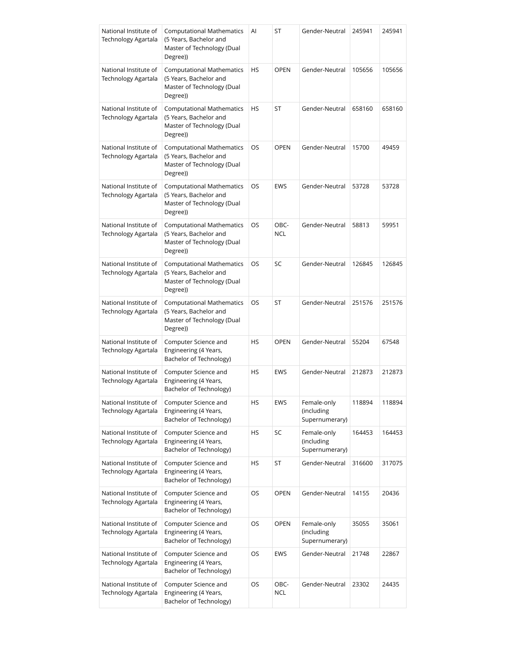| National Institute of<br><b>Technology Agartala</b> | <b>Computational Mathematics</b><br>(5 Years, Bachelor and<br>Master of Technology (Dual<br>Degree)) | Al | ST                 | Gender-Neutral                              | 245941 | 245941 |
|-----------------------------------------------------|------------------------------------------------------------------------------------------------------|----|--------------------|---------------------------------------------|--------|--------|
| National Institute of<br>Technology Agartala        | <b>Computational Mathematics</b><br>(5 Years, Bachelor and<br>Master of Technology (Dual<br>Degree)) | HS | <b>OPEN</b>        | Gender-Neutral                              | 105656 | 105656 |
| National Institute of<br><b>Technology Agartala</b> | <b>Computational Mathematics</b><br>(5 Years, Bachelor and<br>Master of Technology (Dual<br>Degree)) | HS | ST                 | Gender-Neutral                              | 658160 | 658160 |
| National Institute of<br>Technology Agartala        | <b>Computational Mathematics</b><br>(5 Years, Bachelor and<br>Master of Technology (Dual<br>Degree)) | OS | <b>OPEN</b>        | Gender-Neutral                              | 15700  | 49459  |
| National Institute of<br>Technology Agartala        | <b>Computational Mathematics</b><br>(5 Years, Bachelor and<br>Master of Technology (Dual<br>Degree)) | OS | <b>EWS</b>         | Gender-Neutral                              | 53728  | 53728  |
| National Institute of<br><b>Technology Agartala</b> | <b>Computational Mathematics</b><br>(5 Years, Bachelor and<br>Master of Technology (Dual<br>Degree)) | OS | OBC-<br><b>NCL</b> | Gender-Neutral                              | 58813  | 59951  |
| National Institute of<br>Technology Agartala        | <b>Computational Mathematics</b><br>(5 Years, Bachelor and<br>Master of Technology (Dual<br>Degree)) | OS | SC                 | Gender-Neutral                              | 126845 | 126845 |
| National Institute of<br>Technology Agartala        | <b>Computational Mathematics</b><br>(5 Years, Bachelor and<br>Master of Technology (Dual<br>Degree)) | OS | ST                 | Gender-Neutral                              | 251576 | 251576 |
| National Institute of<br>Technology Agartala        | Computer Science and<br>Engineering (4 Years,<br>Bachelor of Technology)                             | HS | <b>OPEN</b>        | Gender-Neutral                              | 55204  | 67548  |
| National Institute of<br>Technology Agartala        | Computer Science and<br>Engineering (4 Years,<br>Bachelor of Technology)                             | HS | <b>EWS</b>         | Gender-Neutral                              | 212873 | 212873 |
| National Institute of<br>Technology Agartala        | Computer Science and<br>Engineering (4 Years,<br>Bachelor of Technology)                             | HS | EWS                | Female-only<br>(including<br>Supernumerary) | 118894 | 118894 |
| National Institute of<br>Technology Agartala        | Computer Science and<br>Engineering (4 Years,<br>Bachelor of Technology)                             | HS | SC                 | Female-only<br>(including<br>Supernumerary) | 164453 | 164453 |
| National Institute of<br>Technology Agartala        | Computer Science and<br>Engineering (4 Years,<br>Bachelor of Technology)                             | HS | ST                 | Gender-Neutral                              | 316600 | 317075 |
| National Institute of<br>Technology Agartala        | Computer Science and<br>Engineering (4 Years,<br>Bachelor of Technology)                             | OS | <b>OPEN</b>        | Gender-Neutral                              | 14155  | 20436  |
| National Institute of<br>Technology Agartala        | Computer Science and<br>Engineering (4 Years,<br>Bachelor of Technology)                             | OS | <b>OPEN</b>        | Female-only<br>(including<br>Supernumerary) | 35055  | 35061  |
| National Institute of<br>Technology Agartala        | Computer Science and<br>Engineering (4 Years,<br>Bachelor of Technology)                             | OS | <b>EWS</b>         | Gender-Neutral                              | 21748  | 22867  |
| National Institute of<br>Technology Agartala        | Computer Science and<br>Engineering (4 Years,<br>Bachelor of Technology)                             | OS | OBC-<br>NCL        | Gender-Neutral                              | 23302  | 24435  |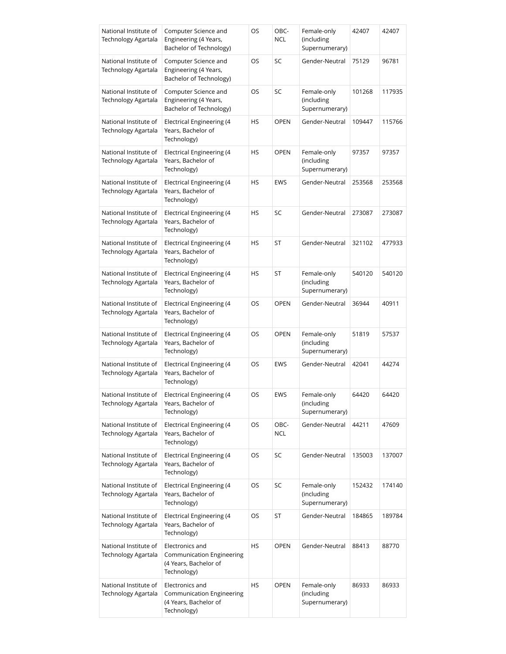| National Institute of<br>Technology Agartala | Computer Science and<br>Engineering (4 Years,<br>Bachelor of Technology)             | OS | OBC-<br><b>NCL</b> | Female-only<br>(including<br>Supernumerary) | 42407  | 42407  |
|----------------------------------------------|--------------------------------------------------------------------------------------|----|--------------------|---------------------------------------------|--------|--------|
| National Institute of<br>Technology Agartala | Computer Science and<br>Engineering (4 Years,<br>Bachelor of Technology)             | OS | SC                 | Gender-Neutral                              | 75129  | 96781  |
| National Institute of<br>Technology Agartala | Computer Science and<br>Engineering (4 Years,<br>Bachelor of Technology)             | OS | SC                 | Female-only<br>(including<br>Supernumerary) | 101268 | 117935 |
| National Institute of<br>Technology Agartala | Electrical Engineering (4<br>Years, Bachelor of<br>Technology)                       | HS | <b>OPEN</b>        | Gender-Neutral                              | 109447 | 115766 |
| National Institute of<br>Technology Agartala | Electrical Engineering (4<br>Years, Bachelor of<br>Technology)                       | HS | <b>OPEN</b>        | Female-only<br>(including<br>Supernumerary) | 97357  | 97357  |
| National Institute of<br>Technology Agartala | <b>Electrical Engineering (4</b><br>Years, Bachelor of<br>Technology)                | HS | <b>EWS</b>         | Gender-Neutral                              | 253568 | 253568 |
| National Institute of<br>Technology Agartala | Electrical Engineering (4<br>Years, Bachelor of<br>Technology)                       | HS | SC                 | Gender-Neutral                              | 273087 | 273087 |
| National Institute of<br>Technology Agartala | Electrical Engineering (4<br>Years, Bachelor of<br>Technology)                       | HS | ST                 | Gender-Neutral                              | 321102 | 477933 |
| National Institute of<br>Technology Agartala | Electrical Engineering (4<br>Years, Bachelor of<br>Technology)                       | HS | ST                 | Female-only<br>(including<br>Supernumerary) | 540120 | 540120 |
| National Institute of<br>Technology Agartala | Electrical Engineering (4<br>Years, Bachelor of<br>Technology)                       | OS | <b>OPEN</b>        | Gender-Neutral                              | 36944  | 40911  |
| National Institute of<br>Technology Agartala | Electrical Engineering (4<br>Years, Bachelor of<br>Technology)                       | OS | <b>OPEN</b>        | Female-only<br>(including<br>Supernumerary) | 51819  | 57537  |
| National Institute of<br>Technology Agartala | Electrical Engineering (4<br>Years, Bachelor of<br>Technology)                       | OS | <b>EWS</b>         | Gender-Neutral                              | 42041  | 44274  |
| National Institute of<br>Technology Agartala | <b>Electrical Engineering (4</b><br>Years, Bachelor of<br>Technology)                | OS | EWS                | Female-only<br>(including<br>Supernumerary) | 64420  | 64420  |
| National Institute of<br>Technology Agartala | Electrical Engineering (4<br>Years, Bachelor of<br>Technology)                       | OS | OBC-<br><b>NCL</b> | Gender-Neutral                              | 44211  | 47609  |
| National Institute of<br>Technology Agartala | <b>Electrical Engineering (4</b><br>Years, Bachelor of<br>Technology)                | OS | SC                 | Gender-Neutral                              | 135003 | 137007 |
| National Institute of<br>Technology Agartala | Electrical Engineering (4<br>Years, Bachelor of<br>Technology)                       | OS | SC                 | Female-only<br>(including<br>Supernumerary) | 152432 | 174140 |
| National Institute of<br>Technology Agartala | Electrical Engineering (4<br>Years, Bachelor of<br>Technology)                       | OS | ST                 | Gender-Neutral                              | 184865 | 189784 |
| National Institute of<br>Technology Agartala | Electronics and<br>Communication Engineering<br>(4 Years, Bachelor of<br>Technology) | HS | <b>OPEN</b>        | Gender-Neutral                              | 88413  | 88770  |
| National Institute of<br>Technology Agartala | Electronics and<br>Communication Engineering<br>(4 Years, Bachelor of<br>Technology) | HS | <b>OPEN</b>        | Female-only<br>(including<br>Supernumerary) | 86933  | 86933  |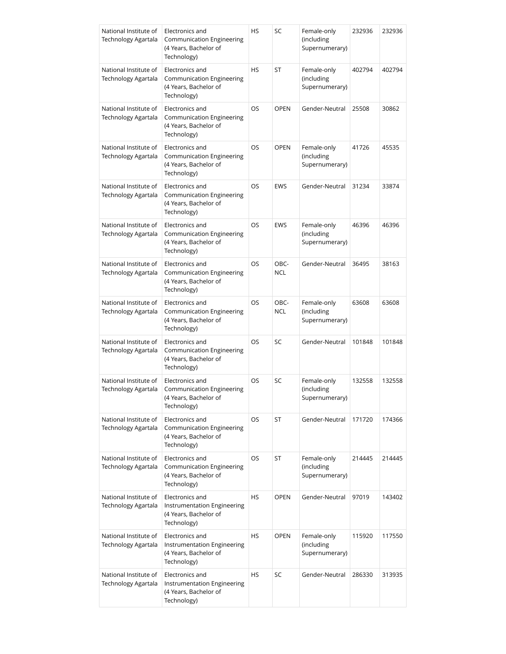| National Institute of<br>Technology Agartala | Electronics and<br><b>Communication Engineering</b><br>(4 Years, Bachelor of<br>Technology) | HS        | SC                 | Female-only<br>(including<br>Supernumerary) | 232936 | 232936 |
|----------------------------------------------|---------------------------------------------------------------------------------------------|-----------|--------------------|---------------------------------------------|--------|--------|
| National Institute of<br>Technology Agartala | Electronics and<br><b>Communication Engineering</b><br>(4 Years, Bachelor of<br>Technology) | HS        | ST                 | Female-only<br>(including<br>Supernumerary) | 402794 | 402794 |
| National Institute of<br>Technology Agartala | Electronics and<br><b>Communication Engineering</b><br>(4 Years, Bachelor of<br>Technology) | OS        | <b>OPEN</b>        | Gender-Neutral                              | 25508  | 30862  |
| National Institute of<br>Technology Agartala | Electronics and<br>Communication Engineering<br>(4 Years, Bachelor of<br>Technology)        | OS        | <b>OPEN</b>        | Female-only<br>(including<br>Supernumerary) | 41726  | 45535  |
| National Institute of<br>Technology Agartala | Electronics and<br>Communication Engineering<br>(4 Years, Bachelor of<br>Technology)        | <b>OS</b> | <b>EWS</b>         | Gender-Neutral                              | 31234  | 33874  |
| National Institute of<br>Technology Agartala | Electronics and<br>Communication Engineering<br>(4 Years, Bachelor of<br>Technology)        | OS        | <b>EWS</b>         | Female-only<br>(including<br>Supernumerary) | 46396  | 46396  |
| National Institute of<br>Technology Agartala | Electronics and<br>Communication Engineering<br>(4 Years, Bachelor of<br>Technology)        | OS        | OBC-<br><b>NCL</b> | Gender-Neutral                              | 36495  | 38163  |
| National Institute of<br>Technology Agartala | Electronics and<br>Communication Engineering<br>(4 Years, Bachelor of<br>Technology)        | OS        | OBC-<br><b>NCL</b> | Female-only<br>(including<br>Supernumerary) | 63608  | 63608  |
| National Institute of<br>Technology Agartala | Electronics and<br><b>Communication Engineering</b><br>(4 Years, Bachelor of<br>Technology) | OS        | SC                 | Gender-Neutral                              | 101848 | 101848 |
| National Institute of<br>Technology Agartala | Electronics and<br>Communication Engineering<br>(4 Years, Bachelor of<br>Technology)        | OS        | SC                 | Female-only<br>(including<br>Supernumerary) | 132558 | 132558 |
| National Institute of<br>Technology Agartala | Electronics and<br><b>Communication Engineering</b><br>(4 Years, Bachelor of<br>Technology) | OS        | ST                 | Gender-Neutral                              | 171720 | 174366 |
| National Institute of<br>Technology Agartala | Electronics and<br><b>Communication Engineering</b><br>(4 Years, Bachelor of<br>Technology) | OS        | ST                 | Female-only<br>(including<br>Supernumerary) | 214445 | 214445 |
| National Institute of<br>Technology Agartala | Electronics and<br>Instrumentation Engineering<br>(4 Years, Bachelor of<br>Technology)      | HS        | <b>OPEN</b>        | Gender-Neutral                              | 97019  | 143402 |
| National Institute of<br>Technology Agartala | Electronics and<br>Instrumentation Engineering<br>(4 Years, Bachelor of<br>Technology)      | HS        | <b>OPEN</b>        | Female-only<br>(including<br>Supernumerary) | 115920 | 117550 |
| National Institute of<br>Technology Agartala | Electronics and<br>Instrumentation Engineering<br>(4 Years, Bachelor of<br>Technology)      | HS        | SC                 | Gender-Neutral                              | 286330 | 313935 |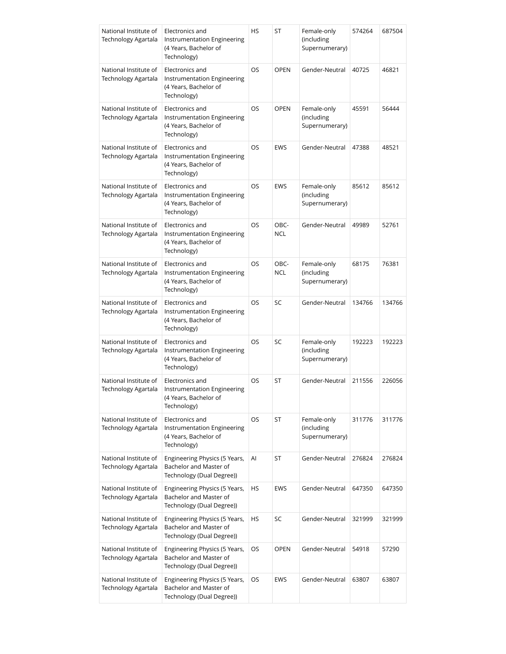| National Institute of<br>Technology Agartala | Electronics and<br><b>Instrumentation Engineering</b><br>(4 Years, Bachelor of<br>Technology) | HS        | ST                 | Female-only<br>(including<br>Supernumerary) | 574264 | 687504 |
|----------------------------------------------|-----------------------------------------------------------------------------------------------|-----------|--------------------|---------------------------------------------|--------|--------|
| National Institute of<br>Technology Agartala | Electronics and<br>Instrumentation Engineering<br>(4 Years, Bachelor of<br>Technology)        | OS        | <b>OPEN</b>        | Gender-Neutral                              | 40725  | 46821  |
| National Institute of<br>Technology Agartala | Electronics and<br>Instrumentation Engineering<br>(4 Years, Bachelor of<br>Technology)        | OS        | <b>OPEN</b>        | Female-only<br>(including<br>Supernumerary) | 45591  | 56444  |
| National Institute of<br>Technology Agartala | Electronics and<br>Instrumentation Engineering<br>(4 Years, Bachelor of<br>Technology)        | OS        | <b>EWS</b>         | Gender-Neutral                              | 47388  | 48521  |
| National Institute of<br>Technology Agartala | Electronics and<br>Instrumentation Engineering<br>(4 Years, Bachelor of<br>Technology)        | OS        | <b>EWS</b>         | Female-only<br>(including<br>Supernumerary) | 85612  | 85612  |
| National Institute of<br>Technology Agartala | Electronics and<br>Instrumentation Engineering<br>(4 Years, Bachelor of<br>Technology)        | <b>OS</b> | OBC-<br><b>NCL</b> | Gender-Neutral                              | 49989  | 52761  |
| National Institute of<br>Technology Agartala | Electronics and<br>Instrumentation Engineering<br>(4 Years, Bachelor of<br>Technology)        | OS        | OBC-<br><b>NCL</b> | Female-only<br>(including<br>Supernumerary) | 68175  | 76381  |
| National Institute of<br>Technology Agartala | Electronics and<br><b>Instrumentation Engineering</b><br>(4 Years, Bachelor of<br>Technology) | OS        | SC                 | Gender-Neutral                              | 134766 | 134766 |
| National Institute of<br>Technology Agartala | Electronics and<br>Instrumentation Engineering<br>(4 Years, Bachelor of<br>Technology)        | OS        | SC                 | Female-only<br>(including<br>Supernumerary) | 192223 | 192223 |
| National Institute of<br>Technology Agartala | Electronics and<br><b>Instrumentation Engineering</b><br>(4 Years, Bachelor of<br>Technology) | OS        | ST                 | Gender-Neutral                              | 211556 | 226056 |
| National Institute of<br>Technology Agartala | Electronics and<br>Instrumentation Engineering<br>(4 Years, Bachelor of<br>Technology)        | OS        | ST                 | Female-only<br>(including<br>Supernumerary) | 311776 | 311776 |
| National Institute of<br>Technology Agartala | Engineering Physics (5 Years,<br>Bachelor and Master of<br>Technology (Dual Degree))          | Al        | ST                 | Gender-Neutral                              | 276824 | 276824 |
| National Institute of<br>Technology Agartala | Engineering Physics (5 Years,<br>Bachelor and Master of<br>Technology (Dual Degree))          | HS        | <b>EWS</b>         | Gender-Neutral                              | 647350 | 647350 |
| National Institute of<br>Technology Agartala | Engineering Physics (5 Years,<br>Bachelor and Master of<br>Technology (Dual Degree))          | HS        | SC                 | Gender-Neutral                              | 321999 | 321999 |
| National Institute of<br>Technology Agartala | Engineering Physics (5 Years,<br>Bachelor and Master of<br>Technology (Dual Degree))          | OS.       | <b>OPEN</b>        | Gender-Neutral                              | 54918  | 57290  |
| National Institute of<br>Technology Agartala | Engineering Physics (5 Years,<br>Bachelor and Master of<br>Technology (Dual Degree))          | OS        | EWS                | Gender-Neutral                              | 63807  | 63807  |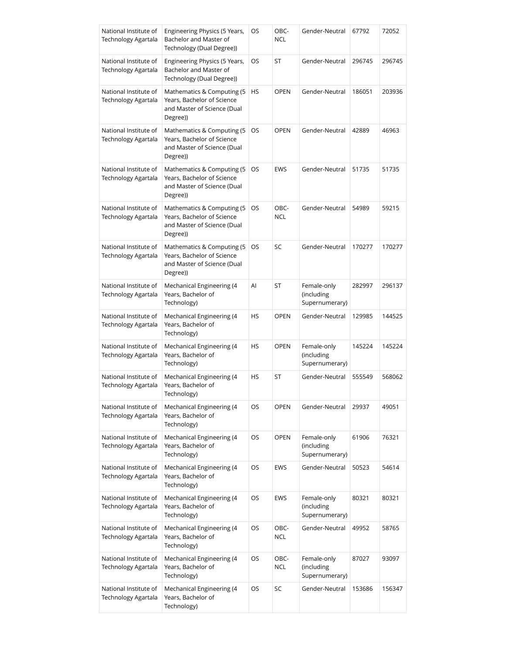| National Institute of<br>Technology Agartala        | Engineering Physics (5 Years,<br>Bachelor and Master of<br>Technology (Dual Degree))                 | OS | OBC-<br><b>NCL</b> | Gender-Neutral                              | 67792  | 72052  |
|-----------------------------------------------------|------------------------------------------------------------------------------------------------------|----|--------------------|---------------------------------------------|--------|--------|
| National Institute of<br><b>Technology Agartala</b> | Engineering Physics (5 Years,<br>Bachelor and Master of<br>Technology (Dual Degree))                 | OS | ST                 | Gender-Neutral                              | 296745 | 296745 |
| National Institute of<br>Technology Agartala        | Mathematics & Computing (5)<br>Years, Bachelor of Science<br>and Master of Science (Dual<br>Degree)) | HS | <b>OPEN</b>        | Gender-Neutral                              | 186051 | 203936 |
| National Institute of<br><b>Technology Agartala</b> | Mathematics & Computing (5)<br>Years, Bachelor of Science<br>and Master of Science (Dual<br>Degree)) | OS | <b>OPEN</b>        | Gender-Neutral                              | 42889  | 46963  |
| National Institute of<br>Technology Agartala        | Mathematics & Computing (5)<br>Years, Bachelor of Science<br>and Master of Science (Dual<br>Degree)) | OS | EWS                | Gender-Neutral                              | 51735  | 51735  |
| National Institute of<br>Technology Agartala        | Mathematics & Computing (5<br>Years, Bachelor of Science<br>and Master of Science (Dual<br>Degree))  | OS | OBC-<br><b>NCL</b> | Gender-Neutral                              | 54989  | 59215  |
| National Institute of<br>Technology Agartala        | Mathematics & Computing (5)<br>Years, Bachelor of Science<br>and Master of Science (Dual<br>Degree)) | OS | SC                 | Gender-Neutral                              | 170277 | 170277 |
| National Institute of<br>Technology Agartala        | Mechanical Engineering (4<br>Years, Bachelor of<br>Technology)                                       | Al | ST                 | Female-only<br>(including<br>Supernumerary) | 282997 | 296137 |
| National Institute of<br>Technology Agartala        | Mechanical Engineering (4<br>Years, Bachelor of<br>Technology)                                       | HS | <b>OPEN</b>        | Gender-Neutral                              | 129985 | 144525 |
| National Institute of<br>Technology Agartala        | Mechanical Engineering (4<br>Years, Bachelor of<br>Technology)                                       | HS | <b>OPEN</b>        | Female-only<br>(including<br>Supernumerary) | 145224 | 145224 |
| National Institute of<br>Technology Agartala        | Mechanical Engineering (4<br>Years, Bachelor of<br>Technology)                                       | HS | ST                 | Gender-Neutral                              | 555549 | 568062 |
| National Institute of<br>Technology Agartala        | Mechanical Engineering (4<br>Years, Bachelor of<br>Technology)                                       | OS | <b>OPEN</b>        | Gender-Neutral                              | 29937  | 49051  |
| National Institute of<br><b>Technology Agartala</b> | Mechanical Engineering (4<br>Years, Bachelor of<br>Technology)                                       | OS | <b>OPEN</b>        | Female-only<br>(including<br>Supernumerary) | 61906  | 76321  |
| National Institute of<br>Technology Agartala        | Mechanical Engineering (4<br>Years, Bachelor of<br>Technology)                                       | OS | <b>EWS</b>         | Gender-Neutral                              | 50523  | 54614  |
| National Institute of<br>Technology Agartala        | Mechanical Engineering (4<br>Years, Bachelor of<br>Technology)                                       | OS | <b>EWS</b>         | Female-only<br>(including<br>Supernumerary) | 80321  | 80321  |
| National Institute of<br>Technology Agartala        | Mechanical Engineering (4<br>Years, Bachelor of<br>Technology)                                       | OS | OBC-<br><b>NCL</b> | Gender-Neutral                              | 49952  | 58765  |
| National Institute of<br>Technology Agartala        | Mechanical Engineering (4<br>Years, Bachelor of<br>Technology)                                       | OS | OBC-<br><b>NCL</b> | Female-only<br>(including<br>Supernumerary) | 87027  | 93097  |
| National Institute of<br>Technology Agartala        | Mechanical Engineering (4<br>Years, Bachelor of<br>Technology)                                       | OS | SC                 | Gender-Neutral                              | 153686 | 156347 |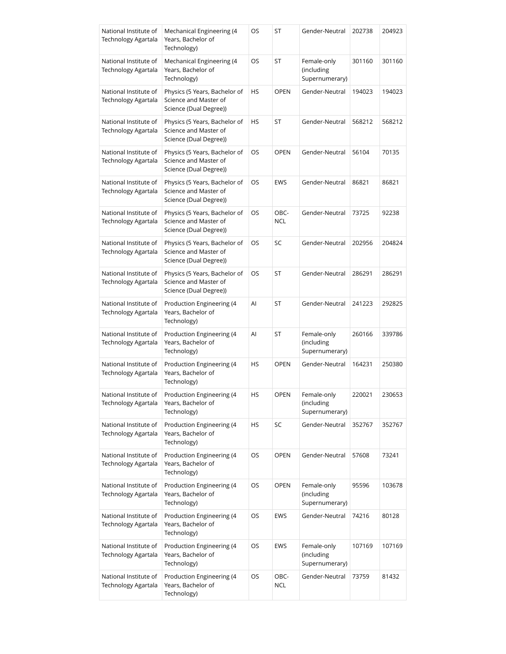| National Institute of<br>Technology Agartala | Mechanical Engineering (4<br>Years, Bachelor of<br>Technology)                   | OS | ST                 | Gender-Neutral                              | 202738 | 204923 |
|----------------------------------------------|----------------------------------------------------------------------------------|----|--------------------|---------------------------------------------|--------|--------|
| National Institute of<br>Technology Agartala | Mechanical Engineering (4<br>Years, Bachelor of<br>Technology)                   | OS | ST                 | Female-only<br>(including<br>Supernumerary) | 301160 | 301160 |
| National Institute of<br>Technology Agartala | Physics (5 Years, Bachelor of<br>Science and Master of<br>Science (Dual Degree)) | HS | <b>OPEN</b>        | Gender-Neutral                              | 194023 | 194023 |
| National Institute of<br>Technology Agartala | Physics (5 Years, Bachelor of<br>Science and Master of<br>Science (Dual Degree)) | HS | ST                 | Gender-Neutral                              | 568212 | 568212 |
| National Institute of<br>Technology Agartala | Physics (5 Years, Bachelor of<br>Science and Master of<br>Science (Dual Degree)) | OS | <b>OPEN</b>        | Gender-Neutral                              | 56104  | 70135  |
| National Institute of<br>Technology Agartala | Physics (5 Years, Bachelor of<br>Science and Master of<br>Science (Dual Degree)) | OS | <b>EWS</b>         | Gender-Neutral                              | 86821  | 86821  |
| National Institute of<br>Technology Agartala | Physics (5 Years, Bachelor of<br>Science and Master of<br>Science (Dual Degree)) | OS | OBC-<br><b>NCL</b> | Gender-Neutral                              | 73725  | 92238  |
| National Institute of<br>Technology Agartala | Physics (5 Years, Bachelor of<br>Science and Master of<br>Science (Dual Degree)) | OS | SC                 | Gender-Neutral                              | 202956 | 204824 |
| National Institute of<br>Technology Agartala | Physics (5 Years, Bachelor of<br>Science and Master of<br>Science (Dual Degree)) | OS | ST                 | Gender-Neutral                              | 286291 | 286291 |
| National Institute of<br>Technology Agartala | Production Engineering (4<br>Years, Bachelor of<br>Technology)                   | Al | ST                 | Gender-Neutral                              | 241223 | 292825 |
| National Institute of<br>Technology Agartala | Production Engineering (4<br>Years, Bachelor of<br>Technology)                   | AI | ST                 | Female-only<br>(including<br>Supernumerary) | 260166 | 339786 |
| National Institute of<br>Technology Agartala | Production Engineering (4<br>Years, Bachelor of<br>Technology)                   | HS | <b>OPEN</b>        | Gender-Neutral                              | 164231 | 250380 |
| National Institute of<br>Technology Agartala | Production Engineering (4<br>Years, Bachelor of<br>Technology)                   | HS | OPEN               | Female-only<br>(including<br>Supernumerary) | 220021 | 230653 |
| National Institute of<br>Technology Agartala | Production Engineering (4<br>Years, Bachelor of<br>Technology)                   | HS | SC                 | Gender-Neutral                              | 352767 | 352767 |
| National Institute of<br>Technology Agartala | Production Engineering (4<br>Years, Bachelor of<br>Technology)                   | OS | <b>OPEN</b>        | Gender-Neutral                              | 57608  | 73241  |
| National Institute of<br>Technology Agartala | Production Engineering (4<br>Years, Bachelor of<br>Technology)                   | OS | <b>OPEN</b>        | Female-only<br>(including<br>Supernumerary) | 95596  | 103678 |
| National Institute of<br>Technology Agartala | Production Engineering (4<br>Years, Bachelor of<br>Technology)                   | OS | <b>EWS</b>         | Gender-Neutral                              | 74216  | 80128  |
| National Institute of<br>Technology Agartala | Production Engineering (4<br>Years, Bachelor of<br>Technology)                   | OS | <b>EWS</b>         | Female-only<br>(including<br>Supernumerary) | 107169 | 107169 |
| National Institute of<br>Technology Agartala | Production Engineering (4<br>Years, Bachelor of<br>Technology)                   | OS | OBC-<br><b>NCL</b> | Gender-Neutral                              | 73759  | 81432  |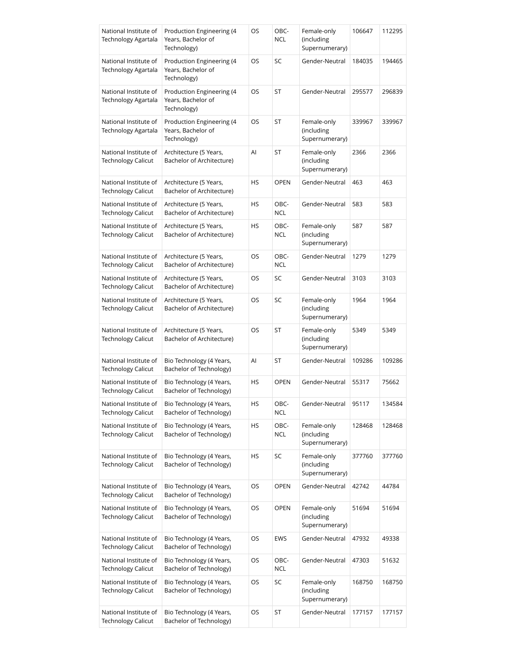| National Institute of<br>Technology Agartala        | Production Engineering (4<br>Years, Bachelor of<br>Technology) | OS | OBC-<br><b>NCL</b> | Female-only<br>(including<br>Supernumerary) | 106647 | 112295 |
|-----------------------------------------------------|----------------------------------------------------------------|----|--------------------|---------------------------------------------|--------|--------|
| National Institute of<br>Technology Agartala        | Production Engineering (4<br>Years, Bachelor of<br>Technology) | OS | SC                 | Gender-Neutral                              | 184035 | 194465 |
| National Institute of<br>Technology Agartala        | Production Engineering (4<br>Years, Bachelor of<br>Technology) | OS | ST                 | Gender-Neutral                              | 295577 | 296839 |
| National Institute of<br><b>Technology Agartala</b> | Production Engineering (4<br>Years, Bachelor of<br>Technology) | OS | ST                 | Female-only<br>(including<br>Supernumerary) | 339967 | 339967 |
| National Institute of<br><b>Technology Calicut</b>  | Architecture (5 Years,<br>Bachelor of Architecture)            | Al | ST                 | Female-only<br>(including<br>Supernumerary) | 2366   | 2366   |
| National Institute of<br><b>Technology Calicut</b>  | Architecture (5 Years,<br>Bachelor of Architecture)            | HS | <b>OPEN</b>        | Gender-Neutral                              | 463    | 463    |
| National Institute of<br><b>Technology Calicut</b>  | Architecture (5 Years,<br>Bachelor of Architecture)            | HS | OBC-<br><b>NCL</b> | Gender-Neutral                              | 583    | 583    |
| National Institute of<br><b>Technology Calicut</b>  | Architecture (5 Years,<br>Bachelor of Architecture)            | HS | OBC-<br><b>NCL</b> | Female-only<br>(including<br>Supernumerary) | 587    | 587    |
| National Institute of<br>Technology Calicut         | Architecture (5 Years,<br>Bachelor of Architecture)            | OS | OBC-<br><b>NCL</b> | Gender-Neutral                              | 1279   | 1279   |
| National Institute of<br><b>Technology Calicut</b>  | Architecture (5 Years,<br>Bachelor of Architecture)            | OS | SC                 | Gender-Neutral                              | 3103   | 3103   |
| National Institute of<br>Technology Calicut         | Architecture (5 Years,<br>Bachelor of Architecture)            | OS | SC                 | Female-only<br>(including<br>Supernumerary) | 1964   | 1964   |
| National Institute of<br><b>Technology Calicut</b>  | Architecture (5 Years,<br>Bachelor of Architecture)            | OS | ST                 | Female-only<br>(including<br>Supernumerary) | 5349   | 5349   |
| National Institute of<br>Technology Calicut         | Bio Technology (4 Years,<br>Bachelor of Technology)            | AI | ST                 | Gender-Neutral                              | 109286 | 109286 |
| National Institute of<br><b>Technology Calicut</b>  | Bio Technology (4 Years,<br>Bachelor of Technology)            | HS | <b>OPEN</b>        | Gender-Neutral                              | 55317  | 75662  |
| National Institute of<br><b>Technology Calicut</b>  | Bio Technology (4 Years,<br>Bachelor of Technology)            | HS | OBC-<br><b>NCL</b> | Gender-Neutral                              | 95117  | 134584 |
| National Institute of<br><b>Technology Calicut</b>  | Bio Technology (4 Years,<br>Bachelor of Technology)            | HS | OBC-<br><b>NCL</b> | Female-only<br>(including<br>Supernumerary) | 128468 | 128468 |
| National Institute of<br><b>Technology Calicut</b>  | Bio Technology (4 Years,<br>Bachelor of Technology)            | HS | SC                 | Female-only<br>(including<br>Supernumerary) | 377760 | 377760 |
| National Institute of<br><b>Technology Calicut</b>  | Bio Technology (4 Years,<br>Bachelor of Technology)            | OS | <b>OPEN</b>        | Gender-Neutral                              | 42742  | 44784  |
| National Institute of<br>Technology Calicut         | Bio Technology (4 Years,<br>Bachelor of Technology)            | OS | OPEN               | Female-only<br>(including<br>Supernumerary) | 51694  | 51694  |
| National Institute of<br><b>Technology Calicut</b>  | Bio Technology (4 Years,<br>Bachelor of Technology)            | OS | EWS                | Gender-Neutral                              | 47932  | 49338  |
| National Institute of<br><b>Technology Calicut</b>  | Bio Technology (4 Years,<br>Bachelor of Technology)            | OS | OBC-<br><b>NCL</b> | Gender-Neutral                              | 47303  | 51632  |
| National Institute of<br><b>Technology Calicut</b>  | Bio Technology (4 Years,<br>Bachelor of Technology)            | OS | SC                 | Female-only<br>(including<br>Supernumerary) | 168750 | 168750 |
| National Institute of<br><b>Technology Calicut</b>  | Bio Technology (4 Years,<br>Bachelor of Technology)            | OS | ST                 | Gender-Neutral                              | 177157 | 177157 |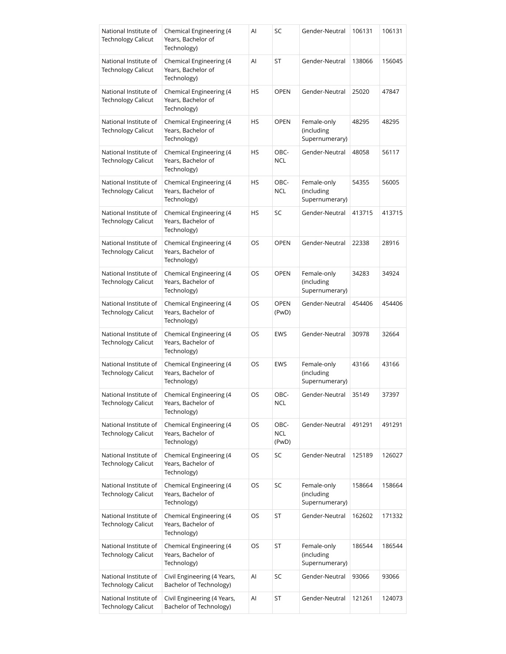| National Institute of<br><b>Technology Calicut</b> | Chemical Engineering (4<br>Years, Bachelor of<br>Technology) | Al | SC                          | Gender-Neutral                              | 106131 | 106131 |
|----------------------------------------------------|--------------------------------------------------------------|----|-----------------------------|---------------------------------------------|--------|--------|
| National Institute of<br><b>Technology Calicut</b> | Chemical Engineering (4<br>Years, Bachelor of<br>Technology) | Al | ST                          | Gender-Neutral                              | 138066 | 156045 |
| National Institute of<br><b>Technology Calicut</b> | Chemical Engineering (4<br>Years, Bachelor of<br>Technology) | HS | <b>OPEN</b>                 | Gender-Neutral                              | 25020  | 47847  |
| National Institute of<br><b>Technology Calicut</b> | Chemical Engineering (4<br>Years, Bachelor of<br>Technology) | HS | <b>OPEN</b>                 | Female-only<br>(including<br>Supernumerary) | 48295  | 48295  |
| National Institute of<br><b>Technology Calicut</b> | Chemical Engineering (4<br>Years, Bachelor of<br>Technology) | HS | OBC-<br><b>NCL</b>          | Gender-Neutral                              | 48058  | 56117  |
| National Institute of<br><b>Technology Calicut</b> | Chemical Engineering (4<br>Years, Bachelor of<br>Technology) | HS | OBC-<br><b>NCL</b>          | Female-only<br>(including<br>Supernumerary) | 54355  | 56005  |
| National Institute of<br>Technology Calicut        | Chemical Engineering (4<br>Years, Bachelor of<br>Technology) | HS | SC                          | Gender-Neutral                              | 413715 | 413715 |
| National Institute of<br><b>Technology Calicut</b> | Chemical Engineering (4<br>Years, Bachelor of<br>Technology) | OS | <b>OPEN</b>                 | Gender-Neutral                              | 22338  | 28916  |
| National Institute of<br><b>Technology Calicut</b> | Chemical Engineering (4<br>Years, Bachelor of<br>Technology) | OS | <b>OPEN</b>                 | Female-only<br>(including<br>Supernumerary) | 34283  | 34924  |
| National Institute of<br><b>Technology Calicut</b> | Chemical Engineering (4<br>Years, Bachelor of<br>Technology) | OS | <b>OPEN</b><br>(PwD)        | Gender-Neutral                              | 454406 | 454406 |
| National Institute of<br>Technology Calicut        | Chemical Engineering (4<br>Years, Bachelor of<br>Technology) | OS | <b>EWS</b>                  | Gender-Neutral                              | 30978  | 32664  |
| National Institute of<br><b>Technology Calicut</b> | Chemical Engineering (4<br>Years, Bachelor of<br>Technology) | OS | <b>EWS</b>                  | Female-only<br>(including<br>Supernumerary) | 43166  | 43166  |
| National Institute of<br><b>Technology Calicut</b> | Chemical Engineering (4<br>Years, Bachelor of<br>Technology) | OS | OBC-<br>NCL                 | Gender-Neutral                              | 35149  | 37397  |
| National Institute of<br><b>Technology Calicut</b> | Chemical Engineering (4<br>Years, Bachelor of<br>Technology) | OS | OBC-<br><b>NCL</b><br>(PwD) | Gender-Neutral                              | 491291 | 491291 |
| National Institute of<br><b>Technology Calicut</b> | Chemical Engineering (4<br>Years, Bachelor of<br>Technology) | OS | SC                          | Gender-Neutral                              | 125189 | 126027 |
| National Institute of<br><b>Technology Calicut</b> | Chemical Engineering (4<br>Years, Bachelor of<br>Technology) | OS | SC                          | Female-only<br>(including<br>Supernumerary) | 158664 | 158664 |
| National Institute of<br><b>Technology Calicut</b> | Chemical Engineering (4<br>Years, Bachelor of<br>Technology) | OS | ST                          | Gender-Neutral                              | 162602 | 171332 |
| National Institute of<br><b>Technology Calicut</b> | Chemical Engineering (4<br>Years, Bachelor of<br>Technology) | OS | ST                          | Female-only<br>(including<br>Supernumerary) | 186544 | 186544 |
| National Institute of<br><b>Technology Calicut</b> | Civil Engineering (4 Years,<br>Bachelor of Technology)       | Al | SC                          | Gender-Neutral                              | 93066  | 93066  |
| National Institute of<br><b>Technology Calicut</b> | Civil Engineering (4 Years,<br>Bachelor of Technology)       | Al | ST                          | Gender-Neutral                              | 121261 | 124073 |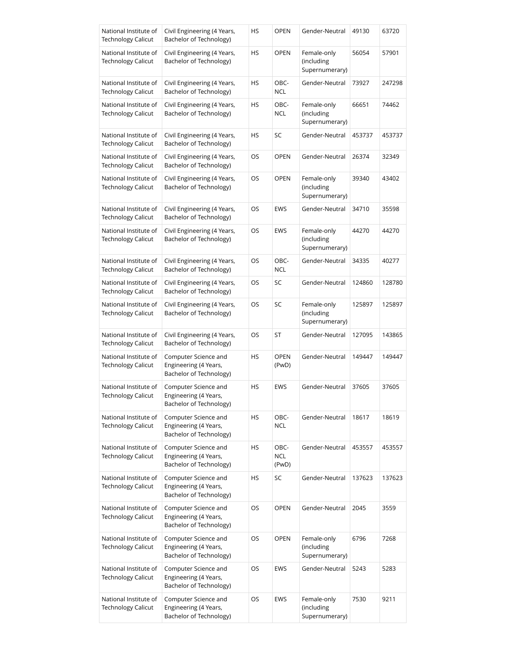| National Institute of<br><b>Technology Calicut</b> | Civil Engineering (4 Years,<br>Bachelor of Technology)                   | HS        | <b>OPEN</b>                 | Gender-Neutral                              | 49130  | 63720  |
|----------------------------------------------------|--------------------------------------------------------------------------|-----------|-----------------------------|---------------------------------------------|--------|--------|
| National Institute of<br><b>Technology Calicut</b> | Civil Engineering (4 Years,<br>Bachelor of Technology)                   | HS        | <b>OPEN</b>                 | Female-only<br>(including<br>Supernumerary) | 56054  | 57901  |
| National Institute of<br><b>Technology Calicut</b> | Civil Engineering (4 Years,<br>Bachelor of Technology)                   | HS        | OBC-<br>NCL                 | Gender-Neutral                              | 73927  | 247298 |
| National Institute of<br><b>Technology Calicut</b> | Civil Engineering (4 Years,<br>Bachelor of Technology)                   | HS        | OBC-<br>NCL                 | Female-only<br>(including<br>Supernumerary) | 66651  | 74462  |
| National Institute of<br><b>Technology Calicut</b> | Civil Engineering (4 Years,<br>Bachelor of Technology)                   | HS        | SC                          | Gender-Neutral                              | 453737 | 453737 |
| National Institute of<br><b>Technology Calicut</b> | Civil Engineering (4 Years,<br>Bachelor of Technology)                   | OS        | <b>OPEN</b>                 | Gender-Neutral                              | 26374  | 32349  |
| National Institute of<br><b>Technology Calicut</b> | Civil Engineering (4 Years,<br>Bachelor of Technology)                   | OS        | <b>OPEN</b>                 | Female-only<br>(including<br>Supernumerary) | 39340  | 43402  |
| National Institute of<br><b>Technology Calicut</b> | Civil Engineering (4 Years,<br>Bachelor of Technology)                   | OS        | EWS                         | Gender-Neutral                              | 34710  | 35598  |
| National Institute of<br><b>Technology Calicut</b> | Civil Engineering (4 Years,<br>Bachelor of Technology)                   | OS        | <b>EWS</b>                  | Female-only<br>(including<br>Supernumerary) | 44270  | 44270  |
| National Institute of<br><b>Technology Calicut</b> | Civil Engineering (4 Years,<br>Bachelor of Technology)                   | OS        | OBC-<br><b>NCL</b>          | Gender-Neutral                              | 34335  | 40277  |
| National Institute of<br><b>Technology Calicut</b> | Civil Engineering (4 Years,<br>Bachelor of Technology)                   | OS        | SC                          | Gender-Neutral                              | 124860 | 128780 |
| National Institute of<br><b>Technology Calicut</b> | Civil Engineering (4 Years,<br>Bachelor of Technology)                   | OS        | SC                          | Female-only<br>(including<br>Supernumerary) | 125897 | 125897 |
| National Institute of<br><b>Technology Calicut</b> | Civil Engineering (4 Years,<br>Bachelor of Technology)                   | OS        | <b>ST</b>                   | Gender-Neutral                              | 127095 | 143865 |
| National Institute of<br><b>Technology Calicut</b> | Computer Science and<br>Engineering (4 Years,<br>Bachelor of Technology) | HS        | <b>OPEN</b><br>(PwD)        | Gender-Neutral                              | 149447 | 149447 |
| National Institute of<br>Technology Calicut        | Computer Science and<br>Engineering (4 Years,<br>Bachelor of Technology) | HS        | EWS                         | Gender-Neutral                              | 37605  | 37605  |
| National Institute of<br><b>Technology Calicut</b> | Computer Science and<br>Engineering (4 Years,<br>Bachelor of Technology) | HS        | OBC-<br><b>NCL</b>          | Gender-Neutral                              | 18617  | 18619  |
| National Institute of<br><b>Technology Calicut</b> | Computer Science and<br>Engineering (4 Years,<br>Bachelor of Technology) | HS        | OBC-<br><b>NCL</b><br>(PwD) | Gender-Neutral                              | 453557 | 453557 |
| National Institute of<br><b>Technology Calicut</b> | Computer Science and<br>Engineering (4 Years,<br>Bachelor of Technology) | <b>HS</b> | SC                          | Gender-Neutral                              | 137623 | 137623 |
| National Institute of<br><b>Technology Calicut</b> | Computer Science and<br>Engineering (4 Years,<br>Bachelor of Technology) | OS        | <b>OPEN</b>                 | Gender-Neutral                              | 2045   | 3559   |
| National Institute of<br><b>Technology Calicut</b> | Computer Science and<br>Engineering (4 Years,<br>Bachelor of Technology) | OS        | <b>OPEN</b>                 | Female-only<br>(including<br>Supernumerary) | 6796   | 7268   |
| National Institute of<br><b>Technology Calicut</b> | Computer Science and<br>Engineering (4 Years,<br>Bachelor of Technology) | OS        | EWS                         | Gender-Neutral                              | 5243   | 5283   |
| National Institute of<br><b>Technology Calicut</b> | Computer Science and<br>Engineering (4 Years,<br>Bachelor of Technology) | OS        | EWS                         | Female-only<br>(including<br>Supernumerary) | 7530   | 9211   |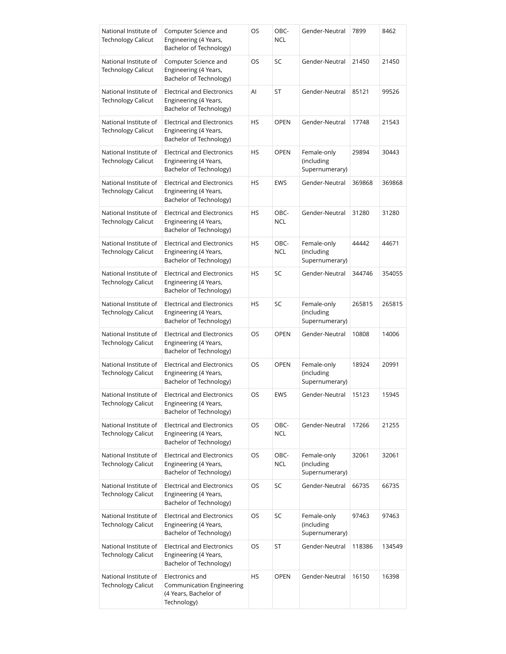| National Institute of<br><b>Technology Calicut</b> | Computer Science and<br>Engineering (4 Years,<br>Bachelor of Technology)              | OS | OBC-<br><b>NCL</b> | Gender-Neutral                              | 7899   | 8462   |
|----------------------------------------------------|---------------------------------------------------------------------------------------|----|--------------------|---------------------------------------------|--------|--------|
| National Institute of<br><b>Technology Calicut</b> | Computer Science and<br>Engineering (4 Years,<br>Bachelor of Technology)              | OS | SC                 | Gender-Neutral                              | 21450  | 21450  |
| National Institute of<br><b>Technology Calicut</b> | <b>Electrical and Electronics</b><br>Engineering (4 Years,<br>Bachelor of Technology) | AI | ST                 | Gender-Neutral                              | 85121  | 99526  |
| National Institute of<br><b>Technology Calicut</b> | <b>Electrical and Electronics</b><br>Engineering (4 Years,<br>Bachelor of Technology) | HS | <b>OPEN</b>        | Gender-Neutral                              | 17748  | 21543  |
| National Institute of<br><b>Technology Calicut</b> | <b>Electrical and Electronics</b><br>Engineering (4 Years,<br>Bachelor of Technology) | HS | <b>OPEN</b>        | Female-only<br>(including<br>Supernumerary) | 29894  | 30443  |
| National Institute of<br><b>Technology Calicut</b> | <b>Electrical and Electronics</b><br>Engineering (4 Years,<br>Bachelor of Technology) | HS | <b>EWS</b>         | Gender-Neutral                              | 369868 | 369868 |
| National Institute of<br><b>Technology Calicut</b> | <b>Electrical and Electronics</b><br>Engineering (4 Years,<br>Bachelor of Technology) | HS | OBC-<br><b>NCL</b> | Gender-Neutral                              | 31280  | 31280  |
| National Institute of<br><b>Technology Calicut</b> | <b>Electrical and Electronics</b><br>Engineering (4 Years,<br>Bachelor of Technology) | HS | OBC-<br><b>NCL</b> | Female-only<br>(including<br>Supernumerary) | 44442  | 44671  |
| National Institute of<br><b>Technology Calicut</b> | <b>Electrical and Electronics</b><br>Engineering (4 Years,<br>Bachelor of Technology) | HS | SC                 | Gender-Neutral                              | 344746 | 354055 |
| National Institute of<br><b>Technology Calicut</b> | <b>Electrical and Electronics</b><br>Engineering (4 Years,<br>Bachelor of Technology) | HS | SC                 | Female-only<br>(including<br>Supernumerary) | 265815 | 265815 |
| National Institute of<br>Technology Calicut        | <b>Electrical and Electronics</b><br>Engineering (4 Years,<br>Bachelor of Technology) | OS | <b>OPEN</b>        | Gender-Neutral                              | 10808  | 14006  |
| National Institute of<br><b>Technology Calicut</b> | <b>Electrical and Electronics</b><br>Engineering (4 Years,<br>Bachelor of Technology) | OS | <b>OPEN</b>        | Female-only<br>(including<br>Supernumerary) | 18924  | 20991  |
| National Institute of<br><b>Technology Calicut</b> | <b>Electrical and Electronics</b><br>Engineering (4 Years,<br>Bachelor of Technology) | OS | EWS                | Gender-Neutral                              | 15123  | 15945  |
| National Institute of<br><b>Technology Calicut</b> | <b>Electrical and Electronics</b><br>Engineering (4 Years,<br>Bachelor of Technology) | OS | OBC-<br><b>NCL</b> | Gender-Neutral                              | 17266  | 21255  |
| National Institute of<br><b>Technology Calicut</b> | <b>Electrical and Electronics</b><br>Engineering (4 Years,<br>Bachelor of Technology) | OS | OBC-<br><b>NCL</b> | Female-only<br>(including<br>Supernumerary) | 32061  | 32061  |
| National Institute of<br><b>Technology Calicut</b> | <b>Electrical and Electronics</b><br>Engineering (4 Years,<br>Bachelor of Technology) | OS | SC                 | Gender-Neutral                              | 66735  | 66735  |
| National Institute of<br><b>Technology Calicut</b> | <b>Electrical and Electronics</b><br>Engineering (4 Years,<br>Bachelor of Technology) | OS | SC                 | Female-only<br>(including<br>Supernumerary) | 97463  | 97463  |
| National Institute of<br><b>Technology Calicut</b> | <b>Electrical and Electronics</b><br>Engineering (4 Years,<br>Bachelor of Technology) | OS | ST                 | Gender-Neutral                              | 118386 | 134549 |
| National Institute of<br><b>Technology Calicut</b> | Electronics and<br>Communication Engineering<br>(4 Years, Bachelor of<br>Technology)  | HS | <b>OPEN</b>        | Gender-Neutral                              | 16150  | 16398  |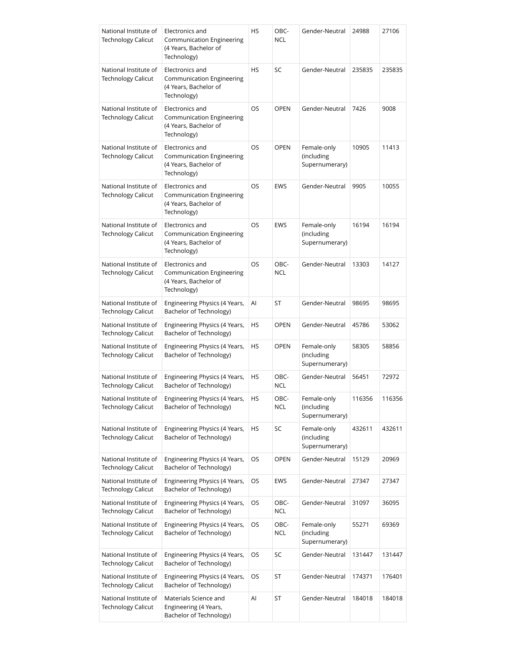| National Institute of<br><b>Technology Calicut</b> | Electronics and<br><b>Communication Engineering</b><br>(4 Years, Bachelor of<br>Technology) | HS        | OBC-<br><b>NCL</b> | Gender-Neutral                              | 24988  | 27106  |
|----------------------------------------------------|---------------------------------------------------------------------------------------------|-----------|--------------------|---------------------------------------------|--------|--------|
| National Institute of<br><b>Technology Calicut</b> | Electronics and<br><b>Communication Engineering</b><br>(4 Years, Bachelor of<br>Technology) | HS        | SC                 | Gender-Neutral                              | 235835 | 235835 |
| National Institute of<br><b>Technology Calicut</b> | Electronics and<br><b>Communication Engineering</b><br>(4 Years, Bachelor of<br>Technology) | OS.       | <b>OPEN</b>        | Gender-Neutral                              | 7426   | 9008   |
| National Institute of<br><b>Technology Calicut</b> | Electronics and<br>Communication Engineering<br>(4 Years, Bachelor of<br>Technology)        | OS        | <b>OPEN</b>        | Female-only<br>(including<br>Supernumerary) | 10905  | 11413  |
| National Institute of<br>Technology Calicut        | Electronics and<br>Communication Engineering<br>(4 Years, Bachelor of<br>Technology)        | OS.       | <b>EWS</b>         | Gender-Neutral                              | 9905   | 10055  |
| National Institute of<br><b>Technology Calicut</b> | Electronics and<br>Communication Engineering<br>(4 Years, Bachelor of<br>Technology)        | OS        | <b>EWS</b>         | Female-only<br>(including<br>Supernumerary) | 16194  | 16194  |
| National Institute of<br><b>Technology Calicut</b> | Electronics and<br>Communication Engineering<br>(4 Years, Bachelor of<br>Technology)        | <b>OS</b> | OBC-<br><b>NCL</b> | Gender-Neutral                              | 13303  | 14127  |
| National Institute of<br><b>Technology Calicut</b> | Engineering Physics (4 Years,<br>Bachelor of Technology)                                    | AI        | ST                 | Gender-Neutral                              | 98695  | 98695  |
| National Institute of<br>Technology Calicut        | Engineering Physics (4 Years,<br>Bachelor of Technology)                                    | HS        | <b>OPEN</b>        | Gender-Neutral                              | 45786  | 53062  |
| National Institute of<br><b>Technology Calicut</b> | Engineering Physics (4 Years,<br>Bachelor of Technology)                                    | HS        | <b>OPEN</b>        | Female-only<br>(including<br>Supernumerary) | 58305  | 58856  |
| National Institute of<br><b>Technology Calicut</b> | Engineering Physics (4 Years,<br>Bachelor of Technology)                                    | HS        | OBC-<br><b>NCL</b> | Gender-Neutral                              | 56451  | 72972  |
| National Institute of<br><b>Technology Calicut</b> | Engineering Physics (4 Years,<br>Bachelor of Technology)                                    | HS        | OBC-<br><b>NCL</b> | Female-only<br>(including<br>Supernumerary) | 116356 | 116356 |
| National Institute of<br><b>Technology Calicut</b> | Engineering Physics (4 Years,<br>Bachelor of Technology)                                    | HS        | SC                 | Female-only<br>(including<br>Supernumerary) | 432611 | 432611 |
| National Institute of<br><b>Technology Calicut</b> | Engineering Physics (4 Years,<br>Bachelor of Technology)                                    | OS        | <b>OPEN</b>        | Gender-Neutral                              | 15129  | 20969  |
| National Institute of<br><b>Technology Calicut</b> | Engineering Physics (4 Years,<br>Bachelor of Technology)                                    | OS        | EWS                | Gender-Neutral                              | 27347  | 27347  |
| National Institute of<br><b>Technology Calicut</b> | Engineering Physics (4 Years,<br>Bachelor of Technology)                                    | OS        | OBC-<br><b>NCL</b> | Gender-Neutral                              | 31097  | 36095  |
| National Institute of<br><b>Technology Calicut</b> | Engineering Physics (4 Years,<br>Bachelor of Technology)                                    | OS        | OBC-<br><b>NCL</b> | Female-only<br>(including<br>Supernumerary) | 55271  | 69369  |
| National Institute of<br><b>Technology Calicut</b> | Engineering Physics (4 Years,<br>Bachelor of Technology)                                    | OS        | SC                 | Gender-Neutral                              | 131447 | 131447 |
| National Institute of<br>Technology Calicut        | Engineering Physics (4 Years,<br>Bachelor of Technology)                                    | OS        | ST                 | Gender-Neutral                              | 174371 | 176401 |
| National Institute of<br><b>Technology Calicut</b> | Materials Science and<br>Engineering (4 Years,<br>Bachelor of Technology)                   | Al        | ST                 | Gender-Neutral                              | 184018 | 184018 |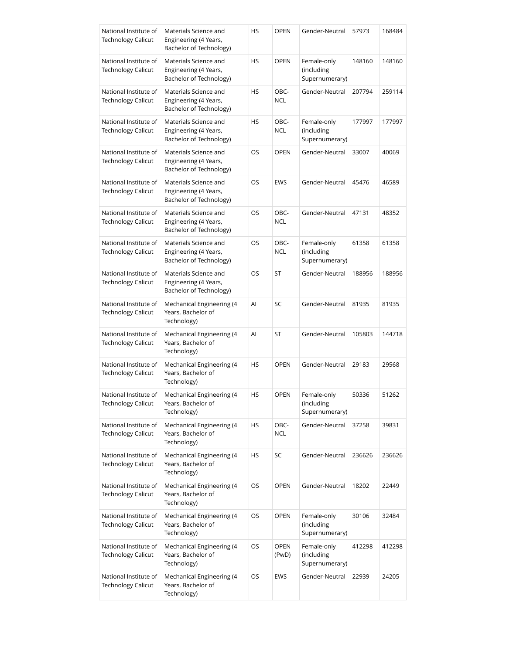| National Institute of<br><b>Technology Calicut</b> | Materials Science and<br>Engineering (4 Years,<br>Bachelor of Technology) | HS  | <b>OPEN</b>          | Gender-Neutral                              | 57973  | 168484 |
|----------------------------------------------------|---------------------------------------------------------------------------|-----|----------------------|---------------------------------------------|--------|--------|
| National Institute of<br><b>Technology Calicut</b> | Materials Science and<br>Engineering (4 Years,<br>Bachelor of Technology) | HS  | OPEN                 | Female-only<br>(including<br>Supernumerary) | 148160 | 148160 |
| National Institute of<br><b>Technology Calicut</b> | Materials Science and<br>Engineering (4 Years,<br>Bachelor of Technology) | HS  | OBC-<br><b>NCL</b>   | Gender-Neutral                              | 207794 | 259114 |
| National Institute of<br><b>Technology Calicut</b> | Materials Science and<br>Engineering (4 Years,<br>Bachelor of Technology) | HS  | OBC-<br><b>NCL</b>   | Female-only<br>(including<br>Supernumerary) | 177997 | 177997 |
| National Institute of<br><b>Technology Calicut</b> | Materials Science and<br>Engineering (4 Years,<br>Bachelor of Technology) | OS. | <b>OPEN</b>          | Gender-Neutral                              | 33007  | 40069  |
| National Institute of<br><b>Technology Calicut</b> | Materials Science and<br>Engineering (4 Years,<br>Bachelor of Technology) | OS  | <b>EWS</b>           | Gender-Neutral                              | 45476  | 46589  |
| National Institute of<br><b>Technology Calicut</b> | Materials Science and<br>Engineering (4 Years,<br>Bachelor of Technology) | OS  | OBC-<br><b>NCL</b>   | Gender-Neutral                              | 47131  | 48352  |
| National Institute of<br><b>Technology Calicut</b> | Materials Science and<br>Engineering (4 Years,<br>Bachelor of Technology) | OS  | OBC-<br><b>NCL</b>   | Female-only<br>(including<br>Supernumerary) | 61358  | 61358  |
| National Institute of<br><b>Technology Calicut</b> | Materials Science and<br>Engineering (4 Years,<br>Bachelor of Technology) | OS  | ST                   | Gender-Neutral                              | 188956 | 188956 |
| National Institute of<br><b>Technology Calicut</b> | Mechanical Engineering (4<br>Years, Bachelor of<br>Technology)            | Al  | SC                   | Gender-Neutral                              | 81935  | 81935  |
| National Institute of<br><b>Technology Calicut</b> | Mechanical Engineering (4<br>Years, Bachelor of<br>Technology)            | Al  | ST                   | Gender-Neutral                              | 105803 | 144718 |
| National Institute of<br><b>Technology Calicut</b> | Mechanical Engineering (4<br>Years, Bachelor of<br>Technology)            | HS  | <b>OPEN</b>          | Gender-Neutral                              | 29183  | 29568  |
| National Institute of<br><b>Technology Calicut</b> | Mechanical Engineering (4<br>Years, Bachelor of<br>Technology)            | ΗS  | OPEN                 | Female-only<br>(including<br>Supernumerary) | 50336  | 51262  |
| National Institute of<br><b>Technology Calicut</b> | Mechanical Engineering (4<br>Years, Bachelor of<br>Technology)            | HS  | OBC-<br><b>NCL</b>   | Gender-Neutral                              | 37258  | 39831  |
| National Institute of<br><b>Technology Calicut</b> | Mechanical Engineering (4<br>Years, Bachelor of<br>Technology)            | HS  | SC                   | Gender-Neutral                              | 236626 | 236626 |
| National Institute of<br><b>Technology Calicut</b> | Mechanical Engineering (4<br>Years, Bachelor of<br>Technology)            | OS  | <b>OPEN</b>          | Gender-Neutral                              | 18202  | 22449  |
| National Institute of<br><b>Technology Calicut</b> | Mechanical Engineering (4<br>Years, Bachelor of<br>Technology)            | OS  | <b>OPEN</b>          | Female-only<br>(including<br>Supernumerary) | 30106  | 32484  |
| National Institute of<br><b>Technology Calicut</b> | Mechanical Engineering (4<br>Years, Bachelor of<br>Technology)            | OS  | <b>OPEN</b><br>(PwD) | Female-only<br>(including<br>Supernumerary) | 412298 | 412298 |
| National Institute of<br><b>Technology Calicut</b> | Mechanical Engineering (4<br>Years, Bachelor of<br>Technology)            | OS  | EWS                  | Gender-Neutral                              | 22939  | 24205  |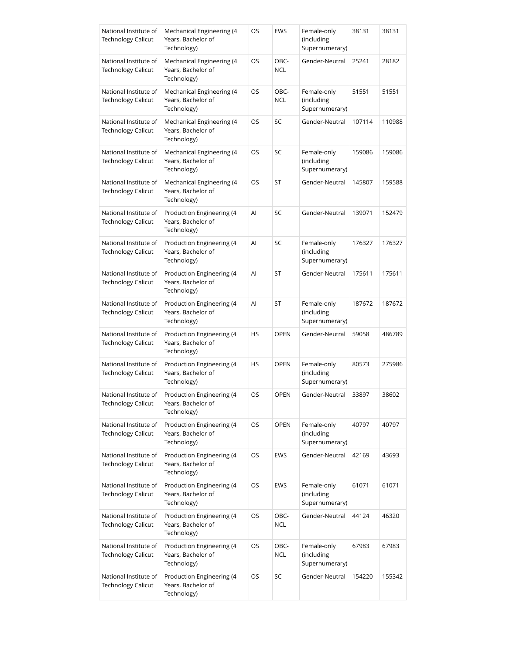| National Institute of<br><b>Technology Calicut</b> | Mechanical Engineering (4<br>Years, Bachelor of<br>Technology) | OS | <b>EWS</b>         | Female-only<br>(including<br>Supernumerary) | 38131  | 38131  |
|----------------------------------------------------|----------------------------------------------------------------|----|--------------------|---------------------------------------------|--------|--------|
| National Institute of<br><b>Technology Calicut</b> | Mechanical Engineering (4<br>Years, Bachelor of<br>Technology) | OS | OBC-<br><b>NCL</b> | Gender-Neutral                              | 25241  | 28182  |
| National Institute of<br><b>Technology Calicut</b> | Mechanical Engineering (4<br>Years, Bachelor of<br>Technology) | OS | OBC-<br><b>NCL</b> | Female-only<br>(including<br>Supernumerary) | 51551  | 51551  |
| National Institute of<br><b>Technology Calicut</b> | Mechanical Engineering (4<br>Years, Bachelor of<br>Technology) | OS | SC                 | Gender-Neutral                              | 107114 | 110988 |
| National Institute of<br><b>Technology Calicut</b> | Mechanical Engineering (4<br>Years, Bachelor of<br>Technology) | OS | SC                 | Female-only<br>(including<br>Supernumerary) | 159086 | 159086 |
| National Institute of<br><b>Technology Calicut</b> | Mechanical Engineering (4<br>Years, Bachelor of<br>Technology) | OS | ST                 | Gender-Neutral                              | 145807 | 159588 |
| National Institute of<br><b>Technology Calicut</b> | Production Engineering (4<br>Years, Bachelor of<br>Technology) | Al | SC                 | Gender-Neutral                              | 139071 | 152479 |
| National Institute of<br><b>Technology Calicut</b> | Production Engineering (4<br>Years, Bachelor of<br>Technology) | Al | SC                 | Female-only<br>(including<br>Supernumerary) | 176327 | 176327 |
| National Institute of<br>Technology Calicut        | Production Engineering (4<br>Years, Bachelor of<br>Technology) | Al | ST                 | Gender-Neutral                              | 175611 | 175611 |
| National Institute of<br><b>Technology Calicut</b> | Production Engineering (4<br>Years, Bachelor of<br>Technology) | Al | ST                 | Female-only<br>(including<br>Supernumerary) | 187672 | 187672 |
| National Institute of<br>Technology Calicut        | Production Engineering (4<br>Years, Bachelor of<br>Technology) | HS | <b>OPEN</b>        | Gender-Neutral                              | 59058  | 486789 |
| National Institute of<br><b>Technology Calicut</b> | Production Engineering (4<br>Years, Bachelor of<br>Technology) | HS | <b>OPEN</b>        | Female-only<br>(including<br>Supernumerary) | 80573  | 275986 |
| National Institute of<br><b>Technology Calicut</b> | Production Engineering (4<br>Years, Bachelor of<br>Technology) | OS | OPEN               | Gender-Neutral                              | 33897  | 38602  |
| National Institute of<br><b>Technology Calicut</b> | Production Engineering (4<br>Years, Bachelor of<br>Technology) | OS | <b>OPEN</b>        | Female-only<br>(including<br>Supernumerary) | 40797  | 40797  |
| National Institute of<br><b>Technology Calicut</b> | Production Engineering (4<br>Years, Bachelor of<br>Technology) | OS | <b>EWS</b>         | Gender-Neutral                              | 42169  | 43693  |
| National Institute of<br><b>Technology Calicut</b> | Production Engineering (4<br>Years, Bachelor of<br>Technology) | OS | <b>EWS</b>         | Female-only<br>(including<br>Supernumerary) | 61071  | 61071  |
| National Institute of<br><b>Technology Calicut</b> | Production Engineering (4<br>Years, Bachelor of<br>Technology) | OS | OBC-<br><b>NCL</b> | Gender-Neutral                              | 44124  | 46320  |
| National Institute of<br><b>Technology Calicut</b> | Production Engineering (4<br>Years, Bachelor of<br>Technology) | OS | OBC-<br><b>NCL</b> | Female-only<br>(including<br>Supernumerary) | 67983  | 67983  |
| National Institute of<br><b>Technology Calicut</b> | Production Engineering (4<br>Years, Bachelor of<br>Technology) | OS | SC                 | Gender-Neutral                              | 154220 | 155342 |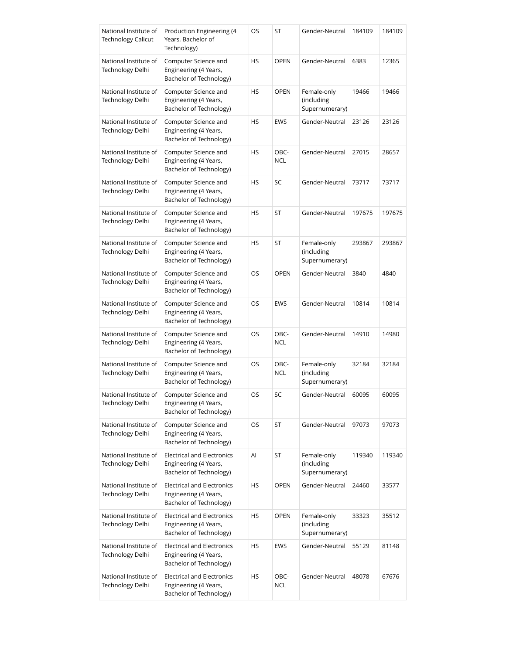| National Institute of<br>Technology Calicut | Production Engineering (4<br>Years, Bachelor of<br>Technology)                        | OS | ST                 | Gender-Neutral                              | 184109 | 184109 |
|---------------------------------------------|---------------------------------------------------------------------------------------|----|--------------------|---------------------------------------------|--------|--------|
| National Institute of<br>Technology Delhi   | Computer Science and<br>Engineering (4 Years,<br>Bachelor of Technology)              | HS | <b>OPEN</b>        | Gender-Neutral                              | 6383   | 12365  |
| National Institute of<br>Technology Delhi   | Computer Science and<br>Engineering (4 Years,<br>Bachelor of Technology)              | HS | OPEN               | Female-only<br>(including<br>Supernumerary) | 19466  | 19466  |
| National Institute of<br>Technology Delhi   | Computer Science and<br>Engineering (4 Years,<br>Bachelor of Technology)              | HS | <b>EWS</b>         | Gender-Neutral                              | 23126  | 23126  |
| National Institute of<br>Technology Delhi   | Computer Science and<br>Engineering (4 Years,<br>Bachelor of Technology)              | HS | OBC-<br><b>NCL</b> | Gender-Neutral                              | 27015  | 28657  |
| National Institute of<br>Technology Delhi   | Computer Science and<br>Engineering (4 Years,<br>Bachelor of Technology)              | HS | SC                 | Gender-Neutral                              | 73717  | 73717  |
| National Institute of<br>Technology Delhi   | Computer Science and<br>Engineering (4 Years,<br>Bachelor of Technology)              | HS | ST                 | Gender-Neutral                              | 197675 | 197675 |
| National Institute of<br>Technology Delhi   | Computer Science and<br>Engineering (4 Years,<br>Bachelor of Technology)              | HS | ST                 | Female-only<br>(including<br>Supernumerary) | 293867 | 293867 |
| National Institute of<br>Technology Delhi   | Computer Science and<br>Engineering (4 Years,<br>Bachelor of Technology)              | OS | <b>OPEN</b>        | Gender-Neutral                              | 3840   | 4840   |
| National Institute of<br>Technology Delhi   | Computer Science and<br>Engineering (4 Years,<br>Bachelor of Technology)              | OS | <b>EWS</b>         | Gender-Neutral                              | 10814  | 10814  |
| National Institute of<br>Technology Delhi   | Computer Science and<br>Engineering (4 Years,<br>Bachelor of Technology)              | OS | OBC-<br><b>NCL</b> | Gender-Neutral                              | 14910  | 14980  |
| National Institute of<br>Technology Delhi   | Computer Science and<br>Engineering (4 Years,<br>Bachelor of Technology)              | OS | OBC-<br><b>NCL</b> | Female-only<br>(including<br>Supernumerary) | 32184  | 32184  |
| National Institute of<br>Technology Delhi   | Computer Science and<br>Engineering (4 Years,<br>Bachelor of Technology)              | OS | SC                 | Gender-Neutral                              | 60095  | 60095  |
| National Institute of<br>Technology Delhi   | Computer Science and<br>Engineering (4 Years,<br>Bachelor of Technology)              | OS | ST                 | Gender-Neutral                              | 97073  | 97073  |
| National Institute of<br>Technology Delhi   | <b>Electrical and Electronics</b><br>Engineering (4 Years,<br>Bachelor of Technology) | Al | ST                 | Female-only<br>(including<br>Supernumerary) | 119340 | 119340 |
| National Institute of<br>Technology Delhi   | <b>Electrical and Electronics</b><br>Engineering (4 Years,<br>Bachelor of Technology) | HS | <b>OPEN</b>        | Gender-Neutral                              | 24460  | 33577  |
| National Institute of<br>Technology Delhi   | <b>Electrical and Electronics</b><br>Engineering (4 Years,<br>Bachelor of Technology) | HS | OPEN               | Female-only<br>(including<br>Supernumerary) | 33323  | 35512  |
| National Institute of<br>Technology Delhi   | <b>Electrical and Electronics</b><br>Engineering (4 Years,<br>Bachelor of Technology) | HS | <b>EWS</b>         | Gender-Neutral                              | 55129  | 81148  |
| National Institute of<br>Technology Delhi   | <b>Electrical and Electronics</b><br>Engineering (4 Years,<br>Bachelor of Technology) | HS | OBC-<br><b>NCL</b> | Gender-Neutral                              | 48078  | 67676  |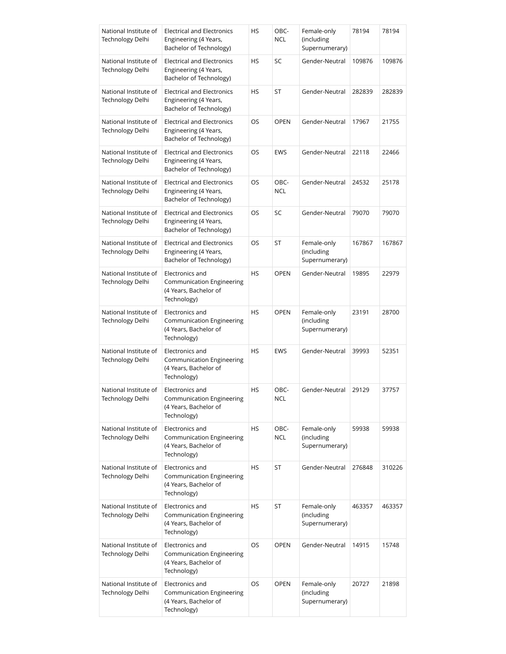| National Institute of<br>Technology Delhi | <b>Electrical and Electronics</b><br>Engineering (4 Years,<br>Bachelor of Technology) | HS        | OBC-<br><b>NCL</b> | Female-only<br>(including<br>Supernumerary) | 78194  | 78194  |
|-------------------------------------------|---------------------------------------------------------------------------------------|-----------|--------------------|---------------------------------------------|--------|--------|
| National Institute of<br>Technology Delhi | <b>Electrical and Electronics</b><br>Engineering (4 Years,<br>Bachelor of Technology) | HS        | SC                 | Gender-Neutral                              | 109876 | 109876 |
| National Institute of<br>Technology Delhi | <b>Electrical and Electronics</b><br>Engineering (4 Years,<br>Bachelor of Technology) | HS        | ST                 | Gender-Neutral                              | 282839 | 282839 |
| National Institute of<br>Technology Delhi | <b>Electrical and Electronics</b><br>Engineering (4 Years,<br>Bachelor of Technology) | OS.       | <b>OPEN</b>        | Gender-Neutral                              | 17967  | 21755  |
| National Institute of<br>Technology Delhi | <b>Electrical and Electronics</b><br>Engineering (4 Years,<br>Bachelor of Technology) | OS        | <b>EWS</b>         | Gender-Neutral                              | 22118  | 22466  |
| National Institute of<br>Technology Delhi | <b>Electrical and Electronics</b><br>Engineering (4 Years,<br>Bachelor of Technology) | OS.       | OBC-<br><b>NCL</b> | Gender-Neutral                              | 24532  | 25178  |
| National Institute of<br>Technology Delhi | <b>Electrical and Electronics</b><br>Engineering (4 Years,<br>Bachelor of Technology) | OS        | SC                 | Gender-Neutral                              | 79070  | 79070  |
| National Institute of<br>Technology Delhi | <b>Electrical and Electronics</b><br>Engineering (4 Years,<br>Bachelor of Technology) | OS.       | ST                 | Female-only<br>(including<br>Supernumerary) | 167867 | 167867 |
| National Institute of<br>Technology Delhi | Electronics and<br>Communication Engineering<br>(4 Years, Bachelor of<br>Technology)  | HS        | <b>OPEN</b>        | Gender-Neutral                              | 19895  | 22979  |
| National Institute of<br>Technology Delhi | Electronics and<br>Communication Engineering<br>(4 Years, Bachelor of<br>Technology)  | HS        | <b>OPEN</b>        | Female-only<br>(including<br>Supernumerary) | 23191  | 28700  |
| National Institute of<br>Technology Delhi | Electronics and<br>Communication Engineering<br>(4 Years, Bachelor of<br>Technology)  | <b>HS</b> | <b>EWS</b>         | Gender-Neutral                              | 39993  | 52351  |
| National Institute of<br>Technology Delhi | Electronics and<br>Communication Engineering<br>(4 Years, Bachelor of<br>Technology)  | HS        | OBC-<br>NCL        | Gender-Neutral                              | 29129  | 37757  |
| National Institute of<br>Technology Delhi | Electronics and<br>Communication Engineering<br>(4 Years, Bachelor of<br>Technology)  | HS        | OBC-<br><b>NCL</b> | Female-only<br>(including<br>Supernumerary) | 59938  | 59938  |
| National Institute of<br>Technology Delhi | Electronics and<br>Communication Engineering<br>(4 Years, Bachelor of<br>Technology)  | HS        | ST                 | Gender-Neutral                              | 276848 | 310226 |
| National Institute of<br>Technology Delhi | Electronics and<br>Communication Engineering<br>(4 Years, Bachelor of<br>Technology)  | HS        | ST                 | Female-only<br>(including<br>Supernumerary) | 463357 | 463357 |
| National Institute of<br>Technology Delhi | Electronics and<br>Communication Engineering<br>(4 Years, Bachelor of<br>Technology)  | OS        | <b>OPEN</b>        | Gender-Neutral                              | 14915  | 15748  |
| National Institute of<br>Technology Delhi | Electronics and<br>Communication Engineering<br>(4 Years, Bachelor of<br>Technology)  | OS        | <b>OPEN</b>        | Female-only<br>(including<br>Supernumerary) | 20727  | 21898  |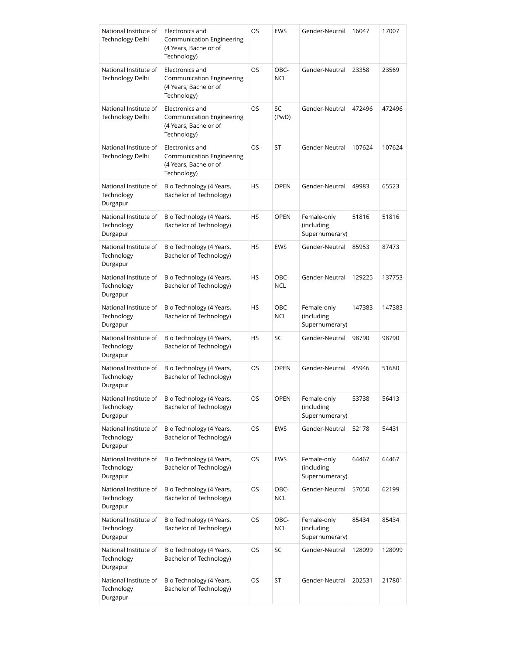| National Institute of<br>Technology Delhi       | Electronics and<br><b>Communication Engineering</b><br>(4 Years, Bachelor of<br>Technology) | OS        | <b>EWS</b>         | Gender-Neutral                              | 16047  | 17007  |
|-------------------------------------------------|---------------------------------------------------------------------------------------------|-----------|--------------------|---------------------------------------------|--------|--------|
| National Institute of<br>Technology Delhi       | Electronics and<br>Communication Engineering<br>(4 Years, Bachelor of<br>Technology)        | OS        | OBC-<br><b>NCL</b> | Gender-Neutral                              | 23358  | 23569  |
| National Institute of<br>Technology Delhi       | Electronics and<br>Communication Engineering<br>(4 Years, Bachelor of<br>Technology)        | OS        | <b>SC</b><br>(PwD) | Gender-Neutral                              | 472496 | 472496 |
| National Institute of<br>Technology Delhi       | Electronics and<br>Communication Engineering<br>(4 Years, Bachelor of<br>Technology)        | OS        | ST                 | Gender-Neutral                              | 107624 | 107624 |
| National Institute of<br>Technology<br>Durgapur | Bio Technology (4 Years,<br>Bachelor of Technology)                                         | <b>HS</b> | <b>OPEN</b>        | Gender-Neutral                              | 49983  | 65523  |
| National Institute of<br>Technology<br>Durgapur | Bio Technology (4 Years,<br>Bachelor of Technology)                                         | <b>HS</b> | <b>OPEN</b>        | Female-only<br>(including<br>Supernumerary) | 51816  | 51816  |
| National Institute of<br>Technology<br>Durgapur | Bio Technology (4 Years,<br>Bachelor of Technology)                                         | <b>HS</b> | <b>EWS</b>         | Gender-Neutral                              | 85953  | 87473  |
| National Institute of<br>Technology<br>Durgapur | Bio Technology (4 Years,<br>Bachelor of Technology)                                         | HS        | OBC-<br><b>NCL</b> | Gender-Neutral                              | 129225 | 137753 |
| National Institute of<br>Technology<br>Durgapur | Bio Technology (4 Years,<br>Bachelor of Technology)                                         | <b>HS</b> | OBC-<br><b>NCL</b> | Female-only<br>(including<br>Supernumerary) | 147383 | 147383 |
| National Institute of<br>Technology<br>Durgapur | Bio Technology (4 Years,<br>Bachelor of Technology)                                         | HS        | SC                 | Gender-Neutral                              | 98790  | 98790  |
| National Institute of<br>Technology<br>Durgapur | Bio Technology (4 Years,<br>Bachelor of Technology)                                         | OS        | <b>OPEN</b>        | Gender-Neutral                              | 45946  | 51680  |
| National Institute of<br>Technology<br>Durgapur | Bio Technology (4 Years,<br>Bachelor of Technology)                                         | OS        | <b>OPEN</b>        | Female-only<br>(including<br>Supernumerary) | 53738  | 56413  |
| National Institute of<br>Technology<br>Durgapur | Bio Technology (4 Years,<br>Bachelor of Technology)                                         | OS        | <b>EWS</b>         | Gender-Neutral                              | 52178  | 54431  |
| National Institute of<br>Technology<br>Durgapur | Bio Technology (4 Years,<br>Bachelor of Technology)                                         | OS        | <b>EWS</b>         | Female-only<br>(including<br>Supernumerary) | 64467  | 64467  |
| National Institute of<br>Technology<br>Durgapur | Bio Technology (4 Years,<br>Bachelor of Technology)                                         | OS        | OBC-<br><b>NCL</b> | Gender-Neutral                              | 57050  | 62199  |
| National Institute of<br>Technology<br>Durgapur | Bio Technology (4 Years,<br>Bachelor of Technology)                                         | OS        | OBC-<br><b>NCL</b> | Female-only<br>(including<br>Supernumerary) | 85434  | 85434  |
| National Institute of<br>Technology<br>Durgapur | Bio Technology (4 Years,<br>Bachelor of Technology)                                         | OS        | SC                 | Gender-Neutral                              | 128099 | 128099 |
| National Institute of<br>Technology<br>Durgapur | Bio Technology (4 Years,<br>Bachelor of Technology)                                         | OS        | ST                 | Gender-Neutral                              | 202531 | 217801 |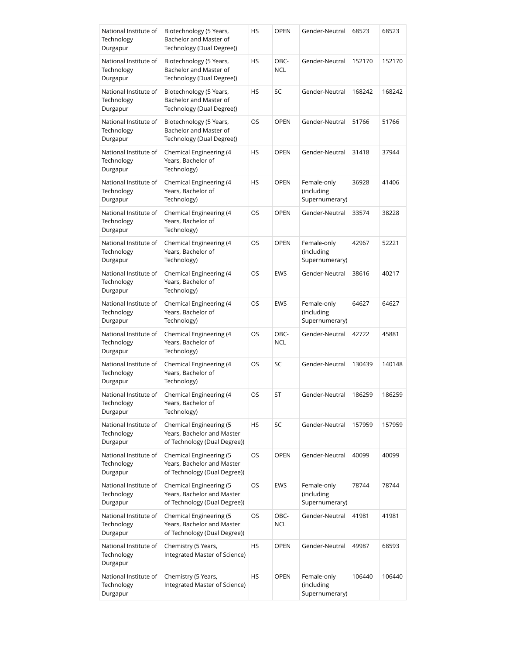| National Institute of<br>Technology<br>Durgapur | Biotechnology (5 Years,<br>Bachelor and Master of<br>Technology (Dual Degree))        | HS  | <b>OPEN</b>        | Gender-Neutral                              | 68523  | 68523  |
|-------------------------------------------------|---------------------------------------------------------------------------------------|-----|--------------------|---------------------------------------------|--------|--------|
| National Institute of<br>Technology<br>Durgapur | Biotechnology (5 Years,<br>Bachelor and Master of<br>Technology (Dual Degree))        | HS  | OBC-<br><b>NCL</b> | Gender-Neutral                              | 152170 | 152170 |
| National Institute of<br>Technology<br>Durgapur | Biotechnology (5 Years,<br>Bachelor and Master of<br>Technology (Dual Degree))        | HS  | SC                 | Gender-Neutral                              | 168242 | 168242 |
| National Institute of<br>Technology<br>Durgapur | Biotechnology (5 Years,<br>Bachelor and Master of<br>Technology (Dual Degree))        | OS  | <b>OPEN</b>        | Gender-Neutral                              | 51766  | 51766  |
| National Institute of<br>Technology<br>Durgapur | Chemical Engineering (4<br>Years, Bachelor of<br>Technology)                          | HS  | <b>OPEN</b>        | Gender-Neutral                              | 31418  | 37944  |
| National Institute of<br>Technology<br>Durgapur | Chemical Engineering (4<br>Years, Bachelor of<br>Technology)                          | HS  | <b>OPEN</b>        | Female-only<br>(including<br>Supernumerary) | 36928  | 41406  |
| National Institute of<br>Technology<br>Durgapur | Chemical Engineering (4<br>Years, Bachelor of<br>Technology)                          | OS  | <b>OPEN</b>        | Gender-Neutral                              | 33574  | 38228  |
| National Institute of<br>Technology<br>Durgapur | Chemical Engineering (4<br>Years, Bachelor of<br>Technology)                          | OS. | <b>OPEN</b>        | Female-only<br>(including<br>Supernumerary) | 42967  | 52221  |
| National Institute of<br>Technology<br>Durgapur | Chemical Engineering (4<br>Years, Bachelor of<br>Technology)                          | OS  | <b>EWS</b>         | Gender-Neutral                              | 38616  | 40217  |
| National Institute of<br>Technology<br>Durgapur | Chemical Engineering (4<br>Years, Bachelor of<br>Technology)                          | OS  | <b>EWS</b>         | Female-only<br>(including<br>Supernumerary) | 64627  | 64627  |
| National Institute of<br>Technology<br>Durgapur | Chemical Engineering (4<br>Years, Bachelor of<br>Technology)                          | OS  | OBC-<br><b>NCL</b> | Gender-Neutral                              | 42722  | 45881  |
| National Institute of<br>Technology<br>Durgapur | Chemical Engineering (4<br>Years, Bachelor of<br>Technology)                          | OS  | SC                 | Gender-Neutral                              | 130439 | 140148 |
| National Institute of<br>Technology<br>Durgapur | Chemical Engineering (4<br>Years, Bachelor of<br>Technology)                          | OS  | ST                 | Gender-Neutral                              | 186259 | 186259 |
| National Institute of<br>Technology<br>Durgapur | Chemical Engineering (5<br>Years, Bachelor and Master<br>of Technology (Dual Degree)) | HS  | SC                 | Gender-Neutral                              | 157959 | 157959 |
| National Institute of<br>Technology<br>Durgapur | Chemical Engineering (5<br>Years, Bachelor and Master<br>of Technology (Dual Degree)) | OS  | <b>OPEN</b>        | Gender-Neutral                              | 40099  | 40099  |
| National Institute of<br>Technology<br>Durgapur | Chemical Engineering (5<br>Years, Bachelor and Master<br>of Technology (Dual Degree)) | OS  | EWS                | Female-only<br>(including<br>Supernumerary) | 78744  | 78744  |
| National Institute of<br>Technology<br>Durgapur | Chemical Engineering (5<br>Years, Bachelor and Master<br>of Technology (Dual Degree)) | OS  | OBC-<br><b>NCL</b> | Gender-Neutral                              | 41981  | 41981  |
| National Institute of<br>Technology<br>Durgapur | Chemistry (5 Years,<br>Integrated Master of Science)                                  | HS  | <b>OPEN</b>        | Gender-Neutral                              | 49987  | 68593  |
| National Institute of<br>Technology<br>Durgapur | Chemistry (5 Years,<br>Integrated Master of Science)                                  | HS  | <b>OPEN</b>        | Female-only<br>(including<br>Supernumerary) | 106440 | 106440 |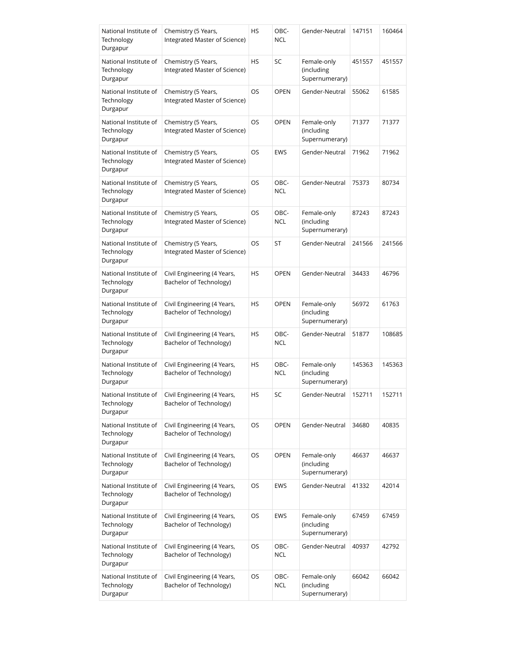| National Institute of<br>Technology<br>Durgapur | Chemistry (5 Years,<br>Integrated Master of Science)   | HS | OBC-<br><b>NCL</b> | Gender-Neutral                              | 147151 | 160464 |
|-------------------------------------------------|--------------------------------------------------------|----|--------------------|---------------------------------------------|--------|--------|
| National Institute of<br>Technology<br>Durgapur | Chemistry (5 Years,<br>Integrated Master of Science)   | HS | SC                 | Female-only<br>(including<br>Supernumerary) | 451557 | 451557 |
| National Institute of<br>Technology<br>Durgapur | Chemistry (5 Years,<br>Integrated Master of Science)   | OS | <b>OPEN</b>        | Gender-Neutral                              | 55062  | 61585  |
| National Institute of<br>Technology<br>Durgapur | Chemistry (5 Years,<br>Integrated Master of Science)   | OS | <b>OPEN</b>        | Female-only<br>(including<br>Supernumerary) | 71377  | 71377  |
| National Institute of<br>Technology<br>Durgapur | Chemistry (5 Years,<br>Integrated Master of Science)   | OS | <b>EWS</b>         | Gender-Neutral                              | 71962  | 71962  |
| National Institute of<br>Technology<br>Durgapur | Chemistry (5 Years,<br>Integrated Master of Science)   | OS | OBC-<br><b>NCL</b> | Gender-Neutral                              | 75373  | 80734  |
| National Institute of<br>Technology<br>Durgapur | Chemistry (5 Years,<br>Integrated Master of Science)   | OS | OBC-<br><b>NCL</b> | Female-only<br>(including<br>Supernumerary) | 87243  | 87243  |
| National Institute of<br>Technology<br>Durgapur | Chemistry (5 Years,<br>Integrated Master of Science)   | OS | ST                 | Gender-Neutral                              | 241566 | 241566 |
| National Institute of<br>Technology<br>Durgapur | Civil Engineering (4 Years,<br>Bachelor of Technology) | HS | <b>OPEN</b>        | Gender-Neutral                              | 34433  | 46796  |
| National Institute of<br>Technology<br>Durgapur | Civil Engineering (4 Years,<br>Bachelor of Technology) | HS | <b>OPEN</b>        | Female-only<br>(including<br>Supernumerary) | 56972  | 61763  |
| National Institute of<br>Technology<br>Durgapur | Civil Engineering (4 Years,<br>Bachelor of Technology) | HS | OBC-<br><b>NCL</b> | Gender-Neutral                              | 51877  | 108685 |
| National Institute of<br>Technology<br>Durgapur | Civil Engineering (4 Years,<br>Bachelor of Technology) | HS | OBC-<br><b>NCL</b> | Female-only<br>(including<br>Supernumerary) | 145363 | 145363 |
| National Institute of<br>Technology<br>Durgapur | Civil Engineering (4 Years,<br>Bachelor of Technology) | HS | SC                 | Gender-Neutral                              | 152711 | 152711 |
| National Institute of<br>Technology<br>Durgapur | Civil Engineering (4 Years,<br>Bachelor of Technology) | OS | <b>OPEN</b>        | Gender-Neutral                              | 34680  | 40835  |
| National Institute of<br>Technology<br>Durgapur | Civil Engineering (4 Years,<br>Bachelor of Technology) | OS | <b>OPEN</b>        | Female-only<br>(including<br>Supernumerary) | 46637  | 46637  |
| National Institute of<br>Technology<br>Durgapur | Civil Engineering (4 Years,<br>Bachelor of Technology) | OS | <b>EWS</b>         | Gender-Neutral                              | 41332  | 42014  |
| National Institute of<br>Technology<br>Durgapur | Civil Engineering (4 Years,<br>Bachelor of Technology) | OS | <b>EWS</b>         | Female-only<br>(including<br>Supernumerary) | 67459  | 67459  |
| National Institute of<br>Technology<br>Durgapur | Civil Engineering (4 Years,<br>Bachelor of Technology) | OS | OBC-<br><b>NCL</b> | Gender-Neutral                              | 40937  | 42792  |
| National Institute of<br>Technology<br>Durgapur | Civil Engineering (4 Years,<br>Bachelor of Technology) | OS | OBC-<br><b>NCL</b> | Female-only<br>(including<br>Supernumerary) | 66042  | 66042  |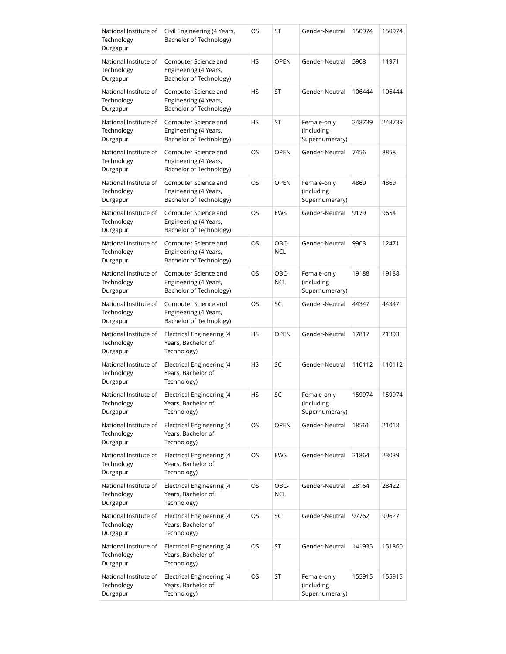| National Institute of<br>Technology<br>Durgapur | Civil Engineering (4 Years,<br>Bachelor of Technology)                   | OS | ST                 | Gender-Neutral                              | 150974 | 150974 |
|-------------------------------------------------|--------------------------------------------------------------------------|----|--------------------|---------------------------------------------|--------|--------|
| National Institute of<br>Technology<br>Durgapur | Computer Science and<br>Engineering (4 Years,<br>Bachelor of Technology) | HS | <b>OPEN</b>        | Gender-Neutral                              | 5908   | 11971  |
| National Institute of<br>Technology<br>Durgapur | Computer Science and<br>Engineering (4 Years,<br>Bachelor of Technology) | HS | ST                 | Gender-Neutral                              | 106444 | 106444 |
| National Institute of<br>Technology<br>Durgapur | Computer Science and<br>Engineering (4 Years,<br>Bachelor of Technology) | HS | ST                 | Female-only<br>(including<br>Supernumerary) | 248739 | 248739 |
| National Institute of<br>Technology<br>Durgapur | Computer Science and<br>Engineering (4 Years,<br>Bachelor of Technology) | OS | <b>OPEN</b>        | Gender-Neutral                              | 7456   | 8858   |
| National Institute of<br>Technology<br>Durgapur | Computer Science and<br>Engineering (4 Years,<br>Bachelor of Technology) | OS | <b>OPEN</b>        | Female-only<br>(including<br>Supernumerary) | 4869   | 4869   |
| National Institute of<br>Technology<br>Durgapur | Computer Science and<br>Engineering (4 Years,<br>Bachelor of Technology) | OS | <b>EWS</b>         | Gender-Neutral                              | 9179   | 9654   |
| National Institute of<br>Technology<br>Durgapur | Computer Science and<br>Engineering (4 Years,<br>Bachelor of Technology) | OS | OBC-<br><b>NCL</b> | Gender-Neutral                              | 9903   | 12471  |
| National Institute of<br>Technology<br>Durgapur | Computer Science and<br>Engineering (4 Years,<br>Bachelor of Technology) | OS | OBC-<br><b>NCL</b> | Female-only<br>(including<br>Supernumerary) | 19188  | 19188  |
| National Institute of<br>Technology<br>Durgapur | Computer Science and<br>Engineering (4 Years,<br>Bachelor of Technology) | OS | SC                 | Gender-Neutral                              | 44347  | 44347  |
| National Institute of<br>Technology<br>Durgapur | Electrical Engineering (4<br>Years, Bachelor of<br>Technology)           | HS | <b>OPEN</b>        | Gender-Neutral                              | 17817  | 21393  |
| National Institute of<br>Technology<br>Durgapur | <b>Electrical Engineering (4</b><br>Years, Bachelor of<br>Technology)    | HS | SC                 | Gender-Neutral                              | 110112 | 110112 |
| National Institute of<br>Technology<br>Durgapur | <b>Electrical Engineering (4</b><br>Years, Bachelor of<br>Technology)    | HS | SC                 | Female-only<br>(including<br>Supernumerary) | 159974 | 159974 |
| National Institute of<br>Technology<br>Durgapur | <b>Electrical Engineering (4</b><br>Years, Bachelor of<br>Technology)    | OS | <b>OPEN</b>        | Gender-Neutral                              | 18561  | 21018  |
| National Institute of<br>Technology<br>Durgapur | Electrical Engineering (4<br>Years, Bachelor of<br>Technology)           | OS | <b>EWS</b>         | Gender-Neutral                              | 21864  | 23039  |
| National Institute of<br>Technology<br>Durgapur | Electrical Engineering (4<br>Years, Bachelor of<br>Technology)           | OS | OBC-<br>NCL        | Gender-Neutral                              | 28164  | 28422  |
| National Institute of<br>Technology<br>Durgapur | Electrical Engineering (4<br>Years, Bachelor of<br>Technology)           | OS | SC                 | Gender-Neutral                              | 97762  | 99627  |
| National Institute of<br>Technology<br>Durgapur | Electrical Engineering (4<br>Years, Bachelor of<br>Technology)           | OS | ST                 | Gender-Neutral                              | 141935 | 151860 |
| National Institute of<br>Technology<br>Durgapur | Electrical Engineering (4<br>Years, Bachelor of<br>Technology)           | OS | ST                 | Female-only<br>(including<br>Supernumerary) | 155915 | 155915 |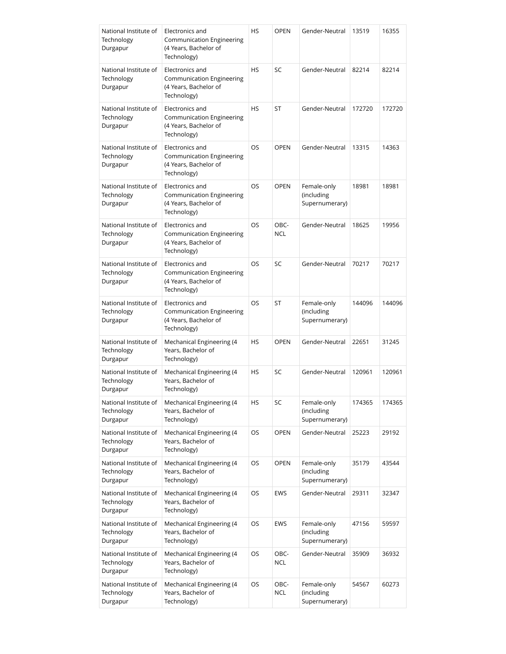| National Institute of<br>Technology<br>Durgapur | Electronics and<br>Communication Engineering<br>(4 Years, Bachelor of<br>Technology)        | HS        | OPEN               | Gender-Neutral                              | 13519  | 16355  |
|-------------------------------------------------|---------------------------------------------------------------------------------------------|-----------|--------------------|---------------------------------------------|--------|--------|
| National Institute of<br>Technology<br>Durgapur | Electronics and<br>Communication Engineering<br>(4 Years, Bachelor of<br>Technology)        | <b>HS</b> | SC                 | Gender-Neutral                              | 82214  | 82214  |
| National Institute of<br>Technology<br>Durgapur | Electronics and<br>Communication Engineering<br>(4 Years, Bachelor of<br>Technology)        | <b>HS</b> | ST                 | Gender-Neutral                              | 172720 | 172720 |
| National Institute of<br>Technology<br>Durgapur | Electronics and<br>Communication Engineering<br>(4 Years, Bachelor of<br>Technology)        | <b>OS</b> | <b>OPEN</b>        | Gender-Neutral                              | 13315  | 14363  |
| National Institute of<br>Technology<br>Durgapur | Electronics and<br><b>Communication Engineering</b><br>(4 Years, Bachelor of<br>Technology) | OS        | <b>OPEN</b>        | Female-only<br>(including<br>Supernumerary) | 18981  | 18981  |
| National Institute of<br>Technology<br>Durgapur | Electronics and<br><b>Communication Engineering</b><br>(4 Years, Bachelor of<br>Technology) | OS        | OBC-<br><b>NCL</b> | Gender-Neutral                              | 18625  | 19956  |
| National Institute of<br>Technology<br>Durgapur | Electronics and<br>Communication Engineering<br>(4 Years, Bachelor of<br>Technology)        | OS        | SC                 | Gender-Neutral                              | 70217  | 70217  |
| National Institute of<br>Technology<br>Durgapur | Electronics and<br>Communication Engineering<br>(4 Years, Bachelor of<br>Technology)        | OS        | ST                 | Female-only<br>(including<br>Supernumerary) | 144096 | 144096 |
| National Institute of<br>Technology<br>Durgapur | Mechanical Engineering (4<br>Years, Bachelor of<br>Technology)                              | HS        | <b>OPEN</b>        | Gender-Neutral                              | 22651  | 31245  |
| National Institute of<br>Technology<br>Durgapur | Mechanical Engineering (4<br>Years, Bachelor of<br>Technology)                              | HS        | SC                 | Gender-Neutral                              | 120961 | 120961 |
| National Institute of<br>Technology<br>Durgapur | Mechanical Engineering (4<br>Years, Bachelor of<br>Technology)                              | HS        | SC                 | Female-only<br>(including<br>Supernumerary) | 174365 | 174365 |
| National Institute of<br>Technology<br>Durgapur | Mechanical Engineering (4<br>Years, Bachelor of<br>Technology)                              | OS        | <b>OPEN</b>        | Gender-Neutral                              | 25223  | 29192  |
| National Institute of<br>Technology<br>Durgapur | Mechanical Engineering (4<br>Years, Bachelor of<br>Technology)                              | OS        | OPEN               | Female-only<br>(including<br>Supernumerary) | 35179  | 43544  |
| National Institute of<br>Technology<br>Durgapur | Mechanical Engineering (4<br>Years, Bachelor of<br>Technology)                              | OS        | <b>EWS</b>         | Gender-Neutral                              | 29311  | 32347  |
| National Institute of<br>Technology<br>Durgapur | Mechanical Engineering (4<br>Years, Bachelor of<br>Technology)                              | OS        | EWS                | Female-only<br>(including<br>Supernumerary) | 47156  | 59597  |
| National Institute of<br>Technology<br>Durgapur | Mechanical Engineering (4<br>Years, Bachelor of<br>Technology)                              | OS        | OBC-<br>NCL        | Gender-Neutral                              | 35909  | 36932  |
| National Institute of<br>Technology<br>Durgapur | Mechanical Engineering (4<br>Years, Bachelor of<br>Technology)                              | OS        | OBC-<br>NCL        | Female-only<br>(including<br>Supernumerary) | 54567  | 60273  |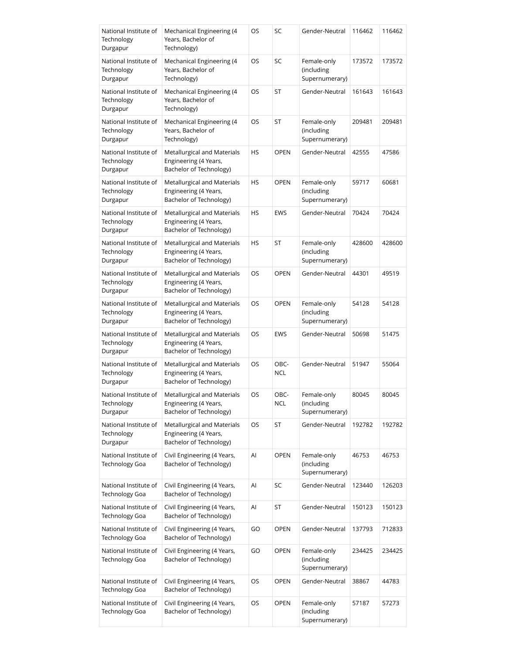| National Institute of<br>Technology<br>Durgapur | Mechanical Engineering (4<br>Years, Bachelor of<br>Technology)                  | OS        | SC                 | Gender-Neutral                              | 116462 | 116462 |
|-------------------------------------------------|---------------------------------------------------------------------------------|-----------|--------------------|---------------------------------------------|--------|--------|
| National Institute of<br>Technology<br>Durgapur | Mechanical Engineering (4<br>Years, Bachelor of<br>Technology)                  | OS        | SC                 | Female-only<br>(including<br>Supernumerary) | 173572 | 173572 |
| National Institute of<br>Technology<br>Durgapur | Mechanical Engineering (4<br>Years, Bachelor of<br>Technology)                  | OS        | ST                 | Gender-Neutral                              | 161643 | 161643 |
| National Institute of<br>Technology<br>Durgapur | Mechanical Engineering (4<br>Years, Bachelor of<br>Technology)                  | OS        | ST                 | Female-only<br>(including<br>Supernumerary) | 209481 | 209481 |
| National Institute of<br>Technology<br>Durgapur | Metallurgical and Materials<br>Engineering (4 Years,<br>Bachelor of Technology) | HS        | <b>OPEN</b>        | Gender-Neutral                              | 42555  | 47586  |
| National Institute of<br>Technology<br>Durgapur | Metallurgical and Materials<br>Engineering (4 Years,<br>Bachelor of Technology) | <b>HS</b> | <b>OPEN</b>        | Female-only<br>(including<br>Supernumerary) | 59717  | 60681  |
| National Institute of<br>Technology<br>Durgapur | Metallurgical and Materials<br>Engineering (4 Years,<br>Bachelor of Technology) | HS        | <b>EWS</b>         | Gender-Neutral                              | 70424  | 70424  |
| National Institute of<br>Technology<br>Durgapur | Metallurgical and Materials<br>Engineering (4 Years,<br>Bachelor of Technology) | HS        | ST                 | Female-only<br>(including<br>Supernumerary) | 428600 | 428600 |
| National Institute of<br>Technology<br>Durgapur | Metallurgical and Materials<br>Engineering (4 Years,<br>Bachelor of Technology) | OS        | <b>OPEN</b>        | Gender-Neutral                              | 44301  | 49519  |
| National Institute of<br>Technology<br>Durgapur | Metallurgical and Materials<br>Engineering (4 Years,<br>Bachelor of Technology) | OS        | <b>OPEN</b>        | Female-only<br>(including<br>Supernumerary) | 54128  | 54128  |
| National Institute of<br>Technology<br>Durgapur | Metallurgical and Materials<br>Engineering (4 Years,<br>Bachelor of Technology) | OS        | EWS                | Gender-Neutral                              | 50698  | 51475  |
| National Institute of<br>Technology<br>Durgapur | Metallurgical and Materials<br>Engineering (4 Years,<br>Bachelor of Technology) | OS        | OBC-<br><b>NCL</b> | Gender-Neutral                              | 51947  | 55064  |
| National Institute of<br>Technology<br>Durgapur | Metallurgical and Materials<br>Engineering (4 Years,<br>Bachelor of Technology) | OS        | OBC-<br>NCL        | Female-only<br>(including<br>Supernumerary) | 80045  | 80045  |
| National Institute of<br>Technology<br>Durgapur | Metallurgical and Materials<br>Engineering (4 Years,<br>Bachelor of Technology) | OS        | ST                 | Gender-Neutral                              | 192782 | 192782 |
| National Institute of<br>Technology Goa         | Civil Engineering (4 Years,<br>Bachelor of Technology)                          | Al        | <b>OPEN</b>        | Female-only<br>(including<br>Supernumerary) | 46753  | 46753  |
| National Institute of<br><b>Technology Goa</b>  | Civil Engineering (4 Years,<br>Bachelor of Technology)                          | Al        | SC                 | Gender-Neutral                              | 123440 | 126203 |
| National Institute of<br><b>Technology Goa</b>  | Civil Engineering (4 Years,<br>Bachelor of Technology)                          | Al        | ST                 | Gender-Neutral                              | 150123 | 150123 |
| National Institute of<br>Technology Goa         | Civil Engineering (4 Years,<br>Bachelor of Technology)                          | GO        | <b>OPEN</b>        | Gender-Neutral                              | 137793 | 712833 |
| National Institute of<br>Technology Goa         | Civil Engineering (4 Years,<br>Bachelor of Technology)                          | GO        | <b>OPEN</b>        | Female-only<br>(including<br>Supernumerary) | 234425 | 234425 |
| National Institute of<br><b>Technology Goa</b>  | Civil Engineering (4 Years,<br>Bachelor of Technology)                          | OS        | OPEN               | Gender-Neutral                              | 38867  | 44783  |
| National Institute of<br><b>Technology Goa</b>  | Civil Engineering (4 Years,<br>Bachelor of Technology)                          | OS        | <b>OPEN</b>        | Female-only<br>(including<br>Supernumerary) | 57187  | 57273  |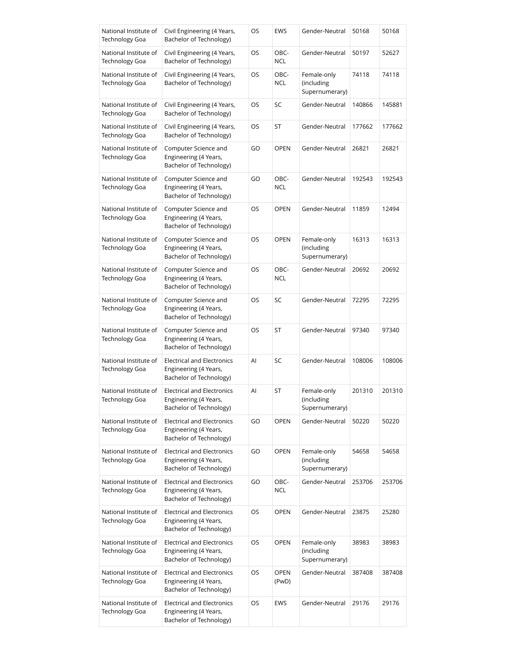| National Institute of                          | Civil Engineering (4 Years,                                                           | OS | <b>EWS</b>           | Gender-Neutral                              | 50168  | 50168  |
|------------------------------------------------|---------------------------------------------------------------------------------------|----|----------------------|---------------------------------------------|--------|--------|
| <b>Technology Goa</b>                          | Bachelor of Technology)                                                               |    |                      |                                             |        |        |
| National Institute of<br><b>Technology Goa</b> | Civil Engineering (4 Years,<br>Bachelor of Technology)                                | OS | OBC-<br><b>NCL</b>   | Gender-Neutral                              | 50197  | 52627  |
| National Institute of<br>Technology Goa        | Civil Engineering (4 Years,<br>Bachelor of Technology)                                | OS | OBC-<br><b>NCL</b>   | Female-only<br>(including<br>Supernumerary) | 74118  | 74118  |
| National Institute of<br>Technology Goa        | Civil Engineering (4 Years,<br>Bachelor of Technology)                                | OS | SC                   | Gender-Neutral                              | 140866 | 145881 |
| National Institute of<br>Technology Goa        | Civil Engineering (4 Years,<br>Bachelor of Technology)                                | OS | ST                   | Gender-Neutral                              | 177662 | 177662 |
| National Institute of<br><b>Technology Goa</b> | Computer Science and<br>Engineering (4 Years,<br>Bachelor of Technology)              | GO | <b>OPEN</b>          | Gender-Neutral                              | 26821  | 26821  |
| National Institute of<br><b>Technology Goa</b> | Computer Science and<br>Engineering (4 Years,<br>Bachelor of Technology)              | GO | OBC-<br><b>NCL</b>   | Gender-Neutral                              | 192543 | 192543 |
| National Institute of<br><b>Technology Goa</b> | Computer Science and<br>Engineering (4 Years,<br>Bachelor of Technology)              | OS | <b>OPEN</b>          | Gender-Neutral                              | 11859  | 12494  |
| National Institute of<br>Technology Goa        | Computer Science and<br>Engineering (4 Years,<br>Bachelor of Technology)              | OS | <b>OPEN</b>          | Female-only<br>(including<br>Supernumerary) | 16313  | 16313  |
| National Institute of<br>Technology Goa        | Computer Science and<br>Engineering (4 Years,<br>Bachelor of Technology)              | OS | OBC-<br><b>NCL</b>   | Gender-Neutral                              | 20692  | 20692  |
| National Institute of<br>Technology Goa        | Computer Science and<br>Engineering (4 Years,<br>Bachelor of Technology)              | OS | SC                   | Gender-Neutral                              | 72295  | 72295  |
| National Institute of<br>Technology Goa        | Computer Science and<br>Engineering (4 Years,<br>Bachelor of Technology)              | OS | ST                   | Gender-Neutral                              | 97340  | 97340  |
| National Institute of<br>Technology Goa        | <b>Electrical and Electronics</b><br>Engineering (4 Years,<br>Bachelor of Technology) | Al | SC                   | Gender-Neutral                              | 108006 | 108006 |
| National Institute of<br><b>Technology Goa</b> | Electrical and Electronics<br>Engineering (4 Years,<br>Bachelor of Technology)        | Al | ST                   | Female-only<br>(including<br>Supernumerary) | 201310 | 201310 |
| National Institute of<br><b>Technology Goa</b> | <b>Electrical and Electronics</b><br>Engineering (4 Years,<br>Bachelor of Technology) | GO | <b>OPEN</b>          | Gender-Neutral                              | 50220  | 50220  |
| National Institute of<br><b>Technology Goa</b> | <b>Electrical and Electronics</b><br>Engineering (4 Years,<br>Bachelor of Technology) | GO | <b>OPEN</b>          | Female-only<br>(including<br>Supernumerary) | 54658  | 54658  |
| National Institute of<br><b>Technology Goa</b> | <b>Electrical and Electronics</b><br>Engineering (4 Years,<br>Bachelor of Technology) | GO | OBC-<br><b>NCL</b>   | Gender-Neutral                              | 253706 | 253706 |
| National Institute of<br>Technology Goa        | <b>Electrical and Electronics</b><br>Engineering (4 Years,<br>Bachelor of Technology) | OS | <b>OPEN</b>          | Gender-Neutral                              | 23875  | 25280  |
| National Institute of<br><b>Technology Goa</b> | <b>Electrical and Electronics</b><br>Engineering (4 Years,<br>Bachelor of Technology) | OS | <b>OPEN</b>          | Female-only<br>(including<br>Supernumerary) | 38983  | 38983  |
| National Institute of<br>Technology Goa        | <b>Electrical and Electronics</b><br>Engineering (4 Years,<br>Bachelor of Technology) | OS | <b>OPEN</b><br>(PwD) | Gender-Neutral                              | 387408 | 387408 |
| National Institute of<br>Technology Goa        | <b>Electrical and Electronics</b><br>Engineering (4 Years,<br>Bachelor of Technology) | OS | <b>EWS</b>           | Gender-Neutral                              | 29176  | 29176  |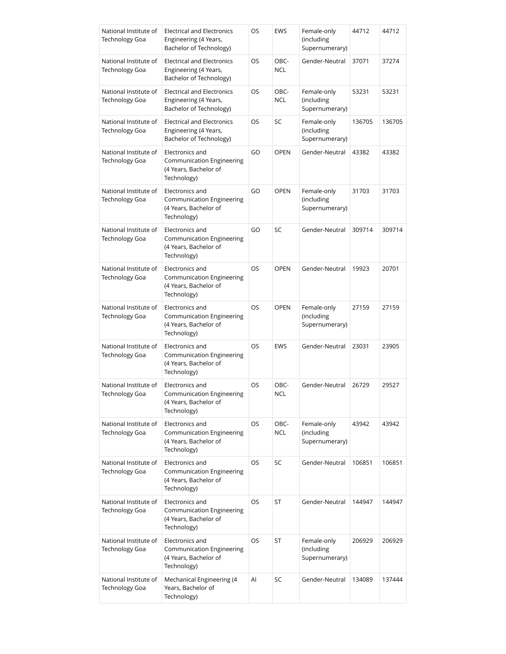| National Institute of<br><b>Technology Goa</b> | <b>Electrical and Electronics</b><br>Engineering (4 Years,<br>Bachelor of Technology)       | OS | <b>EWS</b>         | Female-only<br>(including<br>Supernumerary) | 44712  | 44712  |
|------------------------------------------------|---------------------------------------------------------------------------------------------|----|--------------------|---------------------------------------------|--------|--------|
| National Institute of<br><b>Technology Goa</b> | <b>Electrical and Electronics</b><br>Engineering (4 Years,<br>Bachelor of Technology)       | OS | OBC-<br><b>NCL</b> | Gender-Neutral                              | 37071  | 37274  |
| National Institute of<br><b>Technology Goa</b> | <b>Electrical and Electronics</b><br>Engineering (4 Years,<br>Bachelor of Technology)       | OS | OBC-<br><b>NCL</b> | Female-only<br>(including<br>Supernumerary) | 53231  | 53231  |
| National Institute of<br><b>Technology Goa</b> | <b>Electrical and Electronics</b><br>Engineering (4 Years,<br>Bachelor of Technology)       | OS | SC                 | Female-only<br>(including<br>Supernumerary) | 136705 | 136705 |
| National Institute of<br><b>Technology Goa</b> | Electronics and<br>Communication Engineering<br>(4 Years, Bachelor of<br>Technology)        | GO | <b>OPEN</b>        | Gender-Neutral                              | 43382  | 43382  |
| National Institute of<br><b>Technology Goa</b> | Electronics and<br>Communication Engineering<br>(4 Years, Bachelor of<br>Technology)        | GO | <b>OPEN</b>        | Female-only<br>(including<br>Supernumerary) | 31703  | 31703  |
| National Institute of<br><b>Technology Goa</b> | Electronics and<br>Communication Engineering<br>(4 Years, Bachelor of<br>Technology)        | GO | SC                 | Gender-Neutral                              | 309714 | 309714 |
| National Institute of<br><b>Technology Goa</b> | Electronics and<br>Communication Engineering<br>(4 Years, Bachelor of<br>Technology)        | OS | <b>OPEN</b>        | Gender-Neutral                              | 19923  | 20701  |
| National Institute of<br><b>Technology Goa</b> | Electronics and<br>Communication Engineering<br>(4 Years, Bachelor of<br>Technology)        | OS | <b>OPEN</b>        | Female-only<br>(including<br>Supernumerary) | 27159  | 27159  |
| National Institute of<br>Technology Goa        | Electronics and<br><b>Communication Engineering</b><br>(4 Years, Bachelor of<br>Technology) | OS | <b>EWS</b>         | Gender-Neutral                              | 23031  | 23905  |
| National Institute of<br>Technology Goa        | Electronics and<br>Communication Engineering<br>(4 Years, Bachelor of<br>Technology)        | OS | OBC-<br><b>NCL</b> | Gender-Neutral                              | 26729  | 29527  |
| National Institute of<br><b>Technology Goa</b> | Electronics and<br>Communication Engineering<br>(4 Years, Bachelor of<br>Technology)        | OS | OBC-<br><b>NCL</b> | Female-only<br>(including<br>Supernumerary) | 43942  | 43942  |
| National Institute of<br><b>Technology Goa</b> | Electronics and<br><b>Communication Engineering</b><br>(4 Years, Bachelor of<br>Technology) | OS | SC                 | Gender-Neutral                              | 106851 | 106851 |
| National Institute of<br><b>Technology Goa</b> | Electronics and<br>Communication Engineering<br>(4 Years, Bachelor of<br>Technology)        | OS | ST                 | Gender-Neutral                              | 144947 | 144947 |
| National Institute of<br><b>Technology Goa</b> | Electronics and<br>Communication Engineering<br>(4 Years, Bachelor of<br>Technology)        | OS | ST                 | Female-only<br>(including<br>Supernumerary) | 206929 | 206929 |
| National Institute of<br><b>Technology Goa</b> | Mechanical Engineering (4<br>Years, Bachelor of<br>Technology)                              | Al | SC                 | Gender-Neutral                              | 134089 | 137444 |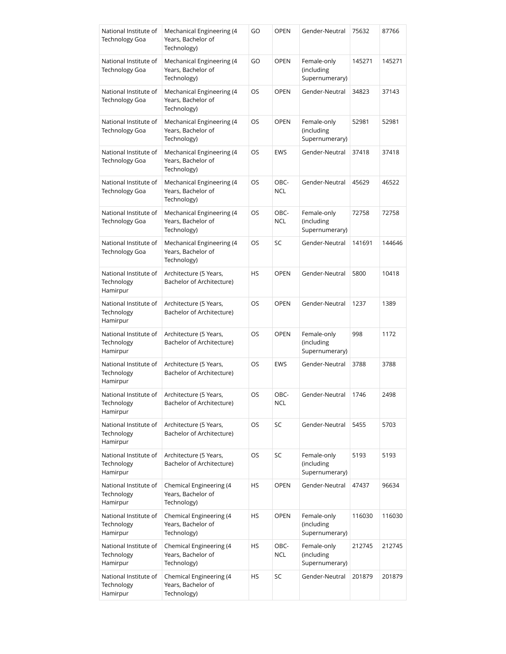| National Institute of<br><b>Technology Goa</b>  | Mechanical Engineering (4<br>Years, Bachelor of<br>Technology) | GO | <b>OPEN</b>        | Gender-Neutral                              | 75632  | 87766  |
|-------------------------------------------------|----------------------------------------------------------------|----|--------------------|---------------------------------------------|--------|--------|
| National Institute of<br><b>Technology Goa</b>  | Mechanical Engineering (4<br>Years, Bachelor of<br>Technology) | GO | <b>OPEN</b>        | Female-only<br>(including<br>Supernumerary) | 145271 | 145271 |
| National Institute of<br><b>Technology Goa</b>  | Mechanical Engineering (4<br>Years, Bachelor of<br>Technology) | OS | <b>OPEN</b>        | Gender-Neutral                              | 34823  | 37143  |
| National Institute of<br><b>Technology Goa</b>  | Mechanical Engineering (4<br>Years, Bachelor of<br>Technology) | OS | <b>OPEN</b>        | Female-only<br>(including<br>Supernumerary) | 52981  | 52981  |
| National Institute of<br><b>Technology Goa</b>  | Mechanical Engineering (4<br>Years, Bachelor of<br>Technology) | OS | <b>EWS</b>         | Gender-Neutral                              | 37418  | 37418  |
| National Institute of<br><b>Technology Goa</b>  | Mechanical Engineering (4<br>Years, Bachelor of<br>Technology) | OS | OBC-<br><b>NCL</b> | Gender-Neutral                              | 45629  | 46522  |
| National Institute of<br><b>Technology Goa</b>  | Mechanical Engineering (4<br>Years, Bachelor of<br>Technology) | OS | OBC-<br><b>NCL</b> | Female-only<br>(including<br>Supernumerary) | 72758  | 72758  |
| National Institute of<br>Technology Goa         | Mechanical Engineering (4<br>Years, Bachelor of<br>Technology) | OS | SC                 | Gender-Neutral                              | 141691 | 144646 |
| National Institute of<br>Technology<br>Hamirpur | Architecture (5 Years,<br>Bachelor of Architecture)            | HS | <b>OPEN</b>        | Gender-Neutral                              | 5800   | 10418  |
| National Institute of<br>Technology<br>Hamirpur | Architecture (5 Years,<br>Bachelor of Architecture)            | OS | <b>OPEN</b>        | Gender-Neutral                              | 1237   | 1389   |
| National Institute of<br>Technology<br>Hamirpur | Architecture (5 Years,<br>Bachelor of Architecture)            | OS | <b>OPEN</b>        | Female-only<br>(including<br>Supernumerary) | 998    | 1172   |
| National Institute of<br>Technology<br>Hamirpur | Architecture (5 Years,<br>Bachelor of Architecture)            | OS | <b>EWS</b>         | Gender-Neutral                              | 3788   | 3788   |
| National Institute of<br>Technology<br>Hamirpur | Architecture (5 Years,<br>Bachelor of Architecture)            | OS | OBC-<br>NCL        | Gender-Neutral                              | 1746   | 2498   |
| National Institute of<br>Technology<br>Hamirpur | Architecture (5 Years,<br>Bachelor of Architecture)            | OS | SC                 | Gender-Neutral                              | 5455   | 5703   |
| National Institute of<br>Technology<br>Hamirpur | Architecture (5 Years,<br>Bachelor of Architecture)            | OS | SC                 | Female-only<br>(including<br>Supernumerary) | 5193   | 5193   |
| National Institute of<br>Technology<br>Hamirpur | Chemical Engineering (4<br>Years, Bachelor of<br>Technology)   | HS | <b>OPEN</b>        | Gender-Neutral                              | 47437  | 96634  |
| National Institute of<br>Technology<br>Hamirpur | Chemical Engineering (4<br>Years, Bachelor of<br>Technology)   | HS | <b>OPEN</b>        | Female-only<br>(including<br>Supernumerary) | 116030 | 116030 |
| National Institute of<br>Technology<br>Hamirpur | Chemical Engineering (4<br>Years, Bachelor of<br>Technology)   | HS | OBC-<br><b>NCL</b> | Female-only<br>(including<br>Supernumerary) | 212745 | 212745 |
| National Institute of<br>Technology<br>Hamirpur | Chemical Engineering (4<br>Years, Bachelor of<br>Technology)   | HS | SC                 | Gender-Neutral                              | 201879 | 201879 |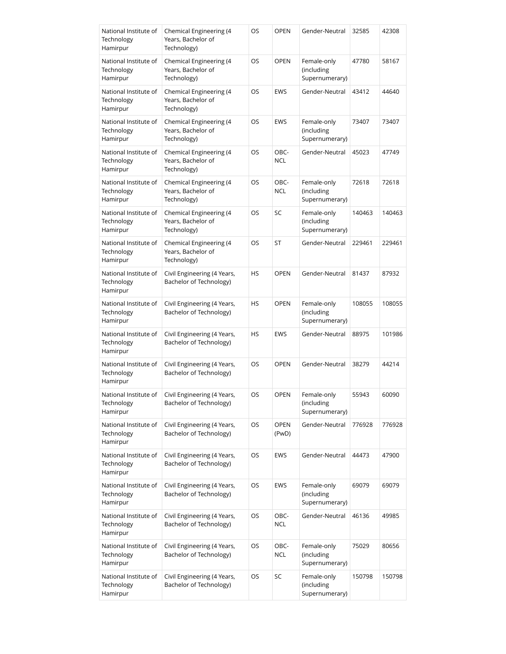| National Institute of<br>Technology<br>Hamirpur | Chemical Engineering (4<br>Years, Bachelor of<br>Technology) | OS | <b>OPEN</b>          | Gender-Neutral                              | 32585  | 42308  |
|-------------------------------------------------|--------------------------------------------------------------|----|----------------------|---------------------------------------------|--------|--------|
| National Institute of<br>Technology<br>Hamirpur | Chemical Engineering (4<br>Years, Bachelor of<br>Technology) | OS | <b>OPEN</b>          | Female-only<br>(including<br>Supernumerary) | 47780  | 58167  |
| National Institute of<br>Technology<br>Hamirpur | Chemical Engineering (4<br>Years, Bachelor of<br>Technology) | OS | <b>EWS</b>           | Gender-Neutral                              | 43412  | 44640  |
| National Institute of<br>Technology<br>Hamirpur | Chemical Engineering (4<br>Years, Bachelor of<br>Technology) | OS | <b>EWS</b>           | Female-only<br>(including<br>Supernumerary) | 73407  | 73407  |
| National Institute of<br>Technology<br>Hamirpur | Chemical Engineering (4<br>Years, Bachelor of<br>Technology) | OS | OBC-<br><b>NCL</b>   | Gender-Neutral                              | 45023  | 47749  |
| National Institute of<br>Technology<br>Hamirpur | Chemical Engineering (4<br>Years, Bachelor of<br>Technology) | OS | OBC-<br><b>NCL</b>   | Female-only<br>(including<br>Supernumerary) | 72618  | 72618  |
| National Institute of<br>Technology<br>Hamirpur | Chemical Engineering (4<br>Years, Bachelor of<br>Technology) | OS | SC                   | Female-only<br>(including<br>Supernumerary) | 140463 | 140463 |
| National Institute of<br>Technology<br>Hamirpur | Chemical Engineering (4<br>Years, Bachelor of<br>Technology) | OS | ST                   | Gender-Neutral                              | 229461 | 229461 |
| National Institute of<br>Technology<br>Hamirpur | Civil Engineering (4 Years,<br>Bachelor of Technology)       | HS | <b>OPEN</b>          | Gender-Neutral                              | 81437  | 87932  |
| National Institute of<br>Technology<br>Hamirpur | Civil Engineering (4 Years,<br>Bachelor of Technology)       | HS | <b>OPEN</b>          | Female-only<br>(including<br>Supernumerary) | 108055 | 108055 |
| National Institute of<br>Technology<br>Hamirpur | Civil Engineering (4 Years,<br>Bachelor of Technology)       | HS | <b>EWS</b>           | Gender-Neutral                              | 88975  | 101986 |
| National Institute of<br>Technology<br>Hamirpur | Civil Engineering (4 Years,<br>Bachelor of Technology)       | OS | <b>OPEN</b>          | Gender-Neutral                              | 38279  | 44214  |
| National Institute of<br>Technology<br>Hamirpur | Civil Engineering (4 Years,<br>Bachelor of Technology)       | OS | OPEN                 | Female-only<br>(including<br>Supernumerary) | 55943  | 60090  |
| National Institute of<br>Technology<br>Hamirpur | Civil Engineering (4 Years,<br>Bachelor of Technology)       | OS | <b>OPEN</b><br>(PwD) | Gender-Neutral                              | 776928 | 776928 |
| National Institute of<br>Technology<br>Hamirpur | Civil Engineering (4 Years,<br>Bachelor of Technology)       | OS | EWS                  | Gender-Neutral                              | 44473  | 47900  |
| National Institute of<br>Technology<br>Hamirpur | Civil Engineering (4 Years,<br>Bachelor of Technology)       | OS | EWS                  | Female-only<br>(including<br>Supernumerary) | 69079  | 69079  |
| National Institute of<br>Technology<br>Hamirpur | Civil Engineering (4 Years,<br>Bachelor of Technology)       | OS | OBC-<br><b>NCL</b>   | Gender-Neutral                              | 46136  | 49985  |
| National Institute of<br>Technology<br>Hamirpur | Civil Engineering (4 Years,<br>Bachelor of Technology)       | OS | OBC-<br><b>NCL</b>   | Female-only<br>(including<br>Supernumerary) | 75029  | 80656  |
| National Institute of<br>Technology<br>Hamirpur | Civil Engineering (4 Years,<br>Bachelor of Technology)       | OS | SC                   | Female-only<br>(including<br>Supernumerary) | 150798 | 150798 |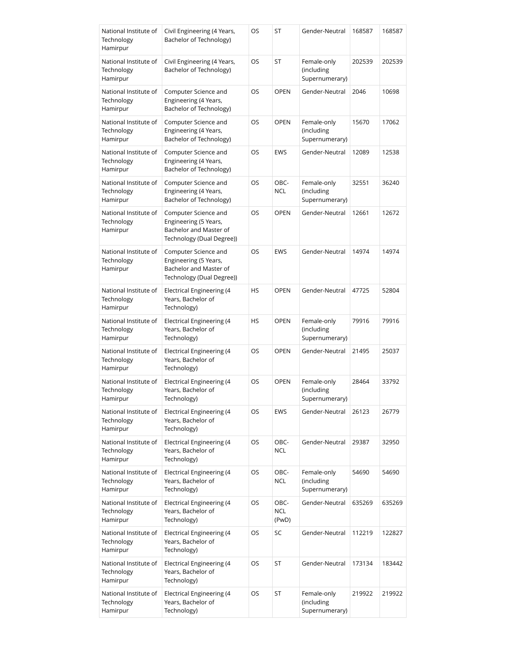| National Institute of<br>Technology<br>Hamirpur | Civil Engineering (4 Years,<br>Bachelor of Technology)                                               | OS        | ST                   | Gender-Neutral                              | 168587 | 168587 |
|-------------------------------------------------|------------------------------------------------------------------------------------------------------|-----------|----------------------|---------------------------------------------|--------|--------|
| National Institute of<br>Technology<br>Hamirpur | Civil Engineering (4 Years,<br>Bachelor of Technology)                                               | OS        | ST                   | Female-only<br>(including<br>Supernumerary) | 202539 | 202539 |
| National Institute of<br>Technology<br>Hamirpur | Computer Science and<br>Engineering (4 Years,<br>Bachelor of Technology)                             | OS        | <b>OPEN</b>          | Gender-Neutral                              | 2046   | 10698  |
| National Institute of<br>Technology<br>Hamirpur | Computer Science and<br>Engineering (4 Years,<br>Bachelor of Technology)                             | OS.       | <b>OPEN</b>          | Female-only<br>(including<br>Supernumerary) | 15670  | 17062  |
| National Institute of<br>Technology<br>Hamirpur | Computer Science and<br>Engineering (4 Years,<br>Bachelor of Technology)                             | OS        | EWS                  | Gender-Neutral                              | 12089  | 12538  |
| National Institute of<br>Technology<br>Hamirpur | Computer Science and<br>Engineering (4 Years,<br>Bachelor of Technology)                             | OS        | OBC-<br>NCL          | Female-only<br>(including<br>Supernumerary) | 32551  | 36240  |
| National Institute of<br>Technology<br>Hamirpur | Computer Science and<br>Engineering (5 Years,<br>Bachelor and Master of<br>Technology (Dual Degree)) | OS        | <b>OPEN</b>          | Gender-Neutral                              | 12661  | 12672  |
| National Institute of<br>Technology<br>Hamirpur | Computer Science and<br>Engineering (5 Years,<br>Bachelor and Master of<br>Technology (Dual Degree)) | OS        | <b>EWS</b>           | Gender-Neutral                              | 14974  | 14974  |
| National Institute of<br>Technology<br>Hamirpur | Electrical Engineering (4<br>Years, Bachelor of<br>Technology)                                       | <b>HS</b> | <b>OPEN</b>          | Gender-Neutral                              | 47725  | 52804  |
| National Institute of<br>Technology<br>Hamirpur | Electrical Engineering (4<br>Years, Bachelor of<br>Technology)                                       | HS        | <b>OPEN</b>          | Female-only<br>(including<br>Supernumerary) | 79916  | 79916  |
| National Institute of<br>Technology<br>Hamirpur | Electrical Engineering (4<br>Years, Bachelor of<br>Technology)                                       | OS        | <b>OPEN</b>          | Gender-Neutral                              | 21495  | 25037  |
| National Institute of<br>Technology<br>Hamirpur | Electrical Engineering (4<br>Years, Bachelor of<br>Technology)                                       | OS        | <b>OPEN</b>          | Female-only<br>(including<br>Supernumerary) | 28464  | 33792  |
| National Institute of<br>Technology<br>Hamirpur | <b>Electrical Engineering (4</b><br>Years, Bachelor of<br>Technology)                                | OS        | <b>EWS</b>           | Gender-Neutral                              | 26123  | 26779  |
| National Institute of<br>Technology<br>Hamirpur | <b>Electrical Engineering (4</b><br>Years, Bachelor of<br>Technology)                                | OS        | OBC-<br><b>NCL</b>   | Gender-Neutral                              | 29387  | 32950  |
| National Institute of<br>Technology<br>Hamirpur | Electrical Engineering (4<br>Years, Bachelor of<br>Technology)                                       | OS        | OBC-<br>NCL          | Female-only<br>(including<br>Supernumerary) | 54690  | 54690  |
| National Institute of<br>Technology<br>Hamirpur | Electrical Engineering (4<br>Years, Bachelor of<br>Technology)                                       | OS        | OBC-<br>NCL<br>(PwD) | Gender-Neutral                              | 635269 | 635269 |
| National Institute of<br>Technology<br>Hamirpur | Electrical Engineering (4<br>Years, Bachelor of<br>Technology)                                       | OS        | SC                   | Gender-Neutral                              | 112219 | 122827 |
| National Institute of<br>Technology<br>Hamirpur | Electrical Engineering (4<br>Years, Bachelor of<br>Technology)                                       | OS        | ST                   | Gender-Neutral                              | 173134 | 183442 |
| National Institute of<br>Technology<br>Hamirpur | Electrical Engineering (4<br>Years, Bachelor of<br>Technology)                                       | OS        | ST                   | Female-only<br>(including<br>Supernumerary) | 219922 | 219922 |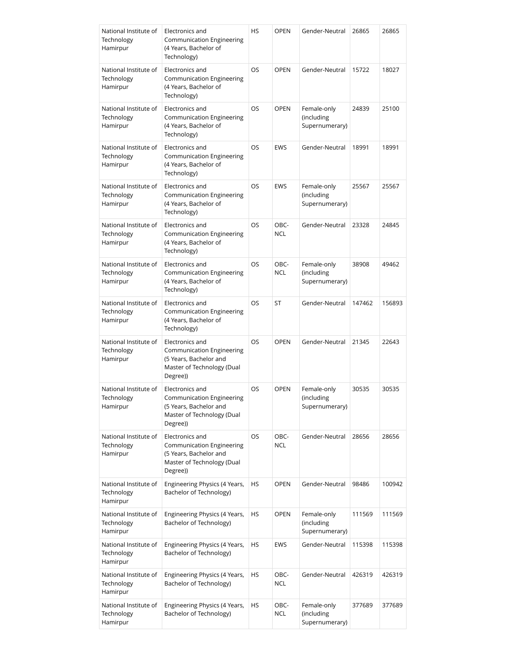| National Institute of<br>Technology<br>Hamirpur | Electronics and<br><b>Communication Engineering</b><br>(4 Years, Bachelor of<br>Technology)                             | HS        | <b>OPEN</b>        | Gender-Neutral                              | 26865  | 26865  |
|-------------------------------------------------|-------------------------------------------------------------------------------------------------------------------------|-----------|--------------------|---------------------------------------------|--------|--------|
| National Institute of<br>Technology<br>Hamirpur | Electronics and<br>Communication Engineering<br>(4 Years, Bachelor of<br>Technology)                                    | OS        | <b>OPEN</b>        | Gender-Neutral                              | 15722  | 18027  |
| National Institute of<br>Technology<br>Hamirpur | Electronics and<br>Communication Engineering<br>(4 Years, Bachelor of<br>Technology)                                    | OS        | <b>OPEN</b>        | Female-only<br>(including<br>Supernumerary) | 24839  | 25100  |
| National Institute of<br>Technology<br>Hamirpur | Electronics and<br>Communication Engineering<br>(4 Years, Bachelor of<br>Technology)                                    | OS        | <b>EWS</b>         | Gender-Neutral                              | 18991  | 18991  |
| National Institute of<br>Technology<br>Hamirpur | Electronics and<br>Communication Engineering<br>(4 Years, Bachelor of<br>Technology)                                    | <b>OS</b> | <b>EWS</b>         | Female-only<br>(including<br>Supernumerary) | 25567  | 25567  |
| National Institute of<br>Technology<br>Hamirpur | Electronics and<br>Communication Engineering<br>(4 Years, Bachelor of<br>Technology)                                    | OS        | OBC-<br><b>NCL</b> | Gender-Neutral                              | 23328  | 24845  |
| National Institute of<br>Technology<br>Hamirpur | Electronics and<br>Communication Engineering<br>(4 Years, Bachelor of<br>Technology)                                    | <b>OS</b> | OBC-<br><b>NCL</b> | Female-only<br>(including<br>Supernumerary) | 38908  | 49462  |
| National Institute of<br>Technology<br>Hamirpur | Electronics and<br>Communication Engineering<br>(4 Years, Bachelor of<br>Technology)                                    | OS        | ST                 | Gender-Neutral                              | 147462 | 156893 |
| National Institute of<br>Technology<br>Hamirpur | Electronics and<br><b>Communication Engineering</b><br>(5 Years, Bachelor and<br>Master of Technology (Dual<br>Degree)) | OS        | <b>OPEN</b>        | Gender-Neutral                              | 21345  | 22643  |
| National Institute of<br>Technology<br>Hamirpur | Electronics and<br>Communication Engineering<br>(5 Years, Bachelor and<br>Master of Technology (Dual<br>Degree))        | OS        | <b>OPEN</b>        | Female-only<br>(including<br>Supernumerary) | 30535  | 30535  |
| National Institute of<br>Technology<br>Hamirpur | Electronics and<br>Communication Engineering<br>(5 Years, Bachelor and<br>Master of Technology (Dual<br>Degree))        | OS        | OBC-<br><b>NCL</b> | Gender-Neutral                              | 28656  | 28656  |
| National Institute of<br>Technology<br>Hamirpur | Engineering Physics (4 Years,<br>Bachelor of Technology)                                                                | HS        | <b>OPEN</b>        | Gender-Neutral                              | 98486  | 100942 |
| National Institute of<br>Technology<br>Hamirpur | Engineering Physics (4 Years,<br>Bachelor of Technology)                                                                | HS        | <b>OPEN</b>        | Female-only<br>(including<br>Supernumerary) | 111569 | 111569 |
| National Institute of<br>Technology<br>Hamirpur | Engineering Physics (4 Years,<br>Bachelor of Technology)                                                                | HS        | EWS                | Gender-Neutral                              | 115398 | 115398 |
| National Institute of<br>Technology<br>Hamirpur | Engineering Physics (4 Years,<br>Bachelor of Technology)                                                                | HS        | OBC-<br><b>NCL</b> | Gender-Neutral                              | 426319 | 426319 |
| National Institute of<br>Technology<br>Hamirpur | Engineering Physics (4 Years,<br>Bachelor of Technology)                                                                | HS        | OBC-<br><b>NCL</b> | Female-only<br>(including<br>Supernumerary) | 377689 | 377689 |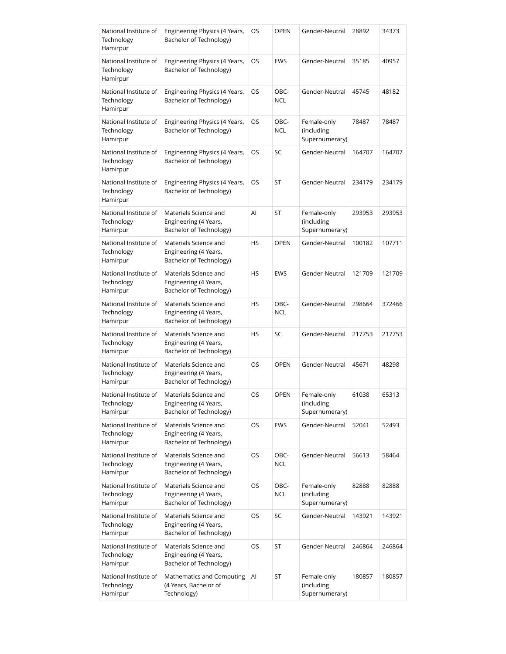| National Institute of<br>Technology<br>Hamirpur | Engineering Physics (4 Years,<br>Bachelor of Technology)                  | OS        | <b>OPEN</b>        | Gender-Neutral                              | 28892  | 34373  |
|-------------------------------------------------|---------------------------------------------------------------------------|-----------|--------------------|---------------------------------------------|--------|--------|
| National Institute of<br>Technology<br>Hamirpur | Engineering Physics (4 Years,<br>Bachelor of Technology)                  | OS        | <b>EWS</b>         | Gender-Neutral                              | 35185  | 40957  |
| National Institute of<br>Technology<br>Hamirpur | Engineering Physics (4 Years,<br>Bachelor of Technology)                  | OS        | OBC-<br><b>NCL</b> | Gender-Neutral                              | 45745  | 48182  |
| National Institute of<br>Technology<br>Hamirpur | Engineering Physics (4 Years,<br>Bachelor of Technology)                  | OS        | OBC-<br><b>NCL</b> | Female-only<br>(including<br>Supernumerary) | 78487  | 78487  |
| National Institute of<br>Technology<br>Hamirpur | Engineering Physics (4 Years,<br>Bachelor of Technology)                  | OS        | SC                 | Gender-Neutral                              | 164707 | 164707 |
| National Institute of<br>Technology<br>Hamirpur | Engineering Physics (4 Years,<br>Bachelor of Technology)                  | OS.       | <b>ST</b>          | Gender-Neutral                              | 234179 | 234179 |
| National Institute of<br>Technology<br>Hamirpur | Materials Science and<br>Engineering (4 Years,<br>Bachelor of Technology) | Al        | ST                 | Female-only<br>(including<br>Supernumerary) | 293953 | 293953 |
| National Institute of<br>Technology<br>Hamirpur | Materials Science and<br>Engineering (4 Years,<br>Bachelor of Technology) | <b>HS</b> | <b>OPEN</b>        | Gender-Neutral                              | 100182 | 107711 |
| National Institute of<br>Technology<br>Hamirpur | Materials Science and<br>Engineering (4 Years,<br>Bachelor of Technology) | HS        | <b>EWS</b>         | Gender-Neutral                              | 121709 | 121709 |
| National Institute of<br>Technology<br>Hamirpur | Materials Science and<br>Engineering (4 Years,<br>Bachelor of Technology) | HS        | OBC-<br><b>NCL</b> | Gender-Neutral                              | 298664 | 372466 |
| National Institute of<br>Technology<br>Hamirpur | Materials Science and<br>Engineering (4 Years,<br>Bachelor of Technology) | HS        | SC                 | Gender-Neutral                              | 217753 | 217753 |
| National Institute of<br>Technology<br>Hamirpur | Materials Science and<br>Engineering (4 Years,<br>Bachelor of Technology) | OS        | <b>OPEN</b>        | Gender-Neutral                              | 45671  | 48298  |
| National Institute of<br>Technology<br>Hamirpur | Materials Science and<br>Engineering (4 Years,<br>Bachelor of Technology) | OS        | OPEN               | Female-only<br>(including<br>Supernumerary) | 61038  | 65313  |
| National Institute of<br>Technology<br>Hamirpur | Materials Science and<br>Engineering (4 Years,<br>Bachelor of Technology) | OS        | <b>EWS</b>         | Gender-Neutral                              | 52041  | 52493  |
| National Institute of<br>Technology<br>Hamirpur | Materials Science and<br>Engineering (4 Years,<br>Bachelor of Technology) | OS        | OBC-<br><b>NCL</b> | Gender-Neutral                              | 56613  | 58464  |
| National Institute of<br>Technology<br>Hamirpur | Materials Science and<br>Engineering (4 Years,<br>Bachelor of Technology) | OS        | OBC-<br><b>NCL</b> | Female-only<br>(including<br>Supernumerary) | 82888  | 82888  |
| National Institute of<br>Technology<br>Hamirpur | Materials Science and<br>Engineering (4 Years,<br>Bachelor of Technology) | OS        | SC                 | Gender-Neutral                              | 143921 | 143921 |
| National Institute of<br>Technology<br>Hamirpur | Materials Science and<br>Engineering (4 Years,<br>Bachelor of Technology) | OS        | ST                 | Gender-Neutral                              | 246864 | 246864 |
| National Institute of<br>Technology<br>Hamirpur | Mathematics and Computing<br>(4 Years, Bachelor of<br>Technology)         | Al        | ST                 | Female-only<br>(including<br>Supernumerary) | 180857 | 180857 |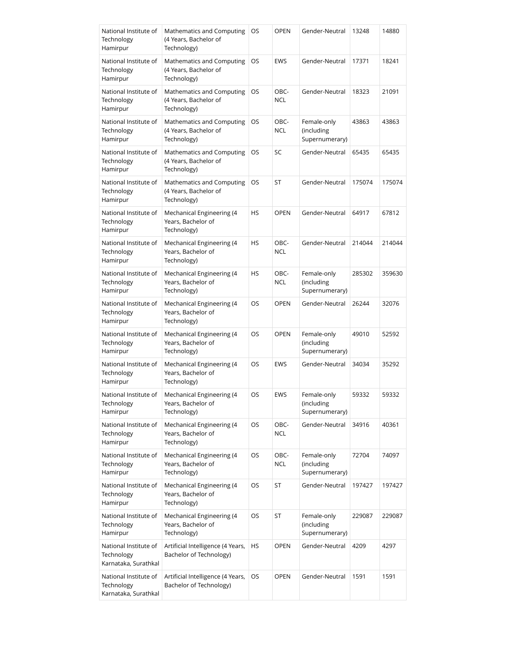| National Institute of<br>Technology<br>Hamirpur             | Mathematics and Computing<br>(4 Years, Bachelor of<br>Technology)     | OS        | <b>OPEN</b>        | Gender-Neutral                              | 13248  | 14880  |
|-------------------------------------------------------------|-----------------------------------------------------------------------|-----------|--------------------|---------------------------------------------|--------|--------|
| National Institute of<br>Technology<br>Hamirpur             | Mathematics and Computing<br>(4 Years, Bachelor of<br>Technology)     | OS        | <b>EWS</b>         | Gender-Neutral                              | 17371  | 18241  |
| National Institute of<br>Technology<br>Hamirpur             | Mathematics and Computing<br>(4 Years, Bachelor of<br>Technology)     | OS        | OBC-<br><b>NCL</b> | Gender-Neutral                              | 18323  | 21091  |
| National Institute of<br>Technology<br>Hamirpur             | Mathematics and Computing<br>(4 Years, Bachelor of<br>Technology)     | OS        | OBC-<br><b>NCL</b> | Female-only<br>(including<br>Supernumerary) | 43863  | 43863  |
| National Institute of<br>Technology<br>Hamirpur             | Mathematics and Computing<br>(4 Years, Bachelor of<br>Technology)     | OS.       | SC                 | Gender-Neutral                              | 65435  | 65435  |
| National Institute of<br>Technology<br>Hamirpur             | Mathematics and Computing<br>(4 Years, Bachelor of<br>Technology)     | OS        | ST                 | Gender-Neutral                              | 175074 | 175074 |
| National Institute of<br>Technology<br>Hamirpur             | Mechanical Engineering (4<br>Years, Bachelor of<br>Technology)        | <b>HS</b> | <b>OPEN</b>        | Gender-Neutral                              | 64917  | 67812  |
| National Institute of<br>Technology<br>Hamirpur             | Mechanical Engineering (4<br>Years, Bachelor of<br>Technology)        | HS        | OBC-<br><b>NCL</b> | Gender-Neutral                              | 214044 | 214044 |
| National Institute of<br>Technology<br>Hamirpur             | Mechanical Engineering (4<br>Years, Bachelor of<br>Technology)        | HS        | OBC-<br><b>NCL</b> | Female-only<br>(including<br>Supernumerary) | 285302 | 359630 |
| National Institute of<br>Technology<br>Hamirpur             | Mechanical Engineering (4<br>Years, Bachelor of<br>Technology)        | OS        | <b>OPEN</b>        | Gender-Neutral                              | 26244  | 32076  |
| National Institute of<br>Technology<br>Hamirpur             | Mechanical Engineering (4<br>Years, Bachelor of<br>Technology)        | OS        | <b>OPEN</b>        | Female-only<br>(including<br>Supernumerary) | 49010  | 52592  |
| National Institute of<br>Technology<br>Hamirpur             | <b>Mechanical Engineering (4</b><br>Years, Bachelor of<br>Technology) | OS        | <b>EWS</b>         | Gender-Neutral                              | 34034  | 35292  |
| National Institute of<br>Technology<br>Hamirpur             | Mechanical Engineering (4<br>Years, Bachelor of<br>Technology)        | OS        | EWS                | Female-only<br>(including<br>Supernumerary) | 59332  | 59332  |
| National Institute of<br>Technology<br>Hamirpur             | Mechanical Engineering (4<br>Years, Bachelor of<br>Technology)        | OS        | OBC-<br><b>NCL</b> | Gender-Neutral                              | 34916  | 40361  |
| National Institute of<br>Technology<br>Hamirpur             | Mechanical Engineering (4<br>Years, Bachelor of<br>Technology)        | OS        | OBC-<br><b>NCL</b> | Female-only<br>(including<br>Supernumerary) | 72704  | 74097  |
| National Institute of<br>Technology<br>Hamirpur             | Mechanical Engineering (4<br>Years, Bachelor of<br>Technology)        | OS        | ST                 | Gender-Neutral                              | 197427 | 197427 |
| National Institute of<br>Technology<br>Hamirpur             | Mechanical Engineering (4<br>Years, Bachelor of<br>Technology)        | OS        | ST                 | Female-only<br>(including<br>Supernumerary) | 229087 | 229087 |
| National Institute of<br>Technology<br>Karnataka, Surathkal | Artificial Intelligence (4 Years,<br>Bachelor of Technology)          | HS        | <b>OPEN</b>        | Gender-Neutral                              | 4209   | 4297   |
| National Institute of<br>Technology<br>Karnataka, Surathkal | Artificial Intelligence (4 Years,<br>Bachelor of Technology)          | OS        | <b>OPEN</b>        | Gender-Neutral                              | 1591   | 1591   |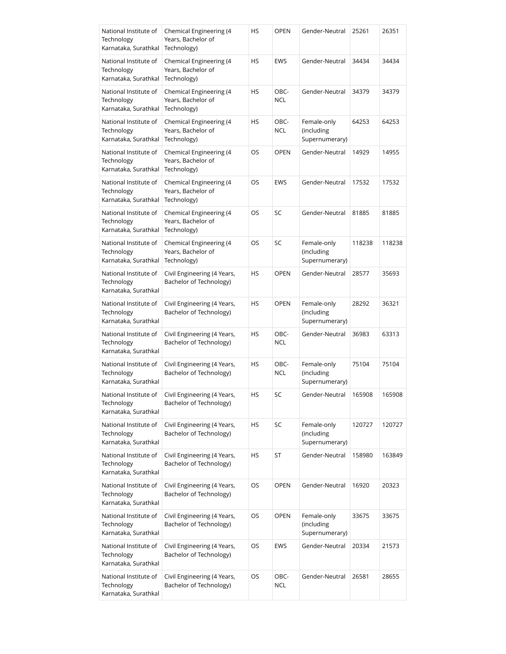| National Institute of<br>Technology<br>Karnataka, Surathkal | Chemical Engineering (4<br>Years, Bachelor of<br>Technology) | HS | <b>OPEN</b>        | Gender-Neutral                              | 25261  | 26351  |
|-------------------------------------------------------------|--------------------------------------------------------------|----|--------------------|---------------------------------------------|--------|--------|
| National Institute of<br>Technology<br>Karnataka, Surathkal | Chemical Engineering (4<br>Years, Bachelor of<br>Technology) | HS | EWS                | Gender-Neutral                              | 34434  | 34434  |
| National Institute of<br>Technology<br>Karnataka, Surathkal | Chemical Engineering (4<br>Years, Bachelor of<br>Technology) | HS | OBC-<br>NCL        | Gender-Neutral                              | 34379  | 34379  |
| National Institute of<br>Technology<br>Karnataka, Surathkal | Chemical Engineering (4<br>Years, Bachelor of<br>Technology) | HS | OBC-<br>NCL        | Female-only<br>(including<br>Supernumerary) | 64253  | 64253  |
| National Institute of<br>Technology<br>Karnataka, Surathkal | Chemical Engineering (4<br>Years, Bachelor of<br>Technology) | OS | <b>OPEN</b>        | Gender-Neutral                              | 14929  | 14955  |
| National Institute of<br>Technology<br>Karnataka, Surathkal | Chemical Engineering (4<br>Years, Bachelor of<br>Technology) | OS | <b>EWS</b>         | Gender-Neutral                              | 17532  | 17532  |
| National Institute of<br>Technology<br>Karnataka, Surathkal | Chemical Engineering (4<br>Years, Bachelor of<br>Technology) | OS | SC                 | Gender-Neutral                              | 81885  | 81885  |
| National Institute of<br>Technology<br>Karnataka, Surathkal | Chemical Engineering (4<br>Years, Bachelor of<br>Technology) | OS | SC                 | Female-only<br>(including<br>Supernumerary) | 118238 | 118238 |
| National Institute of<br>Technology<br>Karnataka, Surathkal | Civil Engineering (4 Years,<br>Bachelor of Technology)       | HS | <b>OPEN</b>        | Gender-Neutral                              | 28577  | 35693  |
| National Institute of<br>Technology<br>Karnataka, Surathkal | Civil Engineering (4 Years,<br>Bachelor of Technology)       | HS | <b>OPEN</b>        | Female-only<br>(including<br>Supernumerary) | 28292  | 36321  |
| National Institute of<br>Technology<br>Karnataka, Surathkal | Civil Engineering (4 Years,<br>Bachelor of Technology)       | HS | OBC-<br><b>NCL</b> | Gender-Neutral                              | 36983  | 63313  |
| National Institute of<br>Technology<br>Karnataka, Surathkal | Civil Engineering (4 Years,<br>Bachelor of Technology)       | HS | OBC-<br>NCL        | Female-only<br>(including<br>Supernumerary) | 75104  | 75104  |
| National Institute of<br>Technology<br>Karnataka, Surathkal | Civil Engineering (4 Years,<br>Bachelor of Technology)       | HS | SC                 | Gender-Neutral                              | 165908 | 165908 |
| National Institute of<br>Technology<br>Karnataka, Surathkal | Civil Engineering (4 Years,<br>Bachelor of Technology)       | HS | SC                 | Female-only<br>(including<br>Supernumerary) | 120727 | 120727 |
| National Institute of<br>Technology<br>Karnataka, Surathkal | Civil Engineering (4 Years,<br>Bachelor of Technology)       | HS | ST                 | Gender-Neutral                              | 158980 | 163849 |
| National Institute of<br>Technology<br>Karnataka, Surathkal | Civil Engineering (4 Years,<br>Bachelor of Technology)       | OS | <b>OPEN</b>        | Gender-Neutral                              | 16920  | 20323  |
| National Institute of<br>Technology<br>Karnataka, Surathkal | Civil Engineering (4 Years,<br>Bachelor of Technology)       | OS | <b>OPEN</b>        | Female-only<br>(including<br>Supernumerary) | 33675  | 33675  |
| National Institute of<br>Technology<br>Karnataka, Surathkal | Civil Engineering (4 Years,<br>Bachelor of Technology)       | OS | EWS                | Gender-Neutral                              | 20334  | 21573  |
| National Institute of<br>Technology<br>Karnataka, Surathkal | Civil Engineering (4 Years,<br>Bachelor of Technology)       | OS | OBC-<br><b>NCL</b> | Gender-Neutral                              | 26581  | 28655  |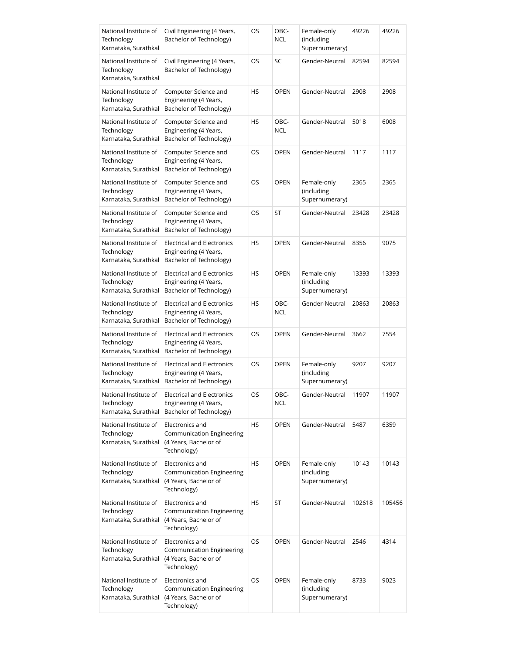| National Institute of<br>Technology<br>Karnataka, Surathkal | Civil Engineering (4 Years,<br>Bachelor of Technology)                                      | OS | OBC-<br><b>NCL</b> | Female-only<br>(including<br>Supernumerary) | 49226  | 49226  |
|-------------------------------------------------------------|---------------------------------------------------------------------------------------------|----|--------------------|---------------------------------------------|--------|--------|
| National Institute of<br>Technology<br>Karnataka, Surathkal | Civil Engineering (4 Years,<br>Bachelor of Technology)                                      | OS | SC                 | Gender-Neutral                              | 82594  | 82594  |
| National Institute of<br>Technology<br>Karnataka, Surathkal | Computer Science and<br>Engineering (4 Years,<br>Bachelor of Technology)                    | HS | <b>OPEN</b>        | Gender-Neutral                              | 2908   | 2908   |
| National Institute of<br>Technology<br>Karnataka, Surathkal | Computer Science and<br>Engineering (4 Years,<br>Bachelor of Technology)                    | HS | OBC-<br><b>NCL</b> | Gender-Neutral                              | 5018   | 6008   |
| National Institute of<br>Technology<br>Karnataka, Surathkal | Computer Science and<br>Engineering (4 Years,<br>Bachelor of Technology)                    | OS | <b>OPEN</b>        | Gender-Neutral                              | 1117   | 1117   |
| National Institute of<br>Technology<br>Karnataka, Surathkal | Computer Science and<br>Engineering (4 Years,<br>Bachelor of Technology)                    | OS | <b>OPEN</b>        | Female-only<br>(including<br>Supernumerary) | 2365   | 2365   |
| National Institute of<br>Technology<br>Karnataka, Surathkal | Computer Science and<br>Engineering (4 Years,<br>Bachelor of Technology)                    | OS | ST                 | Gender-Neutral                              | 23428  | 23428  |
| National Institute of<br>Technology<br>Karnataka, Surathkal | <b>Electrical and Electronics</b><br>Engineering (4 Years,<br>Bachelor of Technology)       | HS | <b>OPEN</b>        | Gender-Neutral                              | 8356   | 9075   |
| National Institute of<br>Technology<br>Karnataka, Surathkal | <b>Electrical and Electronics</b><br>Engineering (4 Years,<br>Bachelor of Technology)       | HS | <b>OPEN</b>        | Female-only<br>(including<br>Supernumerary) | 13393  | 13393  |
| National Institute of<br>Technology<br>Karnataka, Surathkal | <b>Electrical and Electronics</b><br>Engineering (4 Years,<br>Bachelor of Technology)       | HS | OBC-<br><b>NCL</b> | Gender-Neutral                              | 20863  | 20863  |
| National Institute of<br>Technology<br>Karnataka, Surathkal | <b>Electrical and Electronics</b><br>Engineering (4 Years,<br>Bachelor of Technology)       | OS | <b>OPEN</b>        | Gender-Neutral                              | 3662   | 7554   |
| National Institute of<br>Technology<br>Karnataka, Surathkal | <b>Electrical and Electronics</b><br>Engineering (4 Years,<br>Bachelor of Technology)       | OS | <b>OPEN</b>        | Female-only<br>(including<br>Supernumerary) | 9207   | 9207   |
| National Institute of<br>Technology<br>Karnataka, Surathkal | <b>Electrical and Electronics</b><br>Engineering (4 Years,<br>Bachelor of Technology)       | OS | OBC-<br>NCL        | Gender-Neutral                              | 11907  | 11907  |
| National Institute of<br>Technology<br>Karnataka, Surathkal | Electronics and<br>Communication Engineering<br>(4 Years, Bachelor of<br>Technology)        | HS | <b>OPEN</b>        | Gender-Neutral                              | 5487   | 6359   |
| National Institute of<br>Technology<br>Karnataka, Surathkal | Electronics and<br>Communication Engineering<br>(4 Years, Bachelor of<br>Technology)        | HS | <b>OPEN</b>        | Female-only<br>(including<br>Supernumerary) | 10143  | 10143  |
| National Institute of<br>Technology<br>Karnataka, Surathkal | Electronics and<br>Communication Engineering<br>(4 Years, Bachelor of<br>Technology)        | HS | ST                 | Gender-Neutral                              | 102618 | 105456 |
| National Institute of<br>Technology<br>Karnataka, Surathkal | Electronics and<br><b>Communication Engineering</b><br>(4 Years, Bachelor of<br>Technology) | OS | <b>OPEN</b>        | Gender-Neutral                              | 2546   | 4314   |
| National Institute of<br>Technology<br>Karnataka, Surathkal | Electronics and<br>Communication Engineering<br>(4 Years, Bachelor of<br>Technology)        | OS | <b>OPEN</b>        | Female-only<br>(including<br>Supernumerary) | 8733   | 9023   |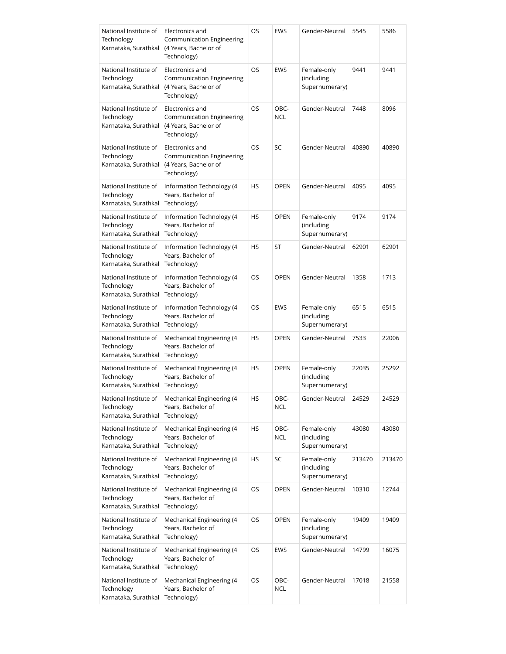| National Institute of<br>Technology<br>Karnataka, Surathkal | Electronics and<br>Communication Engineering<br>(4 Years, Bachelor of<br>Technology)        | OS        | <b>EWS</b>         | Gender-Neutral                              | 5545   | 5586   |
|-------------------------------------------------------------|---------------------------------------------------------------------------------------------|-----------|--------------------|---------------------------------------------|--------|--------|
| National Institute of<br>Technology<br>Karnataka, Surathkal | Electronics and<br>Communication Engineering<br>(4 Years, Bachelor of<br>Technology)        | OS        | <b>EWS</b>         | Female-only<br>(including<br>Supernumerary) | 9441   | 9441   |
| National Institute of<br>Technology<br>Karnataka, Surathkal | Electronics and<br><b>Communication Engineering</b><br>(4 Years, Bachelor of<br>Technology) | <b>OS</b> | OBC-<br><b>NCL</b> | Gender-Neutral                              | 7448   | 8096   |
| National Institute of<br>Technology<br>Karnataka, Surathkal | Electronics and<br>Communication Engineering<br>(4 Years, Bachelor of<br>Technology)        | OS        | <b>SC</b>          | Gender-Neutral                              | 40890  | 40890  |
| National Institute of<br>Technology<br>Karnataka, Surathkal | Information Technology (4<br>Years, Bachelor of<br>Technology)                              | HS        | <b>OPEN</b>        | Gender-Neutral                              | 4095   | 4095   |
| National Institute of<br>Technology<br>Karnataka, Surathkal | Information Technology (4<br>Years, Bachelor of<br>Technology)                              | <b>HS</b> | <b>OPEN</b>        | Female-only<br>(including<br>Supernumerary) | 9174   | 9174   |
| National Institute of<br>Technology<br>Karnataka, Surathkal | Information Technology (4<br>Years, Bachelor of<br>Technology)                              | HS        | ST                 | Gender-Neutral                              | 62901  | 62901  |
| National Institute of<br>Technology<br>Karnataka, Surathkal | Information Technology (4<br>Years, Bachelor of<br>Technology)                              | OS        | <b>OPEN</b>        | Gender-Neutral                              | 1358   | 1713   |
| National Institute of<br>Technology<br>Karnataka, Surathkal | Information Technology (4<br>Years, Bachelor of<br>Technology)                              | OS        | <b>EWS</b>         | Female-only<br>(including<br>Supernumerary) | 6515   | 6515   |
| National Institute of<br>Technology<br>Karnataka, Surathkal | Mechanical Engineering (4<br>Years, Bachelor of<br>Technology)                              | <b>HS</b> | <b>OPEN</b>        | Gender-Neutral                              | 7533   | 22006  |
| National Institute of<br>Technology<br>Karnataka, Surathkal | Mechanical Engineering (4<br>Years, Bachelor of<br>Technology)                              | HS        | <b>OPEN</b>        | Female-only<br>(including<br>Supernumerary) | 22035  | 25292  |
| National Institute of<br>Technology<br>Karnataka, Surathkal | Mechanical Engineering (4<br>Years, Bachelor of<br>Technology)                              | НS        | OBC-<br><b>NCL</b> | Gender-Neutral                              | 24529  | 24529  |
| National Institute of<br>Technology<br>Karnataka, Surathkal | Mechanical Engineering (4<br>Years, Bachelor of<br>Technology)                              | HS        | OBC-<br><b>NCL</b> | Female-only<br>(including<br>Supernumerary) | 43080  | 43080  |
| National Institute of<br>Technology<br>Karnataka, Surathkal | Mechanical Engineering (4<br>Years, Bachelor of<br>Technology)                              | HS        | SC                 | Female-only<br>(including<br>Supernumerary) | 213470 | 213470 |
| National Institute of<br>Technology<br>Karnataka, Surathkal | Mechanical Engineering (4<br>Years, Bachelor of<br>Technology)                              | OS        | <b>OPEN</b>        | Gender-Neutral                              | 10310  | 12744  |
| National Institute of<br>Technology<br>Karnataka, Surathkal | Mechanical Engineering (4<br>Years, Bachelor of<br>Technology)                              | OS        | <b>OPEN</b>        | Female-only<br>(including<br>Supernumerary) | 19409  | 19409  |
| National Institute of<br>Technology<br>Karnataka, Surathkal | Mechanical Engineering (4<br>Years, Bachelor of<br>Technology)                              | OS        | EWS                | Gender-Neutral                              | 14799  | 16075  |
| National Institute of<br>Technology<br>Karnataka, Surathkal | Mechanical Engineering (4<br>Years, Bachelor of<br>Technology)                              | OS        | OBC-<br><b>NCL</b> | Gender-Neutral                              | 17018  | 21558  |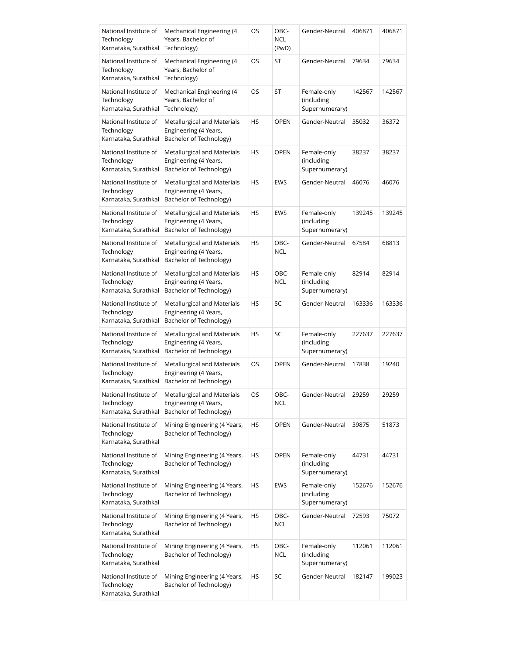| National Institute of<br>Technology<br>Karnataka, Surathkal | Mechanical Engineering (4<br>Years, Bachelor of<br>Technology)                  | OS | OBC-<br><b>NCL</b><br>(PwD) | Gender-Neutral                              | 406871 | 406871 |
|-------------------------------------------------------------|---------------------------------------------------------------------------------|----|-----------------------------|---------------------------------------------|--------|--------|
| National Institute of<br>Technology<br>Karnataka, Surathkal | Mechanical Engineering (4<br>Years, Bachelor of<br>Technology)                  | OS | ST                          | Gender-Neutral                              | 79634  | 79634  |
| National Institute of<br>Technology<br>Karnataka, Surathkal | Mechanical Engineering (4<br>Years, Bachelor of<br>Technology)                  | OS | ST                          | Female-only<br>(including<br>Supernumerary) | 142567 | 142567 |
| National Institute of<br>Technology<br>Karnataka, Surathkal | Metallurgical and Materials<br>Engineering (4 Years,<br>Bachelor of Technology) | HS | <b>OPEN</b>                 | Gender-Neutral                              | 35032  | 36372  |
| National Institute of<br>Technology<br>Karnataka, Surathkal | Metallurgical and Materials<br>Engineering (4 Years,<br>Bachelor of Technology) | HS | <b>OPEN</b>                 | Female-only<br>(including<br>Supernumerary) | 38237  | 38237  |
| National Institute of<br>Technology<br>Karnataka, Surathkal | Metallurgical and Materials<br>Engineering (4 Years,<br>Bachelor of Technology) | HS | <b>EWS</b>                  | Gender-Neutral                              | 46076  | 46076  |
| National Institute of<br>Technology<br>Karnataka, Surathkal | Metallurgical and Materials<br>Engineering (4 Years,<br>Bachelor of Technology) | HS | <b>EWS</b>                  | Female-only<br>(including<br>Supernumerary) | 139245 | 139245 |
| National Institute of<br>Technology<br>Karnataka, Surathkal | Metallurgical and Materials<br>Engineering (4 Years,<br>Bachelor of Technology) | HS | OBC-<br><b>NCL</b>          | Gender-Neutral                              | 67584  | 68813  |
| National Institute of<br>Technology<br>Karnataka, Surathkal | Metallurgical and Materials<br>Engineering (4 Years,<br>Bachelor of Technology) | HS | OBC-<br><b>NCL</b>          | Female-only<br>(including<br>Supernumerary) | 82914  | 82914  |
| National Institute of<br>Technology<br>Karnataka, Surathkal | Metallurgical and Materials<br>Engineering (4 Years,<br>Bachelor of Technology) | HS | SC                          | Gender-Neutral                              | 163336 | 163336 |
| National Institute of<br>Technology<br>Karnataka, Surathkal | Metallurgical and Materials<br>Engineering (4 Years,<br>Bachelor of Technology) | HS | SC                          | Female-only<br>(including<br>Supernumerary) | 227637 | 227637 |
| National Institute of<br>Technology<br>Karnataka, Surathkal | Metallurgical and Materials<br>Engineering (4 Years,<br>Bachelor of Technology) | OS | <b>OPEN</b>                 | Gender-Neutral                              | 17838  | 19240  |
| National Institute of<br>Technology<br>Karnataka, Surathkal | Metallurgical and Materials<br>Engineering (4 Years,<br>Bachelor of Technology) | OS | OBC-<br>NCL                 | Gender-Neutral                              | 29259  | 29259  |
| National Institute of<br>Technology<br>Karnataka, Surathkal | Mining Engineering (4 Years,<br>Bachelor of Technology)                         | HS | <b>OPEN</b>                 | Gender-Neutral                              | 39875  | 51873  |
| National Institute of<br>Technology<br>Karnataka, Surathkal | Mining Engineering (4 Years,<br>Bachelor of Technology)                         | HS | <b>OPEN</b>                 | Female-only<br>(including<br>Supernumerary) | 44731  | 44731  |
| National Institute of<br>Technology<br>Karnataka, Surathkal | Mining Engineering (4 Years,<br>Bachelor of Technology)                         | HS | EWS                         | Female-only<br>(including<br>Supernumerary) | 152676 | 152676 |
| National Institute of<br>Technology<br>Karnataka, Surathkal | Mining Engineering (4 Years,<br>Bachelor of Technology)                         | HS | OBC-<br><b>NCL</b>          | Gender-Neutral                              | 72593  | 75072  |
| National Institute of<br>Technology<br>Karnataka, Surathkal | Mining Engineering (4 Years,<br>Bachelor of Technology)                         | HS | OBC-<br><b>NCL</b>          | Female-only<br>(including<br>Supernumerary) | 112061 | 112061 |
| National Institute of<br>Technology<br>Karnataka, Surathkal | Mining Engineering (4 Years,<br>Bachelor of Technology)                         | HS | SC                          | Gender-Neutral                              | 182147 | 199023 |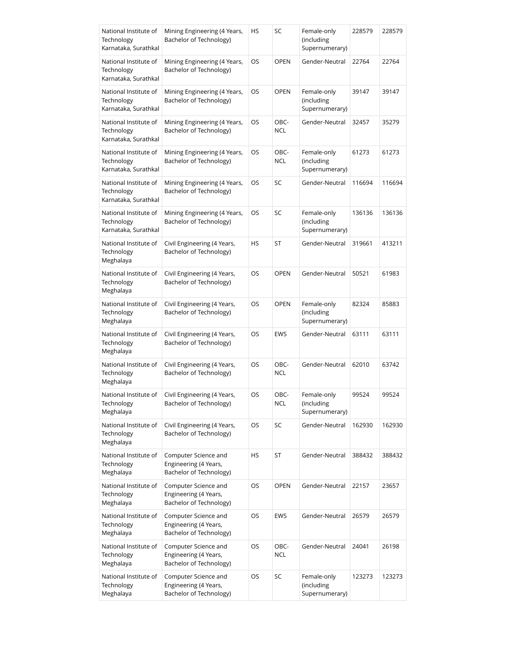| National Institute of<br>Technology<br>Karnataka, Surathkal | Mining Engineering (4 Years,<br>Bachelor of Technology)                  | HS | SC                 | Female-only<br>(including<br>Supernumerary) | 228579 | 228579 |
|-------------------------------------------------------------|--------------------------------------------------------------------------|----|--------------------|---------------------------------------------|--------|--------|
| National Institute of<br>Technology<br>Karnataka, Surathkal | Mining Engineering (4 Years,<br>Bachelor of Technology)                  | OS | <b>OPEN</b>        | Gender-Neutral                              | 22764  | 22764  |
| National Institute of<br>Technology<br>Karnataka, Surathkal | Mining Engineering (4 Years,<br>Bachelor of Technology)                  | OS | <b>OPEN</b>        | Female-only<br>(including<br>Supernumerary) | 39147  | 39147  |
| National Institute of<br>Technology<br>Karnataka, Surathkal | Mining Engineering (4 Years,<br>Bachelor of Technology)                  | OS | OBC-<br><b>NCL</b> | Gender-Neutral                              | 32457  | 35279  |
| National Institute of<br>Technology<br>Karnataka, Surathkal | Mining Engineering (4 Years,<br>Bachelor of Technology)                  | OS | OBC-<br><b>NCL</b> | Female-only<br>(including<br>Supernumerary) | 61273  | 61273  |
| National Institute of<br>Technology<br>Karnataka, Surathkal | Mining Engineering (4 Years,<br>Bachelor of Technology)                  | OS | SC                 | Gender-Neutral                              | 116694 | 116694 |
| National Institute of<br>Technology<br>Karnataka, Surathkal | Mining Engineering (4 Years,<br>Bachelor of Technology)                  | OS | SC                 | Female-only<br>(including<br>Supernumerary) | 136136 | 136136 |
| National Institute of<br>Technology<br>Meghalaya            | Civil Engineering (4 Years,<br>Bachelor of Technology)                   | HS | ST                 | Gender-Neutral                              | 319661 | 413211 |
| National Institute of<br>Technology<br>Meghalaya            | Civil Engineering (4 Years,<br>Bachelor of Technology)                   | OS | <b>OPEN</b>        | Gender-Neutral                              | 50521  | 61983  |
| National Institute of<br>Technology<br>Meghalaya            | Civil Engineering (4 Years,<br>Bachelor of Technology)                   | OS | <b>OPEN</b>        | Female-only<br>(including<br>Supernumerary) | 82324  | 85883  |
| National Institute of<br>Technology<br>Meghalaya            | Civil Engineering (4 Years,<br>Bachelor of Technology)                   | OS | <b>EWS</b>         | Gender-Neutral                              | 63111  | 63111  |
| National Institute of<br>Technology<br>Meghalaya            | Civil Engineering (4 Years,<br>Bachelor of Technology)                   | OS | OBC-<br><b>NCL</b> | Gender-Neutral                              | 62010  | 63742  |
| National Institute of<br>Technology<br>Meghalaya            | Civil Engineering (4 Years,<br>Bachelor of Technology)                   | OS | OBC-<br><b>NCL</b> | Female-only<br>(including<br>Supernumerary) | 99524  | 99524  |
| National Institute of<br>Technology<br>Meghalaya            | Civil Engineering (4 Years,<br>Bachelor of Technology)                   | OS | SC                 | Gender-Neutral                              | 162930 | 162930 |
| National Institute of<br>Technology<br>Meghalaya            | Computer Science and<br>Engineering (4 Years,<br>Bachelor of Technology) | HS | ST                 | Gender-Neutral                              | 388432 | 388432 |
| National Institute of<br>Technology<br>Meghalaya            | Computer Science and<br>Engineering (4 Years,<br>Bachelor of Technology) | OS | <b>OPEN</b>        | Gender-Neutral                              | 22157  | 23657  |
| National Institute of<br>Technology<br>Meghalaya            | Computer Science and<br>Engineering (4 Years,<br>Bachelor of Technology) | OS | <b>EWS</b>         | Gender-Neutral                              | 26579  | 26579  |
| National Institute of<br>Technology<br>Meghalaya            | Computer Science and<br>Engineering (4 Years,<br>Bachelor of Technology) | OS | OBC-<br><b>NCL</b> | Gender-Neutral                              | 24041  | 26198  |
| National Institute of<br>Technology<br>Meghalaya            | Computer Science and<br>Engineering (4 Years,<br>Bachelor of Technology) | OS | SC                 | Female-only<br>(including<br>Supernumerary) | 123273 | 123273 |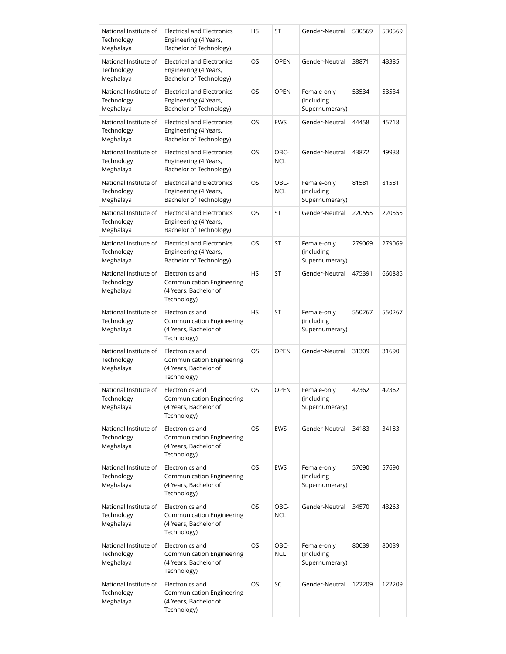| National Institute of<br>Technology<br>Meghalaya | <b>Electrical and Electronics</b><br>Engineering (4 Years,<br>Bachelor of Technology)       | HS        | ST                 | Gender-Neutral                              | 530569 | 530569 |
|--------------------------------------------------|---------------------------------------------------------------------------------------------|-----------|--------------------|---------------------------------------------|--------|--------|
| National Institute of<br>Technology<br>Meghalaya | Electrical and Electronics<br>Engineering (4 Years,<br>Bachelor of Technology)              | OS        | <b>OPEN</b>        | Gender-Neutral                              | 38871  | 43385  |
| National Institute of<br>Technology<br>Meghalaya | <b>Electrical and Electronics</b><br>Engineering (4 Years,<br>Bachelor of Technology)       | OS        | <b>OPEN</b>        | Female-only<br>(including<br>Supernumerary) | 53534  | 53534  |
| National Institute of<br>Technology<br>Meghalaya | <b>Electrical and Electronics</b><br>Engineering (4 Years,<br>Bachelor of Technology)       | OS        | EWS                | Gender-Neutral                              | 44458  | 45718  |
| National Institute of<br>Technology<br>Meghalaya | <b>Electrical and Electronics</b><br>Engineering (4 Years,<br>Bachelor of Technology)       | OS        | OBC-<br><b>NCL</b> | Gender-Neutral                              | 43872  | 49938  |
| National Institute of<br>Technology<br>Meghalaya | <b>Electrical and Electronics</b><br>Engineering (4 Years,<br>Bachelor of Technology)       | OS        | OBC-<br>NCL        | Female-only<br>(including<br>Supernumerary) | 81581  | 81581  |
| National Institute of<br>Technology<br>Meghalaya | <b>Electrical and Electronics</b><br>Engineering (4 Years,<br>Bachelor of Technology)       | OS        | ST                 | Gender-Neutral                              | 220555 | 220555 |
| National Institute of<br>Technology<br>Meghalaya | <b>Electrical and Electronics</b><br>Engineering (4 Years,<br>Bachelor of Technology)       | OS        | ST                 | Female-only<br>(including<br>Supernumerary) | 279069 | 279069 |
| National Institute of<br>Technology<br>Meghalaya | Electronics and<br><b>Communication Engineering</b><br>(4 Years, Bachelor of<br>Technology) | <b>HS</b> | ST                 | Gender-Neutral                              | 475391 | 660885 |
| National Institute of<br>Technology<br>Meghalaya | Electronics and<br><b>Communication Engineering</b><br>(4 Years, Bachelor of<br>Technology) | HS        | ST                 | Female-only<br>(including<br>Supernumerary) | 550267 | 550267 |
| National Institute of<br>Technology<br>Meghalaya | Electronics and<br>Communication Engineering<br>(4 Years, Bachelor of<br>Technology)        | OS        | <b>OPEN</b>        | Gender-Neutral                              | 31309  | 31690  |
| National Institute of<br>Technology<br>Meghalaya | Electronics and<br>Communication Engineering<br>(4 Years, Bachelor of<br>Technology)        | OS        | OPEN               | Female-only<br>(including<br>Supernumerary) | 42362  | 42362  |
| National Institute of<br>Technology<br>Meghalaya | Electronics and<br><b>Communication Engineering</b><br>(4 Years, Bachelor of<br>Technology) | OS        | EWS                | Gender-Neutral                              | 34183  | 34183  |
| National Institute of<br>Technology<br>Meghalaya | Electronics and<br><b>Communication Engineering</b><br>(4 Years, Bachelor of<br>Technology) | OS        | EWS                | Female-only<br>(including<br>Supernumerary) | 57690  | 57690  |
| National Institute of<br>Technology<br>Meghalaya | Electronics and<br><b>Communication Engineering</b><br>(4 Years, Bachelor of<br>Technology) | OS        | OBC-<br>NCL        | Gender-Neutral                              | 34570  | 43263  |
| National Institute of<br>Technology<br>Meghalaya | Electronics and<br><b>Communication Engineering</b><br>(4 Years, Bachelor of<br>Technology) | OS        | OBC-<br>NCL        | Female-only<br>(including<br>Supernumerary) | 80039  | 80039  |
| National Institute of<br>Technology<br>Meghalaya | Electronics and<br><b>Communication Engineering</b><br>(4 Years, Bachelor of<br>Technology) | OS        | SC                 | Gender-Neutral                              | 122209 | 122209 |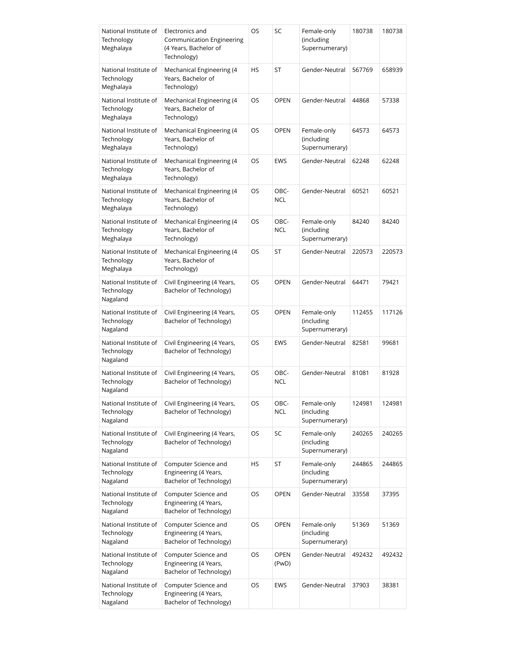| National Institute of<br>Technology<br>Meghalaya | Electronics and<br><b>Communication Engineering</b><br>(4 Years, Bachelor of<br>Technology) | OS  | SC                   | Female-only<br>(including<br>Supernumerary) | 180738 | 180738 |
|--------------------------------------------------|---------------------------------------------------------------------------------------------|-----|----------------------|---------------------------------------------|--------|--------|
| National Institute of<br>Technology<br>Meghalaya | Mechanical Engineering (4<br>Years, Bachelor of<br>Technology)                              | HS  | ST                   | Gender-Neutral                              | 567769 | 658939 |
| National Institute of<br>Technology<br>Meghalaya | Mechanical Engineering (4<br>Years, Bachelor of<br>Technology)                              | OS  | <b>OPEN</b>          | Gender-Neutral                              | 44868  | 57338  |
| National Institute of<br>Technology<br>Meghalaya | Mechanical Engineering (4<br>Years, Bachelor of<br>Technology)                              | OS  | <b>OPEN</b>          | Female-only<br>(including<br>Supernumerary) | 64573  | 64573  |
| National Institute of<br>Technology<br>Meghalaya | Mechanical Engineering (4<br>Years, Bachelor of<br>Technology)                              | OS  | <b>EWS</b>           | Gender-Neutral                              | 62248  | 62248  |
| National Institute of<br>Technology<br>Meghalaya | Mechanical Engineering (4<br>Years, Bachelor of<br>Technology)                              | OS  | OBC-<br><b>NCL</b>   | Gender-Neutral                              | 60521  | 60521  |
| National Institute of<br>Technology<br>Meghalaya | Mechanical Engineering (4<br>Years, Bachelor of<br>Technology)                              | OS  | OBC-<br><b>NCL</b>   | Female-only<br>(including<br>Supernumerary) | 84240  | 84240  |
| National Institute of<br>Technology<br>Meghalaya | Mechanical Engineering (4<br>Years, Bachelor of<br>Technology)                              | OS. | ST                   | Gender-Neutral                              | 220573 | 220573 |
| National Institute of<br>Technology<br>Nagaland  | Civil Engineering (4 Years,<br>Bachelor of Technology)                                      | OS. | <b>OPEN</b>          | Gender-Neutral                              | 64471  | 79421  |
| National Institute of<br>Technology<br>Nagaland  | Civil Engineering (4 Years,<br>Bachelor of Technology)                                      | OS  | <b>OPEN</b>          | Female-only<br>(including<br>Supernumerary) | 112455 | 117126 |
| National Institute of<br>Technology<br>Nagaland  | Civil Engineering (4 Years,<br>Bachelor of Technology)                                      | OS. | <b>EWS</b>           | Gender-Neutral                              | 82581  | 99681  |
| National Institute of<br>Technology<br>Nagaland  | Civil Engineering (4 Years,<br>Bachelor of Technology)                                      | OS  | OBC-<br><b>NCL</b>   | Gender-Neutral                              | 81081  | 81928  |
| National Institute of<br>Technology<br>Nagaland  | Civil Engineering (4 Years,<br>Bachelor of Technology)                                      | OS  | OBC-<br>NCL          | Female-only<br>(including<br>Supernumerary) | 124981 | 124981 |
| National Institute of<br>Technology<br>Nagaland  | Civil Engineering (4 Years,<br>Bachelor of Technology)                                      | OS  | SC                   | Female-only<br>(including<br>Supernumerary) | 240265 | 240265 |
| National Institute of<br>Technology<br>Nagaland  | Computer Science and<br>Engineering (4 Years,<br>Bachelor of Technology)                    | HS  | ST                   | Female-only<br>(including<br>Supernumerary) | 244865 | 244865 |
| National Institute of<br>Technology<br>Nagaland  | Computer Science and<br>Engineering (4 Years,<br>Bachelor of Technology)                    | OS  | <b>OPEN</b>          | Gender-Neutral                              | 33558  | 37395  |
| National Institute of<br>Technology<br>Nagaland  | Computer Science and<br>Engineering (4 Years,<br>Bachelor of Technology)                    | OS  | <b>OPEN</b>          | Female-only<br>(including<br>Supernumerary) | 51369  | 51369  |
| National Institute of<br>Technology<br>Nagaland  | Computer Science and<br>Engineering (4 Years,<br>Bachelor of Technology)                    | OS  | <b>OPEN</b><br>(PwD) | Gender-Neutral                              | 492432 | 492432 |
| National Institute of<br>Technology<br>Nagaland  | Computer Science and<br>Engineering (4 Years,<br>Bachelor of Technology)                    | OS  | <b>EWS</b>           | Gender-Neutral                              | 37903  | 38381  |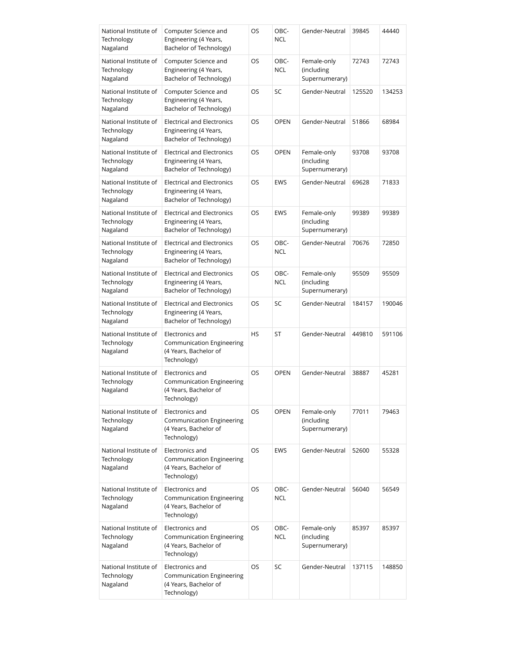| National Institute of<br>Technology<br>Nagaland | Computer Science and<br>Engineering (4 Years,<br>Bachelor of Technology)                    | OS        | OBC-<br><b>NCL</b> | Gender-Neutral                              | 39845  | 44440  |
|-------------------------------------------------|---------------------------------------------------------------------------------------------|-----------|--------------------|---------------------------------------------|--------|--------|
| National Institute of<br>Technology<br>Nagaland | Computer Science and<br>Engineering (4 Years,<br>Bachelor of Technology)                    | OS        | OBC-<br><b>NCL</b> | Female-only<br>(including<br>Supernumerary) | 72743  | 72743  |
| National Institute of<br>Technology<br>Nagaland | Computer Science and<br>Engineering (4 Years,<br>Bachelor of Technology)                    | OS        | SC                 | Gender-Neutral                              | 125520 | 134253 |
| National Institute of<br>Technology<br>Nagaland | <b>Electrical and Electronics</b><br>Engineering (4 Years,<br>Bachelor of Technology)       | OS        | <b>OPEN</b>        | Gender-Neutral                              | 51866  | 68984  |
| National Institute of<br>Technology<br>Nagaland | <b>Electrical and Electronics</b><br>Engineering (4 Years,<br>Bachelor of Technology)       | OS.       | <b>OPEN</b>        | Female-only<br>(including<br>Supernumerary) | 93708  | 93708  |
| National Institute of<br>Technology<br>Nagaland | <b>Electrical and Electronics</b><br>Engineering (4 Years,<br>Bachelor of Technology)       | OS        | <b>EWS</b>         | Gender-Neutral                              | 69628  | 71833  |
| National Institute of<br>Technology<br>Nagaland | <b>Electrical and Electronics</b><br>Engineering (4 Years,<br>Bachelor of Technology)       | <b>OS</b> | <b>EWS</b>         | Female-only<br>(including<br>Supernumerary) | 99389  | 99389  |
| National Institute of<br>Technology<br>Nagaland | <b>Electrical and Electronics</b><br>Engineering (4 Years,<br>Bachelor of Technology)       | OS        | OBC-<br><b>NCL</b> | Gender-Neutral                              | 70676  | 72850  |
| National Institute of<br>Technology<br>Nagaland | <b>Electrical and Electronics</b><br>Engineering (4 Years,<br>Bachelor of Technology)       | <b>OS</b> | OBC-<br><b>NCL</b> | Female-only<br>(including<br>Supernumerary) | 95509  | 95509  |
| National Institute of<br>Technology<br>Nagaland | <b>Electrical and Electronics</b><br>Engineering (4 Years,<br>Bachelor of Technology)       | OS        | SC                 | Gender-Neutral                              | 184157 | 190046 |
| National Institute of<br>Technology<br>Nagaland | Electronics and<br>Communication Engineering<br>(4 Years, Bachelor of<br>Technology)        | <b>HS</b> | <b>ST</b>          | Gender-Neutral                              | 449810 | 591106 |
| National Institute of<br>Technology<br>Nagaland | Electronics and<br><b>Communication Engineering</b><br>(4 Years, Bachelor of<br>Technology) | OS        | <b>OPEN</b>        | Gender-Neutral                              | 38887  | 45281  |
| National Institute of<br>Technology<br>Nagaland | Electronics and<br><b>Communication Engineering</b><br>(4 Years, Bachelor of<br>Technology) | OS        | <b>OPEN</b>        | Female-only<br>(including<br>Supernumerary) | 77011  | 79463  |
| National Institute of<br>Technology<br>Nagaland | Electronics and<br><b>Communication Engineering</b><br>(4 Years, Bachelor of<br>Technology) | OS        | <b>EWS</b>         | Gender-Neutral                              | 52600  | 55328  |
| National Institute of<br>Technology<br>Nagaland | Electronics and<br><b>Communication Engineering</b><br>(4 Years, Bachelor of<br>Technology) | OS        | OBC-<br><b>NCL</b> | Gender-Neutral                              | 56040  | 56549  |
| National Institute of<br>Technology<br>Nagaland | Electronics and<br><b>Communication Engineering</b><br>(4 Years, Bachelor of<br>Technology) | <b>OS</b> | OBC-<br><b>NCL</b> | Female-only<br>(including<br>Supernumerary) | 85397  | 85397  |
| National Institute of<br>Technology<br>Nagaland | Electronics and<br><b>Communication Engineering</b><br>(4 Years, Bachelor of<br>Technology) | OS        | SC                 | Gender-Neutral                              | 137115 | 148850 |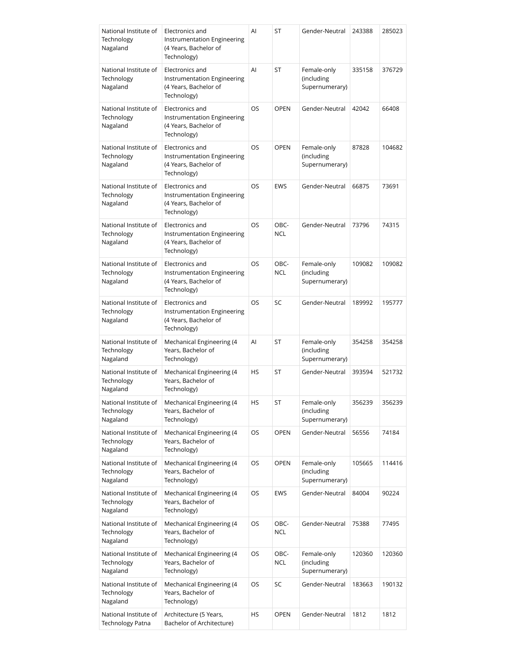| National Institute of<br>Technology<br>Nagaland | Electronics and<br>Instrumentation Engineering<br>(4 Years, Bachelor of<br>Technology) | Al        | ST                 | Gender-Neutral                              | 243388 | 285023 |
|-------------------------------------------------|----------------------------------------------------------------------------------------|-----------|--------------------|---------------------------------------------|--------|--------|
| National Institute of<br>Technology<br>Nagaland | Electronics and<br>Instrumentation Engineering<br>(4 Years, Bachelor of<br>Technology) | Al        | ST                 | Female-only<br>(including<br>Supernumerary) | 335158 | 376729 |
| National Institute of<br>Technology<br>Nagaland | Electronics and<br>Instrumentation Engineering<br>(4 Years, Bachelor of<br>Technology) | OS        | <b>OPEN</b>        | Gender-Neutral                              | 42042  | 66408  |
| National Institute of<br>Technology<br>Nagaland | Electronics and<br>Instrumentation Engineering<br>(4 Years, Bachelor of<br>Technology) | OS        | <b>OPEN</b>        | Female-only<br>(including<br>Supernumerary) | 87828  | 104682 |
| National Institute of<br>Technology<br>Nagaland | Electronics and<br>Instrumentation Engineering<br>(4 Years, Bachelor of<br>Technology) | OS        | <b>EWS</b>         | Gender-Neutral                              | 66875  | 73691  |
| National Institute of<br>Technology<br>Nagaland | Electronics and<br>Instrumentation Engineering<br>(4 Years, Bachelor of<br>Technology) | <b>OS</b> | OBC-<br><b>NCL</b> | Gender-Neutral                              | 73796  | 74315  |
| National Institute of<br>Technology<br>Nagaland | Electronics and<br>Instrumentation Engineering<br>(4 Years, Bachelor of<br>Technology) | OS        | OBC-<br><b>NCL</b> | Female-only<br>(including<br>Supernumerary) | 109082 | 109082 |
| National Institute of<br>Technology<br>Nagaland | Electronics and<br>Instrumentation Engineering<br>(4 Years, Bachelor of<br>Technology) | OS        | SC                 | Gender-Neutral                              | 189992 | 195777 |
| National Institute of<br>Technology<br>Nagaland | Mechanical Engineering (4<br>Years, Bachelor of<br>Technology)                         | AI        | ST                 | Female-only<br>(including<br>Supernumerary) | 354258 | 354258 |
| National Institute of<br>Technology<br>Nagaland | Mechanical Engineering (4<br>Years, Bachelor of<br>Technology)                         | HS        | ST                 | Gender-Neutral                              | 393594 | 521732 |
| National Institute of<br>Technology<br>Nagaland | Mechanical Engineering (4<br>Years, Bachelor of<br>Technology)                         | HS        | ST                 | Female-only<br>(including<br>Supernumerary) | 356239 | 356239 |
| National Institute of<br>Technology<br>Nagaland | Mechanical Engineering (4<br>Years, Bachelor of<br>Technology)                         | OS        | <b>OPEN</b>        | Gender-Neutral                              | 56556  | 74184  |
| National Institute of<br>Technology<br>Nagaland | Mechanical Engineering (4<br>Years, Bachelor of<br>Technology)                         | OS        | <b>OPEN</b>        | Female-only<br>(including<br>Supernumerary) | 105665 | 114416 |
| National Institute of<br>Technology<br>Nagaland | Mechanical Engineering (4<br>Years, Bachelor of<br>Technology)                         | OS        | <b>EWS</b>         | Gender-Neutral                              | 84004  | 90224  |
| National Institute of<br>Technology<br>Nagaland | Mechanical Engineering (4<br>Years, Bachelor of<br>Technology)                         | OS        | OBC-<br><b>NCL</b> | Gender-Neutral                              | 75388  | 77495  |
| National Institute of<br>Technology<br>Nagaland | Mechanical Engineering (4<br>Years, Bachelor of<br>Technology)                         | OS        | OBC-<br><b>NCL</b> | Female-only<br>(including<br>Supernumerary) | 120360 | 120360 |
| National Institute of<br>Technology<br>Nagaland | Mechanical Engineering (4<br>Years, Bachelor of<br>Technology)                         | OS        | SC                 | Gender-Neutral                              | 183663 | 190132 |
| National Institute of<br>Technology Patna       | Architecture (5 Years,<br>Bachelor of Architecture)                                    | HS        | <b>OPEN</b>        | Gender-Neutral                              | 1812   | 1812   |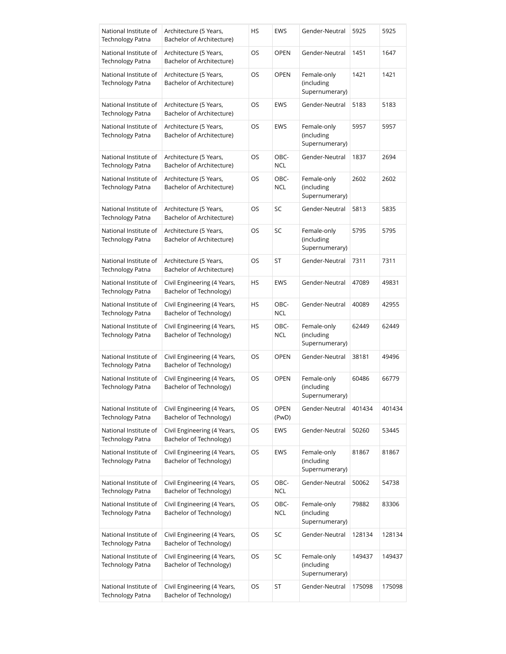| National Institute of<br>Technology Patna        | Architecture (5 Years,<br>Bachelor of Architecture)    | HS | <b>EWS</b>           | Gender-Neutral                              | 5925   | 5925   |
|--------------------------------------------------|--------------------------------------------------------|----|----------------------|---------------------------------------------|--------|--------|
| National Institute of<br>Technology Patna        | Architecture (5 Years,<br>Bachelor of Architecture)    | OS | <b>OPEN</b>          | Gender-Neutral                              | 1451   | 1647   |
| National Institute of<br>Technology Patna        | Architecture (5 Years,<br>Bachelor of Architecture)    | OS | OPEN                 | Female-only<br>(including<br>Supernumerary) | 1421   | 1421   |
| National Institute of<br><b>Technology Patna</b> | Architecture (5 Years,<br>Bachelor of Architecture)    | OS | <b>EWS</b>           | Gender-Neutral                              | 5183   | 5183   |
| National Institute of<br>Technology Patna        | Architecture (5 Years,<br>Bachelor of Architecture)    | OS | <b>EWS</b>           | Female-only<br>(including<br>Supernumerary) | 5957   | 5957   |
| National Institute of<br>Technology Patna        | Architecture (5 Years,<br>Bachelor of Architecture)    | OS | OBC-<br><b>NCL</b>   | Gender-Neutral                              | 1837   | 2694   |
| National Institute of<br>Technology Patna        | Architecture (5 Years,<br>Bachelor of Architecture)    | OS | OBC-<br><b>NCL</b>   | Female-only<br>(including<br>Supernumerary) | 2602   | 2602   |
| National Institute of<br>Technology Patna        | Architecture (5 Years,<br>Bachelor of Architecture)    | OS | SC                   | Gender-Neutral                              | 5813   | 5835   |
| National Institute of<br>Technology Patna        | Architecture (5 Years,<br>Bachelor of Architecture)    | OS | SC                   | Female-only<br>(including<br>Supernumerary) | 5795   | 5795   |
| National Institute of<br><b>Technology Patna</b> | Architecture (5 Years,<br>Bachelor of Architecture)    | OS | ST                   | Gender-Neutral                              | 7311   | 7311   |
| National Institute of<br>Technology Patna        | Civil Engineering (4 Years,<br>Bachelor of Technology) | HS | <b>EWS</b>           | Gender-Neutral                              | 47089  | 49831  |
| National Institute of<br>Technology Patna        | Civil Engineering (4 Years,<br>Bachelor of Technology) | HS | OBC-<br><b>NCL</b>   | Gender-Neutral                              | 40089  | 42955  |
| National Institute of<br>Technology Patna        | Civil Engineering (4 Years,<br>Bachelor of Technology) | HS | OBC-<br><b>NCL</b>   | Female-only<br>(including<br>Supernumerary) | 62449  | 62449  |
| National Institute of<br>Technology Patna        | Civil Engineering (4 Years,<br>Bachelor of Technology) | OS | <b>OPEN</b>          | Gender-Neutral                              | 38181  | 49496  |
| National Institute of<br>Technology Patna        | Civil Engineering (4 Years,<br>Bachelor of Technology) | OS | <b>OPEN</b>          | Female-only<br>(including<br>Supernumerary) | 60486  | 66779  |
| National Institute of<br><b>Technology Patna</b> | Civil Engineering (4 Years,<br>Bachelor of Technology) | OS | <b>OPEN</b><br>(PwD) | Gender-Neutral                              | 401434 | 401434 |
| National Institute of<br>Technology Patna        | Civil Engineering (4 Years,<br>Bachelor of Technology) | OS | EWS                  | Gender-Neutral                              | 50260  | 53445  |
| National Institute of<br>Technology Patna        | Civil Engineering (4 Years,<br>Bachelor of Technology) | OS | EWS                  | Female-only<br>(including<br>Supernumerary) | 81867  | 81867  |
| National Institute of<br>Technology Patna        | Civil Engineering (4 Years,<br>Bachelor of Technology) | OS | OBC-<br><b>NCL</b>   | Gender-Neutral                              | 50062  | 54738  |
| National Institute of<br>Technology Patna        | Civil Engineering (4 Years,<br>Bachelor of Technology) | OS | OBC-<br><b>NCL</b>   | Female-only<br>(including<br>Supernumerary) | 79882  | 83306  |
| National Institute of<br>Technology Patna        | Civil Engineering (4 Years,<br>Bachelor of Technology) | OS | SC                   | Gender-Neutral                              | 128134 | 128134 |
| National Institute of<br>Technology Patna        | Civil Engineering (4 Years,<br>Bachelor of Technology) | OS | SC                   | Female-only<br>(including<br>Supernumerary) | 149437 | 149437 |
| National Institute of<br>Technology Patna        | Civil Engineering (4 Years,<br>Bachelor of Technology) | OS | ST                   | Gender-Neutral                              | 175098 | 175098 |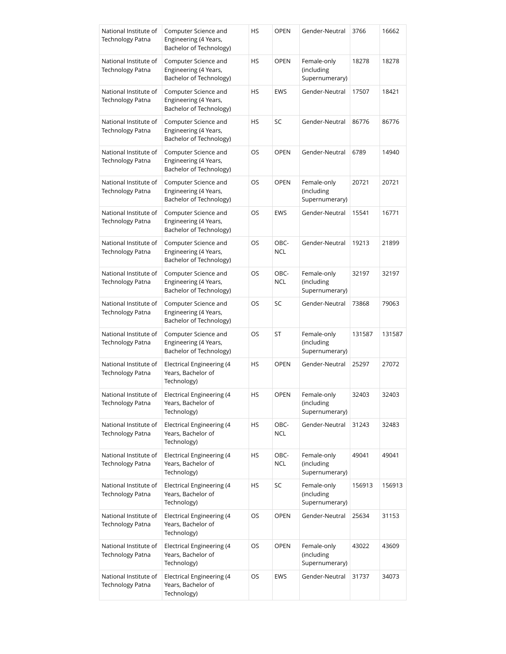| National Institute of<br>Technology Patna        | Computer Science and<br>Engineering (4 Years,<br>Bachelor of Technology) | HS | <b>OPEN</b>        | Gender-Neutral                              | 3766   | 16662  |
|--------------------------------------------------|--------------------------------------------------------------------------|----|--------------------|---------------------------------------------|--------|--------|
| National Institute of<br><b>Technology Patna</b> | Computer Science and<br>Engineering (4 Years,<br>Bachelor of Technology) | HS | <b>OPEN</b>        | Female-only<br>(including<br>Supernumerary) | 18278  | 18278  |
| National Institute of<br><b>Technology Patna</b> | Computer Science and<br>Engineering (4 Years,<br>Bachelor of Technology) | HS | <b>EWS</b>         | Gender-Neutral                              | 17507  | 18421  |
| National Institute of<br><b>Technology Patna</b> | Computer Science and<br>Engineering (4 Years,<br>Bachelor of Technology) | HS | SC                 | Gender-Neutral                              | 86776  | 86776  |
| National Institute of<br><b>Technology Patna</b> | Computer Science and<br>Engineering (4 Years,<br>Bachelor of Technology) | OS | <b>OPEN</b>        | Gender-Neutral                              | 6789   | 14940  |
| National Institute of<br><b>Technology Patna</b> | Computer Science and<br>Engineering (4 Years,<br>Bachelor of Technology) | OS | <b>OPEN</b>        | Female-only<br>(including<br>Supernumerary) | 20721  | 20721  |
| National Institute of<br>Technology Patna        | Computer Science and<br>Engineering (4 Years,<br>Bachelor of Technology) | OS | <b>EWS</b>         | Gender-Neutral                              | 15541  | 16771  |
| National Institute of<br><b>Technology Patna</b> | Computer Science and<br>Engineering (4 Years,<br>Bachelor of Technology) | OS | OBC-<br><b>NCL</b> | Gender-Neutral                              | 19213  | 21899  |
| National Institute of<br>Technology Patna        | Computer Science and<br>Engineering (4 Years,<br>Bachelor of Technology) | OS | OBC-<br><b>NCL</b> | Female-only<br>(including<br>Supernumerary) | 32197  | 32197  |
| National Institute of<br>Technology Patna        | Computer Science and<br>Engineering (4 Years,<br>Bachelor of Technology) | OS | SC                 | Gender-Neutral                              | 73868  | 79063  |
| National Institute of<br><b>Technology Patna</b> | Computer Science and<br>Engineering (4 Years,<br>Bachelor of Technology) | OS | ST                 | Female-only<br>(including<br>Supernumerary) | 131587 | 131587 |
| National Institute of<br>Technology Patna        | Electrical Engineering (4<br>Years, Bachelor of<br>Technology)           | HS | <b>OPEN</b>        | Gender-Neutral                              | 25297  | 27072  |
| National Institute of<br>Technology Patna        | Electrical Engineering (4<br>Years, Bachelor of<br>Technology)           | HS | OPEN               | Female-only<br>(including<br>Supernumerary) | 32403  | 32403  |
| National Institute of<br><b>Technology Patna</b> | Electrical Engineering (4<br>Years, Bachelor of<br>Technology)           | HS | OBC-<br><b>NCL</b> | Gender-Neutral                              | 31243  | 32483  |
| National Institute of<br>Technology Patna        | Electrical Engineering (4<br>Years, Bachelor of<br>Technology)           | HS | OBC-<br><b>NCL</b> | Female-only<br>(including<br>Supernumerary) | 49041  | 49041  |
| National Institute of<br>Technology Patna        | Electrical Engineering (4<br>Years, Bachelor of<br>Technology)           | HS | SC                 | Female-only<br>(including<br>Supernumerary) | 156913 | 156913 |
| National Institute of<br>Technology Patna        | Electrical Engineering (4<br>Years, Bachelor of<br>Technology)           | OS | <b>OPEN</b>        | Gender-Neutral                              | 25634  | 31153  |
| National Institute of<br>Technology Patna        | Electrical Engineering (4<br>Years, Bachelor of<br>Technology)           | OS | <b>OPEN</b>        | Female-only<br>(including<br>Supernumerary) | 43022  | 43609  |
| National Institute of<br>Technology Patna        | Electrical Engineering (4<br>Years, Bachelor of<br>Technology)           | OS | <b>EWS</b>         | Gender-Neutral                              | 31737  | 34073  |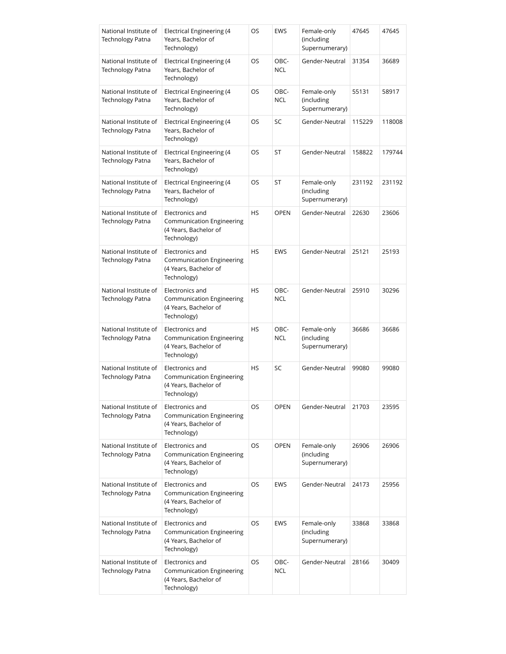| National Institute of<br><b>Technology Patna</b> | Electrical Engineering (4<br>Years, Bachelor of<br>Technology)                              | OS        | <b>EWS</b>         | Female-only<br>(including<br>Supernumerary) | 47645  | 47645  |
|--------------------------------------------------|---------------------------------------------------------------------------------------------|-----------|--------------------|---------------------------------------------|--------|--------|
| National Institute of<br><b>Technology Patna</b> | Electrical Engineering (4<br>Years, Bachelor of<br>Technology)                              | OS        | OBC-<br><b>NCL</b> | Gender-Neutral                              | 31354  | 36689  |
| National Institute of<br><b>Technology Patna</b> | Electrical Engineering (4<br>Years, Bachelor of<br>Technology)                              | OS        | OBC-<br><b>NCL</b> | Female-only<br>(including<br>Supernumerary) | 55131  | 58917  |
| National Institute of<br><b>Technology Patna</b> | Electrical Engineering (4<br>Years, Bachelor of<br>Technology)                              | OS        | SC                 | Gender-Neutral                              | 115229 | 118008 |
| National Institute of<br><b>Technology Patna</b> | Electrical Engineering (4<br>Years, Bachelor of<br>Technology)                              | OS.       | ST                 | Gender-Neutral                              | 158822 | 179744 |
| National Institute of<br><b>Technology Patna</b> | Electrical Engineering (4<br>Years, Bachelor of<br>Technology)                              | OS        | ST                 | Female-only<br>(including<br>Supernumerary) | 231192 | 231192 |
| National Institute of<br><b>Technology Patna</b> | Electronics and<br>Communication Engineering<br>(4 Years, Bachelor of<br>Technology)        | <b>HS</b> | <b>OPEN</b>        | Gender-Neutral                              | 22630  | 23606  |
| National Institute of<br>Technology Patna        | Electronics and<br>Communication Engineering<br>(4 Years, Bachelor of<br>Technology)        | <b>HS</b> | <b>EWS</b>         | Gender-Neutral                              | 25121  | 25193  |
| National Institute of<br>Technology Patna        | Electronics and<br>Communication Engineering<br>(4 Years, Bachelor of<br>Technology)        | <b>HS</b> | OBC-<br><b>NCL</b> | Gender-Neutral                              | 25910  | 30296  |
| National Institute of<br><b>Technology Patna</b> | Electronics and<br>Communication Engineering<br>(4 Years, Bachelor of<br>Technology)        | <b>HS</b> | OBC-<br><b>NCL</b> | Female-only<br>(including<br>Supernumerary) | 36686  | 36686  |
| National Institute of<br><b>Technology Patna</b> | Electronics and<br>Communication Engineering<br>(4 Years, Bachelor of<br>Technology)        | <b>HS</b> | SC                 | Gender-Neutral                              | 99080  | 99080  |
| National Institute of<br>Technology Patna        | Electronics and<br>Communication Engineering<br>(4 Years, Bachelor of<br>Technology)        | OS        | <b>OPEN</b>        | Gender-Neutral                              | 21703  | 23595  |
| National Institute of<br>Technology Patna        | Electronics and<br><b>Communication Engineering</b><br>(4 Years, Bachelor of<br>Technology) | OS        | <b>OPEN</b>        | Female-only<br>(including<br>Supernumerary) | 26906  | 26906  |
| National Institute of<br>Technology Patna        | Electronics and<br>Communication Engineering<br>(4 Years, Bachelor of<br>Technology)        | OS        | EWS                | Gender-Neutral                              | 24173  | 25956  |
| National Institute of<br>Technology Patna        | Electronics and<br>Communication Engineering<br>(4 Years, Bachelor of<br>Technology)        | OS.       | <b>EWS</b>         | Female-only<br>(including<br>Supernumerary) | 33868  | 33868  |
| National Institute of<br>Technology Patna        | Electronics and<br><b>Communication Engineering</b><br>(4 Years, Bachelor of<br>Technology) | OS        | OBC-<br>NCL        | Gender-Neutral                              | 28166  | 30409  |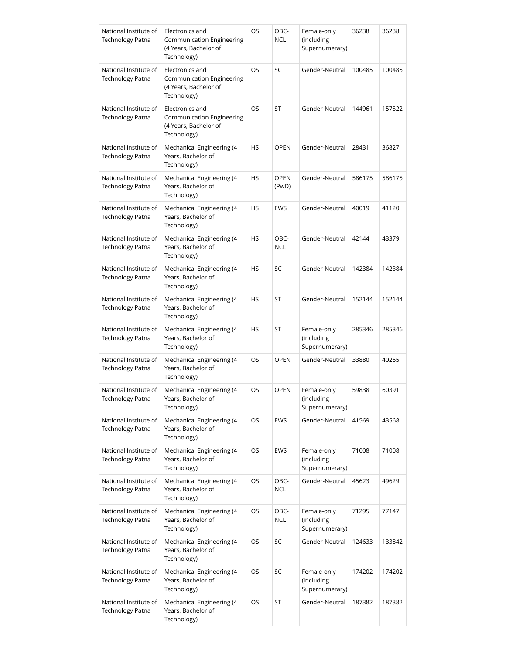| National Institute of<br><b>Technology Patna</b> | Electronics and<br>Communication Engineering<br>(4 Years, Bachelor of<br>Technology) | OS        | OBC-<br><b>NCL</b>   | Female-only<br>(including<br>Supernumerary) | 36238  | 36238  |
|--------------------------------------------------|--------------------------------------------------------------------------------------|-----------|----------------------|---------------------------------------------|--------|--------|
| National Institute of<br><b>Technology Patna</b> | Electronics and<br>Communication Engineering<br>(4 Years, Bachelor of<br>Technology) | OS.       | SC                   | Gender-Neutral                              | 100485 | 100485 |
| National Institute of<br><b>Technology Patna</b> | Electronics and<br>Communication Engineering<br>(4 Years, Bachelor of<br>Technology) | OS        | ST                   | Gender-Neutral                              | 144961 | 157522 |
| National Institute of<br>Technology Patna        | Mechanical Engineering (4<br>Years, Bachelor of<br>Technology)                       | HS        | <b>OPEN</b>          | Gender-Neutral                              | 28431  | 36827  |
| National Institute of<br>Technology Patna        | Mechanical Engineering (4<br>Years, Bachelor of<br>Technology)                       | HS        | <b>OPEN</b><br>(PwD) | Gender-Neutral                              | 586175 | 586175 |
| National Institute of<br>Technology Patna        | Mechanical Engineering (4<br>Years, Bachelor of<br>Technology)                       | HS        | EWS                  | Gender-Neutral                              | 40019  | 41120  |
| National Institute of<br><b>Technology Patna</b> | Mechanical Engineering (4<br>Years, Bachelor of<br>Technology)                       | HS        | OBC-<br><b>NCL</b>   | Gender-Neutral                              | 42144  | 43379  |
| National Institute of<br><b>Technology Patna</b> | Mechanical Engineering (4<br>Years, Bachelor of<br>Technology)                       | HS        | SC                   | Gender-Neutral                              | 142384 | 142384 |
| National Institute of<br><b>Technology Patna</b> | Mechanical Engineering (4<br>Years, Bachelor of<br>Technology)                       | <b>HS</b> | ST                   | Gender-Neutral                              | 152144 | 152144 |
| National Institute of<br><b>Technology Patna</b> | Mechanical Engineering (4<br>Years, Bachelor of<br>Technology)                       | HS        | ST                   | Female-only<br>(including<br>Supernumerary) | 285346 | 285346 |
| National Institute of<br>Technology Patna        | Mechanical Engineering (4<br>Years, Bachelor of<br>Technology)                       | OS        | <b>OPEN</b>          | Gender-Neutral                              | 33880  | 40265  |
| National Institute of<br>Technology Patna        | Mechanical Engineering (4<br>Years, Bachelor of<br>Technology)                       | OS        | <b>OPEN</b>          | Female-only<br>(including<br>Supernumerary) | 59838  | 60391  |
| National Institute of<br>Technology Patna        | Mechanical Engineering (4<br>Years, Bachelor of<br>Technology)                       | OS        | <b>EWS</b>           | Gender-Neutral                              | 41569  | 43568  |
| National Institute of<br>Technology Patna        | Mechanical Engineering (4<br>Years, Bachelor of<br>Technology)                       | OS        | <b>EWS</b>           | Female-only<br>(including<br>Supernumerary) | 71008  | 71008  |
| National Institute of<br>Technology Patna        | Mechanical Engineering (4<br>Years, Bachelor of<br>Technology)                       | OS        | OBC-<br><b>NCL</b>   | Gender-Neutral                              | 45623  | 49629  |
| National Institute of<br>Technology Patna        | Mechanical Engineering (4<br>Years, Bachelor of<br>Technology)                       | OS        | OBC-<br><b>NCL</b>   | Female-only<br>(including<br>Supernumerary) | 71295  | 77147  |
| National Institute of<br>Technology Patna        | Mechanical Engineering (4<br>Years, Bachelor of<br>Technology)                       | OS        | SC                   | Gender-Neutral                              | 124633 | 133842 |
| National Institute of<br>Technology Patna        | Mechanical Engineering (4<br>Years, Bachelor of<br>Technology)                       | OS        | SC                   | Female-only<br>(including<br>Supernumerary) | 174202 | 174202 |
| National Institute of<br>Technology Patna        | Mechanical Engineering (4<br>Years, Bachelor of<br>Technology)                       | OS        | ST                   | Gender-Neutral                              | 187382 | 187382 |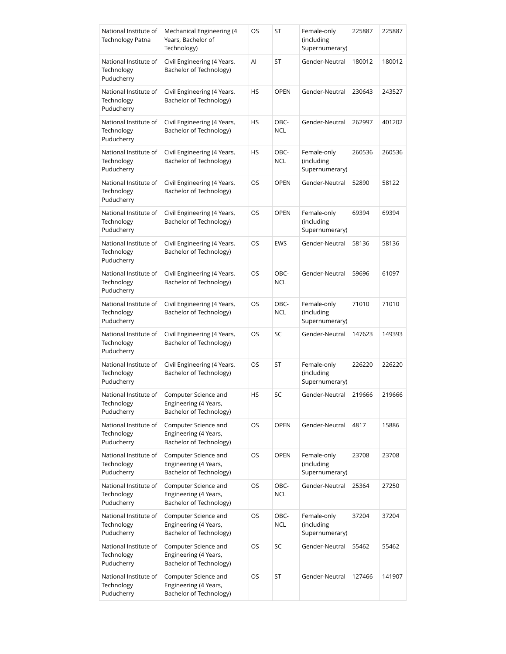| National Institute of<br><b>Technology Patna</b>  | Mechanical Engineering (4<br>Years, Bachelor of<br>Technology)           | OS | ST                 | Female-only<br>(including<br>Supernumerary) | 225887 | 225887 |
|---------------------------------------------------|--------------------------------------------------------------------------|----|--------------------|---------------------------------------------|--------|--------|
| National Institute of<br>Technology<br>Puducherry | Civil Engineering (4 Years,<br>Bachelor of Technology)                   | Al | ST                 | Gender-Neutral                              | 180012 | 180012 |
| National Institute of<br>Technology<br>Puducherry | Civil Engineering (4 Years,<br>Bachelor of Technology)                   | HS | <b>OPEN</b>        | Gender-Neutral                              | 230643 | 243527 |
| National Institute of<br>Technology<br>Puducherry | Civil Engineering (4 Years,<br>Bachelor of Technology)                   | HS | OBC-<br><b>NCL</b> | Gender-Neutral                              | 262997 | 401202 |
| National Institute of<br>Technology<br>Puducherry | Civil Engineering (4 Years,<br>Bachelor of Technology)                   | HS | OBC-<br><b>NCL</b> | Female-only<br>(including<br>Supernumerary) | 260536 | 260536 |
| National Institute of<br>Technology<br>Puducherry | Civil Engineering (4 Years,<br>Bachelor of Technology)                   | OS | <b>OPEN</b>        | Gender-Neutral                              | 52890  | 58122  |
| National Institute of<br>Technology<br>Puducherry | Civil Engineering (4 Years,<br>Bachelor of Technology)                   | OS | <b>OPEN</b>        | Female-only<br>(including<br>Supernumerary) | 69394  | 69394  |
| National Institute of<br>Technology<br>Puducherry | Civil Engineering (4 Years,<br>Bachelor of Technology)                   | OS | <b>EWS</b>         | Gender-Neutral                              | 58136  | 58136  |
| National Institute of<br>Technology<br>Puducherry | Civil Engineering (4 Years,<br>Bachelor of Technology)                   | OS | OBC-<br><b>NCL</b> | Gender-Neutral                              | 59696  | 61097  |
| National Institute of<br>Technology<br>Puducherry | Civil Engineering (4 Years,<br>Bachelor of Technology)                   | OS | OBC-<br><b>NCL</b> | Female-only<br>(including<br>Supernumerary) | 71010  | 71010  |
| National Institute of<br>Technology<br>Puducherry | Civil Engineering (4 Years,<br>Bachelor of Technology)                   | OS | SC                 | Gender-Neutral                              | 147623 | 149393 |
| National Institute of<br>Technology<br>Puducherry | Civil Engineering (4 Years,<br>Bachelor of Technology)                   | OS | ST                 | Female-only<br>(including<br>Supernumerary) | 226220 | 226220 |
| National Institute of<br>Technology<br>Puducherry | Computer Science and<br>Engineering (4 Years,<br>Bachelor of Technology) | HS | SC                 | Gender-Neutral                              | 219666 | 219666 |
| National Institute of<br>Technology<br>Puducherry | Computer Science and<br>Engineering (4 Years,<br>Bachelor of Technology) | OS | <b>OPEN</b>        | Gender-Neutral                              | 4817   | 15886  |
| National Institute of<br>Technology<br>Puducherry | Computer Science and<br>Engineering (4 Years,<br>Bachelor of Technology) | OS | <b>OPEN</b>        | Female-only<br>(including<br>Supernumerary) | 23708  | 23708  |
| National Institute of<br>Technology<br>Puducherry | Computer Science and<br>Engineering (4 Years,<br>Bachelor of Technology) | OS | OBC-<br><b>NCL</b> | Gender-Neutral                              | 25364  | 27250  |
| National Institute of<br>Technology<br>Puducherry | Computer Science and<br>Engineering (4 Years,<br>Bachelor of Technology) | OS | OBC-<br><b>NCL</b> | Female-only<br>(including<br>Supernumerary) | 37204  | 37204  |
| National Institute of<br>Technology<br>Puducherry | Computer Science and<br>Engineering (4 Years,<br>Bachelor of Technology) | OS | SC                 | Gender-Neutral                              | 55462  | 55462  |
| National Institute of<br>Technology<br>Puducherry | Computer Science and<br>Engineering (4 Years,<br>Bachelor of Technology) | OS | ST                 | Gender-Neutral                              | 127466 | 141907 |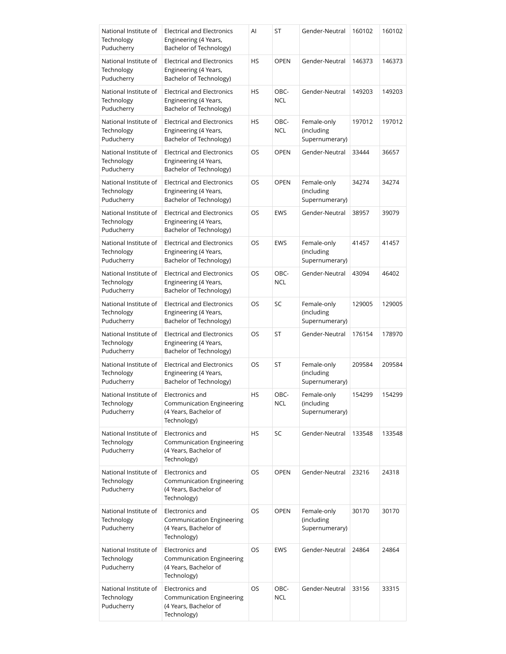| National Institute of<br>Technology<br>Puducherry | <b>Electrical and Electronics</b><br>Engineering (4 Years,<br>Bachelor of Technology) | Al        | ST                 | Gender-Neutral                              | 160102 | 160102 |
|---------------------------------------------------|---------------------------------------------------------------------------------------|-----------|--------------------|---------------------------------------------|--------|--------|
| National Institute of<br>Technology<br>Puducherry | <b>Electrical and Electronics</b><br>Engineering (4 Years,<br>Bachelor of Technology) | HS        | <b>OPEN</b>        | Gender-Neutral                              | 146373 | 146373 |
| National Institute of<br>Technology<br>Puducherry | <b>Electrical and Electronics</b><br>Engineering (4 Years,<br>Bachelor of Technology) | HS        | OBC-<br><b>NCL</b> | Gender-Neutral                              | 149203 | 149203 |
| National Institute of<br>Technology<br>Puducherry | <b>Electrical and Electronics</b><br>Engineering (4 Years,<br>Bachelor of Technology) | HS        | OBC-<br>NCL        | Female-only<br>(including<br>Supernumerary) | 197012 | 197012 |
| National Institute of<br>Technology<br>Puducherry | <b>Electrical and Electronics</b><br>Engineering (4 Years,<br>Bachelor of Technology) | OS        | <b>OPEN</b>        | Gender-Neutral                              | 33444  | 36657  |
| National Institute of<br>Technology<br>Puducherry | <b>Electrical and Electronics</b><br>Engineering (4 Years,<br>Bachelor of Technology) | OS        | <b>OPEN</b>        | Female-only<br>(including<br>Supernumerary) | 34274  | 34274  |
| National Institute of<br>Technology<br>Puducherry | <b>Electrical and Electronics</b><br>Engineering (4 Years,<br>Bachelor of Technology) | OS        | <b>EWS</b>         | Gender-Neutral                              | 38957  | 39079  |
| National Institute of<br>Technology<br>Puducherry | <b>Electrical and Electronics</b><br>Engineering (4 Years,<br>Bachelor of Technology) | OS        | <b>EWS</b>         | Female-only<br>(including<br>Supernumerary) | 41457  | 41457  |
| National Institute of<br>Technology<br>Puducherry | <b>Electrical and Electronics</b><br>Engineering (4 Years,<br>Bachelor of Technology) | OS        | OBC-<br><b>NCL</b> | Gender-Neutral                              | 43094  | 46402  |
| National Institute of<br>Technology<br>Puducherry | <b>Electrical and Electronics</b><br>Engineering (4 Years,<br>Bachelor of Technology) | OS        | SC                 | Female-only<br>(including<br>Supernumerary) | 129005 | 129005 |
| National Institute of<br>Technology<br>Puducherry | <b>Electrical and Electronics</b><br>Engineering (4 Years,<br>Bachelor of Technology) | OS        | <b>ST</b>          | Gender-Neutral                              | 176154 | 178970 |
| National Institute of<br>Technology<br>Puducherry | <b>Electrical and Electronics</b><br>Engineering (4 Years,<br>Bachelor of Technology) | OS        | ST                 | Female-only<br>(including<br>Supernumerary) | 209584 | 209584 |
| National Institute of<br>Technology<br>Puducherry | Electronics and<br>Communication Engineering<br>(4 Years, Bachelor of<br>Technology)  | <b>HS</b> | OBC-<br>NCL        | Female-only<br>(including<br>Supernumerary) | 154299 | 154299 |
| National Institute of<br>Technology<br>Puducherry | Electronics and<br>Communication Engineering<br>(4 Years, Bachelor of<br>Technology)  | HS        | SC                 | Gender-Neutral                              | 133548 | 133548 |
| National Institute of<br>Technology<br>Puducherry | Electronics and<br>Communication Engineering<br>(4 Years, Bachelor of<br>Technology)  | OS        | <b>OPEN</b>        | Gender-Neutral                              | 23216  | 24318  |
| National Institute of<br>Technology<br>Puducherry | Electronics and<br>Communication Engineering<br>(4 Years, Bachelor of<br>Technology)  | OS        | <b>OPEN</b>        | Female-only<br>(including<br>Supernumerary) | 30170  | 30170  |
| National Institute of<br>Technology<br>Puducherry | Electronics and<br>Communication Engineering<br>(4 Years, Bachelor of<br>Technology)  | OS        | EWS                | Gender-Neutral                              | 24864  | 24864  |
| National Institute of<br>Technology<br>Puducherry | Electronics and<br>Communication Engineering<br>(4 Years, Bachelor of<br>Technology)  | OS        | OBC-<br><b>NCL</b> | Gender-Neutral                              | 33156  | 33315  |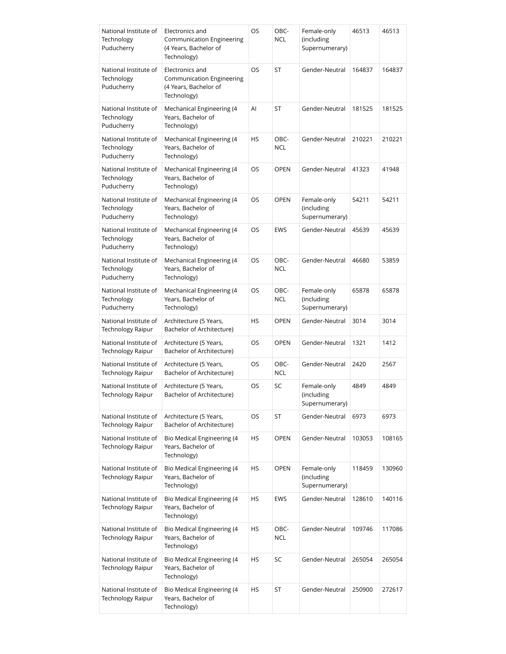| National Institute of<br>Technology<br>Puducherry | Electronics and<br>Communication Engineering<br>(4 Years, Bachelor of<br>Technology)        | OS        | OBC-<br><b>NCL</b> | Female-only<br>(including<br>Supernumerary) | 46513  | 46513  |
|---------------------------------------------------|---------------------------------------------------------------------------------------------|-----------|--------------------|---------------------------------------------|--------|--------|
| National Institute of<br>Technology<br>Puducherry | Electronics and<br><b>Communication Engineering</b><br>(4 Years, Bachelor of<br>Technology) | OS.       | ST                 | Gender-Neutral                              | 164837 | 164837 |
| National Institute of<br>Technology<br>Puducherry | Mechanical Engineering (4<br>Years, Bachelor of<br>Technology)                              | Al        | ST                 | Gender-Neutral                              | 181525 | 181525 |
| National Institute of<br>Technology<br>Puducherry | Mechanical Engineering (4<br>Years, Bachelor of<br>Technology)                              | HS        | OBC-<br><b>NCL</b> | Gender-Neutral                              | 210221 | 210221 |
| National Institute of<br>Technology<br>Puducherry | Mechanical Engineering (4<br>Years, Bachelor of<br>Technology)                              | OS        | <b>OPEN</b>        | Gender-Neutral                              | 41323  | 41948  |
| National Institute of<br>Technology<br>Puducherry | Mechanical Engineering (4<br>Years, Bachelor of<br>Technology)                              | OS.       | <b>OPEN</b>        | Female-only<br>(including<br>Supernumerary) | 54211  | 54211  |
| National Institute of<br>Technology<br>Puducherry | Mechanical Engineering (4<br>Years, Bachelor of<br>Technology)                              | OS        | <b>EWS</b>         | Gender-Neutral                              | 45639  | 45639  |
| National Institute of<br>Technology<br>Puducherry | Mechanical Engineering (4<br>Years, Bachelor of<br>Technology)                              | OS        | OBC-<br><b>NCL</b> | Gender-Neutral                              | 46680  | 53859  |
| National Institute of<br>Technology<br>Puducherry | Mechanical Engineering (4<br>Years, Bachelor of<br>Technology)                              | OS        | OBC-<br><b>NCL</b> | Female-only<br>(including<br>Supernumerary) | 65878  | 65878  |
| National Institute of<br><b>Technology Raipur</b> | Architecture (5 Years,<br>Bachelor of Architecture)                                         | <b>HS</b> | <b>OPEN</b>        | Gender-Neutral                              | 3014   | 3014   |
| National Institute of<br><b>Technology Raipur</b> | Architecture (5 Years,<br>Bachelor of Architecture)                                         | OS        | <b>OPEN</b>        | Gender-Neutral                              | 1321   | 1412   |
| National Institute of<br><b>Technology Raipur</b> | Architecture (5 Years,<br>Bachelor of Architecture)                                         | OS        | OBC-<br><b>NCL</b> | Gender-Neutral                              | 2420   | 2567   |
| National Institute of<br>Technology Raipur        | Architecture (5 Years,<br>Bachelor of Architecture)                                         | OS        | SC                 | Female-only<br>(including<br>Supernumerary) | 4849   | 4849   |
| National Institute of<br>Technology Raipur        | Architecture (5 Years,<br>Bachelor of Architecture)                                         | OS        | ST                 | Gender-Neutral                              | 6973   | 6973   |
| National Institute of<br>Technology Raipur        | Bio Medical Engineering (4<br>Years, Bachelor of<br>Technology)                             | HS        | <b>OPEN</b>        | Gender-Neutral                              | 103053 | 108165 |
| National Institute of<br>Technology Raipur        | Bio Medical Engineering (4<br>Years, Bachelor of<br>Technology)                             | HS        | OPEN               | Female-only<br>(including<br>Supernumerary) | 118459 | 130960 |
| National Institute of<br>Technology Raipur        | Bio Medical Engineering (4<br>Years, Bachelor of<br>Technology)                             | HS        | <b>EWS</b>         | Gender-Neutral                              | 128610 | 140116 |
| National Institute of<br>Technology Raipur        | Bio Medical Engineering (4<br>Years, Bachelor of<br>Technology)                             | HS        | OBC-<br><b>NCL</b> | Gender-Neutral                              | 109746 | 117086 |
| National Institute of<br>Technology Raipur        | Bio Medical Engineering (4<br>Years, Bachelor of<br>Technology)                             | HS        | SC                 | Gender-Neutral                              | 265054 | 265054 |
| National Institute of<br>Technology Raipur        | Bio Medical Engineering (4<br>Years, Bachelor of<br>Technology)                             | HS        | ST                 | Gender-Neutral                              | 250900 | 272617 |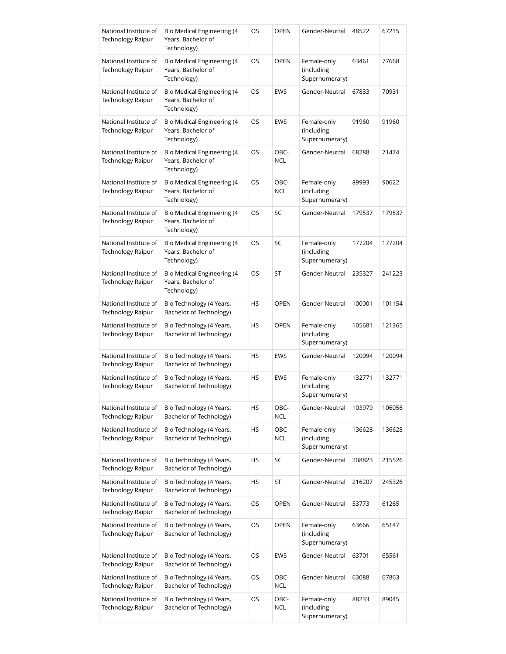| National Institute of<br>Technology Raipur        | Bio Medical Engineering (4<br>Years, Bachelor of<br>Technology)        | OS | <b>OPEN</b>        | Gender-Neutral                              | 48522  | 67215  |
|---------------------------------------------------|------------------------------------------------------------------------|----|--------------------|---------------------------------------------|--------|--------|
| National Institute of<br><b>Technology Raipur</b> | Bio Medical Engineering (4<br>Years, Bachelor of<br>Technology)        | OS | <b>OPEN</b>        | Female-only<br>(including<br>Supernumerary) | 63461  | 77668  |
| National Institute of<br><b>Technology Raipur</b> | Bio Medical Engineering (4<br>Years, Bachelor of<br>Technology)        | OS | <b>EWS</b>         | Gender-Neutral                              | 67833  | 70931  |
| National Institute of<br>Technology Raipur        | <b>Bio Medical Engineering (4</b><br>Years, Bachelor of<br>Technology) | OS | <b>EWS</b>         | Female-only<br>(including<br>Supernumerary) | 91960  | 91960  |
| National Institute of<br>Technology Raipur        | Bio Medical Engineering (4<br>Years, Bachelor of<br>Technology)        | OS | OBC-<br><b>NCL</b> | Gender-Neutral                              | 68288  | 71474  |
| National Institute of<br>Technology Raipur        | Bio Medical Engineering (4<br>Years, Bachelor of<br>Technology)        | OS | OBC-<br><b>NCL</b> | Female-only<br>(including<br>Supernumerary) | 89993  | 90622  |
| National Institute of<br>Technology Raipur        | Bio Medical Engineering (4<br>Years, Bachelor of<br>Technology)        | OS | SC                 | Gender-Neutral                              | 179537 | 179537 |
| National Institute of<br><b>Technology Raipur</b> | Bio Medical Engineering (4<br>Years, Bachelor of<br>Technology)        | OS | SC                 | Female-only<br>(including<br>Supernumerary) | 177204 | 177204 |
| National Institute of<br><b>Technology Raipur</b> | Bio Medical Engineering (4<br>Years, Bachelor of<br>Technology)        | OS | ST                 | Gender-Neutral                              | 235327 | 241223 |
| National Institute of<br>Technology Raipur        | Bio Technology (4 Years,<br>Bachelor of Technology)                    | HS | <b>OPEN</b>        | Gender-Neutral                              | 100001 | 101154 |
| National Institute of<br>Technology Raipur        | Bio Technology (4 Years,<br>Bachelor of Technology)                    | HS | <b>OPEN</b>        | Female-only<br>(including<br>Supernumerary) | 105681 | 121365 |
| National Institute of<br>Technology Raipur        | Bio Technology (4 Years,<br>Bachelor of Technology)                    | HS | <b>EWS</b>         | Gender-Neutral                              | 120094 | 120094 |
| National Institute of<br>Technology Raipur        | Bio Technology (4 Years,<br>Bachelor of Technology)                    | HS | <b>EWS</b>         | Female-only<br>(including<br>Supernumerary) | 132771 | 132771 |
| National Institute of<br><b>Technology Raipur</b> | Bio Technology (4 Years,<br>Bachelor of Technology)                    | HS | OBC-<br><b>NCL</b> | Gender-Neutral                              | 103979 | 106056 |
| National Institute of<br>Technology Raipur        | Bio Technology (4 Years,<br>Bachelor of Technology)                    | HS | OBC-<br><b>NCL</b> | Female-only<br>(including<br>Supernumerary) | 136628 | 136628 |
| National Institute of<br>Technology Raipur        | Bio Technology (4 Years,<br>Bachelor of Technology)                    | HS | SC                 | Gender-Neutral                              | 208823 | 215526 |
| National Institute of<br><b>Technology Raipur</b> | Bio Technology (4 Years,<br>Bachelor of Technology)                    | HS | ST                 | Gender-Neutral                              | 216207 | 245326 |
| National Institute of<br><b>Technology Raipur</b> | Bio Technology (4 Years,<br>Bachelor of Technology)                    | OS | <b>OPEN</b>        | Gender-Neutral                              | 53773  | 61265  |
| National Institute of<br>Technology Raipur        | Bio Technology (4 Years,<br>Bachelor of Technology)                    | OS | <b>OPEN</b>        | Female-only<br>(including<br>Supernumerary) | 63666  | 65147  |
| National Institute of<br><b>Technology Raipur</b> | Bio Technology (4 Years,<br>Bachelor of Technology)                    | OS | <b>EWS</b>         | Gender-Neutral                              | 63701  | 65561  |
| National Institute of<br>Technology Raipur        | Bio Technology (4 Years,<br>Bachelor of Technology)                    | OS | OBC-<br><b>NCL</b> | Gender-Neutral                              | 63088  | 67863  |
| National Institute of<br>Technology Raipur        | Bio Technology (4 Years,<br>Bachelor of Technology)                    | OS | OBC-<br><b>NCL</b> | Female-only<br>(including<br>Supernumerary) | 88233  | 89045  |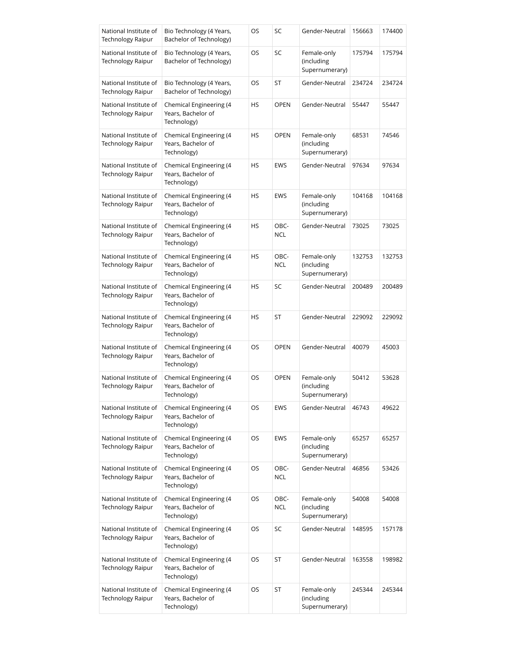| National Institute of<br><b>Technology Raipur</b> | Bio Technology (4 Years,<br>Bachelor of Technology)          | OS | SC                 | Gender-Neutral                              | 156663 | 174400 |
|---------------------------------------------------|--------------------------------------------------------------|----|--------------------|---------------------------------------------|--------|--------|
| National Institute of<br>Technology Raipur        | Bio Technology (4 Years,<br>Bachelor of Technology)          | OS | SC                 | Female-only<br>(including<br>Supernumerary) | 175794 | 175794 |
| National Institute of<br><b>Technology Raipur</b> | Bio Technology (4 Years,<br>Bachelor of Technology)          | OS | ST                 | Gender-Neutral                              | 234724 | 234724 |
| National Institute of<br><b>Technology Raipur</b> | Chemical Engineering (4<br>Years, Bachelor of<br>Technology) | HS | <b>OPEN</b>        | Gender-Neutral                              | 55447  | 55447  |
| National Institute of<br><b>Technology Raipur</b> | Chemical Engineering (4<br>Years, Bachelor of<br>Technology) | HS | <b>OPEN</b>        | Female-only<br>(including<br>Supernumerary) | 68531  | 74546  |
| National Institute of<br><b>Technology Raipur</b> | Chemical Engineering (4<br>Years, Bachelor of<br>Technology) | HS | <b>EWS</b>         | Gender-Neutral                              | 97634  | 97634  |
| National Institute of<br>Technology Raipur        | Chemical Engineering (4<br>Years, Bachelor of<br>Technology) | HS | <b>EWS</b>         | Female-only<br>(including<br>Supernumerary) | 104168 | 104168 |
| National Institute of<br><b>Technology Raipur</b> | Chemical Engineering (4<br>Years, Bachelor of<br>Technology) | HS | OBC-<br><b>NCL</b> | Gender-Neutral                              | 73025  | 73025  |
| National Institute of<br>Technology Raipur        | Chemical Engineering (4<br>Years, Bachelor of<br>Technology) | HS | OBC-<br><b>NCL</b> | Female-only<br>(including<br>Supernumerary) | 132753 | 132753 |
| National Institute of<br>Technology Raipur        | Chemical Engineering (4<br>Years, Bachelor of<br>Technology) | HS | SC                 | Gender-Neutral                              | 200489 | 200489 |
| National Institute of<br>Technology Raipur        | Chemical Engineering (4<br>Years, Bachelor of<br>Technology) | HS | ST                 | Gender-Neutral                              | 229092 | 229092 |
| National Institute of<br>Technology Raipur        | Chemical Engineering (4<br>Years, Bachelor of<br>Technology) | OS | <b>OPEN</b>        | Gender-Neutral                              | 40079  | 45003  |
| National Institute of<br><b>Technology Raipur</b> | Chemical Engineering (4<br>Years, Bachelor of<br>Technology) | OS | <b>OPEN</b>        | Female-only<br>(including<br>Supernumerary) | 50412  | 53628  |
| National Institute of<br><b>Technology Raipur</b> | Chemical Engineering (4<br>Years, Bachelor of<br>Technology) | OS | <b>EWS</b>         | Gender-Neutral                              | 46743  | 49622  |
| National Institute of<br>Technology Raipur        | Chemical Engineering (4<br>Years, Bachelor of<br>Technology) | OS | <b>EWS</b>         | Female-only<br>(including<br>Supernumerary) | 65257  | 65257  |
| National Institute of<br><b>Technology Raipur</b> | Chemical Engineering (4<br>Years, Bachelor of<br>Technology) | OS | OBC-<br><b>NCL</b> | Gender-Neutral                              | 46856  | 53426  |
| National Institute of<br>Technology Raipur        | Chemical Engineering (4<br>Years, Bachelor of<br>Technology) | OS | OBC-<br><b>NCL</b> | Female-only<br>(including<br>Supernumerary) | 54008  | 54008  |
| National Institute of<br>Technology Raipur        | Chemical Engineering (4<br>Years, Bachelor of<br>Technology) | OS | SC                 | Gender-Neutral                              | 148595 | 157178 |
| National Institute of<br><b>Technology Raipur</b> | Chemical Engineering (4<br>Years, Bachelor of<br>Technology) | OS | ST                 | Gender-Neutral                              | 163558 | 198982 |
| National Institute of<br><b>Technology Raipur</b> | Chemical Engineering (4<br>Years, Bachelor of<br>Technology) | OS | ST                 | Female-only<br>(including<br>Supernumerary) | 245344 | 245344 |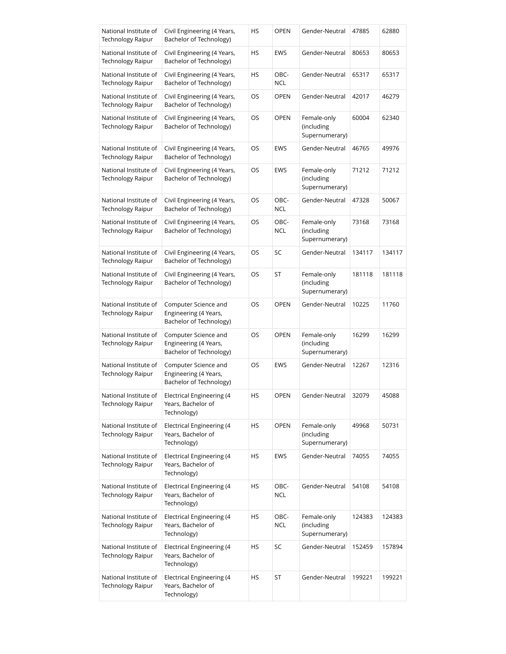| National Institute of<br><b>Technology Raipur</b> | Civil Engineering (4 Years,<br>Bachelor of Technology)                   | ΗS | <b>OPEN</b>        | Gender-Neutral                              | 47885  | 62880  |
|---------------------------------------------------|--------------------------------------------------------------------------|----|--------------------|---------------------------------------------|--------|--------|
| National Institute of<br>Technology Raipur        | Civil Engineering (4 Years,<br>Bachelor of Technology)                   | ΗS | <b>EWS</b>         | Gender-Neutral                              | 80653  | 80653  |
| National Institute of<br><b>Technology Raipur</b> | Civil Engineering (4 Years,<br>Bachelor of Technology)                   | ΗS | OBC-<br><b>NCL</b> | Gender-Neutral                              | 65317  | 65317  |
| National Institute of<br>Technology Raipur        | Civil Engineering (4 Years,<br>Bachelor of Technology)                   | OS | <b>OPEN</b>        | Gender-Neutral                              | 42017  | 46279  |
| National Institute of<br>Technology Raipur        | Civil Engineering (4 Years,<br>Bachelor of Technology)                   | OS | <b>OPEN</b>        | Female-only<br>(including<br>Supernumerary) | 60004  | 62340  |
| National Institute of<br>Technology Raipur        | Civil Engineering (4 Years,<br>Bachelor of Technology)                   | OS | <b>EWS</b>         | Gender-Neutral                              | 46765  | 49976  |
| National Institute of<br>Technology Raipur        | Civil Engineering (4 Years,<br>Bachelor of Technology)                   | OS | <b>EWS</b>         | Female-only<br>(including<br>Supernumerary) | 71212  | 71212  |
| National Institute of<br>Technology Raipur        | Civil Engineering (4 Years,<br>Bachelor of Technology)                   | OS | OBC-<br><b>NCL</b> | Gender-Neutral                              | 47328  | 50067  |
| National Institute of<br><b>Technology Raipur</b> | Civil Engineering (4 Years,<br>Bachelor of Technology)                   | OS | OBC-<br><b>NCL</b> | Female-only<br>(including<br>Supernumerary) | 73168  | 73168  |
| National Institute of<br>Technology Raipur        | Civil Engineering (4 Years,<br>Bachelor of Technology)                   | OS | SC                 | Gender-Neutral                              | 134117 | 134117 |
| National Institute of<br>Technology Raipur        | Civil Engineering (4 Years,<br>Bachelor of Technology)                   | OS | ST                 | Female-only<br>(including<br>Supernumerary) | 181118 | 181118 |
| National Institute of<br>Technology Raipur        | Computer Science and<br>Engineering (4 Years,<br>Bachelor of Technology) | OS | <b>OPEN</b>        | Gender-Neutral                              | 10225  | 11760  |
| National Institute of<br>Technology Raipur        | Computer Science and<br>Engineering (4 Years,<br>Bachelor of Technology) | OS | <b>OPEN</b>        | Female-only<br>(including<br>Supernumerary) | 16299  | 16299  |
| National Institute of<br><b>Technology Raipur</b> | Computer Science and<br>Engineering (4 Years,<br>Bachelor of Technology) | OS | <b>EWS</b>         | Gender-Neutral                              | 12267  | 12316  |
| National Institute of<br>Technology Raipur        | <b>Electrical Engineering (4</b><br>Years, Bachelor of<br>Technology)    | HS | OPEN               | Gender-Neutral                              | 32079  | 45088  |
| National Institute of<br>Technology Raipur        | Electrical Engineering (4<br>Years, Bachelor of<br>Technology)           | HS | <b>OPEN</b>        | Female-only<br>(including<br>Supernumerary) | 49968  | 50731  |
| National Institute of<br>Technology Raipur        | Electrical Engineering (4<br>Years, Bachelor of<br>Technology)           | НS | <b>EWS</b>         | Gender-Neutral                              | 74055  | 74055  |
| National Institute of<br>Technology Raipur        | <b>Electrical Engineering (4</b><br>Years, Bachelor of<br>Technology)    | HS | OBC-<br><b>NCL</b> | Gender-Neutral                              | 54108  | 54108  |
| National Institute of<br>Technology Raipur        | Electrical Engineering (4<br>Years, Bachelor of<br>Technology)           | НS | OBC-<br><b>NCL</b> | Female-only<br>(including<br>Supernumerary) | 124383 | 124383 |
| National Institute of<br>Technology Raipur        | Electrical Engineering (4<br>Years, Bachelor of<br>Technology)           | НS | SC                 | Gender-Neutral                              | 152459 | 157894 |
| National Institute of<br>Technology Raipur        | Electrical Engineering (4<br>Years, Bachelor of<br>Technology)           | ΗS | ST                 | Gender-Neutral                              | 199221 | 199221 |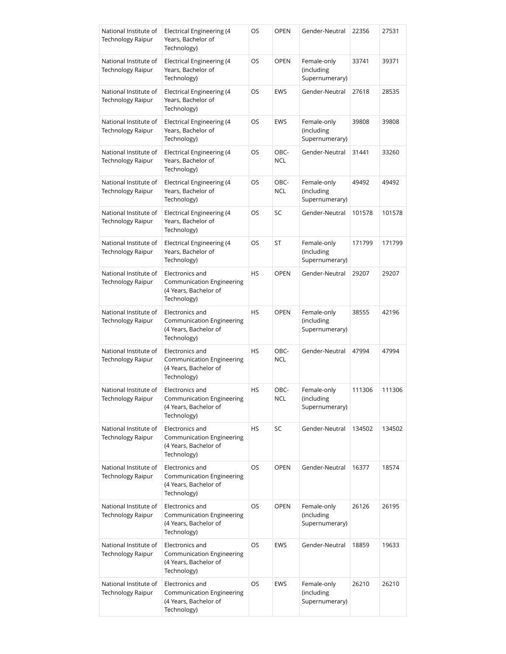| National Institute of<br><b>Technology Raipur</b> | Electrical Engineering (4<br>Years, Bachelor of<br>Technology)                              | OS  | <b>OPEN</b>        | Gender-Neutral                              | 22356  | 27531  |
|---------------------------------------------------|---------------------------------------------------------------------------------------------|-----|--------------------|---------------------------------------------|--------|--------|
| National Institute of<br><b>Technology Raipur</b> | <b>Electrical Engineering (4</b><br>Years, Bachelor of<br>Technology)                       | OS  | <b>OPEN</b>        | Female-only<br>(including<br>Supernumerary) | 33741  | 39371  |
| National Institute of<br><b>Technology Raipur</b> | Electrical Engineering (4<br>Years, Bachelor of<br>Technology)                              | OS  | <b>EWS</b>         | Gender-Neutral                              | 27618  | 28535  |
| National Institute of<br>Technology Raipur        | Electrical Engineering (4<br>Years, Bachelor of<br>Technology)                              | OS. | <b>EWS</b>         | Female-only<br>(including<br>Supernumerary) | 39808  | 39808  |
| National Institute of<br><b>Technology Raipur</b> | Electrical Engineering (4<br>Years, Bachelor of<br>Technology)                              | OS  | OBC-<br><b>NCL</b> | Gender-Neutral                              | 31441  | 33260  |
| National Institute of<br><b>Technology Raipur</b> | Electrical Engineering (4<br>Years, Bachelor of<br>Technology)                              | OS. | OBC-<br><b>NCL</b> | Female-only<br>(including<br>Supernumerary) | 49492  | 49492  |
| National Institute of<br>Technology Raipur        | Electrical Engineering (4<br>Years, Bachelor of<br>Technology)                              | OS  | SC                 | Gender-Neutral                              | 101578 | 101578 |
| National Institute of<br><b>Technology Raipur</b> | <b>Electrical Engineering (4</b><br>Years, Bachelor of<br>Technology)                       | OS. | ST                 | Female-only<br>(including<br>Supernumerary) | 171799 | 171799 |
| National Institute of<br>Technology Raipur        | Electronics and<br>Communication Engineering<br>(4 Years, Bachelor of<br>Technology)        | HS  | <b>OPEN</b>        | Gender-Neutral                              | 29207  | 29207  |
| National Institute of<br>Technology Raipur        | Electronics and<br>Communication Engineering<br>(4 Years, Bachelor of<br>Technology)        | HS  | <b>OPEN</b>        | Female-only<br>(including<br>Supernumerary) | 38555  | 42196  |
| National Institute of<br>Technology Raipur        | Electronics and<br>Communication Engineering<br>(4 Years, Bachelor of<br>Technology)        | HS  | OBC-<br><b>NCL</b> | Gender-Neutral                              | 47994  | 47994  |
| National Institute of<br><b>Technology Raipur</b> | Electronics and<br><b>Communication Engineering</b><br>(4 Years, Bachelor of<br>Technology) | HS  | OBC-<br><b>NCL</b> | Female-only<br>(including<br>Supernumerary) | 111306 | 111306 |
| National Institute of<br>Technology Raipur        | Electronics and<br>Communication Engineering<br>(4 Years, Bachelor of<br>Technology)        | HS  | SC                 | Gender-Neutral                              | 134502 | 134502 |
| National Institute of<br>Technology Raipur        | Electronics and<br><b>Communication Engineering</b><br>(4 Years, Bachelor of<br>Technology) | OS  | <b>OPEN</b>        | Gender-Neutral                              | 16377  | 18574  |
| National Institute of<br>Technology Raipur        | Electronics and<br>Communication Engineering<br>(4 Years, Bachelor of<br>Technology)        | OS  | <b>OPEN</b>        | Female-only<br>(including<br>Supernumerary) | 26126  | 26195  |
| National Institute of<br><b>Technology Raipur</b> | Electronics and<br>Communication Engineering<br>(4 Years, Bachelor of<br>Technology)        | OS  | <b>EWS</b>         | Gender-Neutral                              | 18859  | 19633  |
| National Institute of<br>Technology Raipur        | Electronics and<br>Communication Engineering<br>(4 Years, Bachelor of<br>Technology)        | OS  | <b>EWS</b>         | Female-only<br>(including<br>Supernumerary) | 26210  | 26210  |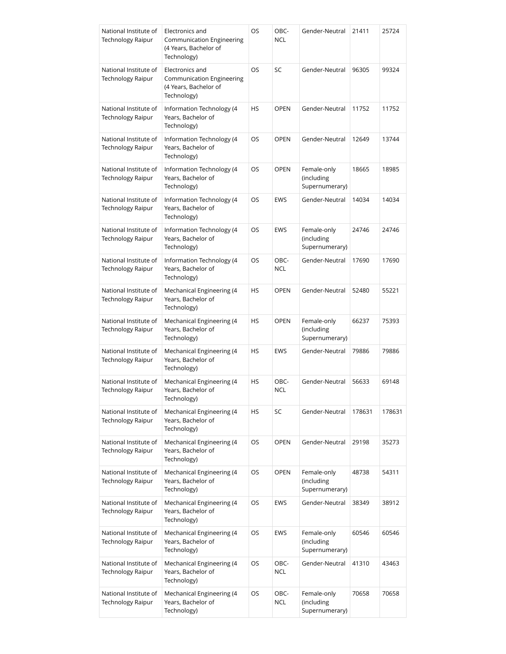| National Institute of<br><b>Technology Raipur</b> | Electronics and<br><b>Communication Engineering</b><br>(4 Years, Bachelor of<br>Technology) | OS | OBC-<br><b>NCL</b> | Gender-Neutral                              | 21411  | 25724  |
|---------------------------------------------------|---------------------------------------------------------------------------------------------|----|--------------------|---------------------------------------------|--------|--------|
| National Institute of<br><b>Technology Raipur</b> | Electronics and<br><b>Communication Engineering</b><br>(4 Years, Bachelor of<br>Technology) | OS | SC                 | Gender-Neutral                              | 96305  | 99324  |
| National Institute of<br><b>Technology Raipur</b> | Information Technology (4<br>Years, Bachelor of<br>Technology)                              | HS | <b>OPEN</b>        | Gender-Neutral                              | 11752  | 11752  |
| National Institute of<br><b>Technology Raipur</b> | Information Technology (4<br>Years, Bachelor of<br>Technology)                              | OS | <b>OPEN</b>        | Gender-Neutral                              | 12649  | 13744  |
| National Institute of<br><b>Technology Raipur</b> | Information Technology (4<br>Years, Bachelor of<br>Technology)                              | OS | OPEN               | Female-only<br>(including<br>Supernumerary) | 18665  | 18985  |
| National Institute of<br><b>Technology Raipur</b> | Information Technology (4<br>Years, Bachelor of<br>Technology)                              | OS | <b>EWS</b>         | Gender-Neutral                              | 14034  | 14034  |
| National Institute of<br><b>Technology Raipur</b> | Information Technology (4<br>Years, Bachelor of<br>Technology)                              | OS | <b>EWS</b>         | Female-only<br>(including<br>Supernumerary) | 24746  | 24746  |
| National Institute of<br><b>Technology Raipur</b> | Information Technology (4<br>Years, Bachelor of<br>Technology)                              | OS | OBC-<br><b>NCL</b> | Gender-Neutral                              | 17690  | 17690  |
| National Institute of<br><b>Technology Raipur</b> | Mechanical Engineering (4<br>Years, Bachelor of<br>Technology)                              | HS | <b>OPEN</b>        | Gender-Neutral                              | 52480  | 55221  |
| National Institute of<br><b>Technology Raipur</b> | Mechanical Engineering (4<br>Years, Bachelor of<br>Technology)                              | HS | <b>OPEN</b>        | Female-only<br>(including<br>Supernumerary) | 66237  | 75393  |
| National Institute of<br><b>Technology Raipur</b> | Mechanical Engineering (4<br>Years, Bachelor of<br>Technology)                              | HS | <b>EWS</b>         | Gender-Neutral                              | 79886  | 79886  |
| National Institute of<br>Technology Raipur        | Mechanical Engineering (4<br>Years, Bachelor of<br>Technology)                              | HS | OBC-<br><b>NCL</b> | Gender-Neutral                              | 56633  | 69148  |
| National Institute of<br><b>Technology Raipur</b> | Mechanical Engineering (4<br>Years, Bachelor of<br>Technology)                              | HS | SC                 | Gender-Neutral                              | 178631 | 178631 |
| National Institute of<br><b>Technology Raipur</b> | Mechanical Engineering (4<br>Years, Bachelor of<br>Technology)                              | OS | <b>OPEN</b>        | Gender-Neutral                              | 29198  | 35273  |
| National Institute of<br><b>Technology Raipur</b> | Mechanical Engineering (4<br>Years, Bachelor of<br>Technology)                              | OS | OPEN               | Female-only<br>(including<br>Supernumerary) | 48738  | 54311  |
| National Institute of<br><b>Technology Raipur</b> | Mechanical Engineering (4<br>Years, Bachelor of<br>Technology)                              | OS | EWS                | Gender-Neutral                              | 38349  | 38912  |
| National Institute of<br><b>Technology Raipur</b> | Mechanical Engineering (4<br>Years, Bachelor of<br>Technology)                              | OS | EWS                | Female-only<br>(including<br>Supernumerary) | 60546  | 60546  |
| National Institute of<br><b>Technology Raipur</b> | Mechanical Engineering (4<br>Years, Bachelor of<br>Technology)                              | OS | OBC-<br><b>NCL</b> | Gender-Neutral                              | 41310  | 43463  |
| National Institute of<br><b>Technology Raipur</b> | Mechanical Engineering (4<br>Years, Bachelor of<br>Technology)                              | OS | OBC-<br><b>NCL</b> | Female-only<br>(including<br>Supernumerary) | 70658  | 70658  |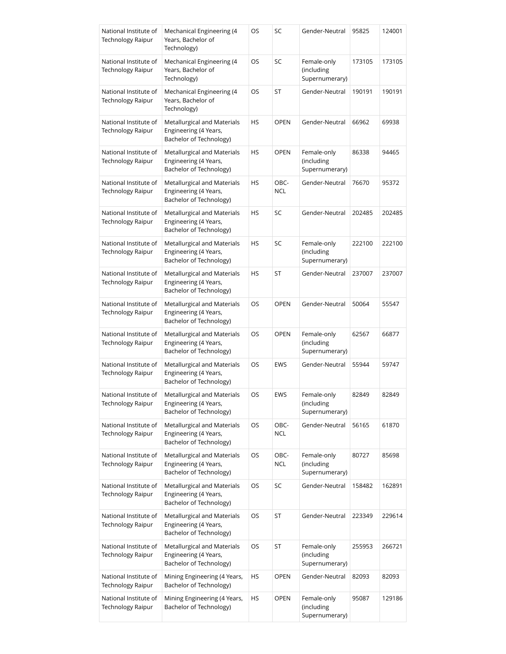| National Institute of<br><b>Technology Raipur</b> | Mechanical Engineering (4<br>Years, Bachelor of<br>Technology)                  | OS | SC                 | Gender-Neutral                              | 95825  | 124001 |
|---------------------------------------------------|---------------------------------------------------------------------------------|----|--------------------|---------------------------------------------|--------|--------|
| National Institute of<br><b>Technology Raipur</b> | Mechanical Engineering (4<br>Years, Bachelor of<br>Technology)                  | OS | SC                 | Female-only<br>(including<br>Supernumerary) | 173105 | 173105 |
| National Institute of<br><b>Technology Raipur</b> | Mechanical Engineering (4<br>Years, Bachelor of<br>Technology)                  | OS | ST                 | Gender-Neutral                              | 190191 | 190191 |
| National Institute of<br><b>Technology Raipur</b> | Metallurgical and Materials<br>Engineering (4 Years,<br>Bachelor of Technology) | HS | <b>OPEN</b>        | Gender-Neutral                              | 66962  | 69938  |
| National Institute of<br><b>Technology Raipur</b> | Metallurgical and Materials<br>Engineering (4 Years,<br>Bachelor of Technology) | HS | <b>OPEN</b>        | Female-only<br>(including<br>Supernumerary) | 86338  | 94465  |
| National Institute of<br><b>Technology Raipur</b> | Metallurgical and Materials<br>Engineering (4 Years,<br>Bachelor of Technology) | HS | OBC-<br><b>NCL</b> | Gender-Neutral                              | 76670  | 95372  |
| National Institute of<br>Technology Raipur        | Metallurgical and Materials<br>Engineering (4 Years,<br>Bachelor of Technology) | HS | SC                 | Gender-Neutral                              | 202485 | 202485 |
| National Institute of<br><b>Technology Raipur</b> | Metallurgical and Materials<br>Engineering (4 Years,<br>Bachelor of Technology) | HS | SC                 | Female-only<br>(including<br>Supernumerary) | 222100 | 222100 |
| National Institute of<br><b>Technology Raipur</b> | Metallurgical and Materials<br>Engineering (4 Years,<br>Bachelor of Technology) | HS | ST                 | Gender-Neutral                              | 237007 | 237007 |
| National Institute of<br>Technology Raipur        | Metallurgical and Materials<br>Engineering (4 Years,<br>Bachelor of Technology) | OS | <b>OPEN</b>        | Gender-Neutral                              | 50064  | 55547  |
| National Institute of<br>Technology Raipur        | Metallurgical and Materials<br>Engineering (4 Years,<br>Bachelor of Technology) | OS | <b>OPEN</b>        | Female-only<br>(including<br>Supernumerary) | 62567  | 66877  |
| National Institute of<br>Technology Raipur        | Metallurgical and Materials<br>Engineering (4 Years,<br>Bachelor of Technology) | OS | <b>EWS</b>         | Gender-Neutral                              | 55944  | 59747  |
| National Institute of<br><b>Technology Raipur</b> | Metallurgical and Materials<br>Engineering (4 Years,<br>Bachelor of Technology) | OS | EWS                | Female-only<br>(including<br>Supernumerary) | 82849  | 82849  |
| National Institute of<br>Technology Raipur        | Metallurgical and Materials<br>Engineering (4 Years,<br>Bachelor of Technology) | OS | OBC-<br><b>NCL</b> | Gender-Neutral                              | 56165  | 61870  |
| National Institute of<br>Technology Raipur        | Metallurgical and Materials<br>Engineering (4 Years,<br>Bachelor of Technology) | OS | OBC-<br><b>NCL</b> | Female-only<br>(including<br>Supernumerary) | 80727  | 85698  |
| National Institute of<br><b>Technology Raipur</b> | Metallurgical and Materials<br>Engineering (4 Years,<br>Bachelor of Technology) | OS | SC                 | Gender-Neutral                              | 158482 | 162891 |
| National Institute of<br>Technology Raipur        | Metallurgical and Materials<br>Engineering (4 Years,<br>Bachelor of Technology) | OS | ST                 | Gender-Neutral                              | 223349 | 229614 |
| National Institute of<br>Technology Raipur        | Metallurgical and Materials<br>Engineering (4 Years,<br>Bachelor of Technology) | OS | ST                 | Female-only<br>(including<br>Supernumerary) | 255953 | 266721 |
| National Institute of<br>Technology Raipur        | Mining Engineering (4 Years,<br>Bachelor of Technology)                         | HS | <b>OPEN</b>        | Gender-Neutral                              | 82093  | 82093  |
| National Institute of<br>Technology Raipur        | Mining Engineering (4 Years,<br>Bachelor of Technology)                         | HS | OPEN               | Female-only<br>(including<br>Supernumerary) | 95087  | 129186 |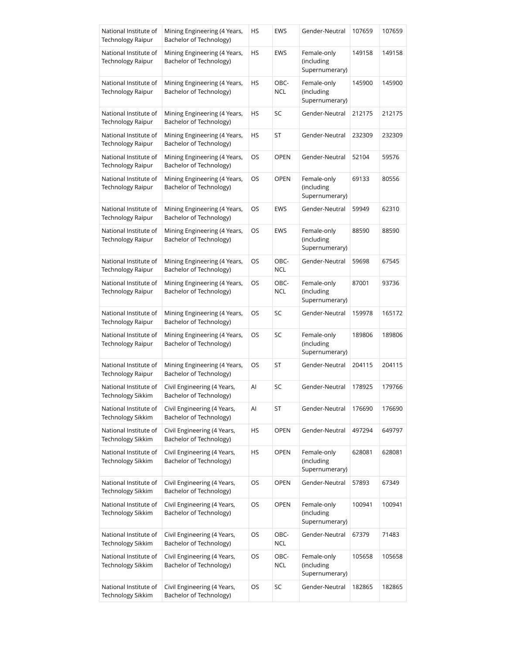| National Institute of<br><b>Technology Raipur</b> | Mining Engineering (4 Years,<br>Bachelor of Technology) | HS | <b>EWS</b>         | Gender-Neutral                              | 107659 | 107659 |
|---------------------------------------------------|---------------------------------------------------------|----|--------------------|---------------------------------------------|--------|--------|
| National Institute of<br>Technology Raipur        | Mining Engineering (4 Years,<br>Bachelor of Technology) | HS | <b>EWS</b>         | Female-only<br>(including<br>Supernumerary) | 149158 | 149158 |
| National Institute of<br><b>Technology Raipur</b> | Mining Engineering (4 Years,<br>Bachelor of Technology) | HS | OBC-<br>NCL        | Female-only<br>(including<br>Supernumerary) | 145900 | 145900 |
| National Institute of<br><b>Technology Raipur</b> | Mining Engineering (4 Years,<br>Bachelor of Technology) | HS | SC                 | Gender-Neutral                              | 212175 | 212175 |
| National Institute of<br><b>Technology Raipur</b> | Mining Engineering (4 Years,<br>Bachelor of Technology) | HS | ST                 | Gender-Neutral                              | 232309 | 232309 |
| National Institute of<br>Technology Raipur        | Mining Engineering (4 Years,<br>Bachelor of Technology) | OS | <b>OPEN</b>        | Gender-Neutral                              | 52104  | 59576  |
| National Institute of<br>Technology Raipur        | Mining Engineering (4 Years,<br>Bachelor of Technology) | OS | OPEN               | Female-only<br>(including<br>Supernumerary) | 69133  | 80556  |
| National Institute of<br><b>Technology Raipur</b> | Mining Engineering (4 Years,<br>Bachelor of Technology) | OS | <b>EWS</b>         | Gender-Neutral                              | 59949  | 62310  |
| National Institute of<br><b>Technology Raipur</b> | Mining Engineering (4 Years,<br>Bachelor of Technology) | OS | <b>EWS</b>         | Female-only<br>(including<br>Supernumerary) | 88590  | 88590  |
| National Institute of<br>Technology Raipur        | Mining Engineering (4 Years,<br>Bachelor of Technology) | OS | OBC-<br><b>NCL</b> | Gender-Neutral                              | 59698  | 67545  |
| National Institute of<br>Technology Raipur        | Mining Engineering (4 Years,<br>Bachelor of Technology) | OS | OBC-<br><b>NCL</b> | Female-only<br>(including<br>Supernumerary) | 87001  | 93736  |
| National Institute of<br>Technology Raipur        | Mining Engineering (4 Years,<br>Bachelor of Technology) | OS | SC                 | Gender-Neutral                              | 159978 | 165172 |
| National Institute of<br>Technology Raipur        | Mining Engineering (4 Years,<br>Bachelor of Technology) | OS | SC                 | Female-only<br>(including<br>Supernumerary) | 189806 | 189806 |
| National Institute of<br><b>Technology Raipur</b> | Mining Engineering (4 Years,<br>Bachelor of Technology) | OS | ST                 | Gender-Neutral                              | 204115 | 204115 |
| National Institute of<br>Technology Sikkim        | Civil Engineering (4 Years,<br>Bachelor of Technology)  | AI | SC                 | Gender-Neutral                              | 178925 | 179766 |
| National Institute of<br>Technology Sikkim        | Civil Engineering (4 Years,<br>Bachelor of Technology)  | Al | ST                 | Gender-Neutral                              | 176690 | 176690 |
| National Institute of<br>Technology Sikkim        | Civil Engineering (4 Years,<br>Bachelor of Technology)  | HS | <b>OPEN</b>        | Gender-Neutral                              | 497294 | 649797 |
| National Institute of<br>Technology Sikkim        | Civil Engineering (4 Years,<br>Bachelor of Technology)  | HS | OPEN               | Female-only<br>(including<br>Supernumerary) | 628081 | 628081 |
| National Institute of<br>Technology Sikkim        | Civil Engineering (4 Years,<br>Bachelor of Technology)  | OS | OPEN               | Gender-Neutral                              | 57893  | 67349  |
| National Institute of<br>Technology Sikkim        | Civil Engineering (4 Years,<br>Bachelor of Technology)  | OS | <b>OPEN</b>        | Female-only<br>(including<br>Supernumerary) | 100941 | 100941 |
| National Institute of<br>Technology Sikkim        | Civil Engineering (4 Years,<br>Bachelor of Technology)  | OS | OBC-<br><b>NCL</b> | Gender-Neutral                              | 67379  | 71483  |
| National Institute of<br>Technology Sikkim        | Civil Engineering (4 Years,<br>Bachelor of Technology)  | OS | OBC-<br><b>NCL</b> | Female-only<br>(including<br>Supernumerary) | 105658 | 105658 |
| National Institute of<br>Technology Sikkim        | Civil Engineering (4 Years,<br>Bachelor of Technology)  | OS | SC                 | Gender-Neutral                              | 182865 | 182865 |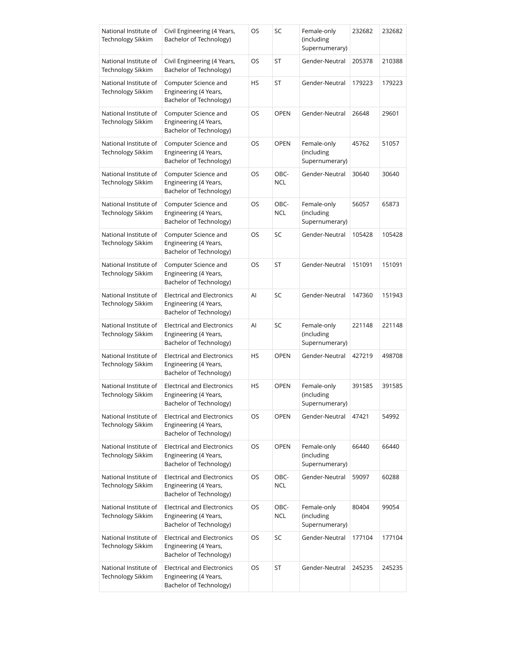| National Institute of<br><b>Technology Sikkim</b> | Civil Engineering (4 Years,<br>Bachelor of Technology)                                | OS | SC                 | Female-only<br>(including<br>Supernumerary) | 232682 | 232682 |
|---------------------------------------------------|---------------------------------------------------------------------------------------|----|--------------------|---------------------------------------------|--------|--------|
| National Institute of<br><b>Technology Sikkim</b> | Civil Engineering (4 Years,<br>Bachelor of Technology)                                | OS | ST                 | Gender-Neutral                              | 205378 | 210388 |
| National Institute of<br><b>Technology Sikkim</b> | Computer Science and<br>Engineering (4 Years,<br>Bachelor of Technology)              | HS | ST                 | Gender-Neutral                              | 179223 | 179223 |
| National Institute of<br><b>Technology Sikkim</b> | Computer Science and<br>Engineering (4 Years,<br>Bachelor of Technology)              | OS | <b>OPEN</b>        | Gender-Neutral                              | 26648  | 29601  |
| National Institute of<br>Technology Sikkim        | Computer Science and<br>Engineering (4 Years,<br>Bachelor of Technology)              | OS | <b>OPEN</b>        | Female-only<br>(including<br>Supernumerary) | 45762  | 51057  |
| National Institute of<br>Technology Sikkim        | Computer Science and<br>Engineering (4 Years,<br>Bachelor of Technology)              | OS | OBC-<br><b>NCL</b> | Gender-Neutral                              | 30640  | 30640  |
| National Institute of<br>Technology Sikkim        | Computer Science and<br>Engineering (4 Years,<br>Bachelor of Technology)              | OS | OBC-<br><b>NCL</b> | Female-only<br>(including<br>Supernumerary) | 56057  | 65873  |
| National Institute of<br><b>Technology Sikkim</b> | Computer Science and<br>Engineering (4 Years,<br>Bachelor of Technology)              | OS | SC                 | Gender-Neutral                              | 105428 | 105428 |
| National Institute of<br>Technology Sikkim        | Computer Science and<br>Engineering (4 Years,<br>Bachelor of Technology)              | OS | ST                 | Gender-Neutral                              | 151091 | 151091 |
| National Institute of<br>Technology Sikkim        | <b>Electrical and Electronics</b><br>Engineering (4 Years,<br>Bachelor of Technology) | Al | SC                 | Gender-Neutral                              | 147360 | 151943 |
| National Institute of<br>Technology Sikkim        | <b>Electrical and Electronics</b><br>Engineering (4 Years,<br>Bachelor of Technology) | Al | SC                 | Female-only<br>(including<br>Supernumerary) | 221148 | 221148 |
| National Institute of<br>Technology Sikkim        | Electrical and Electronics<br>Engineering (4 Years,<br>Bachelor of Technology)        | HS | <b>OPEN</b>        | Gender-Neutral                              | 427219 | 498708 |
| National Institute of<br>Technology Sikkim        | Electrical and Electronics<br>Engineering (4 Years,<br>Bachelor of Technology)        | HS | <b>OPEN</b>        | Female-only<br>(including<br>Supernumerary) | 391585 | 391585 |
| National Institute of<br>Technology Sikkim        | <b>Electrical and Electronics</b><br>Engineering (4 Years,<br>Bachelor of Technology) | OS | <b>OPEN</b>        | Gender-Neutral                              | 47421  | 54992  |
| National Institute of<br>Technology Sikkim        | <b>Electrical and Electronics</b><br>Engineering (4 Years,<br>Bachelor of Technology) | OS | <b>OPEN</b>        | Female-only<br>(including<br>Supernumerary) | 66440  | 66440  |
| National Institute of<br>Technology Sikkim        | <b>Electrical and Electronics</b><br>Engineering (4 Years,<br>Bachelor of Technology) | OS | OBC-<br><b>NCL</b> | Gender-Neutral                              | 59097  | 60288  |
| National Institute of<br>Technology Sikkim        | <b>Electrical and Electronics</b><br>Engineering (4 Years,<br>Bachelor of Technology) | OS | OBC-<br><b>NCL</b> | Female-only<br>(including<br>Supernumerary) | 80404  | 99054  |
| National Institute of<br>Technology Sikkim        | <b>Electrical and Electronics</b><br>Engineering (4 Years,<br>Bachelor of Technology) | OS | SC                 | Gender-Neutral                              | 177104 | 177104 |
| National Institute of<br>Technology Sikkim        | <b>Electrical and Electronics</b><br>Engineering (4 Years,<br>Bachelor of Technology) | OS | ST                 | Gender-Neutral                              | 245235 | 245235 |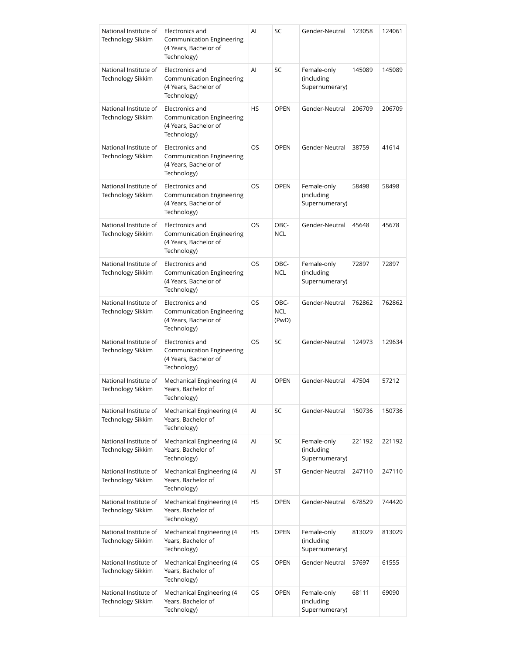| National Institute of<br><b>Technology Sikkim</b> | Electronics and<br><b>Communication Engineering</b><br>(4 Years, Bachelor of<br>Technology) | Al        | SC                          | Gender-Neutral                              | 123058 | 124061 |
|---------------------------------------------------|---------------------------------------------------------------------------------------------|-----------|-----------------------------|---------------------------------------------|--------|--------|
| National Institute of<br><b>Technology Sikkim</b> | Electronics and<br>Communication Engineering<br>(4 Years, Bachelor of<br>Technology)        | Al        | SC                          | Female-only<br>(including<br>Supernumerary) | 145089 | 145089 |
| National Institute of<br>Technology Sikkim        | Electronics and<br>Communication Engineering<br>(4 Years, Bachelor of<br>Technology)        | <b>HS</b> | <b>OPEN</b>                 | Gender-Neutral                              | 206709 | 206709 |
| National Institute of<br>Technology Sikkim        | Electronics and<br>Communication Engineering<br>(4 Years, Bachelor of<br>Technology)        | OS        | <b>OPEN</b>                 | Gender-Neutral                              | 38759  | 41614  |
| National Institute of<br>Technology Sikkim        | Electronics and<br>Communication Engineering<br>(4 Years, Bachelor of<br>Technology)        | <b>OS</b> | <b>OPEN</b>                 | Female-only<br>(including<br>Supernumerary) | 58498  | 58498  |
| National Institute of<br>Technology Sikkim        | Electronics and<br><b>Communication Engineering</b><br>(4 Years, Bachelor of<br>Technology) | OS        | OBC-<br><b>NCL</b>          | Gender-Neutral                              | 45648  | 45678  |
| National Institute of<br><b>Technology Sikkim</b> | Electronics and<br>Communication Engineering<br>(4 Years, Bachelor of<br>Technology)        | OS        | OBC-<br><b>NCL</b>          | Female-only<br>(including<br>Supernumerary) | 72897  | 72897  |
| National Institute of<br><b>Technology Sikkim</b> | Electronics and<br>Communication Engineering<br>(4 Years, Bachelor of<br>Technology)        | OS        | OBC-<br><b>NCL</b><br>(PwD) | Gender-Neutral                              | 762862 | 762862 |
| National Institute of<br><b>Technology Sikkim</b> | Electronics and<br>Communication Engineering<br>(4 Years, Bachelor of<br>Technology)        | OS        | SC                          | Gender-Neutral                              | 124973 | 129634 |
| National Institute of<br>Technology Sikkim        | Mechanical Engineering (4<br>Years, Bachelor of<br>Technology)                              | Al        | <b>OPEN</b>                 | Gender-Neutral                              | 47504  | 57212  |
| National Institute of<br>Technology Sikkim        | Mechanical Engineering (4<br>Years, Bachelor of<br>Technology)                              | Al        | SC                          | Gender-Neutral                              | 150736 | 150736 |
| National Institute of<br>Technology Sikkim        | Mechanical Engineering (4<br>Years, Bachelor of<br>Technology)                              | Al        | SC                          | Female-only<br>(including<br>Supernumerary) | 221192 | 221192 |
| National Institute of<br>Technology Sikkim        | Mechanical Engineering (4<br>Years, Bachelor of<br>Technology)                              | Al        | ST                          | Gender-Neutral                              | 247110 | 247110 |
| National Institute of<br>Technology Sikkim        | Mechanical Engineering (4<br>Years, Bachelor of<br>Technology)                              | HS        | <b>OPEN</b>                 | Gender-Neutral                              | 678529 | 744420 |
| National Institute of<br>Technology Sikkim        | Mechanical Engineering (4<br>Years, Bachelor of<br>Technology)                              | HS        | OPEN                        | Female-only<br>(including<br>Supernumerary) | 813029 | 813029 |
| National Institute of<br>Technology Sikkim        | Mechanical Engineering (4<br>Years, Bachelor of<br>Technology)                              | OS        | <b>OPEN</b>                 | Gender-Neutral                              | 57697  | 61555  |
| National Institute of<br>Technology Sikkim        | Mechanical Engineering (4<br>Years, Bachelor of<br>Technology)                              | OS        | <b>OPEN</b>                 | Female-only<br>(including<br>Supernumerary) | 68111  | 69090  |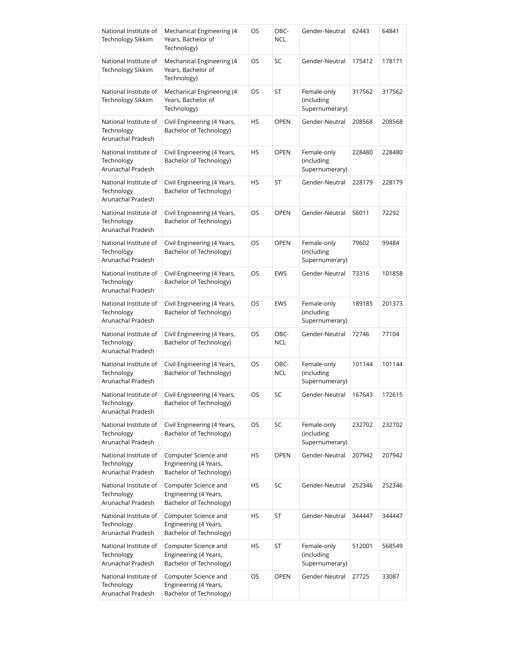| National Institute of<br>Technology Sikkim               | Mechanical Engineering (4<br>Years, Bachelor of<br>Technology)           | OS | OBC-<br><b>NCL</b> | Gender-Neutral                              | 62443  | 64841  |
|----------------------------------------------------------|--------------------------------------------------------------------------|----|--------------------|---------------------------------------------|--------|--------|
| National Institute of<br>Technology Sikkim               | Mechanical Engineering (4<br>Years, Bachelor of<br>Technology)           | OS | SC                 | Gender-Neutral                              | 175412 | 178171 |
| National Institute of<br><b>Technology Sikkim</b>        | Mechanical Engineering (4<br>Years, Bachelor of<br>Technology)           | OS | ST                 | Female-only<br>(including<br>Supernumerary) | 317562 | 317562 |
| National Institute of<br>Technology<br>Arunachal Pradesh | Civil Engineering (4 Years,<br>Bachelor of Technology)                   | HS | <b>OPEN</b>        | Gender-Neutral                              | 208568 | 208568 |
| National Institute of<br>Technology<br>Arunachal Pradesh | Civil Engineering (4 Years,<br>Bachelor of Technology)                   | HS | <b>OPEN</b>        | Female-only<br>(including<br>Supernumerary) | 228480 | 228480 |
| National Institute of<br>Technology<br>Arunachal Pradesh | Civil Engineering (4 Years,<br>Bachelor of Technology)                   | HS | ST                 | Gender-Neutral                              | 228179 | 228179 |
| National Institute of<br>Technology<br>Arunachal Pradesh | Civil Engineering (4 Years,<br>Bachelor of Technology)                   | OS | <b>OPEN</b>        | Gender-Neutral                              | 56011  | 72292  |
| National Institute of<br>Technology<br>Arunachal Pradesh | Civil Engineering (4 Years,<br>Bachelor of Technology)                   | OS | <b>OPEN</b>        | Female-only<br>(including<br>Supernumerary) | 79602  | 99484  |
| National Institute of<br>Technology<br>Arunachal Pradesh | Civil Engineering (4 Years,<br>Bachelor of Technology)                   | OS | <b>EWS</b>         | Gender-Neutral                              | 73316  | 101858 |
| National Institute of<br>Technology<br>Arunachal Pradesh | Civil Engineering (4 Years,<br>Bachelor of Technology)                   | OS | <b>EWS</b>         | Female-only<br>(including<br>Supernumerary) | 189185 | 201373 |
| National Institute of<br>Technology<br>Arunachal Pradesh | Civil Engineering (4 Years,<br>Bachelor of Technology)                   | OS | OBC-<br><b>NCL</b> | Gender-Neutral                              | 72746  | 77104  |
| National Institute of<br>Technology<br>Arunachal Pradesh | Civil Engineering (4 Years,<br>Bachelor of Technology)                   | OS | OBC-<br><b>NCL</b> | Female-only<br>(including<br>Supernumerary) | 101144 | 101144 |
| National Institute of<br>Technology<br>Arunachal Pradesh | Civil Engineering (4 Years,<br>Bachelor of Technology)                   | OS | SC                 | Gender-Neutral                              | 167643 | 172615 |
| National Institute of<br>Technology<br>Arunachal Pradesh | Civil Engineering (4 Years,<br>Bachelor of Technology)                   | OS | SC                 | Female-only<br>(including<br>Supernumerary) | 232702 | 232702 |
| National Institute of<br>Technology<br>Arunachal Pradesh | Computer Science and<br>Engineering (4 Years,<br>Bachelor of Technology) | HS | <b>OPEN</b>        | Gender-Neutral                              | 207942 | 207942 |
| National Institute of<br>Technology<br>Arunachal Pradesh | Computer Science and<br>Engineering (4 Years,<br>Bachelor of Technology) | HS | SC                 | Gender-Neutral                              | 252346 | 252346 |
| National Institute of<br>Technology<br>Arunachal Pradesh | Computer Science and<br>Engineering (4 Years,<br>Bachelor of Technology) | HS | ST                 | Gender-Neutral                              | 344447 | 344447 |
| National Institute of<br>Technology<br>Arunachal Pradesh | Computer Science and<br>Engineering (4 Years,<br>Bachelor of Technology) | HS | ST                 | Female-only<br>(including<br>Supernumerary) | 512001 | 568549 |
| National Institute of<br>Technology<br>Arunachal Pradesh | Computer Science and<br>Engineering (4 Years,<br>Bachelor of Technology) | OS | <b>OPEN</b>        | Gender-Neutral                              | 27725  | 33087  |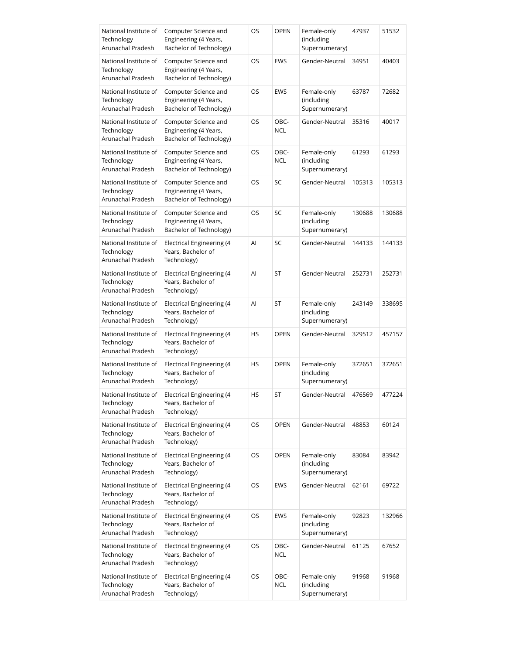| National Institute of<br>Technology<br>Arunachal Pradesh | Computer Science and<br>Engineering (4 Years,<br>Bachelor of Technology) | OS | <b>OPEN</b>        | Female-only<br>(including<br>Supernumerary) | 47937  | 51532  |
|----------------------------------------------------------|--------------------------------------------------------------------------|----|--------------------|---------------------------------------------|--------|--------|
| National Institute of<br>Technology<br>Arunachal Pradesh | Computer Science and<br>Engineering (4 Years,<br>Bachelor of Technology) | OS | <b>EWS</b>         | Gender-Neutral                              | 34951  | 40403  |
| National Institute of<br>Technology<br>Arunachal Pradesh | Computer Science and<br>Engineering (4 Years,<br>Bachelor of Technology) | OS | <b>EWS</b>         | Female-only<br>(including<br>Supernumerary) | 63787  | 72682  |
| National Institute of<br>Technology<br>Arunachal Pradesh | Computer Science and<br>Engineering (4 Years,<br>Bachelor of Technology) | OS | OBC-<br><b>NCL</b> | Gender-Neutral                              | 35316  | 40017  |
| National Institute of<br>Technology<br>Arunachal Pradesh | Computer Science and<br>Engineering (4 Years,<br>Bachelor of Technology) | OS | OBC-<br><b>NCL</b> | Female-only<br>(including<br>Supernumerary) | 61293  | 61293  |
| National Institute of<br>Technology<br>Arunachal Pradesh | Computer Science and<br>Engineering (4 Years,<br>Bachelor of Technology) | OS | SC                 | Gender-Neutral                              | 105313 | 105313 |
| National Institute of<br>Technology<br>Arunachal Pradesh | Computer Science and<br>Engineering (4 Years,<br>Bachelor of Technology) | OS | SC                 | Female-only<br>(including<br>Supernumerary) | 130688 | 130688 |
| National Institute of<br>Technology<br>Arunachal Pradesh | Electrical Engineering (4<br>Years, Bachelor of<br>Technology)           | Al | SC                 | Gender-Neutral                              | 144133 | 144133 |
| National Institute of<br>Technology<br>Arunachal Pradesh | Electrical Engineering (4<br>Years, Bachelor of<br>Technology)           | Al | ST                 | Gender-Neutral                              | 252731 | 252731 |
| National Institute of<br>Technology<br>Arunachal Pradesh | Electrical Engineering (4<br>Years, Bachelor of<br>Technology)           | Al | ST                 | Female-only<br>(including<br>Supernumerary) | 243149 | 338695 |
| National Institute of<br>Technology<br>Arunachal Pradesh | Electrical Engineering (4<br>Years, Bachelor of<br>Technology)           | HS | <b>OPEN</b>        | Gender-Neutral                              | 329512 | 457157 |
| National Institute of<br>Technology<br>Arunachal Pradesh | Electrical Engineering (4<br>Years, Bachelor of<br>Technology)           | HS | <b>OPEN</b>        | Female-only<br>(including<br>Supernumerary) | 372651 | 372651 |
| National Institute of<br>Technology<br>Arunachal Pradesh | <b>Electrical Engineering (4</b><br>Years, Bachelor of<br>Technology)    | HS | ST                 | Gender-Neutral 476569                       |        | 477224 |
| National Institute of<br>Technology<br>Arunachal Pradesh | Electrical Engineering (4<br>Years, Bachelor of<br>Technology)           | OS | <b>OPEN</b>        | Gender-Neutral                              | 48853  | 60124  |
| National Institute of<br>Technology<br>Arunachal Pradesh | Electrical Engineering (4<br>Years, Bachelor of<br>Technology)           | OS | <b>OPEN</b>        | Female-only<br>(including<br>Supernumerary) | 83084  | 83942  |
| National Institute of<br>Technology<br>Arunachal Pradesh | Electrical Engineering (4<br>Years, Bachelor of<br>Technology)           | OS | <b>EWS</b>         | Gender-Neutral                              | 62161  | 69722  |
| National Institute of<br>Technology<br>Arunachal Pradesh | Electrical Engineering (4<br>Years, Bachelor of<br>Technology)           | OS | <b>EWS</b>         | Female-only<br>(including<br>Supernumerary) | 92823  | 132966 |
| National Institute of<br>Technology<br>Arunachal Pradesh | Electrical Engineering (4<br>Years, Bachelor of<br>Technology)           | OS | OBC-<br><b>NCL</b> | Gender-Neutral                              | 61125  | 67652  |
| National Institute of<br>Technology<br>Arunachal Pradesh | Electrical Engineering (4<br>Years, Bachelor of<br>Technology)           | OS | OBC-<br><b>NCL</b> | Female-only<br>(including<br>Supernumerary) | 91968  | 91968  |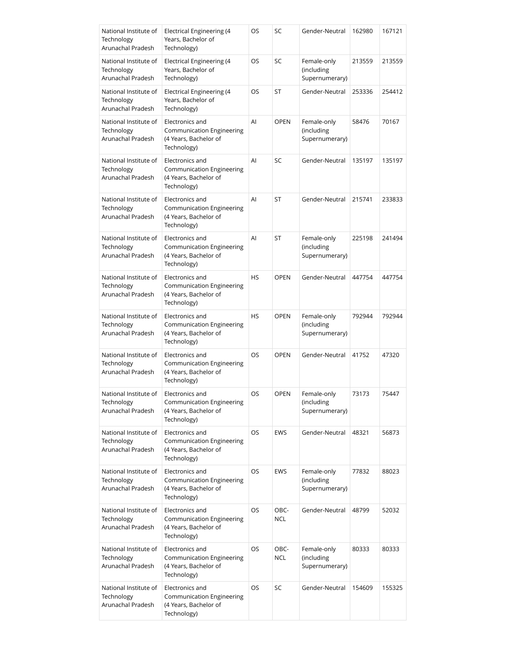| National Institute of<br>Technology<br>Arunachal Pradesh | Electrical Engineering (4<br>Years, Bachelor of<br>Technology)                              | OS        | SC          | Gender-Neutral                              | 162980 | 167121 |
|----------------------------------------------------------|---------------------------------------------------------------------------------------------|-----------|-------------|---------------------------------------------|--------|--------|
| National Institute of<br>Technology<br>Arunachal Pradesh | Electrical Engineering (4<br>Years, Bachelor of<br>Technology)                              | OS        | SC          | Female-only<br>(including<br>Supernumerary) | 213559 | 213559 |
| National Institute of<br>Technology<br>Arunachal Pradesh | Electrical Engineering (4<br>Years, Bachelor of<br>Technology)                              | OS        | ST          | Gender-Neutral                              | 253336 | 254412 |
| National Institute of<br>Technology<br>Arunachal Pradesh | Electronics and<br>Communication Engineering<br>(4 Years, Bachelor of<br>Technology)        | Al        | <b>OPEN</b> | Female-only<br>(including<br>Supernumerary) | 58476  | 70167  |
| National Institute of<br>Technology<br>Arunachal Pradesh | Electronics and<br>Communication Engineering<br>(4 Years, Bachelor of<br>Technology)        | AI        | SC          | Gender-Neutral                              | 135197 | 135197 |
| National Institute of<br>Technology<br>Arunachal Pradesh | Electronics and<br><b>Communication Engineering</b><br>(4 Years, Bachelor of<br>Technology) | Al        | ST          | Gender-Neutral                              | 215741 | 233833 |
| National Institute of<br>Technology<br>Arunachal Pradesh | Electronics and<br><b>Communication Engineering</b><br>(4 Years, Bachelor of<br>Technology) | Al        | ST          | Female-only<br>(including<br>Supernumerary) | 225198 | 241494 |
| National Institute of<br>Technology<br>Arunachal Pradesh | Electronics and<br>Communication Engineering<br>(4 Years, Bachelor of<br>Technology)        | HS        | <b>OPEN</b> | Gender-Neutral                              | 447754 | 447754 |
| National Institute of<br>Technology<br>Arunachal Pradesh | Electronics and<br>Communication Engineering<br>(4 Years, Bachelor of<br>Technology)        | HS        | <b>OPEN</b> | Female-only<br>(including<br>Supernumerary) | 792944 | 792944 |
| National Institute of<br>Technology<br>Arunachal Pradesh | Electronics and<br>Communication Engineering<br>(4 Years, Bachelor of<br>Technology)        | <b>OS</b> | <b>OPEN</b> | Gender-Neutral                              | 41752  | 47320  |
| National Institute of<br>Technology<br>Arunachal Pradesh | Electronics and<br>Communication Engineering<br>(4 Years, Bachelor of<br>Technology)        | OS        | OPEN        | Female-only<br>(including<br>Supernumerary) | 73173  | 75447  |
| National Institute of<br>Technology<br>Arunachal Pradesh | Electronics and<br><b>Communication Engineering</b><br>(4 Years, Bachelor of<br>Technology) | OS        | <b>EWS</b>  | Gender-Neutral                              | 48321  | 56873  |
| National Institute of<br>Technology<br>Arunachal Pradesh | Electronics and<br>Communication Engineering<br>(4 Years, Bachelor of<br>Technology)        | OS        | EWS         | Female-only<br>(including<br>Supernumerary) | 77832  | 88023  |
| National Institute of<br>Technology<br>Arunachal Pradesh | Electronics and<br>Communication Engineering<br>(4 Years, Bachelor of<br>Technology)        | OS        | OBC-<br>NCL | Gender-Neutral                              | 48799  | 52032  |
| National Institute of<br>Technology<br>Arunachal Pradesh | Electronics and<br>Communication Engineering<br>(4 Years, Bachelor of<br>Technology)        | OS        | OBC-<br>NCL | Female-only<br>(including<br>Supernumerary) | 80333  | 80333  |
| National Institute of<br>Technology<br>Arunachal Pradesh | Electronics and<br>Communication Engineering<br>(4 Years, Bachelor of<br>Technology)        | OS        | SC          | Gender-Neutral                              | 154609 | 155325 |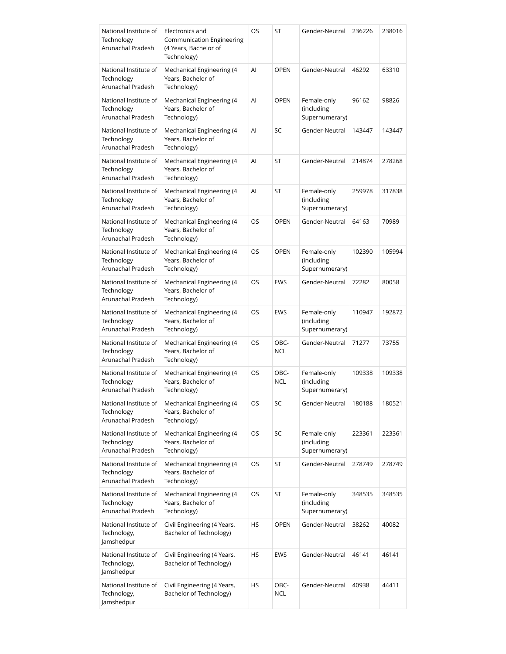| National Institute of<br>Technology<br>Arunachal Pradesh | Electronics and<br>Communication Engineering<br>(4 Years, Bachelor of<br>Technology) | OS | ST                 | Gender-Neutral                              | 236226 | 238016 |
|----------------------------------------------------------|--------------------------------------------------------------------------------------|----|--------------------|---------------------------------------------|--------|--------|
| National Institute of<br>Technology<br>Arunachal Pradesh | Mechanical Engineering (4<br>Years, Bachelor of<br>Technology)                       | Al | <b>OPEN</b>        | Gender-Neutral                              | 46292  | 63310  |
| National Institute of<br>Technology<br>Arunachal Pradesh | Mechanical Engineering (4<br>Years, Bachelor of<br>Technology)                       | Al | <b>OPEN</b>        | Female-only<br>(including<br>Supernumerary) | 96162  | 98826  |
| National Institute of<br>Technology<br>Arunachal Pradesh | Mechanical Engineering (4<br>Years, Bachelor of<br>Technology)                       | Al | SC                 | Gender-Neutral                              | 143447 | 143447 |
| National Institute of<br>Technology<br>Arunachal Pradesh | Mechanical Engineering (4<br>Years, Bachelor of<br>Technology)                       | Al | ST                 | Gender-Neutral                              | 214874 | 278268 |
| National Institute of<br>Technology<br>Arunachal Pradesh | Mechanical Engineering (4<br>Years, Bachelor of<br>Technology)                       | Al | ST                 | Female-only<br>(including<br>Supernumerary) | 259978 | 317838 |
| National Institute of<br>Technology<br>Arunachal Pradesh | Mechanical Engineering (4<br>Years, Bachelor of<br>Technology)                       | OS | <b>OPEN</b>        | Gender-Neutral                              | 64163  | 70989  |
| National Institute of<br>Technology<br>Arunachal Pradesh | Mechanical Engineering (4<br>Years, Bachelor of<br>Technology)                       | OS | <b>OPEN</b>        | Female-only<br>(including<br>Supernumerary) | 102390 | 105994 |
| National Institute of<br>Technology<br>Arunachal Pradesh | Mechanical Engineering (4<br>Years, Bachelor of<br>Technology)                       | OS | <b>EWS</b>         | Gender-Neutral                              | 72282  | 80058  |
| National Institute of<br>Technology<br>Arunachal Pradesh | Mechanical Engineering (4<br>Years, Bachelor of<br>Technology)                       | OS | <b>EWS</b>         | Female-only<br>(including<br>Supernumerary) | 110947 | 192872 |
| National Institute of<br>Technology<br>Arunachal Pradesh | Mechanical Engineering (4<br>Years, Bachelor of<br>Technology)                       | OS | OBC-<br><b>NCL</b> | Gender-Neutral                              | 71277  | 73755  |
| National Institute of<br>Technology<br>Arunachal Pradesh | Mechanical Engineering (4<br>Years, Bachelor of<br>Technology)                       | OS | OBC-<br><b>NCL</b> | Female-only<br>(including<br>Supernumerary) | 109338 | 109338 |
| National Institute of<br>Technology<br>Arunachal Pradesh | Mechanical Engineering (4<br>Years, Bachelor of<br>Technology)                       | OS | SC                 | Gender-Neutral                              | 180188 | 180521 |
| National Institute of<br>Technology<br>Arunachal Pradesh | Mechanical Engineering (4<br>Years, Bachelor of<br>Technology)                       | OS | SC                 | Female-only<br>(including<br>Supernumerary) | 223361 | 223361 |
| National Institute of<br>Technology<br>Arunachal Pradesh | Mechanical Engineering (4<br>Years, Bachelor of<br>Technology)                       | OS | <b>ST</b>          | Gender-Neutral                              | 278749 | 278749 |
| National Institute of<br>Technology<br>Arunachal Pradesh | Mechanical Engineering (4<br>Years, Bachelor of<br>Technology)                       | OS | ST                 | Female-only<br>(including<br>Supernumerary) | 348535 | 348535 |
| National Institute of<br>Technology,<br>Jamshedpur       | Civil Engineering (4 Years,<br>Bachelor of Technology)                               | HS | <b>OPEN</b>        | Gender-Neutral                              | 38262  | 40082  |
| National Institute of<br>Technology,<br>Jamshedpur       | Civil Engineering (4 Years,<br>Bachelor of Technology)                               | HS | <b>EWS</b>         | Gender-Neutral                              | 46141  | 46141  |
| National Institute of<br>Technology,<br>Jamshedpur       | Civil Engineering (4 Years,<br>Bachelor of Technology)                               | HS | OBC-<br><b>NCL</b> | Gender-Neutral                              | 40938  | 44411  |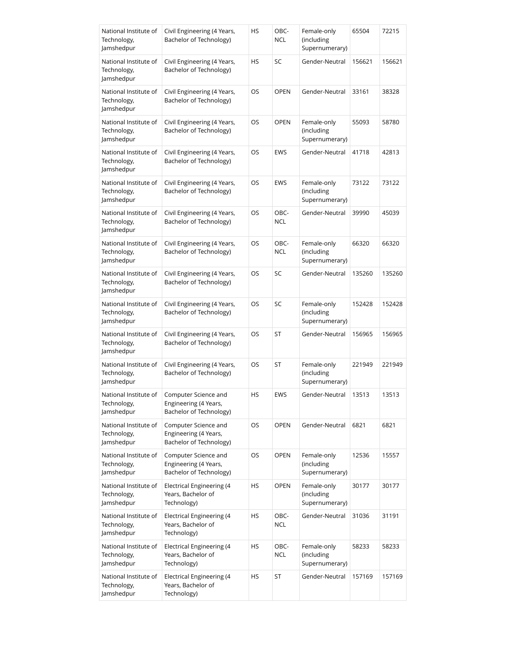| National Institute of<br>Technology,<br>Jamshedpur | Civil Engineering (4 Years,<br>Bachelor of Technology)                   | HS | OBC-<br><b>NCL</b> | Female-only<br>(including<br>Supernumerary) | 65504  | 72215  |
|----------------------------------------------------|--------------------------------------------------------------------------|----|--------------------|---------------------------------------------|--------|--------|
| National Institute of<br>Technology,<br>Jamshedpur | Civil Engineering (4 Years,<br>Bachelor of Technology)                   | HS | SC                 | Gender-Neutral                              | 156621 | 156621 |
| National Institute of<br>Technology,<br>Jamshedpur | Civil Engineering (4 Years,<br>Bachelor of Technology)                   | OS | <b>OPEN</b>        | Gender-Neutral                              | 33161  | 38328  |
| National Institute of<br>Technology,<br>Jamshedpur | Civil Engineering (4 Years,<br>Bachelor of Technology)                   | OS | <b>OPEN</b>        | Female-only<br>(including<br>Supernumerary) | 55093  | 58780  |
| National Institute of<br>Technology,<br>Jamshedpur | Civil Engineering (4 Years,<br>Bachelor of Technology)                   | OS | <b>EWS</b>         | Gender-Neutral                              | 41718  | 42813  |
| National Institute of<br>Technology,<br>Jamshedpur | Civil Engineering (4 Years,<br>Bachelor of Technology)                   | OS | <b>EWS</b>         | Female-only<br>(including<br>Supernumerary) | 73122  | 73122  |
| National Institute of<br>Technology,<br>Jamshedpur | Civil Engineering (4 Years,<br>Bachelor of Technology)                   | OS | OBC-<br><b>NCL</b> | Gender-Neutral                              | 39990  | 45039  |
| National Institute of<br>Technology,<br>Jamshedpur | Civil Engineering (4 Years,<br>Bachelor of Technology)                   | OS | OBC-<br><b>NCL</b> | Female-only<br>(including<br>Supernumerary) | 66320  | 66320  |
| National Institute of<br>Technology,<br>Jamshedpur | Civil Engineering (4 Years,<br>Bachelor of Technology)                   | OS | SC                 | Gender-Neutral                              | 135260 | 135260 |
| National Institute of<br>Technology,<br>Jamshedpur | Civil Engineering (4 Years,<br>Bachelor of Technology)                   | OS | SC                 | Female-only<br>(including<br>Supernumerary) | 152428 | 152428 |
| National Institute of<br>Technology,<br>Jamshedpur | Civil Engineering (4 Years,<br>Bachelor of Technology)                   | OS | ST                 | Gender-Neutral                              | 156965 | 156965 |
| National Institute of<br>Technology,<br>Jamshedpur | Civil Engineering (4 Years,<br>Bachelor of Technology)                   | OS | ST                 | Female-only<br>(including<br>Supernumerary) | 221949 | 221949 |
| National Institute of<br>Technology,<br>Jamshedpur | Computer Science and<br>Engineering (4 Years,<br>Bachelor of Technology) | HS | EWS                | Gender-Neutral                              | 13513  | 13513  |
| National Institute of<br>Technology,<br>Jamshedpur | Computer Science and<br>Engineering (4 Years,<br>Bachelor of Technology) | OS | <b>OPEN</b>        | Gender-Neutral                              | 6821   | 6821   |
| National Institute of<br>Technology,<br>Jamshedpur | Computer Science and<br>Engineering (4 Years,<br>Bachelor of Technology) | OS | <b>OPEN</b>        | Female-only<br>(including<br>Supernumerary) | 12536  | 15557  |
| National Institute of<br>Technology,<br>Jamshedpur | Electrical Engineering (4<br>Years, Bachelor of<br>Technology)           | HS | <b>OPEN</b>        | Female-only<br>(including<br>Supernumerary) | 30177  | 30177  |
| National Institute of<br>Technology,<br>Jamshedpur | Electrical Engineering (4<br>Years, Bachelor of<br>Technology)           | НS | OBC-<br><b>NCL</b> | Gender-Neutral                              | 31036  | 31191  |
| National Institute of<br>Technology,<br>Jamshedpur | Electrical Engineering (4<br>Years, Bachelor of<br>Technology)           | HS | OBC-<br><b>NCL</b> | Female-only<br>(including<br>Supernumerary) | 58233  | 58233  |
| National Institute of<br>Technology,<br>Jamshedpur | Electrical Engineering (4<br>Years, Bachelor of<br>Technology)           | HS | ST                 | Gender-Neutral                              | 157169 | 157169 |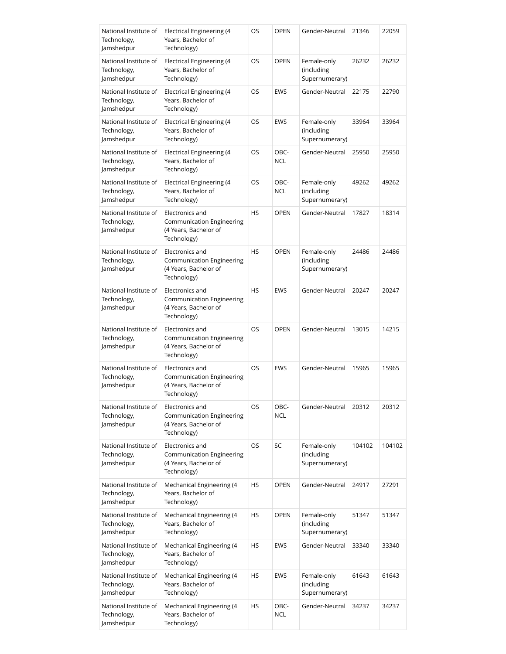| National Institute of<br>Technology,<br>Jamshedpur | <b>Electrical Engineering (4</b><br>Years, Bachelor of<br>Technology)                       | OS        | <b>OPEN</b>        | Gender-Neutral                              | 21346  | 22059  |
|----------------------------------------------------|---------------------------------------------------------------------------------------------|-----------|--------------------|---------------------------------------------|--------|--------|
| National Institute of<br>Technology,<br>Jamshedpur | Electrical Engineering (4<br>Years, Bachelor of<br>Technology)                              | OS        | <b>OPEN</b>        | Female-only<br>(including<br>Supernumerary) | 26232  | 26232  |
| National Institute of<br>Technology,<br>Jamshedpur | Electrical Engineering (4<br>Years, Bachelor of<br>Technology)                              | OS        | <b>EWS</b>         | Gender-Neutral                              | 22175  | 22790  |
| National Institute of<br>Technology,<br>Jamshedpur | <b>Electrical Engineering (4</b><br>Years, Bachelor of<br>Technology)                       | OS        | <b>EWS</b>         | Female-only<br>(including<br>Supernumerary) | 33964  | 33964  |
| National Institute of<br>Technology,<br>Jamshedpur | Electrical Engineering (4<br>Years, Bachelor of<br>Technology)                              | OS        | OBC-<br><b>NCL</b> | Gender-Neutral                              | 25950  | 25950  |
| National Institute of<br>Technology,<br>Jamshedpur | Electrical Engineering (4<br>Years, Bachelor of<br>Technology)                              | OS        | OBC-<br><b>NCL</b> | Female-only<br>(including<br>Supernumerary) | 49262  | 49262  |
| National Institute of<br>Technology,<br>Jamshedpur | Electronics and<br>Communication Engineering<br>(4 Years, Bachelor of<br>Technology)        | HS        | <b>OPEN</b>        | Gender-Neutral                              | 17827  | 18314  |
| National Institute of<br>Technology,<br>Jamshedpur | Electronics and<br><b>Communication Engineering</b><br>(4 Years, Bachelor of<br>Technology) | <b>HS</b> | <b>OPEN</b>        | Female-only<br>(including<br>Supernumerary) | 24486  | 24486  |
| National Institute of<br>Technology,<br>Jamshedpur | Electronics and<br><b>Communication Engineering</b><br>(4 Years, Bachelor of<br>Technology) | <b>HS</b> | <b>EWS</b>         | Gender-Neutral                              | 20247  | 20247  |
| National Institute of<br>Technology,<br>Jamshedpur | Electronics and<br><b>Communication Engineering</b><br>(4 Years, Bachelor of<br>Technology) | OS        | <b>OPEN</b>        | Gender-Neutral                              | 13015  | 14215  |
| National Institute of<br>Technology,<br>Jamshedpur | Electronics and<br><b>Communication Engineering</b><br>(4 Years, Bachelor of<br>Technology) | <b>OS</b> | <b>EWS</b>         | Gender-Neutral                              | 15965  | 15965  |
| National Institute of<br>Technology,<br>Jamshedpur | Electronics and<br>Communication Engineering<br>(4 Years, Bachelor of<br>Technology)        | OS        | OBC-<br><b>NCL</b> | Gender-Neutral                              | 20312  | 20312  |
| National Institute of<br>Technology,<br>Jamshedpur | Electronics and<br>Communication Engineering<br>(4 Years, Bachelor of<br>Technology)        | OS        | SC                 | Female-only<br>(including<br>Supernumerary) | 104102 | 104102 |
| National Institute of<br>Technology,<br>Jamshedpur | Mechanical Engineering (4<br>Years, Bachelor of<br>Technology)                              | HS        | <b>OPEN</b>        | Gender-Neutral                              | 24917  | 27291  |
| National Institute of<br>Technology,<br>Jamshedpur | Mechanical Engineering (4<br>Years, Bachelor of<br>Technology)                              | HS        | <b>OPEN</b>        | Female-only<br>(including<br>Supernumerary) | 51347  | 51347  |
| National Institute of<br>Technology,<br>Jamshedpur | Mechanical Engineering (4<br>Years, Bachelor of<br>Technology)                              | HS        | <b>EWS</b>         | Gender-Neutral                              | 33340  | 33340  |
| National Institute of<br>Technology,<br>Jamshedpur | Mechanical Engineering (4<br>Years, Bachelor of<br>Technology)                              | HS        | <b>EWS</b>         | Female-only<br>(including<br>Supernumerary) | 61643  | 61643  |
| National Institute of<br>Technology,<br>Jamshedpur | Mechanical Engineering (4<br>Years, Bachelor of<br>Technology)                              | HS        | OBC-<br><b>NCL</b> | Gender-Neutral                              | 34237  | 34237  |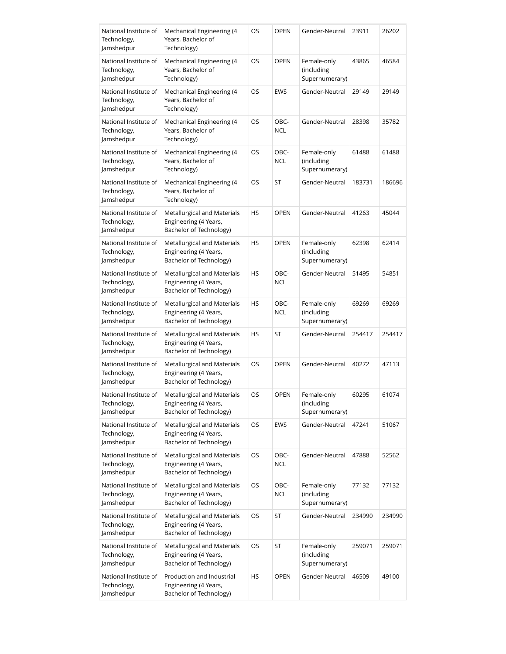| National Institute of<br>Technology,<br>Jamshedpur | Mechanical Engineering (4<br>Years, Bachelor of<br>Technology)                  | OS | <b>OPEN</b>        | Gender-Neutral                              | 23911  | 26202  |
|----------------------------------------------------|---------------------------------------------------------------------------------|----|--------------------|---------------------------------------------|--------|--------|
| National Institute of<br>Technology,<br>Jamshedpur | Mechanical Engineering (4<br>Years, Bachelor of<br>Technology)                  | OS | <b>OPEN</b>        | Female-only<br>(including<br>Supernumerary) | 43865  | 46584  |
| National Institute of<br>Technology,<br>Jamshedpur | Mechanical Engineering (4<br>Years, Bachelor of<br>Technology)                  | OS | <b>EWS</b>         | Gender-Neutral                              | 29149  | 29149  |
| National Institute of<br>Technology,<br>Jamshedpur | Mechanical Engineering (4<br>Years, Bachelor of<br>Technology)                  | OS | OBC-<br><b>NCL</b> | Gender-Neutral                              | 28398  | 35782  |
| National Institute of<br>Technology,<br>Jamshedpur | Mechanical Engineering (4<br>Years, Bachelor of<br>Technology)                  | OS | OBC-<br><b>NCL</b> | Female-only<br>(including<br>Supernumerary) | 61488  | 61488  |
| National Institute of<br>Technology,<br>Jamshedpur | Mechanical Engineering (4<br>Years, Bachelor of<br>Technology)                  | OS | ST                 | Gender-Neutral                              | 183731 | 186696 |
| National Institute of<br>Technology,<br>Jamshedpur | Metallurgical and Materials<br>Engineering (4 Years,<br>Bachelor of Technology) | HS | <b>OPEN</b>        | Gender-Neutral                              | 41263  | 45044  |
| National Institute of<br>Technology,<br>Jamshedpur | Metallurgical and Materials<br>Engineering (4 Years,<br>Bachelor of Technology) | HS | <b>OPEN</b>        | Female-only<br>(including<br>Supernumerary) | 62398  | 62414  |
| National Institute of<br>Technology,<br>Jamshedpur | Metallurgical and Materials<br>Engineering (4 Years,<br>Bachelor of Technology) | HS | OBC-<br><b>NCL</b> | Gender-Neutral                              | 51495  | 54851  |
| National Institute of<br>Technology,<br>Jamshedpur | Metallurgical and Materials<br>Engineering (4 Years,<br>Bachelor of Technology) | HS | OBC-<br><b>NCL</b> | Female-only<br>(including<br>Supernumerary) | 69269  | 69269  |
| National Institute of<br>Technology,<br>Jamshedpur | Metallurgical and Materials<br>Engineering (4 Years,<br>Bachelor of Technology) | HS | ST                 | Gender-Neutral                              | 254417 | 254417 |
| National Institute of<br>Technology,<br>Jamshedpur | Metallurgical and Materials<br>Engineering (4 Years,<br>Bachelor of Technology) | OS | <b>OPEN</b>        | Gender-Neutral                              | 40272  | 47113  |
| National Institute of<br>Technology,<br>Jamshedpur | Metallurgical and Materials<br>Engineering (4 Years,<br>Bachelor of Technology) | OS | OPEN               | Female-only<br>(including<br>Supernumerary) | 60295  | 61074  |
| National Institute of<br>Technology,<br>Jamshedpur | Metallurgical and Materials<br>Engineering (4 Years,<br>Bachelor of Technology) | OS | <b>EWS</b>         | Gender-Neutral                              | 47241  | 51067  |
| National Institute of<br>Technology,<br>Jamshedpur | Metallurgical and Materials<br>Engineering (4 Years,<br>Bachelor of Technology) | OS | OBC-<br><b>NCL</b> | Gender-Neutral                              | 47888  | 52562  |
| National Institute of<br>Technology,<br>Jamshedpur | Metallurgical and Materials<br>Engineering (4 Years,<br>Bachelor of Technology) | OS | OBC-<br><b>NCL</b> | Female-only<br>(including<br>Supernumerary) | 77132  | 77132  |
| National Institute of<br>Technology,<br>Jamshedpur | Metallurgical and Materials<br>Engineering (4 Years,<br>Bachelor of Technology) | OS | ST                 | Gender-Neutral                              | 234990 | 234990 |
| National Institute of<br>Technology,<br>Jamshedpur | Metallurgical and Materials<br>Engineering (4 Years,<br>Bachelor of Technology) | OS | ST                 | Female-only<br>(including<br>Supernumerary) | 259071 | 259071 |
| National Institute of<br>Technology,<br>Jamshedpur | Production and Industrial<br>Engineering (4 Years,<br>Bachelor of Technology)   | HS | OPEN               | Gender-Neutral                              | 46509  | 49100  |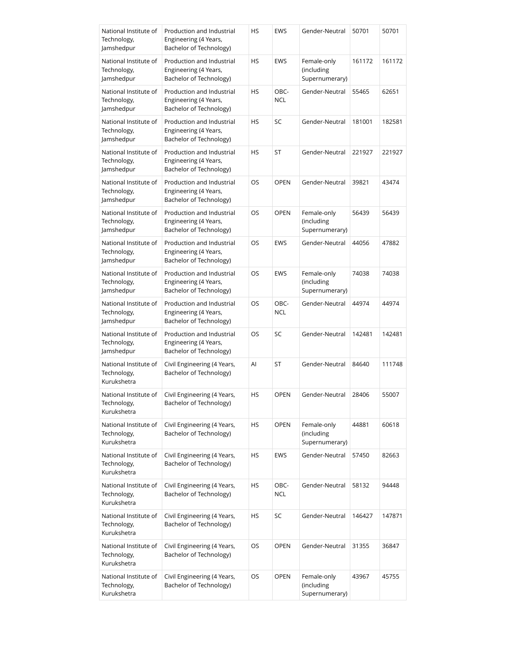| National Institute of<br>Technology,<br>Jamshedpur  | Production and Industrial<br>Engineering (4 Years,<br>Bachelor of Technology) | HS        | <b>EWS</b>         | Gender-Neutral                              | 50701  | 50701  |
|-----------------------------------------------------|-------------------------------------------------------------------------------|-----------|--------------------|---------------------------------------------|--------|--------|
| National Institute of<br>Technology,<br>Jamshedpur  | Production and Industrial<br>Engineering (4 Years,<br>Bachelor of Technology) | HS        | <b>EWS</b>         | Female-only<br>(including<br>Supernumerary) | 161172 | 161172 |
| National Institute of<br>Technology,<br>Jamshedpur  | Production and Industrial<br>Engineering (4 Years,<br>Bachelor of Technology) | HS        | OBC-<br><b>NCL</b> | Gender-Neutral                              | 55465  | 62651  |
| National Institute of<br>Technology,<br>Jamshedpur  | Production and Industrial<br>Engineering (4 Years,<br>Bachelor of Technology) | HS        | SC                 | Gender-Neutral                              | 181001 | 182581 |
| National Institute of<br>Technology,<br>Jamshedpur  | Production and Industrial<br>Engineering (4 Years,<br>Bachelor of Technology) | <b>HS</b> | ST                 | Gender-Neutral                              | 221927 | 221927 |
| National Institute of<br>Technology,<br>Jamshedpur  | Production and Industrial<br>Engineering (4 Years,<br>Bachelor of Technology) | OS        | <b>OPEN</b>        | Gender-Neutral                              | 39821  | 43474  |
| National Institute of<br>Technology,<br>Jamshedpur  | Production and Industrial<br>Engineering (4 Years,<br>Bachelor of Technology) | OS.       | <b>OPEN</b>        | Female-only<br>(including<br>Supernumerary) | 56439  | 56439  |
| National Institute of<br>Technology,<br>Jamshedpur  | Production and Industrial<br>Engineering (4 Years,<br>Bachelor of Technology) | OS        | <b>EWS</b>         | Gender-Neutral                              | 44056  | 47882  |
| National Institute of<br>Technology,<br>Jamshedpur  | Production and Industrial<br>Engineering (4 Years,<br>Bachelor of Technology) | OS.       | <b>EWS</b>         | Female-only<br>(including<br>Supernumerary) | 74038  | 74038  |
| National Institute of<br>Technology,<br>Jamshedpur  | Production and Industrial<br>Engineering (4 Years,<br>Bachelor of Technology) | OS        | OBC-<br><b>NCL</b> | Gender-Neutral                              | 44974  | 44974  |
| National Institute of<br>Technology,<br>Jamshedpur  | Production and Industrial<br>Engineering (4 Years,<br>Bachelor of Technology) | OS        | SC                 | Gender-Neutral                              | 142481 | 142481 |
| National Institute of<br>Technology,<br>Kurukshetra | Civil Engineering (4 Years,<br>Bachelor of Technology)                        | Al        | ST                 | Gender-Neutral                              | 84640  | 111748 |
| National Institute of<br>Technology,<br>Kurukshetra | Civil Engineering (4 Years,<br>Bachelor of Technology)                        | HS        | OPEN               | Gender-Neutral                              | 28406  | 55007  |
| National Institute of<br>Technology,<br>Kurukshetra | Civil Engineering (4 Years,<br>Bachelor of Technology)                        | HS        | <b>OPEN</b>        | Female-only<br>(including<br>Supernumerary) | 44881  | 60618  |
| National Institute of<br>Technology,<br>Kurukshetra | Civil Engineering (4 Years,<br>Bachelor of Technology)                        | HS        | <b>EWS</b>         | Gender-Neutral                              | 57450  | 82663  |
| National Institute of<br>Technology,<br>Kurukshetra | Civil Engineering (4 Years,<br>Bachelor of Technology)                        | HS        | OBC-<br><b>NCL</b> | Gender-Neutral                              | 58132  | 94448  |
| National Institute of<br>Technology,<br>Kurukshetra | Civil Engineering (4 Years,<br>Bachelor of Technology)                        | HS        | SC                 | Gender-Neutral                              | 146427 | 147871 |
| National Institute of<br>Technology,<br>Kurukshetra | Civil Engineering (4 Years,<br>Bachelor of Technology)                        | OS        | OPEN               | Gender-Neutral                              | 31355  | 36847  |
| National Institute of<br>Technology,<br>Kurukshetra | Civil Engineering (4 Years,<br>Bachelor of Technology)                        | OS        | <b>OPEN</b>        | Female-only<br>(including<br>Supernumerary) | 43967  | 45755  |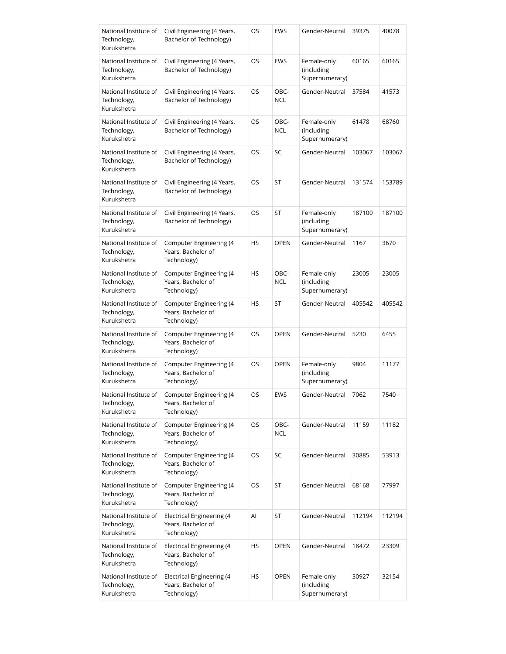| National Institute of<br>Technology,<br>Kurukshetra | Civil Engineering (4 Years,<br>Bachelor of Technology)         | OS  | <b>EWS</b>         | Gender-Neutral                              | 39375  | 40078  |
|-----------------------------------------------------|----------------------------------------------------------------|-----|--------------------|---------------------------------------------|--------|--------|
| National Institute of<br>Technology,<br>Kurukshetra | Civil Engineering (4 Years,<br>Bachelor of Technology)         | OS  | <b>EWS</b>         | Female-only<br>(including<br>Supernumerary) | 60165  | 60165  |
| National Institute of<br>Technology,<br>Kurukshetra | Civil Engineering (4 Years,<br>Bachelor of Technology)         | OS  | OBC-<br><b>NCL</b> | Gender-Neutral                              | 37584  | 41573  |
| National Institute of<br>Technology,<br>Kurukshetra | Civil Engineering (4 Years,<br>Bachelor of Technology)         | OS  | OBC-<br><b>NCL</b> | Female-only<br>(including<br>Supernumerary) | 61478  | 68760  |
| National Institute of<br>Technology,<br>Kurukshetra | Civil Engineering (4 Years,<br>Bachelor of Technology)         | OS. | SC                 | Gender-Neutral                              | 103067 | 103067 |
| National Institute of<br>Technology,<br>Kurukshetra | Civil Engineering (4 Years,<br>Bachelor of Technology)         | OS  | ST                 | Gender-Neutral                              | 131574 | 153789 |
| National Institute of<br>Technology,<br>Kurukshetra | Civil Engineering (4 Years,<br>Bachelor of Technology)         | OS  | ST                 | Female-only<br>(including<br>Supernumerary) | 187100 | 187100 |
| National Institute of<br>Technology,<br>Kurukshetra | Computer Engineering (4<br>Years, Bachelor of<br>Technology)   | HS  | <b>OPEN</b>        | Gender-Neutral                              | 1167   | 3670   |
| National Institute of<br>Technology,<br>Kurukshetra | Computer Engineering (4<br>Years, Bachelor of<br>Technology)   | HS  | OBC-<br><b>NCL</b> | Female-only<br>(including<br>Supernumerary) | 23005  | 23005  |
| National Institute of<br>Technology,<br>Kurukshetra | Computer Engineering (4<br>Years, Bachelor of<br>Technology)   | HS  | ST                 | Gender-Neutral                              | 405542 | 405542 |
| National Institute of<br>Technology,<br>Kurukshetra | Computer Engineering (4<br>Years, Bachelor of<br>Technology)   | OS  | <b>OPEN</b>        | Gender-Neutral                              | 5230   | 6455   |
| National Institute of<br>Technology,<br>Kurukshetra | Computer Engineering (4<br>Years, Bachelor of<br>Technology)   | OS  | <b>OPEN</b>        | Female-only<br>(including<br>Supernumerary) | 9804   | 11177  |
| National Institute of<br>Technology,<br>Kurukshetra | Computer Engineering (4<br>Years, Bachelor of<br>Technology)   | OS  | EWS                | Gender-Neutral                              | 7062   | 7540   |
| National Institute of<br>Technology,<br>Kurukshetra | Computer Engineering (4<br>Years, Bachelor of<br>Technology)   | OS  | OBC-<br><b>NCL</b> | Gender-Neutral                              | 11159  | 11182  |
| National Institute of<br>Technology,<br>Kurukshetra | Computer Engineering (4<br>Years, Bachelor of<br>Technology)   | OS  | SC                 | Gender-Neutral                              | 30885  | 53913  |
| National Institute of<br>Technology,<br>Kurukshetra | Computer Engineering (4<br>Years, Bachelor of<br>Technology)   | OS  | ST                 | Gender-Neutral                              | 68168  | 77997  |
| National Institute of<br>Technology,<br>Kurukshetra | Electrical Engineering (4<br>Years, Bachelor of<br>Technology) | Al  | ST                 | Gender-Neutral                              | 112194 | 112194 |
| National Institute of<br>Technology,<br>Kurukshetra | Electrical Engineering (4<br>Years, Bachelor of<br>Technology) | HS  | <b>OPEN</b>        | Gender-Neutral                              | 18472  | 23309  |
| National Institute of<br>Technology,<br>Kurukshetra | Electrical Engineering (4<br>Years, Bachelor of<br>Technology) | HS  | <b>OPEN</b>        | Female-only<br>(including<br>Supernumerary) | 30927  | 32154  |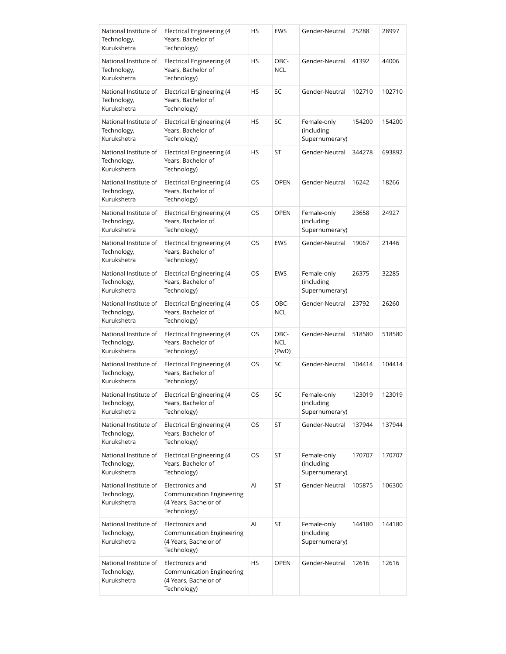| National Institute of<br>Technology,<br>Kurukshetra | <b>Electrical Engineering (4</b><br>Years, Bachelor of<br>Technology)                | HS | <b>EWS</b>                  | Gender-Neutral                              | 25288  | 28997  |
|-----------------------------------------------------|--------------------------------------------------------------------------------------|----|-----------------------------|---------------------------------------------|--------|--------|
| National Institute of<br>Technology,<br>Kurukshetra | Electrical Engineering (4<br>Years, Bachelor of<br>Technology)                       | HS | OBC-<br><b>NCL</b>          | Gender-Neutral                              | 41392  | 44006  |
| National Institute of<br>Technology,<br>Kurukshetra | Electrical Engineering (4<br>Years, Bachelor of<br>Technology)                       | HS | SC                          | Gender-Neutral                              | 102710 | 102710 |
| National Institute of<br>Technology,<br>Kurukshetra | Electrical Engineering (4<br>Years, Bachelor of<br>Technology)                       | HS | SC                          | Female-only<br>(including<br>Supernumerary) | 154200 | 154200 |
| National Institute of<br>Technology,<br>Kurukshetra | Electrical Engineering (4<br>Years, Bachelor of<br>Technology)                       | HS | ST                          | Gender-Neutral                              | 344278 | 693892 |
| National Institute of<br>Technology,<br>Kurukshetra | Electrical Engineering (4<br>Years, Bachelor of<br>Technology)                       | OS | <b>OPEN</b>                 | Gender-Neutral                              | 16242  | 18266  |
| National Institute of<br>Technology,<br>Kurukshetra | Electrical Engineering (4<br>Years, Bachelor of<br>Technology)                       | OS | <b>OPEN</b>                 | Female-only<br>(including<br>Supernumerary) | 23658  | 24927  |
| National Institute of<br>Technology,<br>Kurukshetra | Electrical Engineering (4<br>Years, Bachelor of<br>Technology)                       | OS | <b>EWS</b>                  | Gender-Neutral                              | 19067  | 21446  |
| National Institute of<br>Technology,<br>Kurukshetra | Electrical Engineering (4<br>Years, Bachelor of<br>Technology)                       | OS | <b>EWS</b>                  | Female-only<br>(including<br>Supernumerary) | 26375  | 32285  |
| National Institute of<br>Technology,<br>Kurukshetra | Electrical Engineering (4<br>Years, Bachelor of<br>Technology)                       | OS | OBC-<br><b>NCL</b>          | Gender-Neutral                              | 23792  | 26260  |
| National Institute of<br>Technology,<br>Kurukshetra | Electrical Engineering (4<br>Years, Bachelor of<br>Technology)                       | OS | OBC-<br><b>NCL</b><br>(PwD) | Gender-Neutral                              | 518580 | 518580 |
| National Institute of<br>Technology,<br>Kurukshetra | Electrical Engineering (4<br>Years, Bachelor of<br>Technology)                       | OS | SC                          | Gender-Neutral                              | 104414 | 104414 |
| National Institute of<br>Technology,<br>Kurukshetra | Electrical Engineering (4<br>Years, Bachelor of<br>Technology)                       | OS | SC                          | Female-only<br>(including<br>Supernumerary) | 123019 | 123019 |
| National Institute of<br>Technology,<br>Kurukshetra | <b>Electrical Engineering (4</b><br>Years, Bachelor of<br>Technology)                | OS | ST                          | Gender-Neutral                              | 137944 | 137944 |
| National Institute of<br>Technology,<br>Kurukshetra | Electrical Engineering (4<br>Years, Bachelor of<br>Technology)                       | OS | ST                          | Female-only<br>(including<br>Supernumerary) | 170707 | 170707 |
| National Institute of<br>Technology,<br>Kurukshetra | Electronics and<br>Communication Engineering<br>(4 Years, Bachelor of<br>Technology) | Al | ST                          | Gender-Neutral                              | 105875 | 106300 |
| National Institute of<br>Technology,<br>Kurukshetra | Electronics and<br>Communication Engineering<br>(4 Years, Bachelor of<br>Technology) | AI | ST                          | Female-only<br>(including<br>Supernumerary) | 144180 | 144180 |
| National Institute of<br>Technology,<br>Kurukshetra | Electronics and<br>Communication Engineering<br>(4 Years, Bachelor of<br>Technology) | HS | <b>OPEN</b>                 | Gender-Neutral                              | 12616  | 12616  |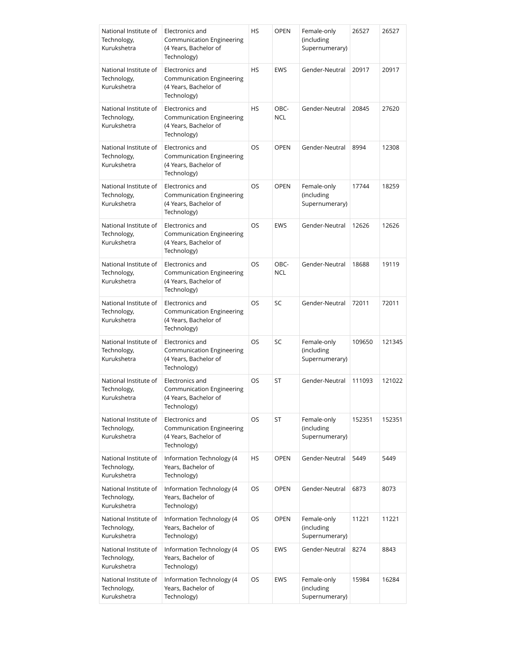| National Institute of<br>Technology,<br>Kurukshetra | Electronics and<br><b>Communication Engineering</b><br>(4 Years, Bachelor of<br>Technology) | HS        | OPEN               | Female-only<br>(including<br>Supernumerary) | 26527  | 26527  |
|-----------------------------------------------------|---------------------------------------------------------------------------------------------|-----------|--------------------|---------------------------------------------|--------|--------|
| National Institute of<br>Technology,<br>Kurukshetra | Electronics and<br>Communication Engineering<br>(4 Years, Bachelor of<br>Technology)        | <b>HS</b> | <b>EWS</b>         | Gender-Neutral                              | 20917  | 20917  |
| National Institute of<br>Technology,<br>Kurukshetra | Electronics and<br><b>Communication Engineering</b><br>(4 Years, Bachelor of<br>Technology) | <b>HS</b> | OBC-<br><b>NCL</b> | Gender-Neutral                              | 20845  | 27620  |
| National Institute of<br>Technology,<br>Kurukshetra | Electronics and<br>Communication Engineering<br>(4 Years, Bachelor of<br>Technology)        | OS        | <b>OPEN</b>        | Gender-Neutral                              | 8994   | 12308  |
| National Institute of<br>Technology,<br>Kurukshetra | Electronics and<br><b>Communication Engineering</b><br>(4 Years, Bachelor of<br>Technology) | <b>OS</b> | <b>OPEN</b>        | Female-only<br>(including<br>Supernumerary) | 17744  | 18259  |
| National Institute of<br>Technology,<br>Kurukshetra | Electronics and<br><b>Communication Engineering</b><br>(4 Years, Bachelor of<br>Technology) | OS        | <b>EWS</b>         | Gender-Neutral                              | 12626  | 12626  |
| National Institute of<br>Technology,<br>Kurukshetra | Electronics and<br>Communication Engineering<br>(4 Years, Bachelor of<br>Technology)        | OS        | OBC-<br><b>NCL</b> | Gender-Neutral                              | 18688  | 19119  |
| National Institute of<br>Technology,<br>Kurukshetra | Electronics and<br>Communication Engineering<br>(4 Years, Bachelor of<br>Technology)        | OS        | SC                 | Gender-Neutral                              | 72011  | 72011  |
| National Institute of<br>Technology,<br>Kurukshetra | Electronics and<br><b>Communication Engineering</b><br>(4 Years, Bachelor of<br>Technology) | OS        | SC                 | Female-only<br>(including<br>Supernumerary) | 109650 | 121345 |
| National Institute of<br>Technology,<br>Kurukshetra | Electronics and<br>Communication Engineering<br>(4 Years, Bachelor of<br>Technology)        | OS        | ST                 | Gender-Neutral                              | 111093 | 121022 |
| National Institute of<br>Technology,<br>Kurukshetra | Electronics and<br>Communication Engineering<br>(4 Years, Bachelor of<br>Technology)        | OS        | ST                 | Female-only<br>(including<br>Supernumerary) | 152351 | 152351 |
| National Institute of<br>Technology,<br>Kurukshetra | Information Technology (4<br>Years, Bachelor of<br>Technology)                              | <b>HS</b> | <b>OPEN</b>        | Gender-Neutral                              | 5449   | 5449   |
| National Institute of<br>Technology,<br>Kurukshetra | Information Technology (4<br>Years, Bachelor of<br>Technology)                              | OS        | <b>OPEN</b>        | Gender-Neutral                              | 6873   | 8073   |
| National Institute of<br>Technology,<br>Kurukshetra | Information Technology (4<br>Years, Bachelor of<br>Technology)                              | OS        | <b>OPEN</b>        | Female-only<br>(including<br>Supernumerary) | 11221  | 11221  |
| National Institute of<br>Technology,<br>Kurukshetra | Information Technology (4<br>Years, Bachelor of<br>Technology)                              | OS        | EWS                | Gender-Neutral                              | 8274   | 8843   |
| National Institute of<br>Technology,<br>Kurukshetra | Information Technology (4<br>Years, Bachelor of<br>Technology)                              | OS        | <b>EWS</b>         | Female-only<br>(including<br>Supernumerary) | 15984  | 16284  |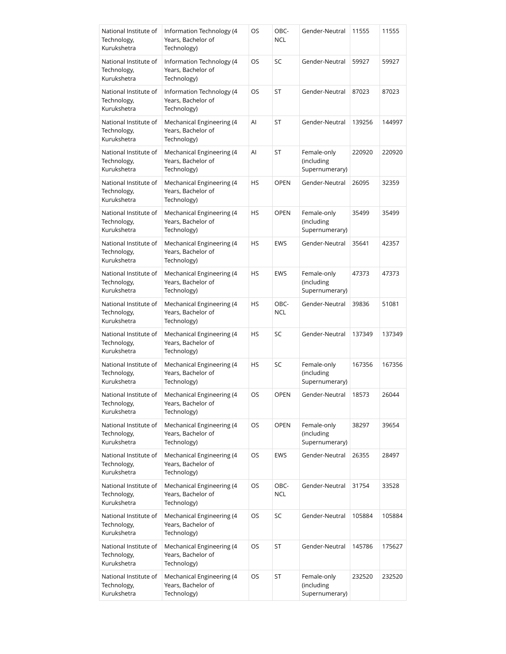| National Institute of<br>Technology,<br>Kurukshetra | Information Technology (4<br>Years, Bachelor of<br>Technology) | OS        | OBC-<br><b>NCL</b> | Gender-Neutral                              | 11555  | 11555  |
|-----------------------------------------------------|----------------------------------------------------------------|-----------|--------------------|---------------------------------------------|--------|--------|
| National Institute of<br>Technology,<br>Kurukshetra | Information Technology (4<br>Years, Bachelor of<br>Technology) | OS        | SC                 | Gender-Neutral                              | 59927  | 59927  |
| National Institute of<br>Technology,<br>Kurukshetra | Information Technology (4<br>Years, Bachelor of<br>Technology) | OS        | ST                 | Gender-Neutral                              | 87023  | 87023  |
| National Institute of<br>Technology,<br>Kurukshetra | Mechanical Engineering (4<br>Years, Bachelor of<br>Technology) | Al        | ST                 | Gender-Neutral                              | 139256 | 144997 |
| National Institute of<br>Technology,<br>Kurukshetra | Mechanical Engineering (4<br>Years, Bachelor of<br>Technology) | Al        | ST                 | Female-only<br>(including<br>Supernumerary) | 220920 | 220920 |
| National Institute of<br>Technology,<br>Kurukshetra | Mechanical Engineering (4<br>Years, Bachelor of<br>Technology) | HS        | <b>OPEN</b>        | Gender-Neutral                              | 26095  | 32359  |
| National Institute of<br>Technology,<br>Kurukshetra | Mechanical Engineering (4<br>Years, Bachelor of<br>Technology) | <b>HS</b> | <b>OPEN</b>        | Female-only<br>(including<br>Supernumerary) | 35499  | 35499  |
| National Institute of<br>Technology,<br>Kurukshetra | Mechanical Engineering (4<br>Years, Bachelor of<br>Technology) | HS        | <b>EWS</b>         | Gender-Neutral                              | 35641  | 42357  |
| National Institute of<br>Technology,<br>Kurukshetra | Mechanical Engineering (4<br>Years, Bachelor of<br>Technology) | <b>HS</b> | <b>EWS</b>         | Female-only<br>(including<br>Supernumerary) | 47373  | 47373  |
| National Institute of<br>Technology,<br>Kurukshetra | Mechanical Engineering (4<br>Years, Bachelor of<br>Technology) | HS        | OBC-<br><b>NCL</b> | Gender-Neutral                              | 39836  | 51081  |
| National Institute of<br>Technology,<br>Kurukshetra | Mechanical Engineering (4<br>Years, Bachelor of<br>Technology) | <b>HS</b> | SC                 | Gender-Neutral                              | 137349 | 137349 |
| National Institute of<br>Technology,<br>Kurukshetra | Mechanical Engineering (4<br>Years, Bachelor of<br>Technology) | HS        | SC                 | Female-only<br>(including<br>Supernumerary) | 167356 | 167356 |
| National Institute of<br>Technology,<br>Kurukshetra | Mechanical Engineering (4<br>Years, Bachelor of<br>Technology) | OS        | OPEN               | Gender-Neutral                              | 18573  | 26044  |
| National Institute of<br>Technology,<br>Kurukshetra | Mechanical Engineering (4<br>Years, Bachelor of<br>Technology) | OS        | <b>OPEN</b>        | Female-only<br>(including<br>Supernumerary) | 38297  | 39654  |
| National Institute of<br>Technology,<br>Kurukshetra | Mechanical Engineering (4<br>Years, Bachelor of<br>Technology) | OS        | <b>EWS</b>         | Gender-Neutral                              | 26355  | 28497  |
| National Institute of<br>Technology,<br>Kurukshetra | Mechanical Engineering (4<br>Years, Bachelor of<br>Technology) | OS        | OBC-<br><b>NCL</b> | Gender-Neutral                              | 31754  | 33528  |
| National Institute of<br>Technology,<br>Kurukshetra | Mechanical Engineering (4<br>Years, Bachelor of<br>Technology) | OS        | SC                 | Gender-Neutral                              | 105884 | 105884 |
| National Institute of<br>Technology,<br>Kurukshetra | Mechanical Engineering (4<br>Years, Bachelor of<br>Technology) | OS        | ST                 | Gender-Neutral                              | 145786 | 175627 |
| National Institute of<br>Technology,<br>Kurukshetra | Mechanical Engineering (4<br>Years, Bachelor of<br>Technology) | OS        | ST                 | Female-only<br>(including<br>Supernumerary) | 232520 | 232520 |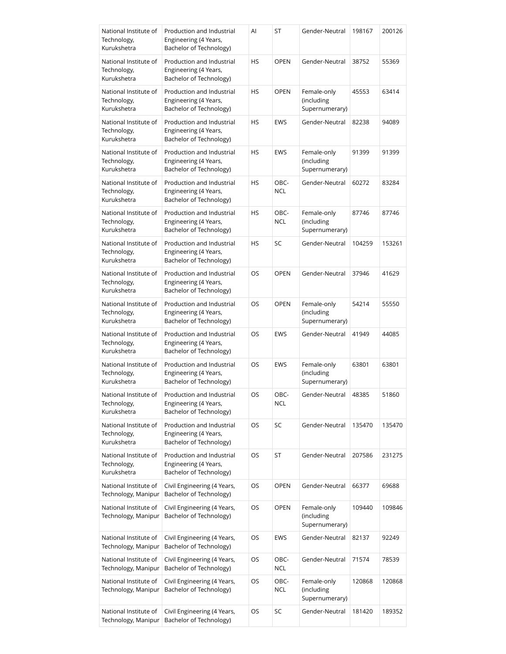| National Institute of<br>Technology,<br>Kurukshetra | Production and Industrial<br>Engineering (4 Years,<br>Bachelor of Technology) | Al        | ST                 | Gender-Neutral                              | 198167 | 200126 |
|-----------------------------------------------------|-------------------------------------------------------------------------------|-----------|--------------------|---------------------------------------------|--------|--------|
| National Institute of<br>Technology,<br>Kurukshetra | Production and Industrial<br>Engineering (4 Years,<br>Bachelor of Technology) | HS        | <b>OPEN</b>        | Gender-Neutral                              | 38752  | 55369  |
| National Institute of<br>Technology,<br>Kurukshetra | Production and Industrial<br>Engineering (4 Years,<br>Bachelor of Technology) | HS        | <b>OPEN</b>        | Female-only<br>(including<br>Supernumerary) | 45553  | 63414  |
| National Institute of<br>Technology,<br>Kurukshetra | Production and Industrial<br>Engineering (4 Years,<br>Bachelor of Technology) | HS        | <b>EWS</b>         | Gender-Neutral                              | 82238  | 94089  |
| National Institute of<br>Technology,<br>Kurukshetra | Production and Industrial<br>Engineering (4 Years,<br>Bachelor of Technology) | <b>HS</b> | <b>EWS</b>         | Female-only<br>(including<br>Supernumerary) | 91399  | 91399  |
| National Institute of<br>Technology,<br>Kurukshetra | Production and Industrial<br>Engineering (4 Years,<br>Bachelor of Technology) | HS        | OBC-<br><b>NCL</b> | Gender-Neutral                              | 60272  | 83284  |
| National Institute of<br>Technology,<br>Kurukshetra | Production and Industrial<br>Engineering (4 Years,<br>Bachelor of Technology) | HS        | OBC-<br>NCL        | Female-only<br>(including<br>Supernumerary) | 87746  | 87746  |
| National Institute of<br>Technology,<br>Kurukshetra | Production and Industrial<br>Engineering (4 Years,<br>Bachelor of Technology) | HS        | SC                 | Gender-Neutral                              | 104259 | 153261 |
| National Institute of<br>Technology,<br>Kurukshetra | Production and Industrial<br>Engineering (4 Years,<br>Bachelor of Technology) | OS        | <b>OPEN</b>        | Gender-Neutral                              | 37946  | 41629  |
| National Institute of<br>Technology,<br>Kurukshetra | Production and Industrial<br>Engineering (4 Years,<br>Bachelor of Technology) | OS        | <b>OPEN</b>        | Female-only<br>(including<br>Supernumerary) | 54214  | 55550  |
| National Institute of<br>Technology,<br>Kurukshetra | Production and Industrial<br>Engineering (4 Years,<br>Bachelor of Technology) | OS        | <b>EWS</b>         | Gender-Neutral                              | 41949  | 44085  |
| National Institute of<br>Technology,<br>Kurukshetra | Production and Industrial<br>Engineering (4 Years,<br>Bachelor of Technology) | OS        | <b>EWS</b>         | Female-only<br>(including<br>Supernumerary) | 63801  | 63801  |
| National Institute of<br>Technology,<br>Kurukshetra | Production and Industrial<br>Engineering (4 Years,<br>Bachelor of Technology) | OS        | OBC-<br>NCL        | Gender-Neutral                              | 48385  | 51860  |
| National Institute of<br>Technology,<br>Kurukshetra | Production and Industrial<br>Engineering (4 Years,<br>Bachelor of Technology) | OS        | SC                 | Gender-Neutral                              | 135470 | 135470 |
| National Institute of<br>Technology,<br>Kurukshetra | Production and Industrial<br>Engineering (4 Years,<br>Bachelor of Technology) | OS        | ST                 | Gender-Neutral                              | 207586 | 231275 |
| National Institute of<br>Technology, Manipur        | Civil Engineering (4 Years,<br>Bachelor of Technology)                        | OS        | <b>OPEN</b>        | Gender-Neutral                              | 66377  | 69688  |
| National Institute of<br>Technology, Manipur        | Civil Engineering (4 Years,<br>Bachelor of Technology)                        | OS        | <b>OPEN</b>        | Female-only<br>(including<br>Supernumerary) | 109440 | 109846 |
| National Institute of<br>Technology, Manipur        | Civil Engineering (4 Years,<br>Bachelor of Technology)                        | OS        | <b>EWS</b>         | Gender-Neutral                              | 82137  | 92249  |
| National Institute of<br>Technology, Manipur        | Civil Engineering (4 Years,<br>Bachelor of Technology)                        | OS        | OBC-<br>NCL        | Gender-Neutral                              | 71574  | 78539  |
| National Institute of<br>Technology, Manipur        | Civil Engineering (4 Years,<br>Bachelor of Technology)                        | OS        | OBC-<br>NCL        | Female-only<br>(including<br>Supernumerary) | 120868 | 120868 |
| National Institute of<br>Technology, Manipur        | Civil Engineering (4 Years,<br>Bachelor of Technology)                        | OS        | SC                 | Gender-Neutral                              | 181420 | 189352 |